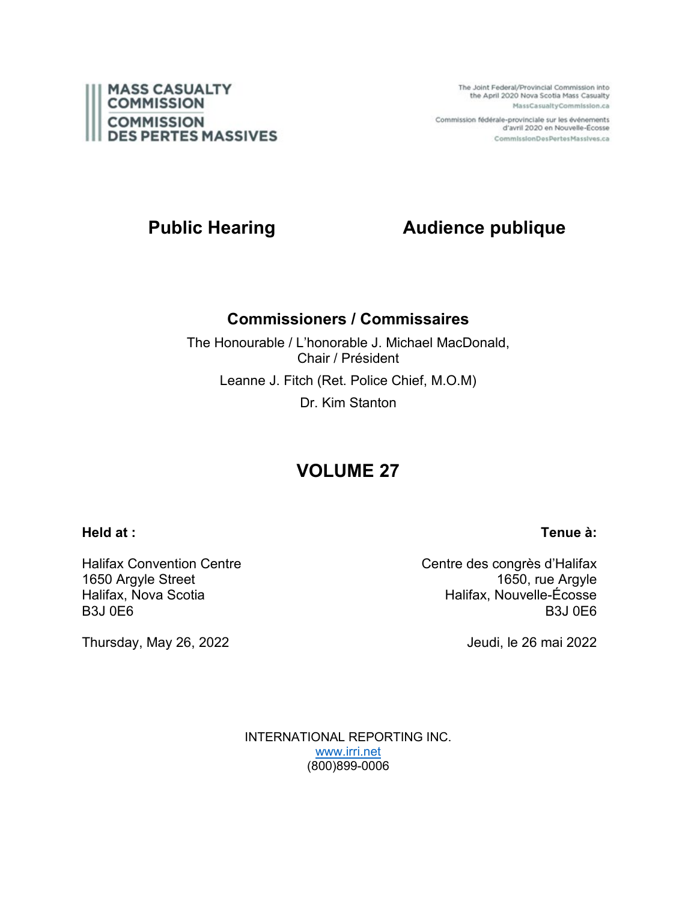

The Joint Federal/Provincial Commission into the April 2020 Nova Scotia Mass Casualty MassCasualtyCommission.ca

Commission fédérale-provinciale sur les événements d'avril 2020 en Nouvelle-Écosse CommissionDesPertesMassives.ca

# **Public Hearing <b>Audience publique**

## **Commissioners / Commissaires**

The Honourable / L'honorable J. Michael MacDonald, Chair / Président Leanne J. Fitch (Ret. Police Chief, M.O.M) Dr. Kim Stanton

# **VOLUME 27**

### **Held at :**

### **Tenue à:**

Halifax Convention Centre 1650 Argyle Street Halifax, Nova Scotia B3J 0E6

Thursday, May 26, 2022

Centre des congrès d'Halifax 1650, rue Argyle Halifax, Nouvelle-Écosse B3J 0E6

Jeudi, le 26 mai 2022

INTERNATIONAL REPORTING INC. [www.irri.net](http://www.irri.net/) (800)899-0006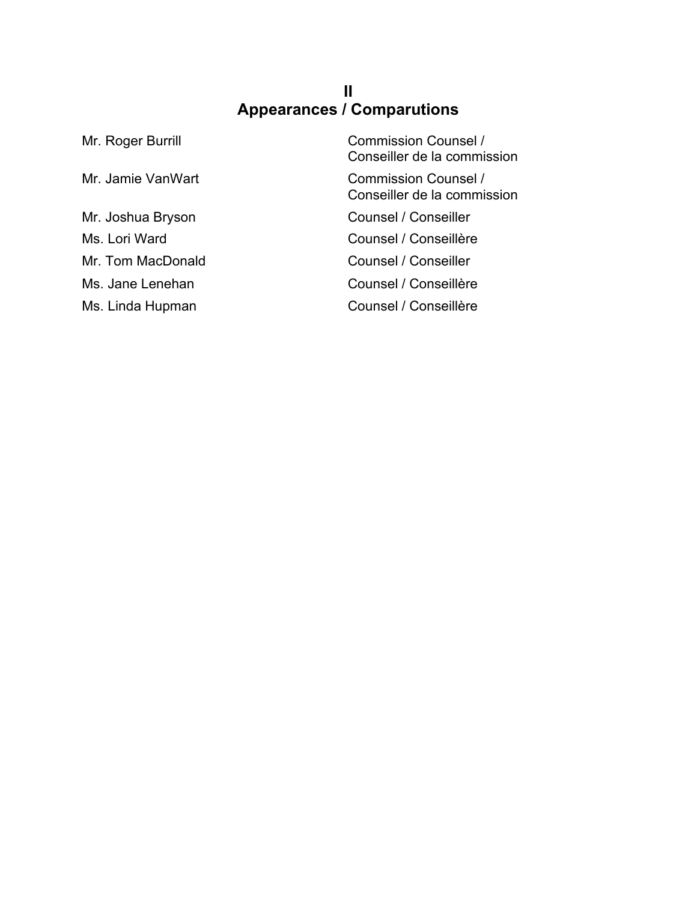## **II Appearances / Comparutions**

| Mr. Roger Burrill | <b>Commission Counsel /</b><br>Conseiller de la commission |
|-------------------|------------------------------------------------------------|
| Mr. Jamie VanWart | <b>Commission Counsel /</b><br>Conseiller de la commission |
| Mr. Joshua Bryson | Counsel / Conseiller                                       |
| Ms. Lori Ward     | Counsel / Conseillère                                      |
| Mr. Tom MacDonald | Counsel / Conseiller                                       |
| Ms. Jane Lenehan  | Counsel / Conseillère                                      |
| Ms. Linda Hupman  | Counsel / Conseillère                                      |
|                   |                                                            |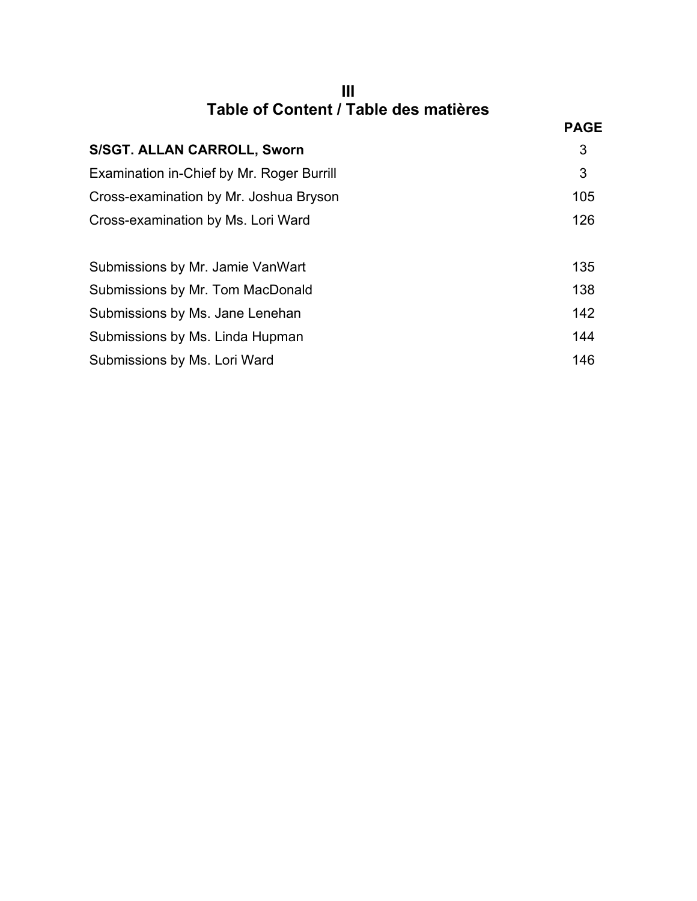| Table of Content / Table des matières |  |
|---------------------------------------|--|

|                                           | <b>PAGE</b> |
|-------------------------------------------|-------------|
| <b>S/SGT. ALLAN CARROLL, Sworn</b>        | 3           |
| Examination in-Chief by Mr. Roger Burrill | 3           |
| Cross-examination by Mr. Joshua Bryson    | 105         |
| Cross-examination by Ms. Lori Ward        | 126         |
| Submissions by Mr. Jamie VanWart          | 135         |
| Submissions by Mr. Tom MacDonald          | 138         |
| Submissions by Ms. Jane Lenehan           | 142         |
| Submissions by Ms. Linda Hupman           | 144         |
| Submissions by Ms. Lori Ward              | 146         |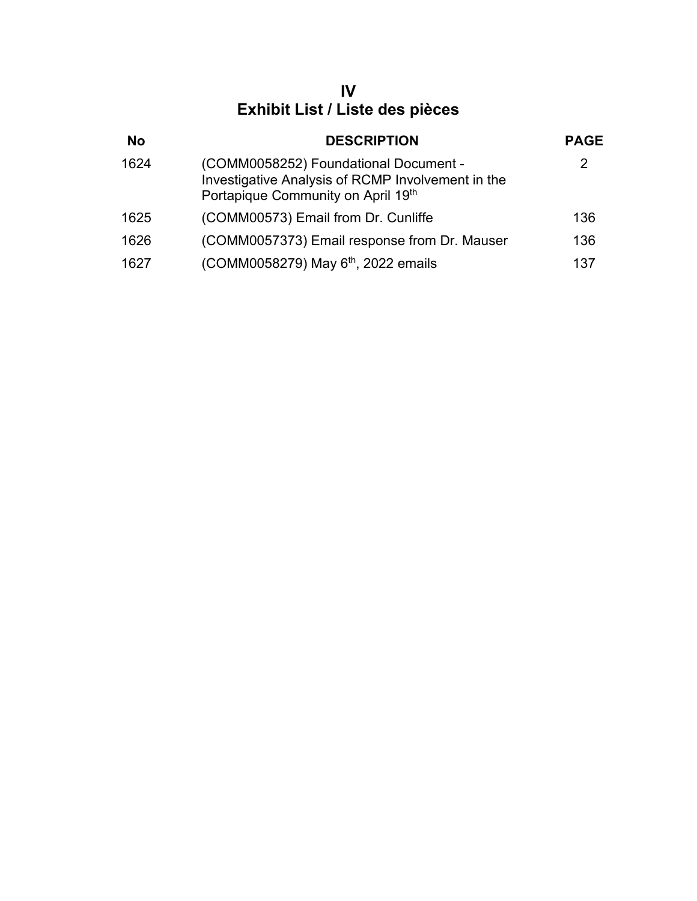# **IV Exhibit List / Liste des pièces**

| <b>No</b> | <b>DESCRIPTION</b>                                                                                                               | <b>PAGE</b> |
|-----------|----------------------------------------------------------------------------------------------------------------------------------|-------------|
| 1624      | (COMM0058252) Foundational Document -<br>Investigative Analysis of RCMP Involvement in the<br>Portapique Community on April 19th | 2           |
| 1625      | (COMM00573) Email from Dr. Cunliffe                                                                                              | 136         |
| 1626      | (COMM0057373) Email response from Dr. Mauser                                                                                     | 136         |
| 1627      | (COMM0058279) May 6 <sup>th</sup> , 2022 emails                                                                                  | 137         |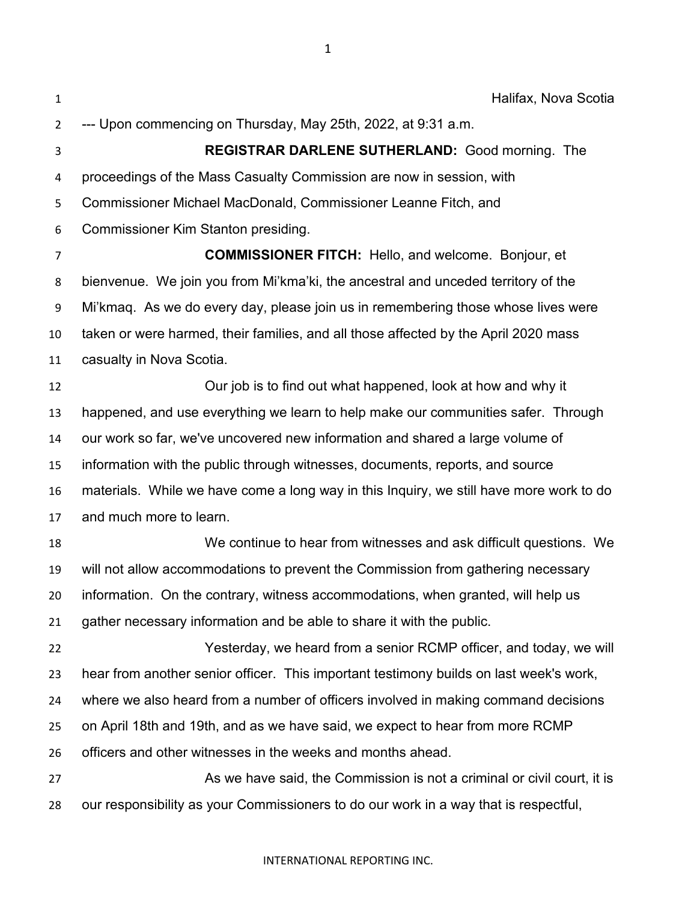Halifax, Nova Scotia --- Upon commencing on Thursday, May 25th, 2022, at 9:31 a.m. **REGISTRAR DARLENE SUTHERLAND:** Good morning. The proceedings of the Mass Casualty Commission are now in session, with Commissioner Michael MacDonald, Commissioner Leanne Fitch, and Commissioner Kim Stanton presiding. **COMMISSIONER FITCH:** Hello, and welcome. Bonjour, et bienvenue. We join you from Mi'kma'ki, the ancestral and unceded territory of the Mi'kmaq. As we do every day, please join us in remembering those whose lives were taken or were harmed, their families, and all those affected by the April 2020 mass casualty in Nova Scotia. Our job is to find out what happened, look at how and why it happened, and use everything we learn to help make our communities safer. Through our work so far, we've uncovered new information and shared a large volume of information with the public through witnesses, documents, reports, and source materials. While we have come a long way in this Inquiry, we still have more work to do and much more to learn. We continue to hear from witnesses and ask difficult questions. We will not allow accommodations to prevent the Commission from gathering necessary information. On the contrary, witness accommodations, when granted, will help us gather necessary information and be able to share it with the public. Yesterday, we heard from a senior RCMP officer, and today, we will hear from another senior officer. This important testimony builds on last week's work, where we also heard from a number of officers involved in making command decisions on April 18th and 19th, and as we have said, we expect to hear from more RCMP officers and other witnesses in the weeks and months ahead. As we have said, the Commission is not a criminal or civil court, it is our responsibility as your Commissioners to do our work in a way that is respectful,

#### INTERNATIONAL REPORTING INC.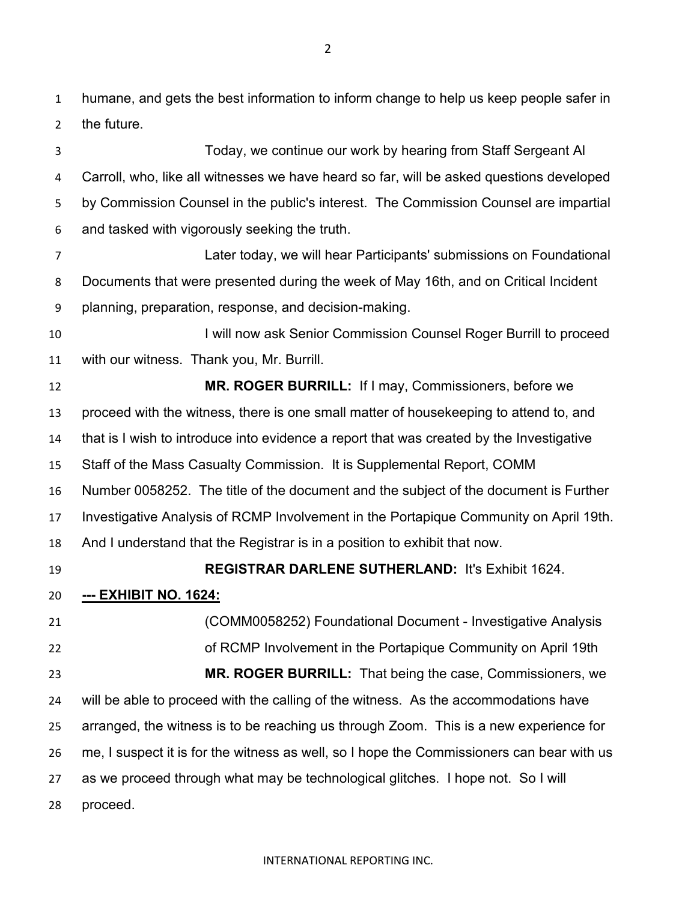humane, and gets the best information to inform change to help us keep people safer in the future.

Today, we continue our work by hearing from Staff Sergeant Al Carroll, who, like all witnesses we have heard so far, will be asked questions developed by Commission Counsel in the public's interest. The Commission Counsel are impartial and tasked with vigorously seeking the truth. Later today, we will hear Participants' submissions on Foundational Documents that were presented during the week of May 16th, and on Critical Incident planning, preparation, response, and decision-making. **I will now ask Senior Commission Counsel Roger Burrill to proceed**  with our witness. Thank you, Mr. Burrill. **MR. ROGER BURRILL:** If I may, Commissioners, before we proceed with the witness, there is one small matter of housekeeping to attend to, and that is I wish to introduce into evidence a report that was created by the Investigative Staff of the Mass Casualty Commission. It is Supplemental Report, COMM Number 0058252. The title of the document and the subject of the document is Further Investigative Analysis of RCMP Involvement in the Portapique Community on April 19th. And I understand that the Registrar is in a position to exhibit that now. **REGISTRAR DARLENE SUTHERLAND:** It's Exhibit 1624. **--- EXHIBIT NO. 1624:** (COMM0058252) Foundational Document - Investigative Analysis of RCMP Involvement in the Portapique Community on April 19th **MR. ROGER BURRILL:** That being the case, Commissioners, we will be able to proceed with the calling of the witness. As the accommodations have arranged, the witness is to be reaching us through Zoom. This is a new experience for me, I suspect it is for the witness as well, so I hope the Commissioners can bear with us

 as we proceed through what may be technological glitches. I hope not. So I will proceed.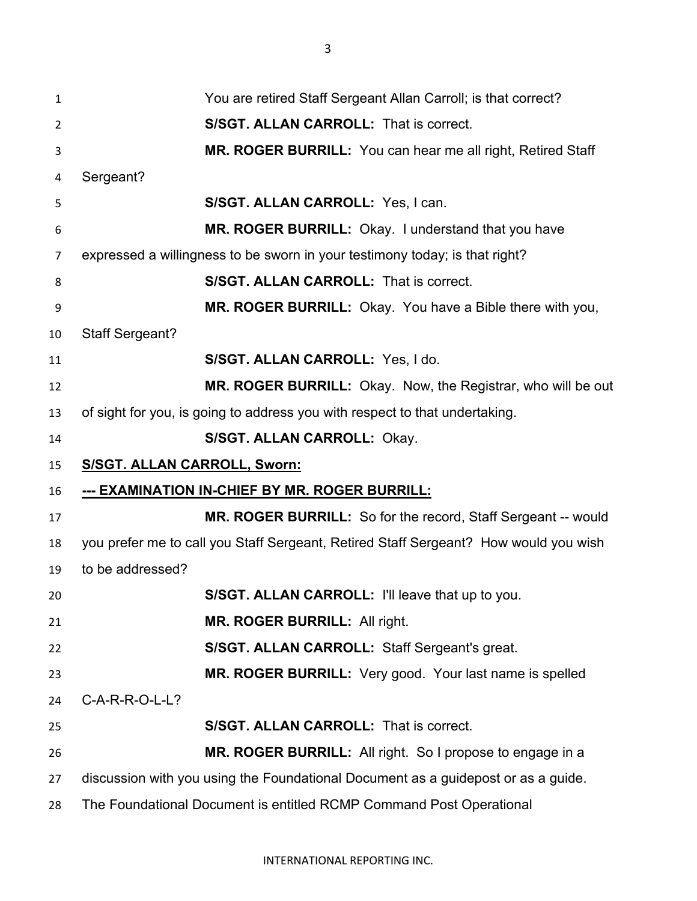| 1              | You are retired Staff Sergeant Allan Carroll; is that correct?                       |
|----------------|--------------------------------------------------------------------------------------|
| $\overline{2}$ | <b>S/SGT. ALLAN CARROLL: That is correct.</b>                                        |
| 3              | MR. ROGER BURRILL: You can hear me all right, Retired Staff                          |
| 4              | Sergeant?                                                                            |
| 5              | S/SGT. ALLAN CARROLL: Yes, I can.                                                    |
| 6              | MR. ROGER BURRILL: Okay. I understand that you have                                  |
| 7              | expressed a willingness to be sworn in your testimony today; is that right?          |
| 8              | <b>S/SGT. ALLAN CARROLL: That is correct.</b>                                        |
| 9              | MR. ROGER BURRILL: Okay. You have a Bible there with you,                            |
| 10             | <b>Staff Sergeant?</b>                                                               |
| 11             | S/SGT. ALLAN CARROLL: Yes, I do.                                                     |
| 12             | <b>MR. ROGER BURRILL:</b> Okay. Now, the Registrar, who will be out                  |
| 13             | of sight for you, is going to address you with respect to that undertaking.          |
| 14             | S/SGT. ALLAN CARROLL: Okay.                                                          |
| 15             | <b>S/SGT. ALLAN CARROLL, Sworn:</b>                                                  |
| 16             | --- EXAMINATION IN-CHIEF BY MR. ROGER BURRILL:                                       |
| 17             | <b>MR. ROGER BURRILL:</b> So for the record, Staff Sergeant -- would                 |
| 18             | you prefer me to call you Staff Sergeant, Retired Staff Sergeant? How would you wish |
| 19             | to be addressed?                                                                     |
| 20             | S/SGT. ALLAN CARROLL: I'll leave that up to you.                                     |
| 21             | MR. ROGER BURRILL: All right.                                                        |
| 22             | S/SGT. ALLAN CARROLL: Staff Sergeant's great.                                        |
| 23             | MR. ROGER BURRILL: Very good. Your last name is spelled                              |
| 24             | $C-A-R-R-O-L-L?$                                                                     |
| 25             | S/SGT. ALLAN CARROLL: That is correct.                                               |
| 26             | MR. ROGER BURRILL: All right. So I propose to engage in a                            |
| 27             | discussion with you using the Foundational Document as a guidepost or as a guide.    |
| 28             | The Foundational Document is entitled RCMP Command Post Operational                  |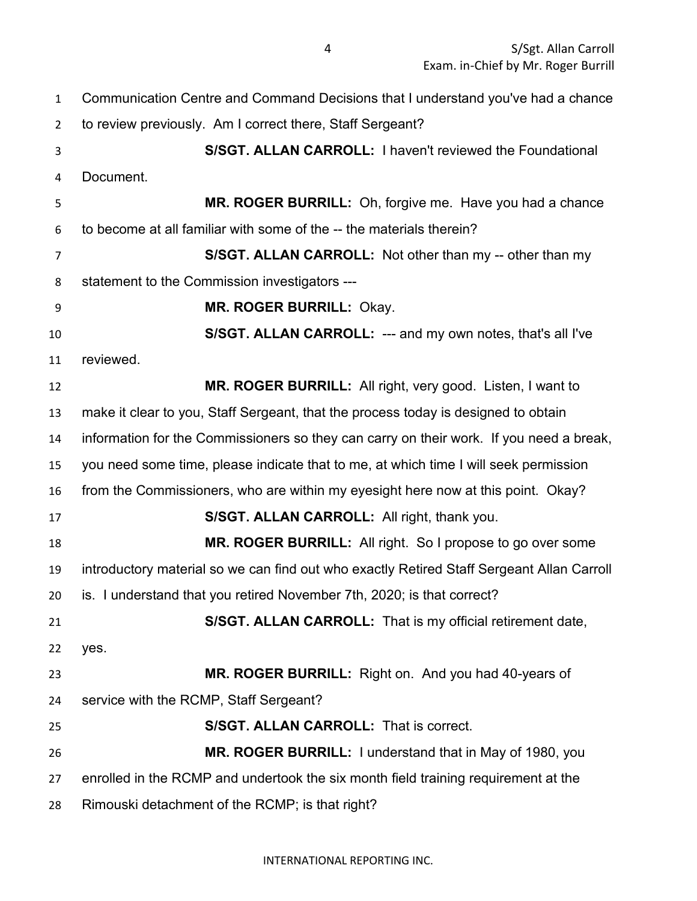| 1              | Communication Centre and Command Decisions that I understand you've had a chance          |
|----------------|-------------------------------------------------------------------------------------------|
| $\overline{2}$ | to review previously. Am I correct there, Staff Sergeant?                                 |
| 3              | S/SGT. ALLAN CARROLL: I haven't reviewed the Foundational                                 |
| 4              | Document.                                                                                 |
| 5              | MR. ROGER BURRILL: Oh, forgive me. Have you had a chance                                  |
| 6              | to become at all familiar with some of the -- the materials therein?                      |
| 7              | S/SGT. ALLAN CARROLL: Not other than my -- other than my                                  |
| 8              | statement to the Commission investigators ---                                             |
| 9              | MR. ROGER BURRILL: Okay.                                                                  |
| 10             | S/SGT. ALLAN CARROLL: --- and my own notes, that's all I've                               |
| 11             | reviewed.                                                                                 |
| 12             | MR. ROGER BURRILL: All right, very good. Listen, I want to                                |
| 13             | make it clear to you, Staff Sergeant, that the process today is designed to obtain        |
| 14             | information for the Commissioners so they can carry on their work. If you need a break,   |
| 15             | you need some time, please indicate that to me, at which time I will seek permission      |
| 16             | from the Commissioners, who are within my eyesight here now at this point. Okay?          |
| 17             | S/SGT. ALLAN CARROLL: All right, thank you.                                               |
| 18             | MR. ROGER BURRILL: All right. So I propose to go over some                                |
| 19             | introductory material so we can find out who exactly Retired Staff Sergeant Allan Carroll |
| 20             | is. I understand that you retired November 7th, 2020; is that correct?                    |
| 21             | S/SGT. ALLAN CARROLL: That is my official retirement date,                                |
| 22             | yes.                                                                                      |
| 23             | MR. ROGER BURRILL: Right on. And you had 40-years of                                      |
| 24             | service with the RCMP, Staff Sergeant?                                                    |
| 25             | <b>S/SGT. ALLAN CARROLL: That is correct.</b>                                             |
| 26             | MR. ROGER BURRILL: I understand that in May of 1980, you                                  |
| 27             | enrolled in the RCMP and undertook the six month field training requirement at the        |
| 28             | Rimouski detachment of the RCMP; is that right?                                           |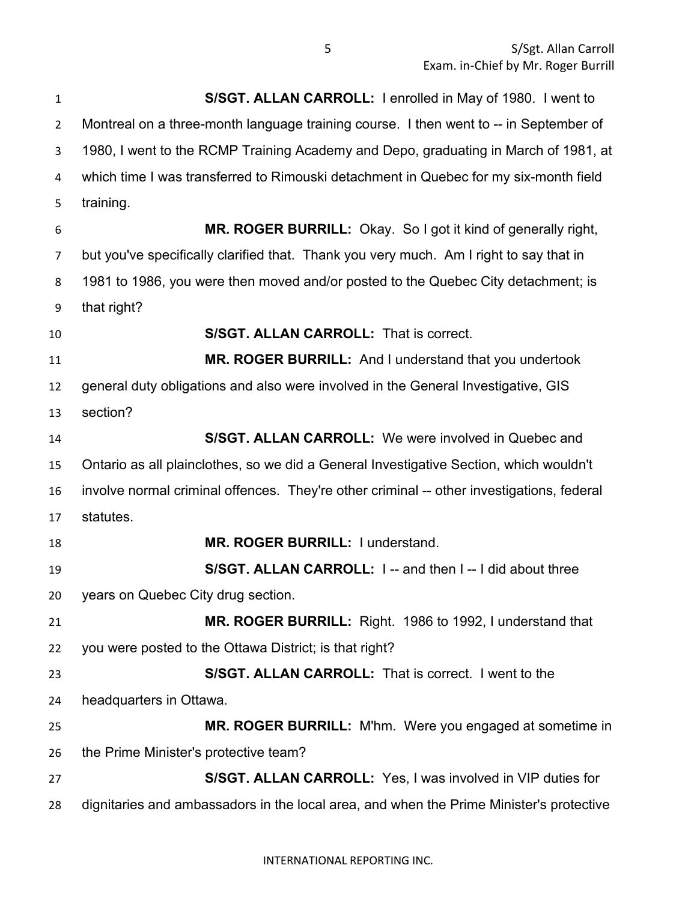**S/SGT. ALLAN CARROLL:** I enrolled in May of 1980. I went to Montreal on a three-month language training course. I then went to -- in September of 1980, I went to the RCMP Training Academy and Depo, graduating in March of 1981, at which time I was transferred to Rimouski detachment in Quebec for my six-month field training. **MR. ROGER BURRILL:** Okay. So I got it kind of generally right, but you've specifically clarified that. Thank you very much. Am I right to say that in 1981 to 1986, you were then moved and/or posted to the Quebec City detachment; is that right? **S/SGT. ALLAN CARROLL:** That is correct. **MR. ROGER BURRILL:** And I understand that you undertook general duty obligations and also were involved in the General Investigative, GIS section? **S/SGT. ALLAN CARROLL:** We were involved in Quebec and Ontario as all plainclothes, so we did a General Investigative Section, which wouldn't involve normal criminal offences. They're other criminal -- other investigations, federal statutes. **MR. ROGER BURRILL:** I understand. **S/SGT. ALLAN CARROLL:** I -- and then I -- I did about three years on Quebec City drug section. **MR. ROGER BURRILL:** Right. 1986 to 1992, I understand that you were posted to the Ottawa District; is that right? **S/SGT. ALLAN CARROLL:** That is correct. I went to the headquarters in Ottawa. **MR. ROGER BURRILL:** M'hm. Were you engaged at sometime in the Prime Minister's protective team? **S/SGT. ALLAN CARROLL:** Yes, I was involved in VIP duties for dignitaries and ambassadors in the local area, and when the Prime Minister's protective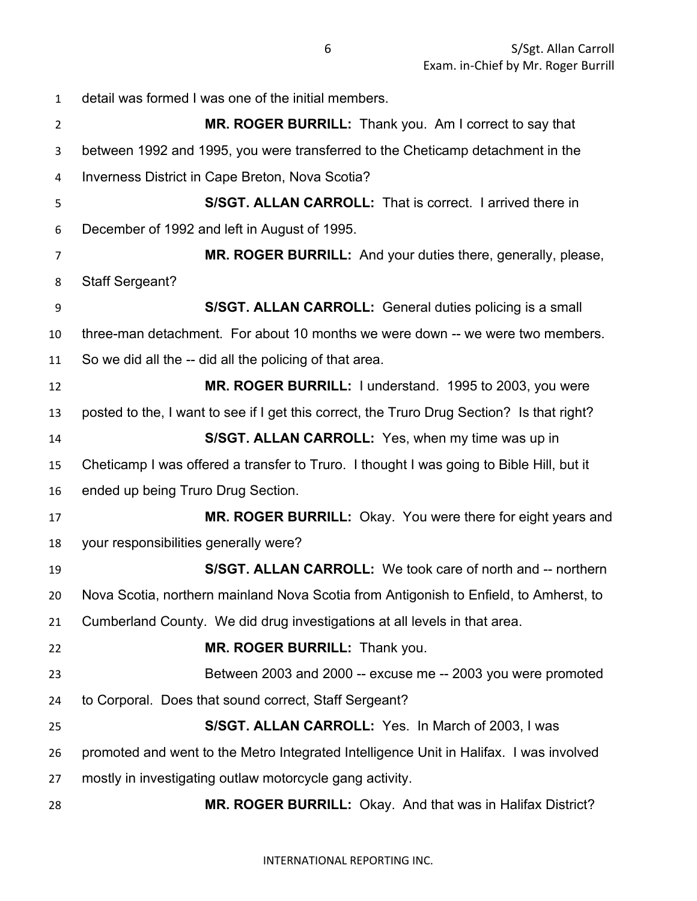detail was formed I was one of the initial members. **MR. ROGER BURRILL:** Thank you. Am I correct to say that between 1992 and 1995, you were transferred to the Cheticamp detachment in the Inverness District in Cape Breton, Nova Scotia? **S/SGT. ALLAN CARROLL:** That is correct. I arrived there in December of 1992 and left in August of 1995. **MR. ROGER BURRILL:** And your duties there, generally, please, Staff Sergeant? **S/SGT. ALLAN CARROLL:** General duties policing is a small three-man detachment. For about 10 months we were down -- we were two members. So we did all the -- did all the policing of that area. **MR. ROGER BURRILL:** I understand. 1995 to 2003, you were posted to the, I want to see if I get this correct, the Truro Drug Section? Is that right? **S/SGT. ALLAN CARROLL:** Yes, when my time was up in Cheticamp I was offered a transfer to Truro. I thought I was going to Bible Hill, but it ended up being Truro Drug Section. **MR. ROGER BURRILL:** Okay. You were there for eight years and your responsibilities generally were? **S/SGT. ALLAN CARROLL:** We took care of north and -- northern Nova Scotia, northern mainland Nova Scotia from Antigonish to Enfield, to Amherst, to Cumberland County. We did drug investigations at all levels in that area. **MR. ROGER BURRILL:** Thank you. Between 2003 and 2000 -- excuse me -- 2003 you were promoted to Corporal. Does that sound correct, Staff Sergeant? **S/SGT. ALLAN CARROLL:** Yes. In March of 2003, I was promoted and went to the Metro Integrated Intelligence Unit in Halifax. I was involved mostly in investigating outlaw motorcycle gang activity. **MR. ROGER BURRILL:** Okay. And that was in Halifax District?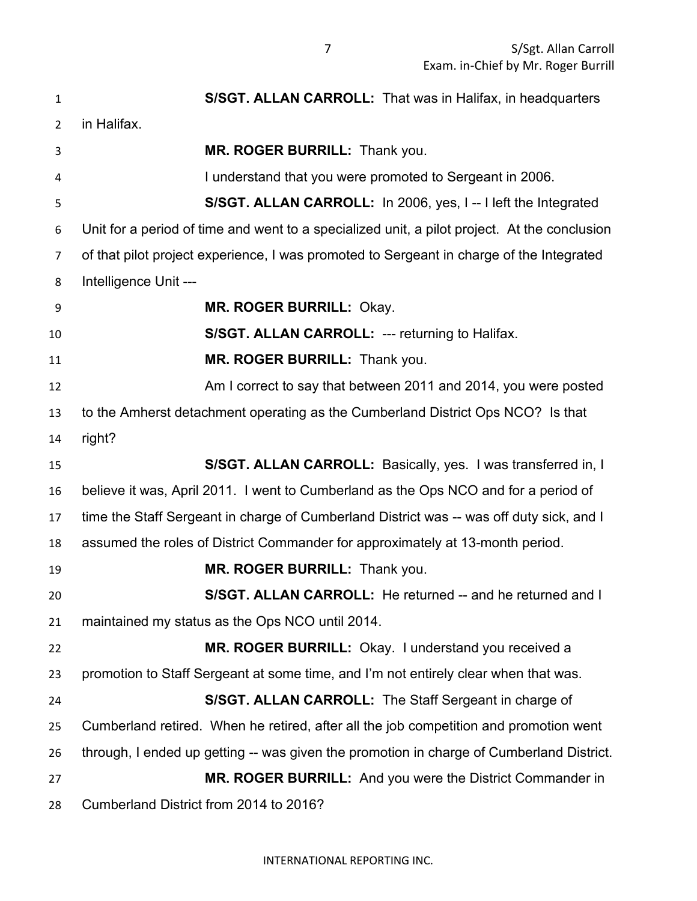**S/SGT. ALLAN CARROLL:** That was in Halifax, in headquarters in Halifax. **MR. ROGER BURRILL:** Thank you. I understand that you were promoted to Sergeant in 2006. **S/SGT. ALLAN CARROLL:** In 2006, yes, I -- I left the Integrated Unit for a period of time and went to a specialized unit, a pilot project. At the conclusion of that pilot project experience, I was promoted to Sergeant in charge of the Integrated Intelligence Unit --- **MR. ROGER BURRILL:** Okay. **S/SGT. ALLAN CARROLL:** --- returning to Halifax. **MR. ROGER BURRILL:** Thank you. Am I correct to say that between 2011 and 2014, you were posted to the Amherst detachment operating as the Cumberland District Ops NCO? Is that right? **S/SGT. ALLAN CARROLL:** Basically, yes. I was transferred in, I believe it was, April 2011. I went to Cumberland as the Ops NCO and for a period of time the Staff Sergeant in charge of Cumberland District was -- was off duty sick, and I assumed the roles of District Commander for approximately at 13-month period. **MR. ROGER BURRILL:** Thank you. **S/SGT. ALLAN CARROLL:** He returned -- and he returned and I maintained my status as the Ops NCO until 2014. **MR. ROGER BURRILL:** Okay. I understand you received a promotion to Staff Sergeant at some time, and I'm not entirely clear when that was. **S/SGT. ALLAN CARROLL:** The Staff Sergeant in charge of Cumberland retired. When he retired, after all the job competition and promotion went through, I ended up getting -- was given the promotion in charge of Cumberland District. **MR. ROGER BURRILL:** And you were the District Commander in Cumberland District from 2014 to 2016?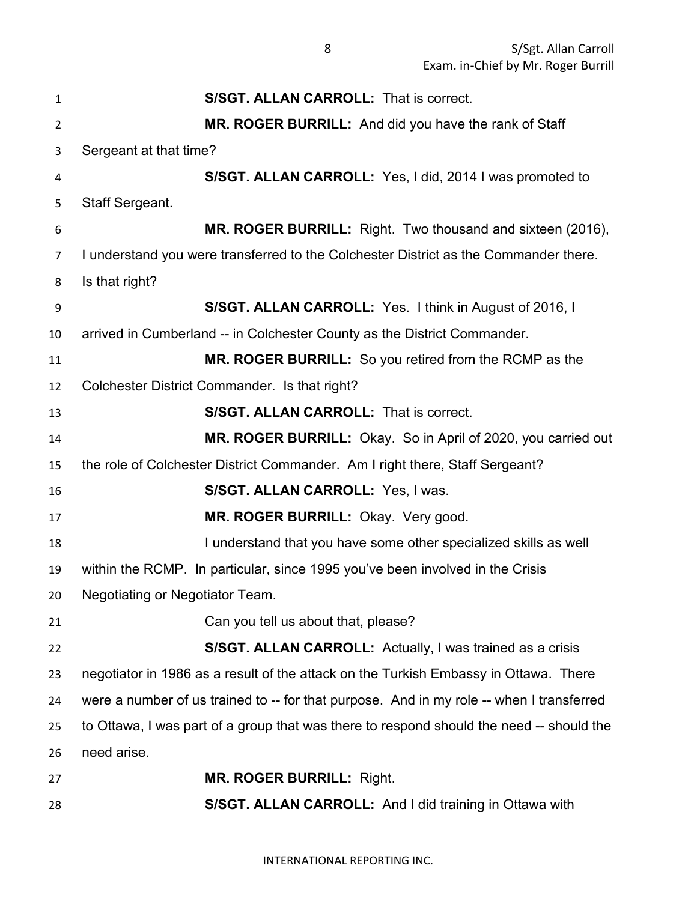**S/SGT. ALLAN CARROLL:** That is correct. **MR. ROGER BURRILL:** And did you have the rank of Staff Sergeant at that time? **S/SGT. ALLAN CARROLL:** Yes, I did, 2014 I was promoted to Staff Sergeant. **MR. ROGER BURRILL:** Right. Two thousand and sixteen (2016), I understand you were transferred to the Colchester District as the Commander there. Is that right? **S/SGT. ALLAN CARROLL:** Yes. I think in August of 2016, I arrived in Cumberland -- in Colchester County as the District Commander. **MR. ROGER BURRILL:** So you retired from the RCMP as the Colchester District Commander. Is that right? **S/SGT. ALLAN CARROLL:** That is correct. **MR. ROGER BURRILL:** Okay. So in April of 2020, you carried out the role of Colchester District Commander. Am I right there, Staff Sergeant? **S/SGT. ALLAN CARROLL:** Yes, I was. **MR. ROGER BURRILL:** Okay. Very good. 18 I understand that you have some other specialized skills as well within the RCMP. In particular, since 1995 you've been involved in the Crisis Negotiating or Negotiator Team. 21 Can you tell us about that, please? **S/SGT. ALLAN CARROLL:** Actually, I was trained as a crisis negotiator in 1986 as a result of the attack on the Turkish Embassy in Ottawa. There 24 were a number of us trained to -- for that purpose. And in my role -- when I transferred to Ottawa, I was part of a group that was there to respond should the need -- should the need arise. **MR. ROGER BURRILL:** Right. **S/SGT. ALLAN CARROLL:** And I did training in Ottawa with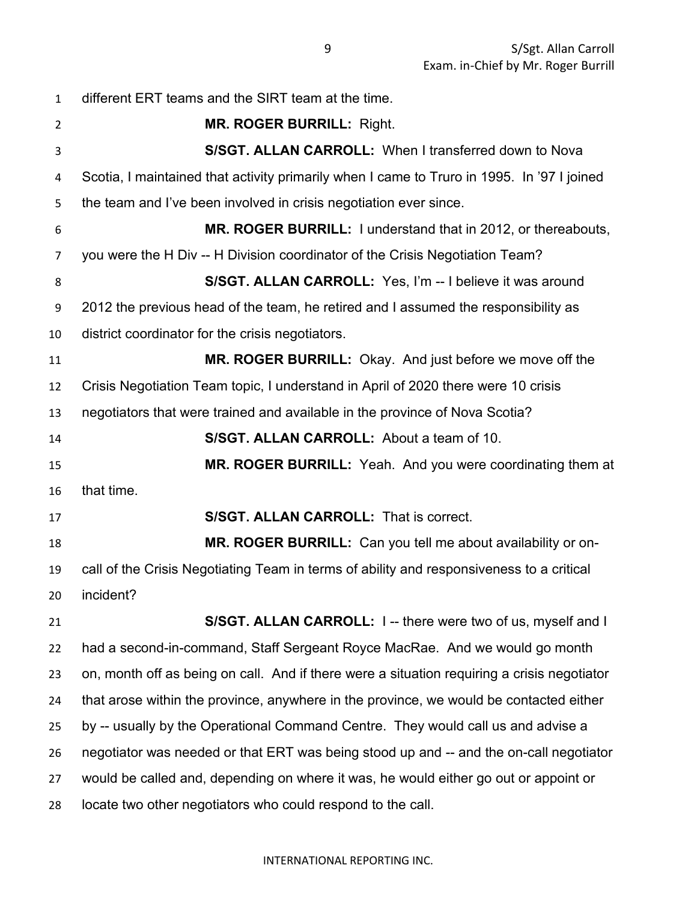different ERT teams and the SIRT team at the time. **MR. ROGER BURRILL:** Right. **S/SGT. ALLAN CARROLL:** When I transferred down to Nova Scotia, I maintained that activity primarily when I came to Truro in 1995. In '97 I joined the team and I've been involved in crisis negotiation ever since. **MR. ROGER BURRILL:** I understand that in 2012, or thereabouts, you were the H Div -- H Division coordinator of the Crisis Negotiation Team? **S/SGT. ALLAN CARROLL:** Yes, I'm -- I believe it was around 2012 the previous head of the team, he retired and I assumed the responsibility as district coordinator for the crisis negotiators. **MR. ROGER BURRILL:** Okay. And just before we move off the Crisis Negotiation Team topic, I understand in April of 2020 there were 10 crisis negotiators that were trained and available in the province of Nova Scotia? **S/SGT. ALLAN CARROLL:** About a team of 10. **MR. ROGER BURRILL:** Yeah. And you were coordinating them at that time. **S/SGT. ALLAN CARROLL:** That is correct. **MR. ROGER BURRILL:** Can you tell me about availability or on- call of the Crisis Negotiating Team in terms of ability and responsiveness to a critical incident? **S/SGT. ALLAN CARROLL:** I -- there were two of us, myself and I had a second-in-command, Staff Sergeant Royce MacRae. And we would go month on, month off as being on call. And if there were a situation requiring a crisis negotiator that arose within the province, anywhere in the province, we would be contacted either by -- usually by the Operational Command Centre. They would call us and advise a negotiator was needed or that ERT was being stood up and -- and the on-call negotiator would be called and, depending on where it was, he would either go out or appoint or locate two other negotiators who could respond to the call.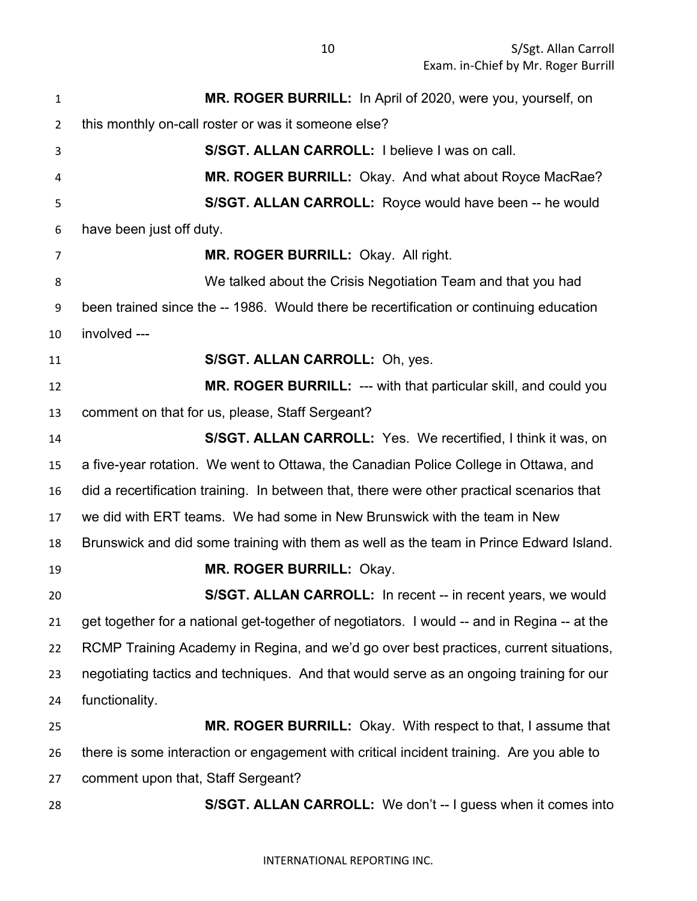| $\mathbf{1}$   | MR. ROGER BURRILL: In April of 2020, were you, yourself, on                                 |
|----------------|---------------------------------------------------------------------------------------------|
| $\overline{2}$ | this monthly on-call roster or was it someone else?                                         |
| 3              | S/SGT. ALLAN CARROLL: I believe I was on call.                                              |
| 4              | MR. ROGER BURRILL: Okay. And what about Royce MacRae?                                       |
| 5              | S/SGT. ALLAN CARROLL: Royce would have been -- he would                                     |
| 6              | have been just off duty.                                                                    |
| 7              | MR. ROGER BURRILL: Okay. All right.                                                         |
| 8              | We talked about the Crisis Negotiation Team and that you had                                |
| 9              | been trained since the -- 1986. Would there be recertification or continuing education      |
| 10             | involved ---                                                                                |
| 11             | S/SGT. ALLAN CARROLL: Oh, yes.                                                              |
| 12             | MR. ROGER BURRILL: --- with that particular skill, and could you                            |
| 13             | comment on that for us, please, Staff Sergeant?                                             |
| 14             | <b>S/SGT. ALLAN CARROLL:</b> Yes. We recertified, I think it was, on                        |
| 15             | a five-year rotation. We went to Ottawa, the Canadian Police College in Ottawa, and         |
| 16             | did a recertification training. In between that, there were other practical scenarios that  |
| 17             | we did with ERT teams. We had some in New Brunswick with the team in New                    |
| 18             | Brunswick and did some training with them as well as the team in Prince Edward Island.      |
| 19             | <b>MR. ROGER BURRILL: Okay.</b>                                                             |
| 20             | S/SGT. ALLAN CARROLL: In recent -- in recent years, we would                                |
| 21             | get together for a national get-together of negotiators. I would -- and in Regina -- at the |
| 22             | RCMP Training Academy in Regina, and we'd go over best practices, current situations,       |
| 23             | negotiating tactics and techniques. And that would serve as an ongoing training for our     |
| 24             | functionality.                                                                              |
| 25             | MR. ROGER BURRILL: Okay. With respect to that, I assume that                                |
| 26             | there is some interaction or engagement with critical incident training. Are you able to    |
| 27             | comment upon that, Staff Sergeant?                                                          |
| 28             | S/SGT. ALLAN CARROLL: We don't -- I guess when it comes into                                |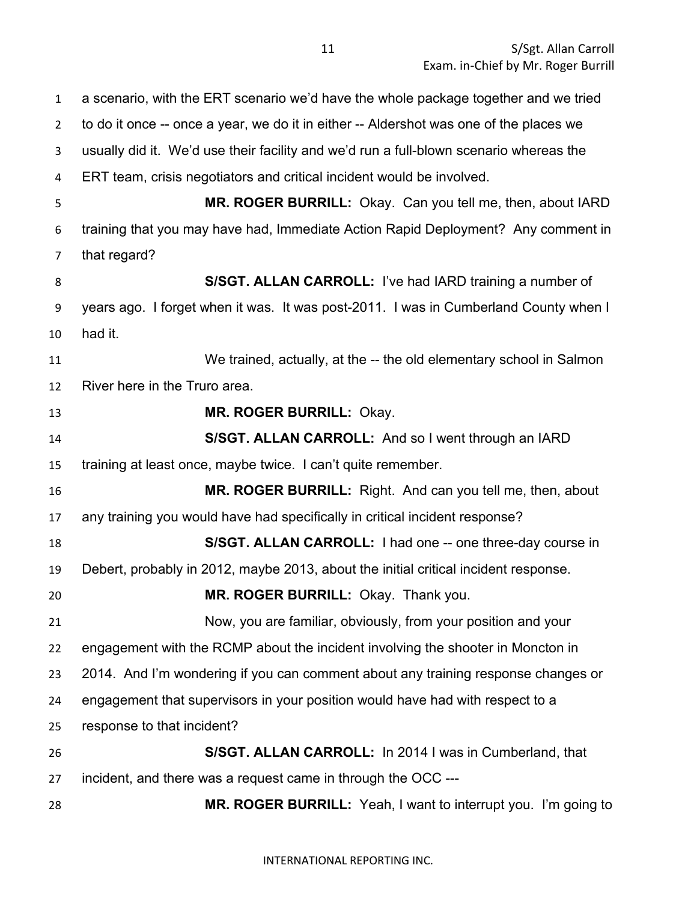a scenario, with the ERT scenario we'd have the whole package together and we tried to do it once -- once a year, we do it in either -- Aldershot was one of the places we usually did it. We'd use their facility and we'd run a full-blown scenario whereas the ERT team, crisis negotiators and critical incident would be involved. **MR. ROGER BURRILL:** Okay. Can you tell me, then, about IARD training that you may have had, Immediate Action Rapid Deployment? Any comment in that regard? **S/SGT. ALLAN CARROLL:** I've had IARD training a number of years ago. I forget when it was. It was post-2011. I was in Cumberland County when I had it. We trained, actually, at the -- the old elementary school in Salmon River here in the Truro area. **MR. ROGER BURRILL:** Okay. **S/SGT. ALLAN CARROLL:** And so I went through an IARD training at least once, maybe twice. I can't quite remember. **MR. ROGER BURRILL:** Right. And can you tell me, then, about any training you would have had specifically in critical incident response? **S/SGT. ALLAN CARROLL:** I had one -- one three-day course in Debert, probably in 2012, maybe 2013, about the initial critical incident response. **MR. ROGER BURRILL:** Okay. Thank you. Now, you are familiar, obviously, from your position and your engagement with the RCMP about the incident involving the shooter in Moncton in 2014. And I'm wondering if you can comment about any training response changes or engagement that supervisors in your position would have had with respect to a response to that incident? **S/SGT. ALLAN CARROLL:** In 2014 I was in Cumberland, that incident, and there was a request came in through the OCC --- **MR. ROGER BURRILL:** Yeah, I want to interrupt you. I'm going to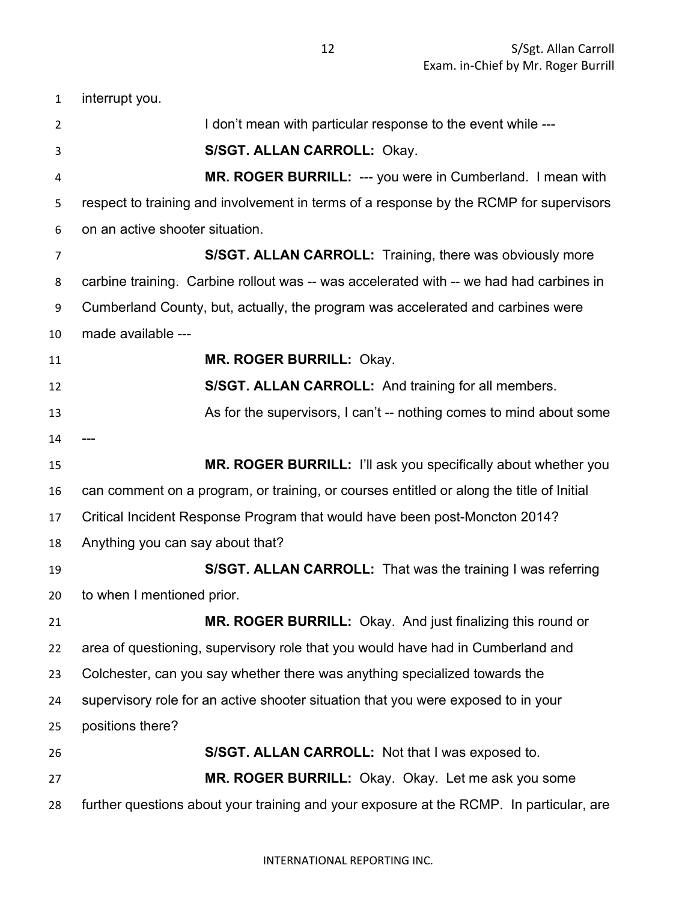interrupt you. 2 I don't mean with particular response to the event while --- **S/SGT. ALLAN CARROLL:** Okay. **MR. ROGER BURRILL:** --- you were in Cumberland. I mean with respect to training and involvement in terms of a response by the RCMP for supervisors on an active shooter situation. **S/SGT. ALLAN CARROLL:** Training, there was obviously more carbine training. Carbine rollout was -- was accelerated with -- we had had carbines in Cumberland County, but, actually, the program was accelerated and carbines were made available --- **MR. ROGER BURRILL:** Okay. **S/SGT. ALLAN CARROLL:** And training for all members. 13 As for the supervisors, I can't -- nothing comes to mind about some **MR. ROGER BURRILL:** I'll ask you specifically about whether you can comment on a program, or training, or courses entitled or along the title of Initial Critical Incident Response Program that would have been post-Moncton 2014? Anything you can say about that? **S/SGT. ALLAN CARROLL:** That was the training I was referring to when I mentioned prior. **MR. ROGER BURRILL:** Okay. And just finalizing this round or area of questioning, supervisory role that you would have had in Cumberland and Colchester, can you say whether there was anything specialized towards the supervisory role for an active shooter situation that you were exposed to in your positions there? **S/SGT. ALLAN CARROLL:** Not that I was exposed to. **MR. ROGER BURRILL:** Okay. Okay. Let me ask you some further questions about your training and your exposure at the RCMP. In particular, are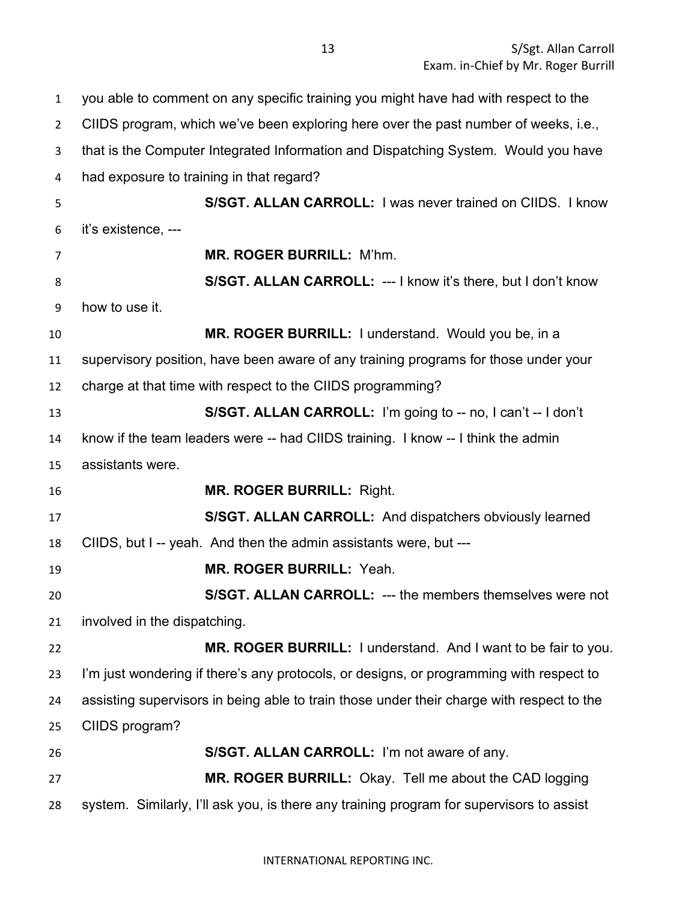you able to comment on any specific training you might have had with respect to the CIIDS program, which we've been exploring here over the past number of weeks, i.e., that is the Computer Integrated Information and Dispatching System. Would you have had exposure to training in that regard? **S/SGT. ALLAN CARROLL:** I was never trained on CIIDS. I know it's existence, --- **MR. ROGER BURRILL:** M'hm. **S/SGT. ALLAN CARROLL:** --- I know it's there, but I don't know how to use it. **MR. ROGER BURRILL:** I understand. Would you be, in a supervisory position, have been aware of any training programs for those under your charge at that time with respect to the CIIDS programming? **S/SGT. ALLAN CARROLL:** I'm going to -- no, I can't -- I don't know if the team leaders were -- had CIIDS training. I know -- I think the admin assistants were. **MR. ROGER BURRILL:** Right. **S/SGT. ALLAN CARROLL:** And dispatchers obviously learned CIIDS, but I -- yeah. And then the admin assistants were, but --- **MR. ROGER BURRILL:** Yeah. **S/SGT. ALLAN CARROLL:** --- the members themselves were not involved in the dispatching. **MR. ROGER BURRILL:** I understand. And I want to be fair to you. I'm just wondering if there's any protocols, or designs, or programming with respect to assisting supervisors in being able to train those under their charge with respect to the CIIDS program? **S/SGT. ALLAN CARROLL:** I'm not aware of any. **MR. ROGER BURRILL:** Okay. Tell me about the CAD logging system. Similarly, I'll ask you, is there any training program for supervisors to assist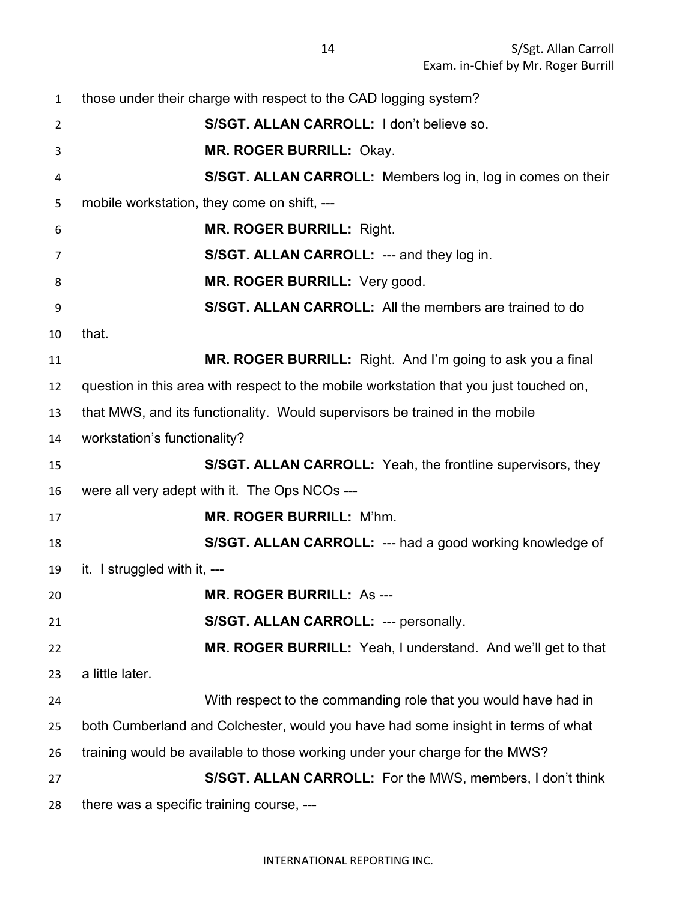those under their charge with respect to the CAD logging system? **S/SGT. ALLAN CARROLL:** I don't believe so. **MR. ROGER BURRILL:** Okay. **S/SGT. ALLAN CARROLL:** Members log in, log in comes on their mobile workstation, they come on shift, --- **MR. ROGER BURRILL:** Right. **S/SGT. ALLAN CARROLL:** --- and they log in. **MR. ROGER BURRILL:** Very good. **S/SGT. ALLAN CARROLL:** All the members are trained to do that. **MR. ROGER BURRILL:** Right. And I'm going to ask you a final question in this area with respect to the mobile workstation that you just touched on, that MWS, and its functionality. Would supervisors be trained in the mobile workstation's functionality? **S/SGT. ALLAN CARROLL:** Yeah, the frontline supervisors, they were all very adept with it. The Ops NCOs --- **MR. ROGER BURRILL:** M'hm. **S/SGT. ALLAN CARROLL:** --- had a good working knowledge of it. I struggled with it, --- **MR. ROGER BURRILL:** As --- **S/SGT. ALLAN CARROLL:** --- personally. **MR. ROGER BURRILL:** Yeah, I understand. And we'll get to that a little later. With respect to the commanding role that you would have had in both Cumberland and Colchester, would you have had some insight in terms of what training would be available to those working under your charge for the MWS? **S/SGT. ALLAN CARROLL:** For the MWS, members, I don't think there was a specific training course, ---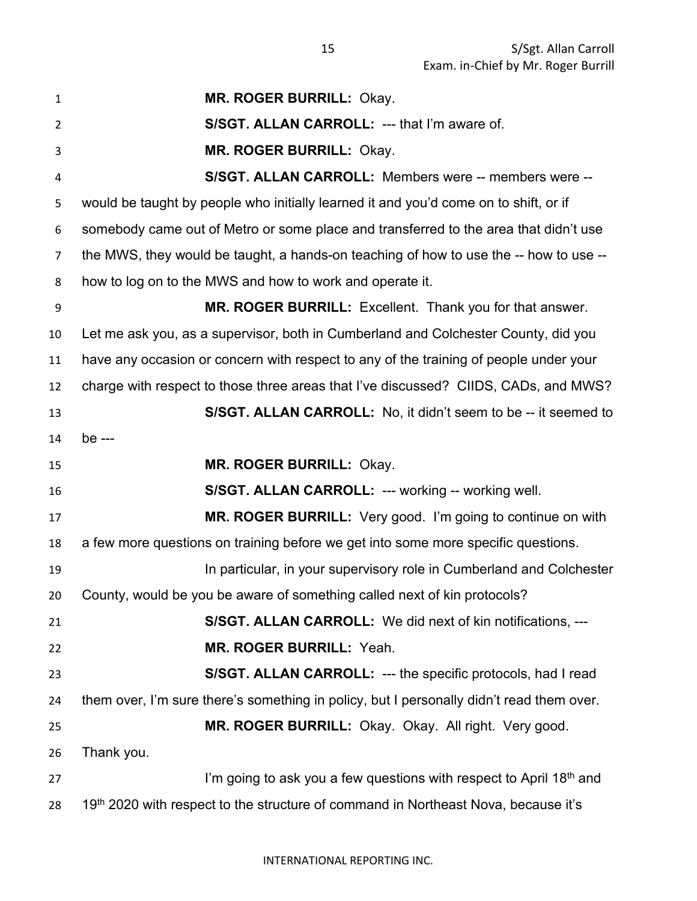**MR. ROGER BURRILL:** Okay. **S/SGT. ALLAN CARROLL:** --- that I'm aware of. **MR. ROGER BURRILL:** Okay. **S/SGT. ALLAN CARROLL:** Members were -- members were -- would be taught by people who initially learned it and you'd come on to shift, or if somebody came out of Metro or some place and transferred to the area that didn't use the MWS, they would be taught, a hands-on teaching of how to use the -- how to use -- how to log on to the MWS and how to work and operate it. **MR. ROGER BURRILL:** Excellent. Thank you for that answer. Let me ask you, as a supervisor, both in Cumberland and Colchester County, did you have any occasion or concern with respect to any of the training of people under your charge with respect to those three areas that I've discussed? CIIDS, CADs, and MWS? **S/SGT. ALLAN CARROLL:** No, it didn't seem to be -- it seemed to be --- **MR. ROGER BURRILL:** Okay. **S/SGT. ALLAN CARROLL:** --- working -- working well. **MR. ROGER BURRILL:** Very good. I'm going to continue on with a few more questions on training before we get into some more specific questions. In particular, in your supervisory role in Cumberland and Colchester County, would be you be aware of something called next of kin protocols? **S/SGT. ALLAN CARROLL:** We did next of kin notifications, --- **MR. ROGER BURRILL:** Yeah. **S/SGT. ALLAN CARROLL:** --- the specific protocols, had I read them over, I'm sure there's something in policy, but I personally didn't read them over. **MR. ROGER BURRILL:** Okay. Okay. All right. Very good. Thank you. I'm going to ask you a few questions with respect to April 18<sup>th</sup> and 28 19<sup>th</sup> 2020 with respect to the structure of command in Northeast Nova, because it's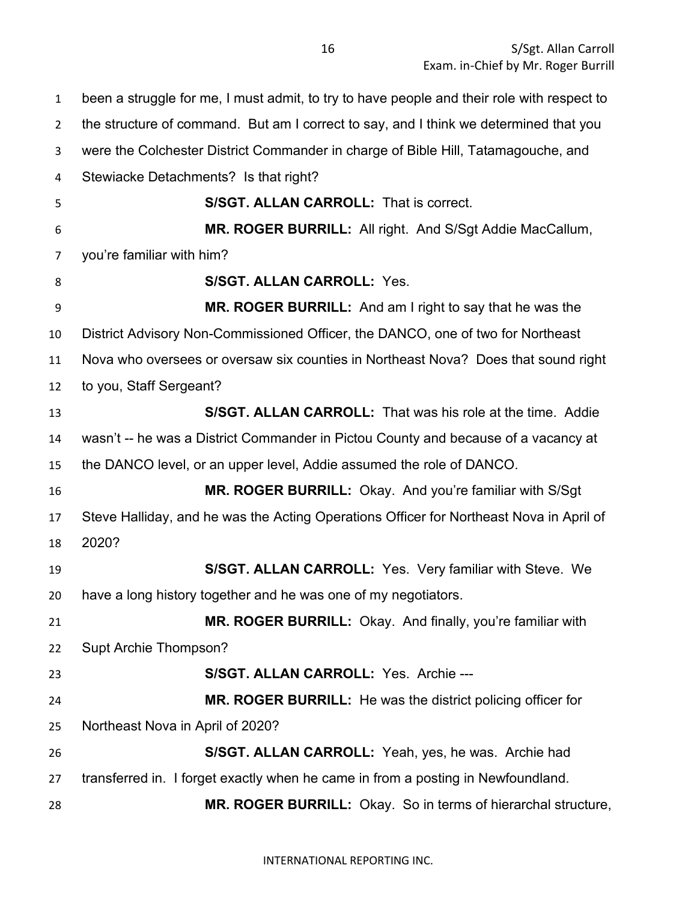been a struggle for me, I must admit, to try to have people and their role with respect to the structure of command. But am I correct to say, and I think we determined that you were the Colchester District Commander in charge of Bible Hill, Tatamagouche, and Stewiacke Detachments? Is that right? **S/SGT. ALLAN CARROLL:** That is correct. **MR. ROGER BURRILL:** All right. And S/Sgt Addie MacCallum, you're familiar with him? **S/SGT. ALLAN CARROLL:** Yes. **MR. ROGER BURRILL:** And am I right to say that he was the District Advisory Non-Commissioned Officer, the DANCO, one of two for Northeast Nova who oversees or oversaw six counties in Northeast Nova? Does that sound right to you, Staff Sergeant? **S/SGT. ALLAN CARROLL:** That was his role at the time. Addie wasn't -- he was a District Commander in Pictou County and because of a vacancy at the DANCO level, or an upper level, Addie assumed the role of DANCO. **MR. ROGER BURRILL:** Okay. And you're familiar with S/Sgt Steve Halliday, and he was the Acting Operations Officer for Northeast Nova in April of 2020? **S/SGT. ALLAN CARROLL:** Yes. Very familiar with Steve. We have a long history together and he was one of my negotiators. **MR. ROGER BURRILL:** Okay. And finally, you're familiar with Supt Archie Thompson? **S/SGT. ALLAN CARROLL:** Yes. Archie --- **MR. ROGER BURRILL:** He was the district policing officer for Northeast Nova in April of 2020? **S/SGT. ALLAN CARROLL:** Yeah, yes, he was. Archie had transferred in. I forget exactly when he came in from a posting in Newfoundland. **MR. ROGER BURRILL:** Okay. So in terms of hierarchal structure,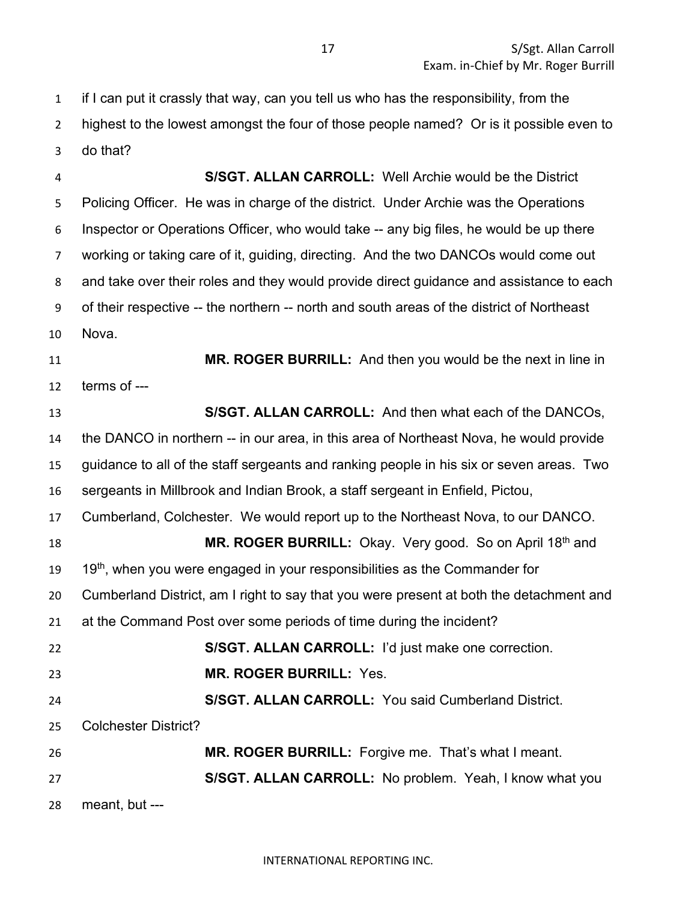if I can put it crassly that way, can you tell us who has the responsibility, from the highest to the lowest amongst the four of those people named? Or is it possible even to do that?

 **S/SGT. ALLAN CARROLL:** Well Archie would be the District Policing Officer. He was in charge of the district. Under Archie was the Operations Inspector or Operations Officer, who would take -- any big files, he would be up there working or taking care of it, guiding, directing. And the two DANCOs would come out and take over their roles and they would provide direct guidance and assistance to each of their respective -- the northern -- north and south areas of the district of Northeast Nova. **MR. ROGER BURRILL:** And then you would be the next in line in terms of --- **S/SGT. ALLAN CARROLL:** And then what each of the DANCOs, the DANCO in northern -- in our area, in this area of Northeast Nova, he would provide guidance to all of the staff sergeants and ranking people in his six or seven areas. Two sergeants in Millbrook and Indian Brook, a staff sergeant in Enfield, Pictou, Cumberland, Colchester. We would report up to the Northeast Nova, to our DANCO. **MR. ROGER BURRILL:** Okay. Very good. So on April 18<sup>th</sup> and 19<sup>th</sup>, when you were engaged in your responsibilities as the Commander for Cumberland District, am I right to say that you were present at both the detachment and at the Command Post over some periods of time during the incident? **S/SGT. ALLAN CARROLL:** I'd just make one correction. **MR. ROGER BURRILL:** Yes. **S/SGT. ALLAN CARROLL:** You said Cumberland District. Colchester District? **MR. ROGER BURRILL:** Forgive me. That's what I meant. **S/SGT. ALLAN CARROLL:** No problem. Yeah, I know what you meant, but ---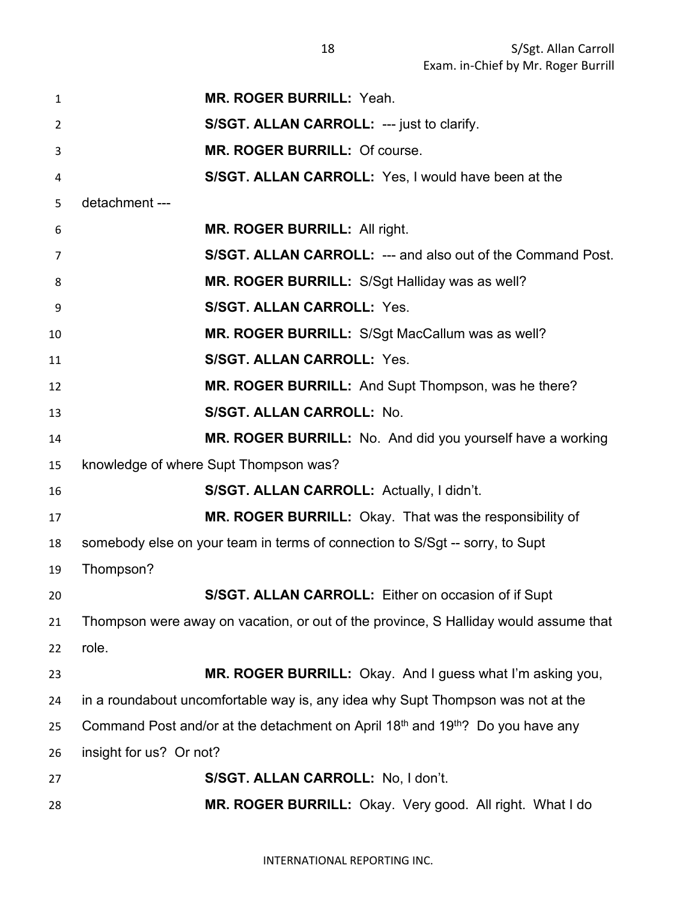| $\mathbf{1}$   | <b>MR. ROGER BURRILL: Yeah.</b>                                                                        |
|----------------|--------------------------------------------------------------------------------------------------------|
| $\overline{2}$ | S/SGT. ALLAN CARROLL: --- just to clarify.                                                             |
| 3              | MR. ROGER BURRILL: Of course.                                                                          |
| 4              | S/SGT. ALLAN CARROLL: Yes, I would have been at the                                                    |
| 5              | detachment ---                                                                                         |
| 6              | <b>MR. ROGER BURRILL: All right.</b>                                                                   |
| 7              | S/SGT. ALLAN CARROLL: --- and also out of the Command Post.                                            |
| 8              | <b>MR. ROGER BURRILL:</b> S/Sgt Halliday was as well?                                                  |
| 9              | <b>S/SGT. ALLAN CARROLL: Yes.</b>                                                                      |
| 10             | MR. ROGER BURRILL: S/Sgt MacCallum was as well?                                                        |
| 11             | S/SGT. ALLAN CARROLL: Yes.                                                                             |
| 12             | MR. ROGER BURRILL: And Supt Thompson, was he there?                                                    |
| 13             | S/SGT. ALLAN CARROLL: No.                                                                              |
| 14             | MR. ROGER BURRILL: No. And did you yourself have a working                                             |
| 15             | knowledge of where Supt Thompson was?                                                                  |
| 16             | S/SGT. ALLAN CARROLL: Actually, I didn't.                                                              |
| 17             | MR. ROGER BURRILL: Okay. That was the responsibility of                                                |
| 18             | somebody else on your team in terms of connection to S/Sgt -- sorry, to Supt                           |
| 19             | Thompson?                                                                                              |
| 20             | S/SGT. ALLAN CARROLL: Either on occasion of if Supt                                                    |
| 21             | Thompson were away on vacation, or out of the province, S Halliday would assume that                   |
| 22             | role.                                                                                                  |
| 23             | MR. ROGER BURRILL: Okay. And I guess what I'm asking you,                                              |
| 24             | in a roundabout uncomfortable way is, any idea why Supt Thompson was not at the                        |
| 25             | Command Post and/or at the detachment on April 18 <sup>th</sup> and 19 <sup>th</sup> ? Do you have any |
| 26             | insight for us? Or not?                                                                                |
| 27             | S/SGT. ALLAN CARROLL: No, I don't.                                                                     |
| 28             | MR. ROGER BURRILL: Okay. Very good. All right. What I do                                               |

INTERNATIONAL REPORTING INC.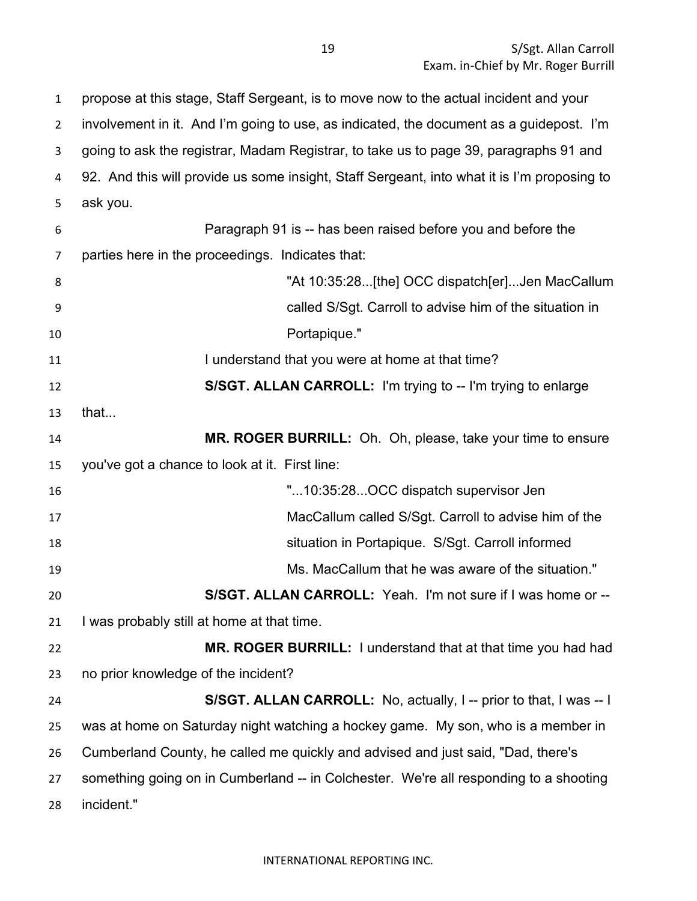propose at this stage, Staff Sergeant, is to move now to the actual incident and your involvement in it. And I'm going to use, as indicated, the document as a guidepost. I'm going to ask the registrar, Madam Registrar, to take us to page 39, paragraphs 91 and 92. And this will provide us some insight, Staff Sergeant, into what it is I'm proposing to ask you. Paragraph 91 is -- has been raised before you and before the parties here in the proceedings. Indicates that: "At 10:35:28...[the] OCC dispatch[er]...Jen MacCallum called S/Sgt. Carroll to advise him of the situation in Portapique." **I understand that you were at home at that time? S/SGT. ALLAN CARROLL:** I'm trying to -- I'm trying to enlarge that... **MR. ROGER BURRILL:** Oh. Oh, please, take your time to ensure you've got a chance to look at it. First line: "...10:35:28...OCC dispatch supervisor Jen MacCallum called S/Sgt. Carroll to advise him of the situation in Portapique. S/Sgt. Carroll informed Ms. MacCallum that he was aware of the situation." **S/SGT. ALLAN CARROLL:** Yeah. I'm not sure if I was home or -- I was probably still at home at that time. **MR. ROGER BURRILL:** I understand that at that time you had had no prior knowledge of the incident? **S/SGT. ALLAN CARROLL:** No, actually, I -- prior to that, I was -- I was at home on Saturday night watching a hockey game. My son, who is a member in Cumberland County, he called me quickly and advised and just said, "Dad, there's something going on in Cumberland -- in Colchester. We're all responding to a shooting incident."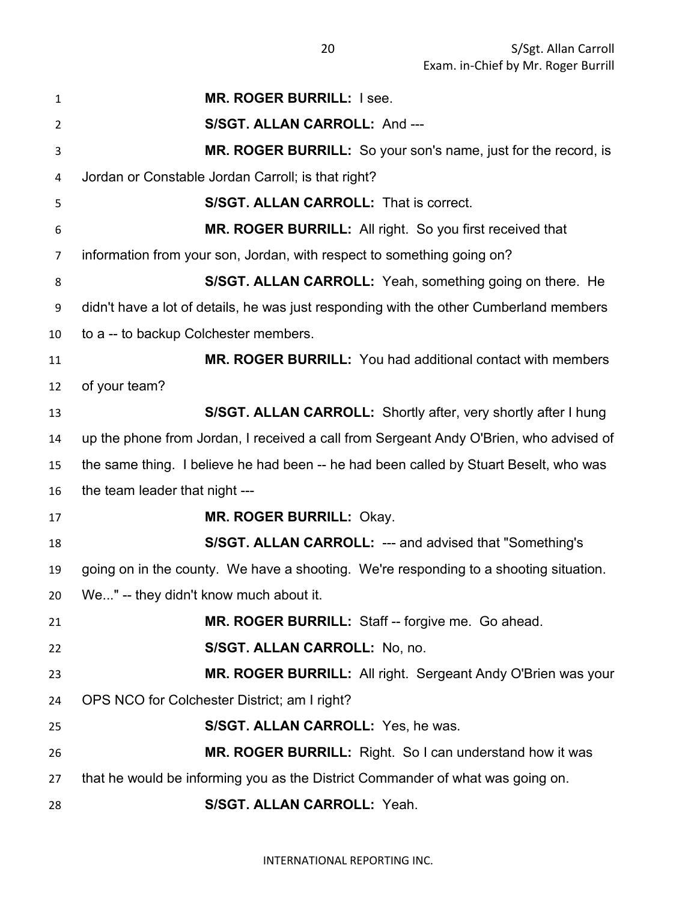| 1  | <b>MR. ROGER BURRILL: I see.</b>                                                       |
|----|----------------------------------------------------------------------------------------|
| 2  | S/SGT. ALLAN CARROLL: And ---                                                          |
| 3  | MR. ROGER BURRILL: So your son's name, just for the record, is                         |
| 4  | Jordan or Constable Jordan Carroll; is that right?                                     |
| 5  | S/SGT. ALLAN CARROLL: That is correct.                                                 |
| 6  | MR. ROGER BURRILL: All right. So you first received that                               |
| 7  | information from your son, Jordan, with respect to something going on?                 |
| 8  | S/SGT. ALLAN CARROLL: Yeah, something going on there. He                               |
| 9  | didn't have a lot of details, he was just responding with the other Cumberland members |
| 10 | to a -- to backup Colchester members.                                                  |
| 11 | <b>MR. ROGER BURRILL:</b> You had additional contact with members                      |
| 12 | of your team?                                                                          |
| 13 | S/SGT. ALLAN CARROLL: Shortly after, very shortly after I hung                         |
| 14 | up the phone from Jordan, I received a call from Sergeant Andy O'Brien, who advised of |
| 15 | the same thing. I believe he had been -- he had been called by Stuart Beselt, who was  |
| 16 | the team leader that night ---                                                         |
| 17 | <b>MR. ROGER BURRILL: Okay.</b>                                                        |
| 18 | <b>S/SGT. ALLAN CARROLL: --- and advised that "Something's</b>                         |
| 19 | going on in the county. We have a shooting. We're responding to a shooting situation.  |
| 20 | We" -- they didn't know much about it.                                                 |
| 21 | MR. ROGER BURRILL: Staff -- forgive me. Go ahead.                                      |
| 22 | S/SGT. ALLAN CARROLL: No, no.                                                          |
| 23 | MR. ROGER BURRILL: All right. Sergeant Andy O'Brien was your                           |
| 24 | OPS NCO for Colchester District; am I right?                                           |
| 25 | S/SGT. ALLAN CARROLL: Yes, he was.                                                     |
| 26 | MR. ROGER BURRILL: Right. So I can understand how it was                               |
| 27 | that he would be informing you as the District Commander of what was going on.         |
| 28 | S/SGT. ALLAN CARROLL: Yeah.                                                            |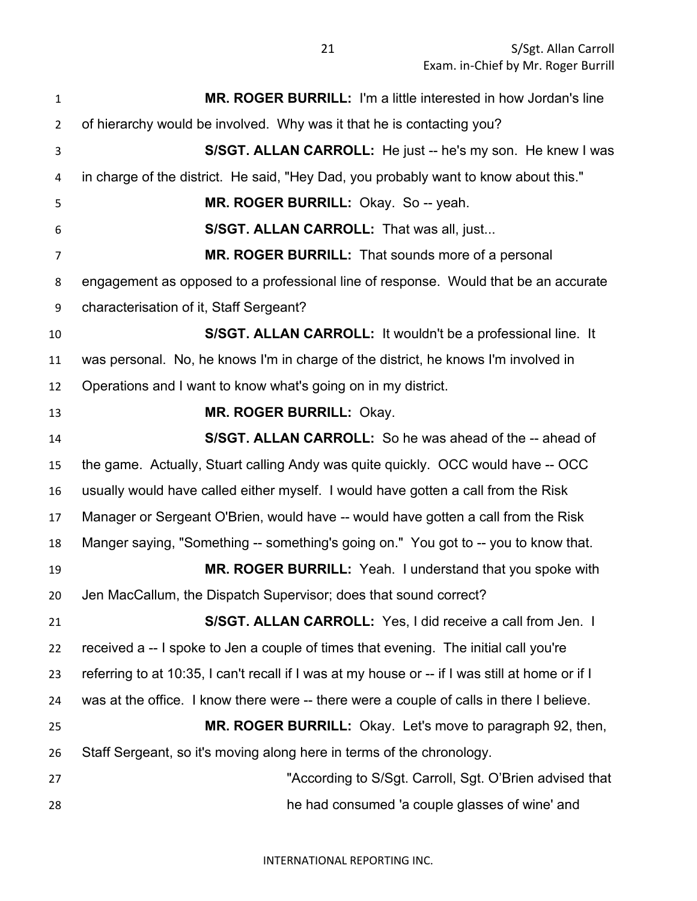S/Sgt. Allan Carroll Exam. in-Chief by Mr. Roger Burrill

 **MR. ROGER BURRILL:** I'm a little interested in how Jordan's line of hierarchy would be involved. Why was it that he is contacting you? **S/SGT. ALLAN CARROLL:** He just -- he's my son. He knew I was in charge of the district. He said, "Hey Dad, you probably want to know about this." **MR. ROGER BURRILL:** Okay. So -- yeah. **S/SGT. ALLAN CARROLL:** That was all, just... **MR. ROGER BURRILL:** That sounds more of a personal engagement as opposed to a professional line of response. Would that be an accurate characterisation of it, Staff Sergeant? **S/SGT. ALLAN CARROLL:** It wouldn't be a professional line. It was personal. No, he knows I'm in charge of the district, he knows I'm involved in Operations and I want to know what's going on in my district. **MR. ROGER BURRILL:** Okay. **S/SGT. ALLAN CARROLL:** So he was ahead of the -- ahead of the game. Actually, Stuart calling Andy was quite quickly. OCC would have -- OCC usually would have called either myself. I would have gotten a call from the Risk Manager or Sergeant O'Brien, would have -- would have gotten a call from the Risk Manger saying, "Something -- something's going on." You got to -- you to know that. **MR. ROGER BURRILL:** Yeah. I understand that you spoke with Jen MacCallum, the Dispatch Supervisor; does that sound correct? **S/SGT. ALLAN CARROLL:** Yes, I did receive a call from Jen. I received a -- I spoke to Jen a couple of times that evening. The initial call you're referring to at 10:35, I can't recall if I was at my house or -- if I was still at home or if I was at the office. I know there were -- there were a couple of calls in there I believe. **MR. ROGER BURRILL:** Okay. Let's move to paragraph 92, then, Staff Sergeant, so it's moving along here in terms of the chronology. "According to S/Sgt. Carroll, Sgt. O'Brien advised that he had consumed 'a couple glasses of wine' and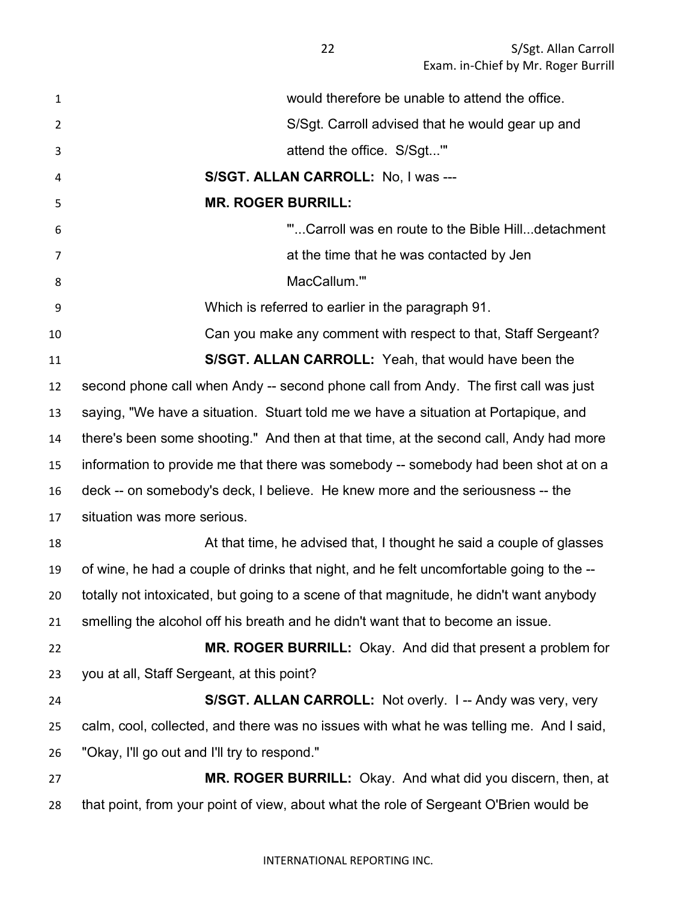22 S/Sgt. Allan Carroll Exam. in-Chief by Mr. Roger Burrill

| $\mathbf{1}$   | would therefore be unable to attend the office.                                          |
|----------------|------------------------------------------------------------------------------------------|
| $\overline{2}$ | S/Sgt. Carroll advised that he would gear up and                                         |
| 3              | attend the office. S/Sgt"                                                                |
| 4              | S/SGT. ALLAN CARROLL: No, I was ---                                                      |
| 5              | <b>MR. ROGER BURRILL:</b>                                                                |
| 6              | "Carroll was en route to the Bible Hilldetachment                                        |
| 7              | at the time that he was contacted by Jen                                                 |
| 8              | MacCallum.""                                                                             |
| 9              | Which is referred to earlier in the paragraph 91.                                        |
| 10             | Can you make any comment with respect to that, Staff Sergeant?                           |
| 11             | S/SGT. ALLAN CARROLL: Yeah, that would have been the                                     |
| 12             | second phone call when Andy -- second phone call from Andy. The first call was just      |
| 13             | saying, "We have a situation. Stuart told me we have a situation at Portapique, and      |
| 14             | there's been some shooting." And then at that time, at the second call, Andy had more    |
| 15             | information to provide me that there was somebody -- somebody had been shot at on a      |
| 16             | deck -- on somebody's deck, I believe. He knew more and the seriousness -- the           |
| 17             | situation was more serious.                                                              |
| 18             | At that time, he advised that, I thought he said a couple of glasses                     |
| 19             | of wine, he had a couple of drinks that night, and he felt uncomfortable going to the -- |
| 20             | totally not intoxicated, but going to a scene of that magnitude, he didn't want anybody  |
| 21             | smelling the alcohol off his breath and he didn't want that to become an issue.          |
| 22             | MR. ROGER BURRILL: Okay. And did that present a problem for                              |
| 23             | you at all, Staff Sergeant, at this point?                                               |
| 24             | S/SGT. ALLAN CARROLL: Not overly. 1-- Andy was very, very                                |
| 25             | calm, cool, collected, and there was no issues with what he was telling me. And I said,  |
| 26             | "Okay, I'll go out and I'll try to respond."                                             |
| 27             | MR. ROGER BURRILL: Okay. And what did you discern, then, at                              |
| 28             | that point, from your point of view, about what the role of Sergeant O'Brien would be    |

#### INTERNATIONAL REPORTING INC.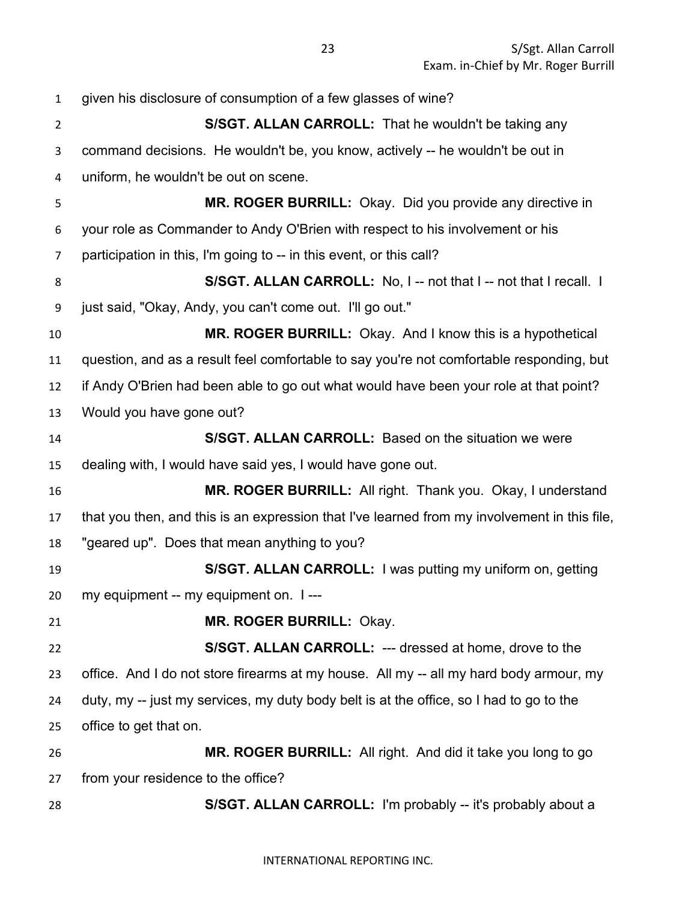given his disclosure of consumption of a few glasses of wine? **S/SGT. ALLAN CARROLL:** That he wouldn't be taking any command decisions. He wouldn't be, you know, actively -- he wouldn't be out in uniform, he wouldn't be out on scene. **MR. ROGER BURRILL:** Okay. Did you provide any directive in your role as Commander to Andy O'Brien with respect to his involvement or his participation in this, I'm going to -- in this event, or this call? **S/SGT. ALLAN CARROLL:** No, I -- not that I -- not that I recall. I just said, "Okay, Andy, you can't come out. I'll go out." **MR. ROGER BURRILL:** Okay. And I know this is a hypothetical question, and as a result feel comfortable to say you're not comfortable responding, but if Andy O'Brien had been able to go out what would have been your role at that point? Would you have gone out? **S/SGT. ALLAN CARROLL:** Based on the situation we were dealing with, I would have said yes, I would have gone out. **MR. ROGER BURRILL:** All right. Thank you. Okay, I understand that you then, and this is an expression that I've learned from my involvement in this file, "geared up". Does that mean anything to you? **S/SGT. ALLAN CARROLL:** I was putting my uniform on, getting my equipment -- my equipment on. I --- **MR. ROGER BURRILL:** Okay. **S/SGT. ALLAN CARROLL:** --- dressed at home, drove to the office. And I do not store firearms at my house. All my -- all my hard body armour, my duty, my -- just my services, my duty body belt is at the office, so I had to go to the office to get that on. **MR. ROGER BURRILL:** All right. And did it take you long to go from your residence to the office? **S/SGT. ALLAN CARROLL:** I'm probably -- it's probably about a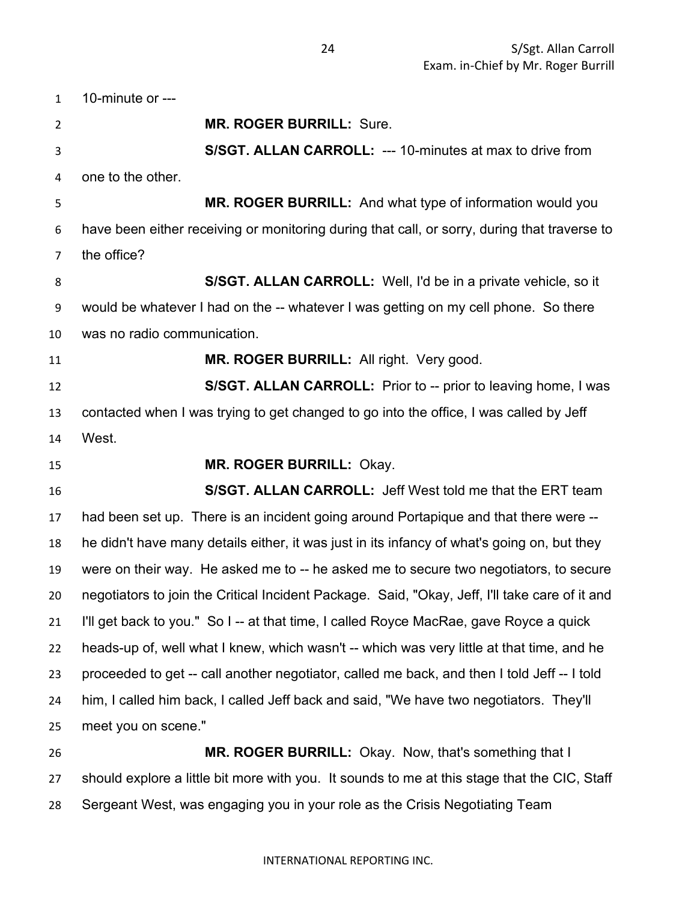10-minute or  $--$  **MR. ROGER BURRILL:** Sure. **S/SGT. ALLAN CARROLL:** --- 10-minutes at max to drive from one to the other. **MR. ROGER BURRILL:** And what type of information would you have been either receiving or monitoring during that call, or sorry, during that traverse to the office? **S/SGT. ALLAN CARROLL:** Well, I'd be in a private vehicle, so it would be whatever I had on the -- whatever I was getting on my cell phone. So there was no radio communication. **MR. ROGER BURRILL:** All right. Very good. **S/SGT. ALLAN CARROLL:** Prior to -- prior to leaving home, I was contacted when I was trying to get changed to go into the office, I was called by Jeff West. **MR. ROGER BURRILL:** Okay. **S/SGT. ALLAN CARROLL:** Jeff West told me that the ERT team had been set up. There is an incident going around Portapique and that there were -- he didn't have many details either, it was just in its infancy of what's going on, but they were on their way. He asked me to -- he asked me to secure two negotiators, to secure negotiators to join the Critical Incident Package. Said, "Okay, Jeff, I'll take care of it and I'll get back to you." So I -- at that time, I called Royce MacRae, gave Royce a quick heads-up of, well what I knew, which wasn't -- which was very little at that time, and he proceeded to get -- call another negotiator, called me back, and then I told Jeff -- I told him, I called him back, I called Jeff back and said, "We have two negotiators. They'll meet you on scene." **MR. ROGER BURRILL:** Okay. Now, that's something that I should explore a little bit more with you. It sounds to me at this stage that the CIC, Staff

Sergeant West, was engaging you in your role as the Crisis Negotiating Team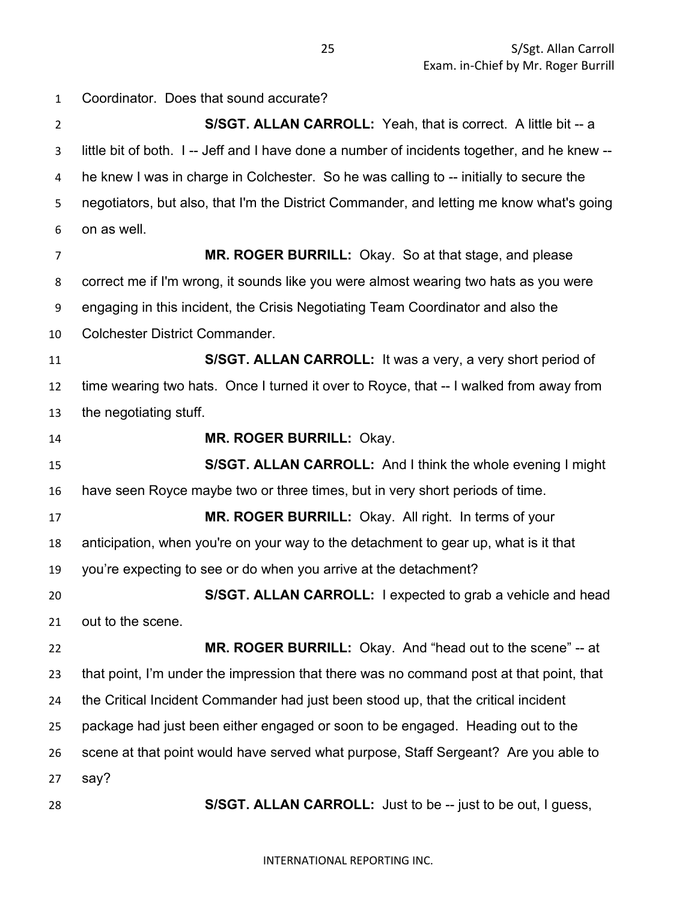**S/SGT. ALLAN CARROLL:** Yeah, that is correct. A little bit -- a little bit of both. I -- Jeff and I have done a number of incidents together, and he knew -- he knew I was in charge in Colchester. So he was calling to -- initially to secure the negotiators, but also, that I'm the District Commander, and letting me know what's going on as well. **MR. ROGER BURRILL:** Okay. So at that stage, and please correct me if I'm wrong, it sounds like you were almost wearing two hats as you were engaging in this incident, the Crisis Negotiating Team Coordinator and also the Colchester District Commander. **S/SGT. ALLAN CARROLL:** It was a very, a very short period of time wearing two hats. Once I turned it over to Royce, that -- I walked from away from the negotiating stuff. **MR. ROGER BURRILL:** Okay. **S/SGT. ALLAN CARROLL:** And I think the whole evening I might have seen Royce maybe two or three times, but in very short periods of time. **MR. ROGER BURRILL:** Okay. All right. In terms of your anticipation, when you're on your way to the detachment to gear up, what is it that you're expecting to see or do when you arrive at the detachment? **S/SGT. ALLAN CARROLL:** I expected to grab a vehicle and head out to the scene. **MR. ROGER BURRILL:** Okay. And "head out to the scene" -- at that point, I'm under the impression that there was no command post at that point, that the Critical Incident Commander had just been stood up, that the critical incident package had just been either engaged or soon to be engaged. Heading out to the scene at that point would have served what purpose, Staff Sergeant? Are you able to say?

**S/SGT. ALLAN CARROLL:** Just to be -- just to be out, I guess,

INTERNATIONAL REPORTING INC.

Coordinator. Does that sound accurate?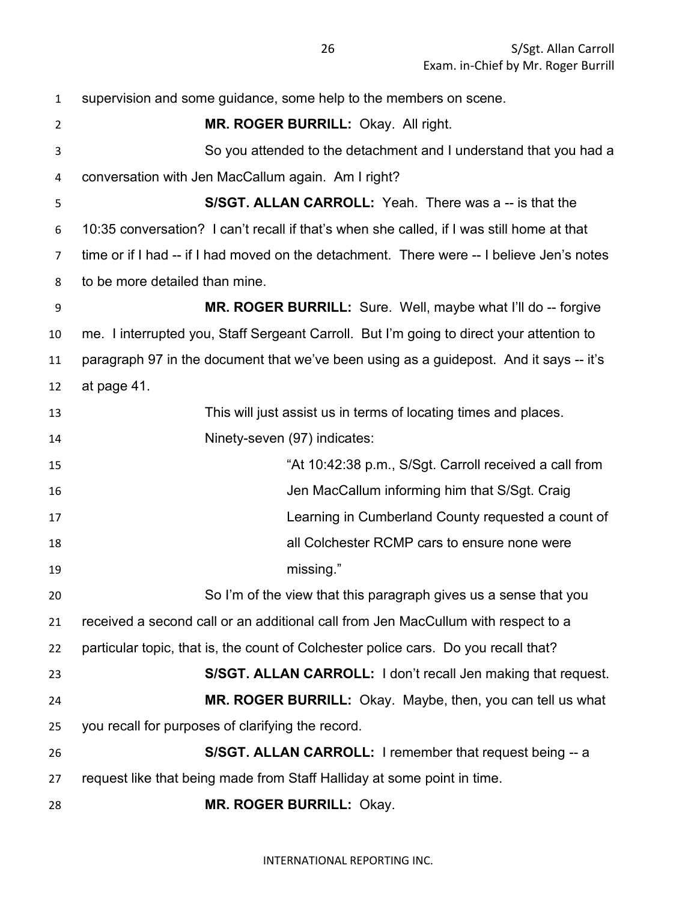supervision and some guidance, some help to the members on scene. **MR. ROGER BURRILL:** Okay. All right. So you attended to the detachment and I understand that you had a conversation with Jen MacCallum again. Am I right? **S/SGT. ALLAN CARROLL:** Yeah. There was a -- is that the 10:35 conversation? I can't recall if that's when she called, if I was still home at that time or if I had -- if I had moved on the detachment. There were -- I believe Jen's notes to be more detailed than mine. **MR. ROGER BURRILL:** Sure. Well, maybe what I'll do -- forgive me. I interrupted you, Staff Sergeant Carroll. But I'm going to direct your attention to paragraph 97 in the document that we've been using as a guidepost. And it says -- it's at page 41. This will just assist us in terms of locating times and places. Ninety-seven (97) indicates: "At 10:42:38 p.m., S/Sgt. Carroll received a call from Jen MacCallum informing him that S/Sgt. Craig Learning in Cumberland County requested a count of all Colchester RCMP cars to ensure none were missing." So I'm of the view that this paragraph gives us a sense that you received a second call or an additional call from Jen MacCullum with respect to a particular topic, that is, the count of Colchester police cars. Do you recall that? **S/SGT. ALLAN CARROLL:** I don't recall Jen making that request. **MR. ROGER BURRILL:** Okay. Maybe, then, you can tell us what you recall for purposes of clarifying the record. **S/SGT. ALLAN CARROLL:** I remember that request being -- a request like that being made from Staff Halliday at some point in time. **MR. ROGER BURRILL:** Okay.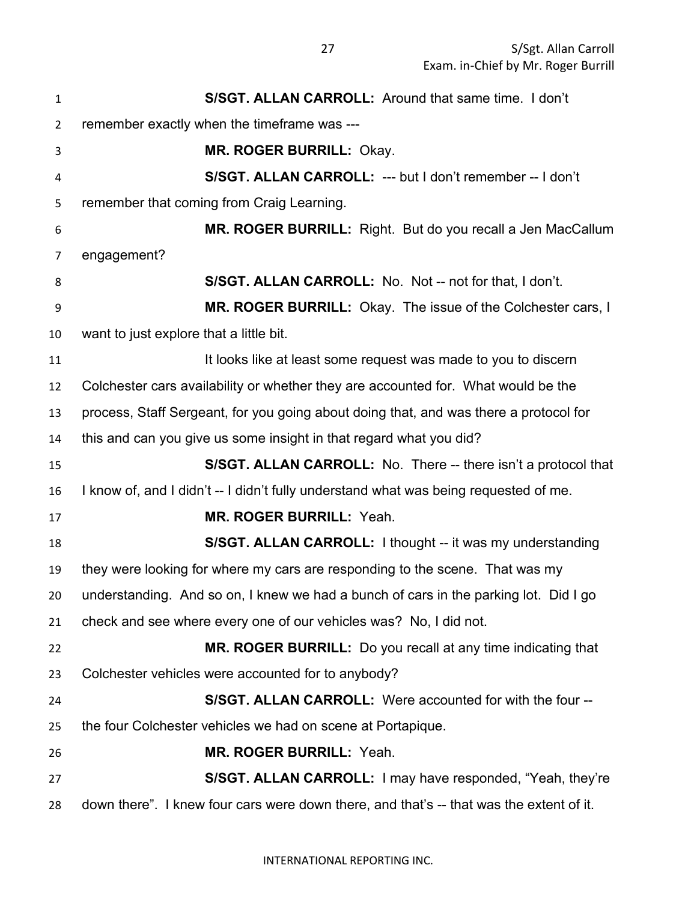| $\mathbf{1}$ | S/SGT. ALLAN CARROLL: Around that same time. I don't                                    |
|--------------|-----------------------------------------------------------------------------------------|
| 2            | remember exactly when the timeframe was ---                                             |
| 3            | MR. ROGER BURRILL: Okay.                                                                |
| 4            | S/SGT. ALLAN CARROLL: --- but I don't remember -- I don't                               |
| 5            | remember that coming from Craig Learning.                                               |
| 6            | MR. ROGER BURRILL: Right. But do you recall a Jen MacCallum                             |
| 7            | engagement?                                                                             |
| 8            | S/SGT. ALLAN CARROLL: No. Not -- not for that, I don't.                                 |
| 9            | MR. ROGER BURRILL: Okay. The issue of the Colchester cars, I                            |
| 10           | want to just explore that a little bit.                                                 |
| 11           | It looks like at least some request was made to you to discern                          |
| 12           | Colchester cars availability or whether they are accounted for. What would be the       |
| 13           | process, Staff Sergeant, for you going about doing that, and was there a protocol for   |
| 14           | this and can you give us some insight in that regard what you did?                      |
| 15           | S/SGT. ALLAN CARROLL: No. There -- there isn't a protocol that                          |
| 16           | I know of, and I didn't -- I didn't fully understand what was being requested of me.    |
| 17           | <b>MR. ROGER BURRILL: Yeah.</b>                                                         |
| 18           | S/SGT. ALLAN CARROLL: I thought -- it was my understanding                              |
| 19           | they were looking for where my cars are responding to the scene. That was my            |
| 20           | understanding. And so on, I knew we had a bunch of cars in the parking lot. Did I go    |
| 21           | check and see where every one of our vehicles was? No, I did not.                       |
| 22           | MR. ROGER BURRILL: Do you recall at any time indicating that                            |
| 23           | Colchester vehicles were accounted for to anybody?                                      |
| 24           | S/SGT. ALLAN CARROLL: Were accounted for with the four --                               |
| 25           | the four Colchester vehicles we had on scene at Portapique.                             |
| 26           | <b>MR. ROGER BURRILL: Yeah.</b>                                                         |
| 27           | S/SGT. ALLAN CARROLL: I may have responded, "Yeah, they're                              |
| 28           | down there". I knew four cars were down there, and that's -- that was the extent of it. |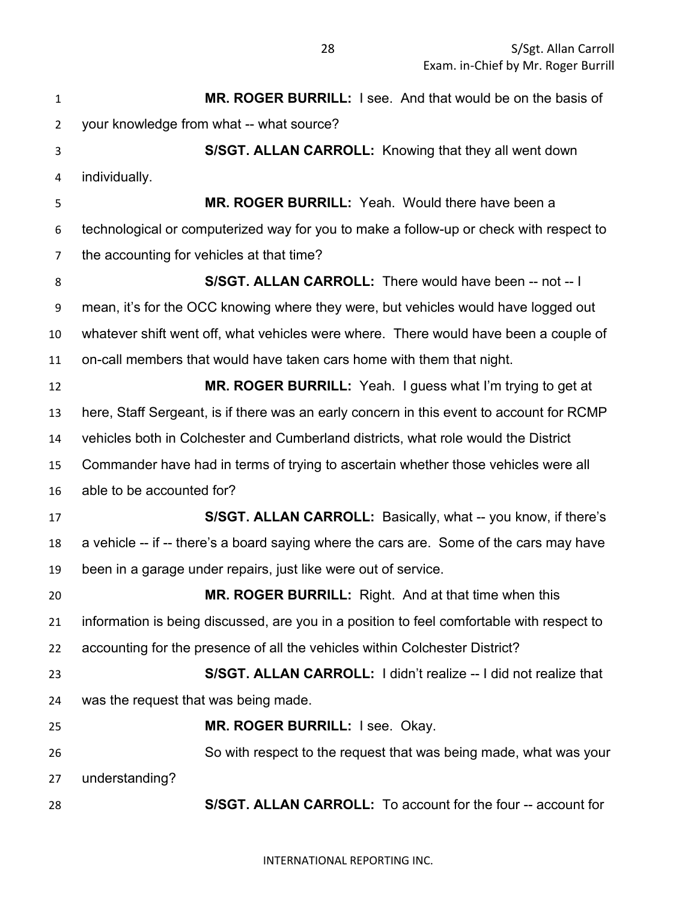**MR. ROGER BURRILL:** I see. And that would be on the basis of your knowledge from what -- what source? **S/SGT. ALLAN CARROLL:** Knowing that they all went down individually. **MR. ROGER BURRILL:** Yeah. Would there have been a technological or computerized way for you to make a follow-up or check with respect to the accounting for vehicles at that time? **S/SGT. ALLAN CARROLL:** There would have been -- not -- I mean, it's for the OCC knowing where they were, but vehicles would have logged out whatever shift went off, what vehicles were where. There would have been a couple of on-call members that would have taken cars home with them that night. **MR. ROGER BURRILL:** Yeah. I guess what I'm trying to get at here, Staff Sergeant, is if there was an early concern in this event to account for RCMP vehicles both in Colchester and Cumberland districts, what role would the District Commander have had in terms of trying to ascertain whether those vehicles were all able to be accounted for? **S/SGT. ALLAN CARROLL:** Basically, what -- you know, if there's a vehicle -- if -- there's a board saying where the cars are. Some of the cars may have been in a garage under repairs, just like were out of service. **MR. ROGER BURRILL:** Right. And at that time when this information is being discussed, are you in a position to feel comfortable with respect to accounting for the presence of all the vehicles within Colchester District? **S/SGT. ALLAN CARROLL:** I didn't realize -- I did not realize that was the request that was being made. **MR. ROGER BURRILL:** I see. Okay. So with respect to the request that was being made, what was your understanding? **S/SGT. ALLAN CARROLL:** To account for the four -- account for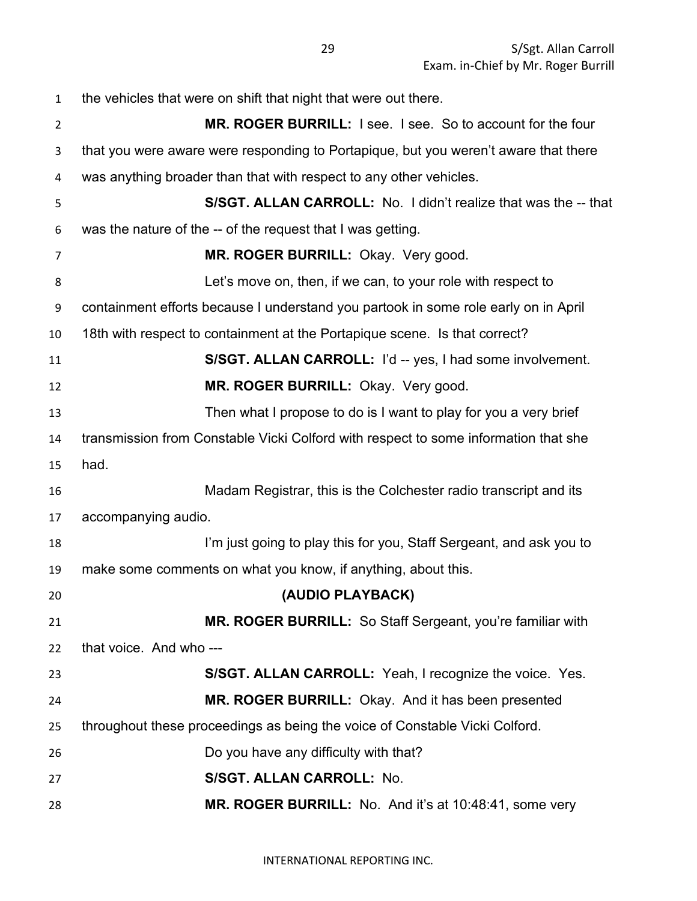| $\mathbf{1}$   | the vehicles that were on shift that night that were out there.                     |
|----------------|-------------------------------------------------------------------------------------|
| $\overline{2}$ | MR. ROGER BURRILL: I see. I see. So to account for the four                         |
| 3              | that you were aware were responding to Portapique, but you weren't aware that there |
| 4              | was anything broader than that with respect to any other vehicles.                  |
| 5              | S/SGT. ALLAN CARROLL: No. I didn't realize that was the -- that                     |
| 6              | was the nature of the -- of the request that I was getting.                         |
| $\overline{7}$ | MR. ROGER BURRILL: Okay. Very good.                                                 |
| 8              | Let's move on, then, if we can, to your role with respect to                        |
| 9              | containment efforts because I understand you partook in some role early on in April |
| 10             | 18th with respect to containment at the Portapique scene. Is that correct?          |
| 11             | S/SGT. ALLAN CARROLL: I'd -- yes, I had some involvement.                           |
| 12             | MR. ROGER BURRILL: Okay. Very good.                                                 |
| 13             | Then what I propose to do is I want to play for you a very brief                    |
| 14             | transmission from Constable Vicki Colford with respect to some information that she |
| 15             | had.                                                                                |
| 16             | Madam Registrar, this is the Colchester radio transcript and its                    |
| 17             | accompanying audio.                                                                 |
| 18             | I'm just going to play this for you, Staff Sergeant, and ask you to                 |
| 19             | make some comments on what you know, if anything, about this.                       |
| 20             | (AUDIO PLAYBACK)                                                                    |
| 21             | <b>MR. ROGER BURRILL:</b> So Staff Sergeant, you're familiar with                   |
| 22             | that voice. And who ---                                                             |
| 23             | S/SGT. ALLAN CARROLL: Yeah, I recognize the voice. Yes.                             |
| 24             | MR. ROGER BURRILL: Okay. And it has been presented                                  |
| 25             | throughout these proceedings as being the voice of Constable Vicki Colford.         |
| 26             | Do you have any difficulty with that?                                               |
| 27             | S/SGT. ALLAN CARROLL: No.                                                           |
| 28             | MR. ROGER BURRILL: No. And it's at 10:48:41, some very                              |
|                |                                                                                     |

INTERNATIONAL REPORTING INC.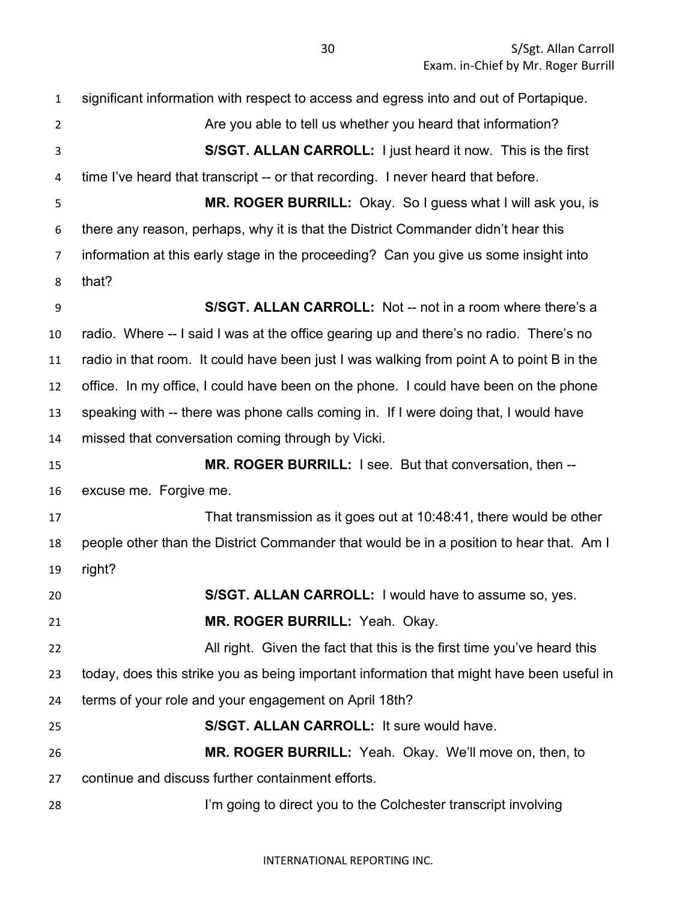significant information with respect to access and egress into and out of Portapique. 2 Are you able to tell us whether you heard that information? **S/SGT. ALLAN CARROLL:** I just heard it now. This is the first time I've heard that transcript -- or that recording. I never heard that before. **MR. ROGER BURRILL:** Okay. So I guess what I will ask you, is there any reason, perhaps, why it is that the District Commander didn't hear this information at this early stage in the proceeding? Can you give us some insight into that? **S/SGT. ALLAN CARROLL:** Not -- not in a room where there's a radio. Where -- I said I was at the office gearing up and there's no radio. There's no radio in that room. It could have been just I was walking from point A to point B in the office. In my office, I could have been on the phone. I could have been on the phone speaking with -- there was phone calls coming in. If I were doing that, I would have missed that conversation coming through by Vicki. **MR. ROGER BURRILL:** I see. But that conversation, then -- excuse me. Forgive me. That transmission as it goes out at 10:48:41, there would be other people other than the District Commander that would be in a position to hear that. Am I right? **S/SGT. ALLAN CARROLL:** I would have to assume so, yes. **MR. ROGER BURRILL:** Yeah. Okay. **All right.** Given the fact that this is the first time you've heard this today, does this strike you as being important information that might have been useful in terms of your role and your engagement on April 18th? **S/SGT. ALLAN CARROLL:** It sure would have. **MR. ROGER BURRILL:** Yeah. Okay. We'll move on, then, to continue and discuss further containment efforts. I'm going to direct you to the Colchester transcript involving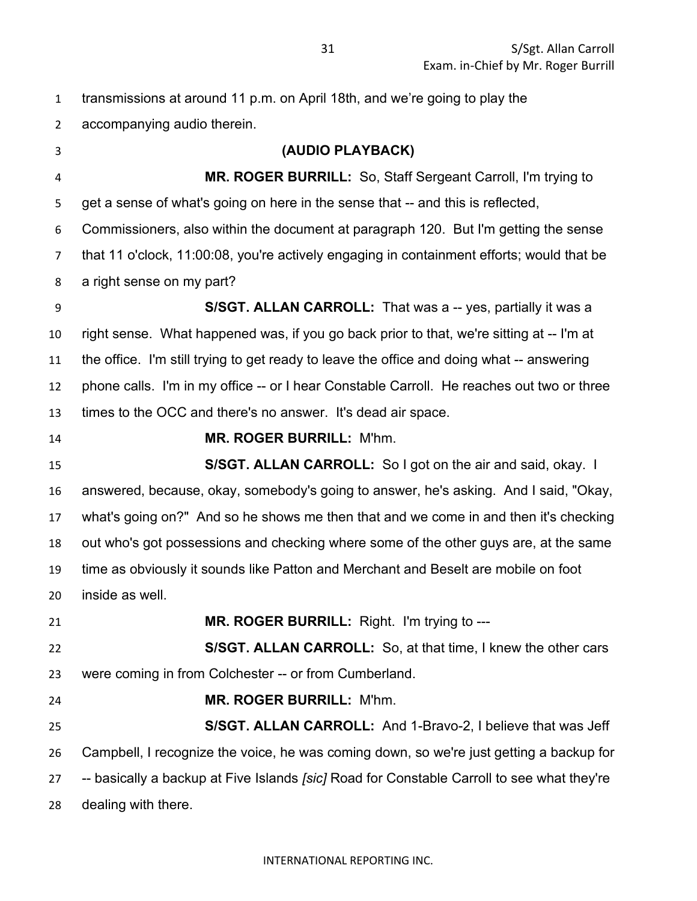| $\mathbf{1}$   | transmissions at around 11 p.m. on April 18th, and we're going to play the                 |
|----------------|--------------------------------------------------------------------------------------------|
| $\overline{2}$ | accompanying audio therein.                                                                |
| 3              | (AUDIO PLAYBACK)                                                                           |
| $\overline{4}$ | MR. ROGER BURRILL: So, Staff Sergeant Carroll, I'm trying to                               |
| 5              | get a sense of what's going on here in the sense that -- and this is reflected,            |
| 6              | Commissioners, also within the document at paragraph 120. But I'm getting the sense        |
| 7              | that 11 o'clock, 11:00:08, you're actively engaging in containment efforts; would that be  |
| 8              | a right sense on my part?                                                                  |
| 9              | S/SGT. ALLAN CARROLL: That was a -- yes, partially it was a                                |
| 10             | right sense. What happened was, if you go back prior to that, we're sitting at -- I'm at   |
| 11             | the office. I'm still trying to get ready to leave the office and doing what -- answering  |
| 12             | phone calls. I'm in my office -- or I hear Constable Carroll. He reaches out two or three  |
| 13             | times to the OCC and there's no answer. It's dead air space.                               |
| 14             | MR. ROGER BURRILL: M'hm.                                                                   |
| 15             | S/SGT. ALLAN CARROLL: So I got on the air and said, okay. I                                |
| 16             | answered, because, okay, somebody's going to answer, he's asking. And I said, "Okay,       |
| 17             | what's going on?" And so he shows me then that and we come in and then it's checking       |
| 18             | out who's got possessions and checking where some of the other guys are, at the same       |
| 19             | time as obviously it sounds like Patton and Merchant and Beselt are mobile on foot         |
| 20             | inside as well.                                                                            |
| 21             | MR. ROGER BURRILL: Right. I'm trying to ---                                                |
| 22             | S/SGT. ALLAN CARROLL: So, at that time, I knew the other cars                              |
| 23             | were coming in from Colchester -- or from Cumberland.                                      |
| 24             | MR. ROGER BURRILL: M'hm.                                                                   |
| 25             | S/SGT. ALLAN CARROLL: And 1-Bravo-2, I believe that was Jeff                               |
| 26             | Campbell, I recognize the voice, he was coming down, so we're just getting a backup for    |
| 27             | -- basically a backup at Five Islands [sic] Road for Constable Carroll to see what they're |
| 28             | dealing with there.                                                                        |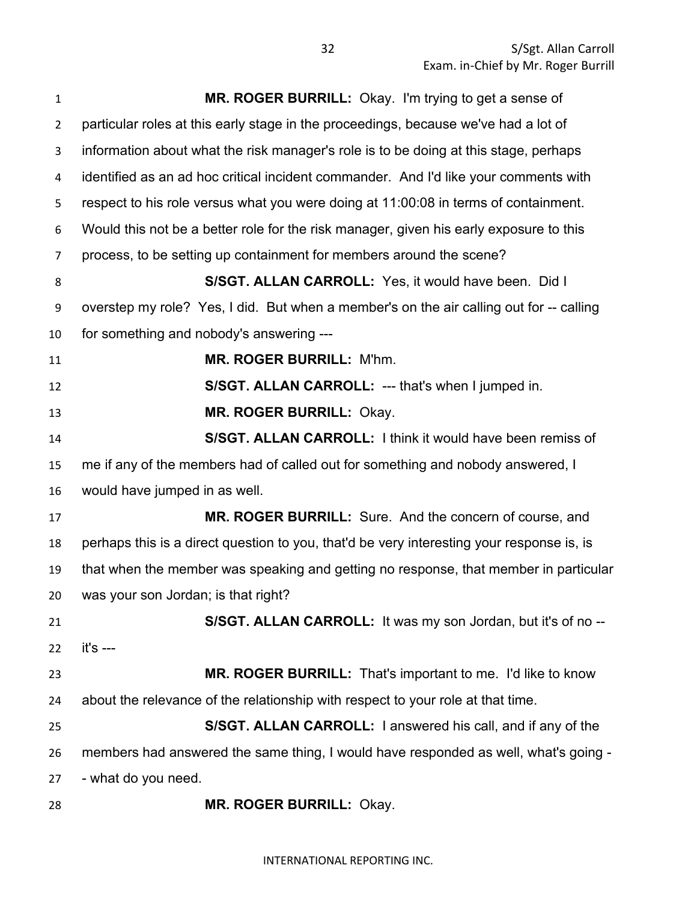| $\mathbf{1}$   | MR. ROGER BURRILL: Okay. I'm trying to get a sense of                                     |
|----------------|-------------------------------------------------------------------------------------------|
| $\overline{2}$ | particular roles at this early stage in the proceedings, because we've had a lot of       |
| 3              | information about what the risk manager's role is to be doing at this stage, perhaps      |
| 4              | identified as an ad hoc critical incident commander. And I'd like your comments with      |
| 5              | respect to his role versus what you were doing at 11:00:08 in terms of containment.       |
| 6              | Would this not be a better role for the risk manager, given his early exposure to this    |
| $\overline{7}$ | process, to be setting up containment for members around the scene?                       |
| 8              | S/SGT. ALLAN CARROLL: Yes, it would have been. Did I                                      |
| 9              | overstep my role? Yes, I did. But when a member's on the air calling out for -- calling   |
| 10             | for something and nobody's answering ---                                                  |
| 11             | MR. ROGER BURRILL: M'hm.                                                                  |
| 12             | S/SGT. ALLAN CARROLL: --- that's when I jumped in.                                        |
| 13             | MR. ROGER BURRILL: Okay.                                                                  |
| 14             | S/SGT. ALLAN CARROLL: I think it would have been remiss of                                |
| 15             | me if any of the members had of called out for something and nobody answered, I           |
| 16             | would have jumped in as well.                                                             |
| 17             | MR. ROGER BURRILL: Sure. And the concern of course, and                                   |
| 18             | perhaps this is a direct question to you, that'd be very interesting your response is, is |
| 19             | that when the member was speaking and getting no response, that member in particular      |
| 20             | was your son Jordan; is that right?                                                       |
| 21             | S/SGT. ALLAN CARROLL: It was my son Jordan, but it's of no --                             |
| 22             | it's ---                                                                                  |
| 23             | <b>MR. ROGER BURRILL:</b> That's important to me. I'd like to know                        |
| 24             | about the relevance of the relationship with respect to your role at that time.           |
| 25             | S/SGT. ALLAN CARROLL: I answered his call, and if any of the                              |
| 26             | members had answered the same thing, I would have responded as well, what's going -       |
| 27             | - what do you need.                                                                       |
| 28             | <b>MR. ROGER BURRILL: Okay.</b>                                                           |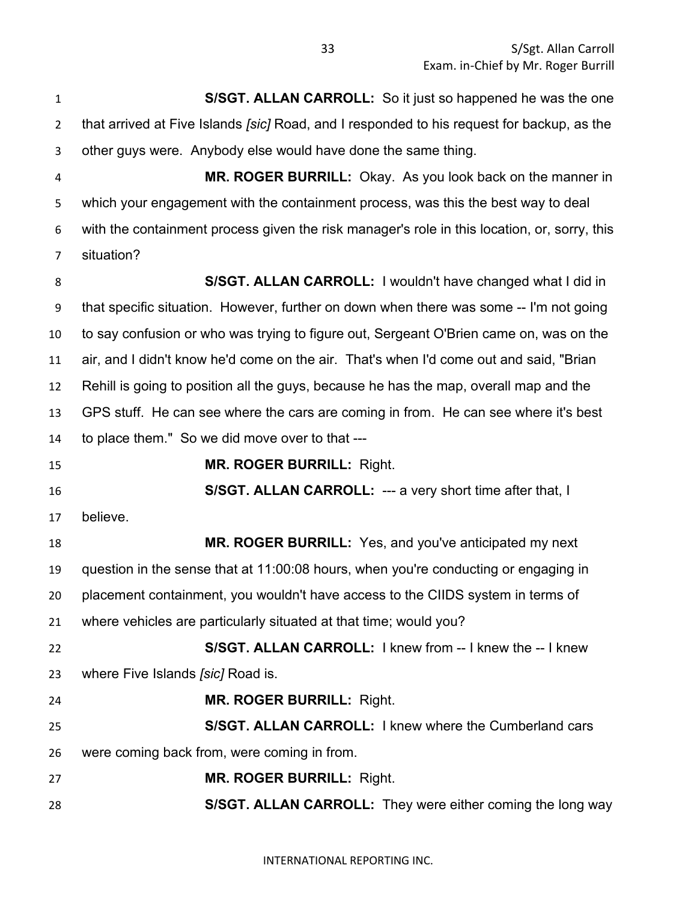**S/SGT. ALLAN CARROLL:** So it just so happened he was the one that arrived at Five Islands *[sic]* Road, and I responded to his request for backup, as the other guys were. Anybody else would have done the same thing. **MR. ROGER BURRILL:** Okay. As you look back on the manner in which your engagement with the containment process, was this the best way to deal with the containment process given the risk manager's role in this location, or, sorry, this situation? **S/SGT. ALLAN CARROLL:** I wouldn't have changed what I did in that specific situation. However, further on down when there was some -- I'm not going to say confusion or who was trying to figure out, Sergeant O'Brien came on, was on the

 air, and I didn't know he'd come on the air. That's when I'd come out and said, "Brian Rehill is going to position all the guys, because he has the map, overall map and the GPS stuff. He can see where the cars are coming in from. He can see where it's best to place them." So we did move over to that ---

**MR. ROGER BURRILL:** Right.

**S/SGT. ALLAN CARROLL:** --- a very short time after that, I

believe.

 **MR. ROGER BURRILL:** Yes, and you've anticipated my next question in the sense that at 11:00:08 hours, when you're conducting or engaging in placement containment, you wouldn't have access to the CIIDS system in terms of where vehicles are particularly situated at that time; would you? **S/SGT. ALLAN CARROLL:** I knew from -- I knew the -- I knew

where Five Islands *[sic]* Road is.

**MR. ROGER BURRILL:** Right.

 **S/SGT. ALLAN CARROLL:** I knew where the Cumberland cars were coming back from, were coming in from.

**MR. ROGER BURRILL:** Right.

**S/SGT. ALLAN CARROLL:** They were either coming the long way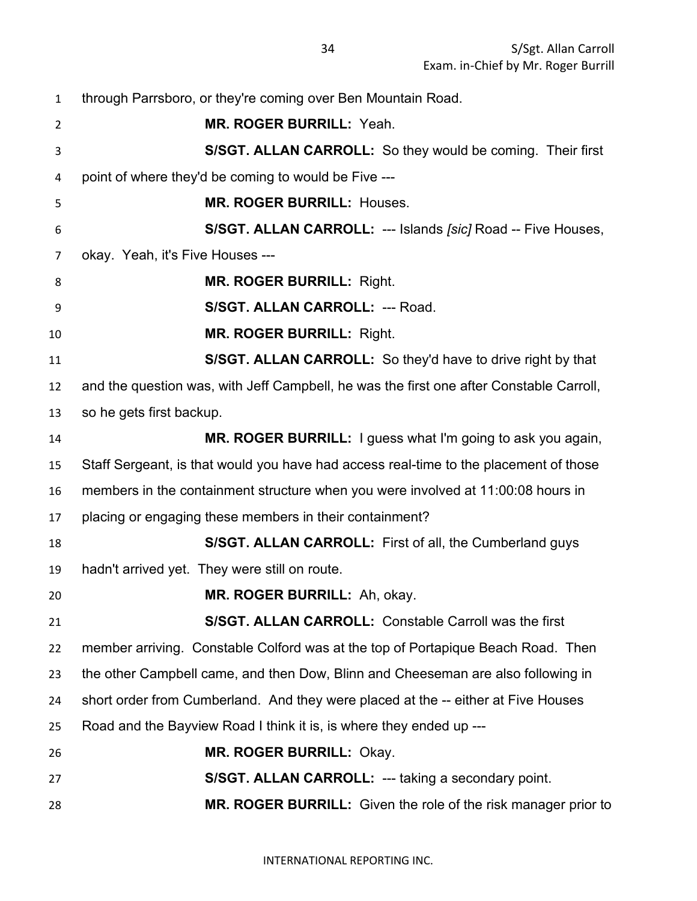through Parrsboro, or they're coming over Ben Mountain Road. **MR. ROGER BURRILL:** Yeah. **S/SGT. ALLAN CARROLL:** So they would be coming. Their first point of where they'd be coming to would be Five --- **MR. ROGER BURRILL:** Houses. **S/SGT. ALLAN CARROLL:** --- Islands *[sic]* Road -- Five Houses, okay. Yeah, it's Five Houses --- **MR. ROGER BURRILL:** Right. **S/SGT. ALLAN CARROLL:** --- Road. **MR. ROGER BURRILL:** Right. **S/SGT. ALLAN CARROLL:** So they'd have to drive right by that and the question was, with Jeff Campbell, he was the first one after Constable Carroll, so he gets first backup. **MR. ROGER BURRILL:** I guess what I'm going to ask you again, Staff Sergeant, is that would you have had access real-time to the placement of those members in the containment structure when you were involved at 11:00:08 hours in placing or engaging these members in their containment? **S/SGT. ALLAN CARROLL:** First of all, the Cumberland guys hadn't arrived yet. They were still on route. **MR. ROGER BURRILL:** Ah, okay. **S/SGT. ALLAN CARROLL:** Constable Carroll was the first member arriving. Constable Colford was at the top of Portapique Beach Road. Then the other Campbell came, and then Dow, Blinn and Cheeseman are also following in short order from Cumberland. And they were placed at the -- either at Five Houses Road and the Bayview Road I think it is, is where they ended up --- **MR. ROGER BURRILL:** Okay. **S/SGT. ALLAN CARROLL:** --- taking a secondary point. **MR. ROGER BURRILL:** Given the role of the risk manager prior to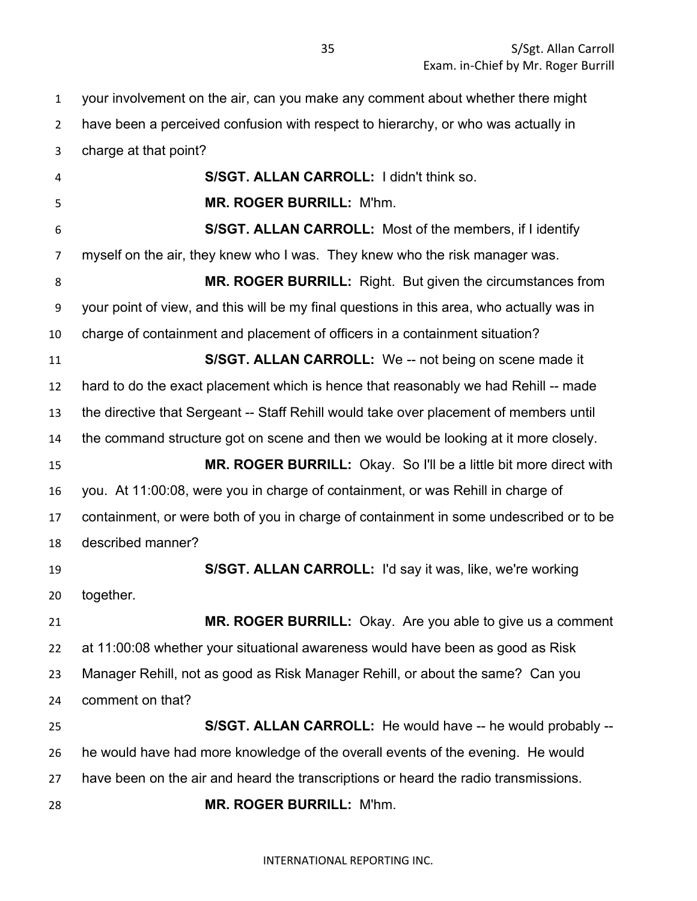your involvement on the air, can you make any comment about whether there might

have been a perceived confusion with respect to hierarchy, or who was actually in

charge at that point?

 **S/SGT. ALLAN CARROLL:** I didn't think so. **MR. ROGER BURRILL:** M'hm. **S/SGT. ALLAN CARROLL:** Most of the members, if I identify myself on the air, they knew who I was. They knew who the risk manager was. **MR. ROGER BURRILL:** Right. But given the circumstances from your point of view, and this will be my final questions in this area, who actually was in charge of containment and placement of officers in a containment situation? **S/SGT. ALLAN CARROLL:** We -- not being on scene made it hard to do the exact placement which is hence that reasonably we had Rehill -- made the directive that Sergeant -- Staff Rehill would take over placement of members until the command structure got on scene and then we would be looking at it more closely. **MR. ROGER BURRILL:** Okay. So I'll be a little bit more direct with you. At 11:00:08, were you in charge of containment, or was Rehill in charge of containment, or were both of you in charge of containment in some undescribed or to be described manner? **S/SGT. ALLAN CARROLL:** I'd say it was, like, we're working together. **MR. ROGER BURRILL:** Okay. Are you able to give us a comment at 11:00:08 whether your situational awareness would have been as good as Risk Manager Rehill, not as good as Risk Manager Rehill, or about the same? Can you comment on that? **S/SGT. ALLAN CARROLL:** He would have -- he would probably -- he would have had more knowledge of the overall events of the evening. He would have been on the air and heard the transcriptions or heard the radio transmissions. **MR. ROGER BURRILL:** M'hm.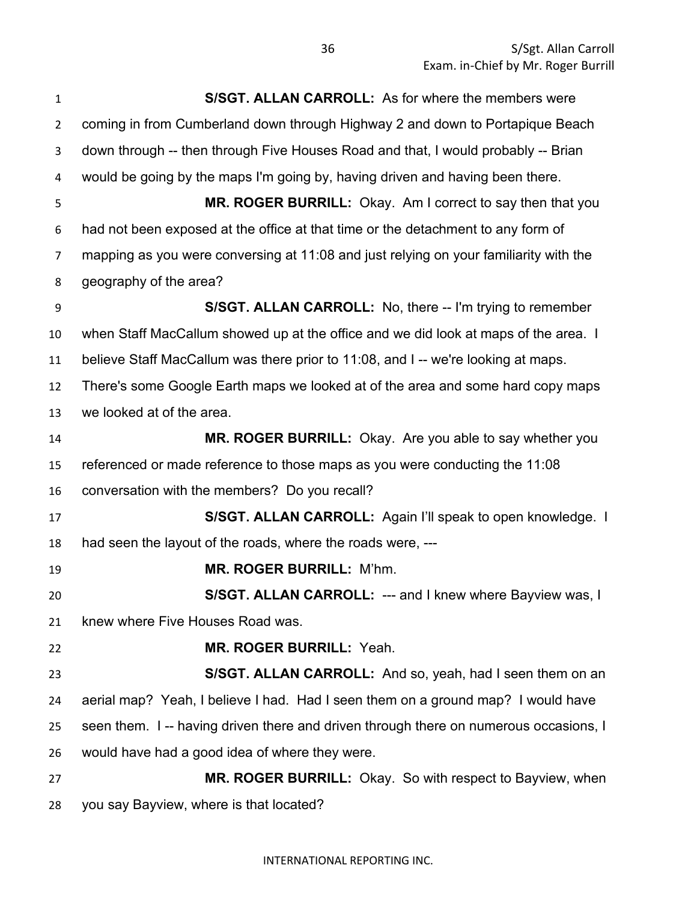| $\mathbf{1}$   | S/SGT. ALLAN CARROLL: As for where the members were                                   |
|----------------|---------------------------------------------------------------------------------------|
| $\overline{2}$ | coming in from Cumberland down through Highway 2 and down to Portapique Beach         |
| 3              | down through -- then through Five Houses Road and that, I would probably -- Brian     |
| 4              | would be going by the maps I'm going by, having driven and having been there.         |
| 5              | MR. ROGER BURRILL: Okay. Am I correct to say then that you                            |
| 6              | had not been exposed at the office at that time or the detachment to any form of      |
| $\overline{7}$ | mapping as you were conversing at 11:08 and just relying on your familiarity with the |
| 8              | geography of the area?                                                                |
| 9              | <b>S/SGT. ALLAN CARROLL:</b> No, there -- I'm trying to remember                      |
| 10             | when Staff MacCallum showed up at the office and we did look at maps of the area. I   |
| 11             | believe Staff MacCallum was there prior to 11:08, and I-- we're looking at maps.      |
| 12             | There's some Google Earth maps we looked at of the area and some hard copy maps       |
| 13             | we looked at of the area.                                                             |
| 14             | MR. ROGER BURRILL: Okay. Are you able to say whether you                              |
| 15             | referenced or made reference to those maps as you were conducting the 11:08           |
| 16             | conversation with the members? Do you recall?                                         |
| 17             | S/SGT. ALLAN CARROLL: Again I'll speak to open knowledge. I                           |
| 18             | had seen the layout of the roads, where the roads were, ---                           |
| 19             | <b>MR. ROGER BURRILL: M'hm.</b>                                                       |
| 20             | S/SGT. ALLAN CARROLL: --- and I knew where Bayview was, I                             |
| 21             | knew where Five Houses Road was.                                                      |
| 22             | MR. ROGER BURRILL: Yeah.                                                              |
| 23             | S/SGT. ALLAN CARROLL: And so, yeah, had I seen them on an                             |
| 24             | aerial map? Yeah, I believe I had. Had I seen them on a ground map? I would have      |
| 25             | seen them. I -- having driven there and driven through there on numerous occasions, I |
| 26             | would have had a good idea of where they were.                                        |
| 27             | <b>MR. ROGER BURRILL:</b> Okay. So with respect to Bayview, when                      |
| 28             | you say Bayview, where is that located?                                               |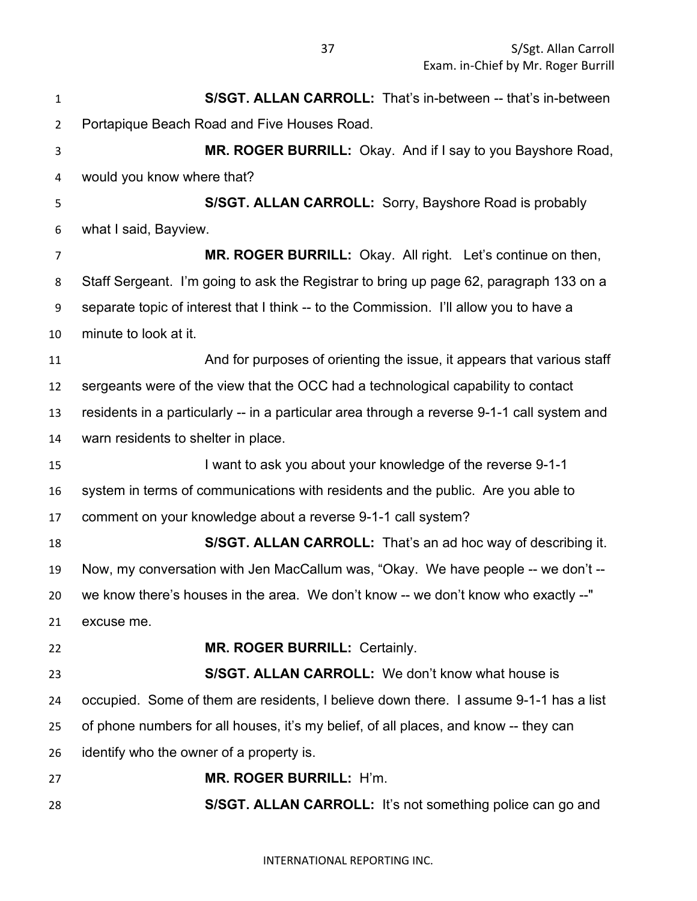S/Sgt. Allan Carroll Exam. in-Chief by Mr. Roger Burrill

 **S/SGT. ALLAN CARROLL:** That's in-between -- that's in-between Portapique Beach Road and Five Houses Road. **MR. ROGER BURRILL:** Okay. And if I say to you Bayshore Road, would you know where that? **S/SGT. ALLAN CARROLL:** Sorry, Bayshore Road is probably what I said, Bayview. **MR. ROGER BURRILL:** Okay. All right. Let's continue on then, Staff Sergeant. I'm going to ask the Registrar to bring up page 62, paragraph 133 on a separate topic of interest that I think -- to the Commission. I'll allow you to have a minute to look at it. **And for purposes of orienting the issue, it appears that various staff**  sergeants were of the view that the OCC had a technological capability to contact residents in a particularly -- in a particular area through a reverse 9-1-1 call system and warn residents to shelter in place. I want to ask you about your knowledge of the reverse 9-1-1 system in terms of communications with residents and the public. Are you able to comment on your knowledge about a reverse 9-1-1 call system? **S/SGT. ALLAN CARROLL:** That's an ad hoc way of describing it. Now, my conversation with Jen MacCallum was, "Okay. We have people -- we don't -- we know there's houses in the area. We don't know -- we don't know who exactly --" excuse me. **MR. ROGER BURRILL:** Certainly. **S/SGT. ALLAN CARROLL:** We don't know what house is occupied. Some of them are residents, I believe down there. I assume 9-1-1 has a list of phone numbers for all houses, it's my belief, of all places, and know -- they can identify who the owner of a property is. **MR. ROGER BURRILL:** H'm. **S/SGT. ALLAN CARROLL:** It's not something police can go and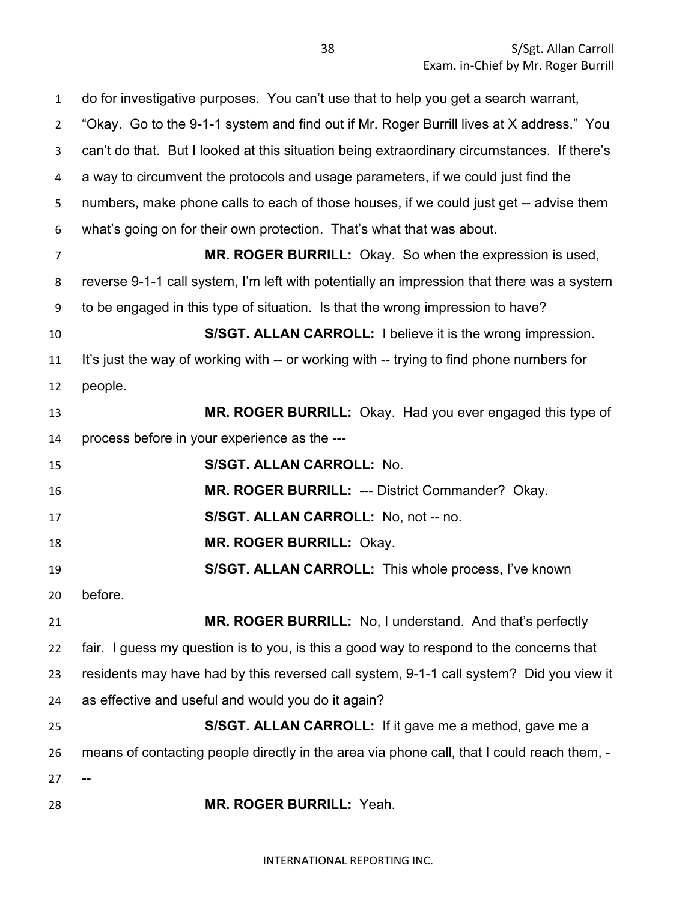do for investigative purposes. You can't use that to help you get a search warrant, "Okay. Go to the 9-1-1 system and find out if Mr. Roger Burrill lives at X address." You can't do that. But I looked at this situation being extraordinary circumstances. If there's a way to circumvent the protocols and usage parameters, if we could just find the numbers, make phone calls to each of those houses, if we could just get -- advise them what's going on for their own protection. That's what that was about. **MR. ROGER BURRILL:** Okay. So when the expression is used, reverse 9-1-1 call system, I'm left with potentially an impression that there was a system to be engaged in this type of situation. Is that the wrong impression to have? **S/SGT. ALLAN CARROLL:** I believe it is the wrong impression. It's just the way of working with -- or working with -- trying to find phone numbers for people. **MR. ROGER BURRILL:** Okay. Had you ever engaged this type of process before in your experience as the --- **S/SGT. ALLAN CARROLL:** No. **MR. ROGER BURRILL:** --- District Commander? Okay. **S/SGT. ALLAN CARROLL:** No, not -- no. **MR. ROGER BURRILL:** Okay. **S/SGT. ALLAN CARROLL:** This whole process, I've known before. **MR. ROGER BURRILL:** No, I understand. And that's perfectly fair. I guess my question is to you, is this a good way to respond to the concerns that residents may have had by this reversed call system, 9-1-1 call system? Did you view it as effective and useful and would you do it again? **S/SGT. ALLAN CARROLL:** If it gave me a method, gave me a means of contacting people directly in the area via phone call, that I could reach them, - **MR. ROGER BURRILL:** Yeah.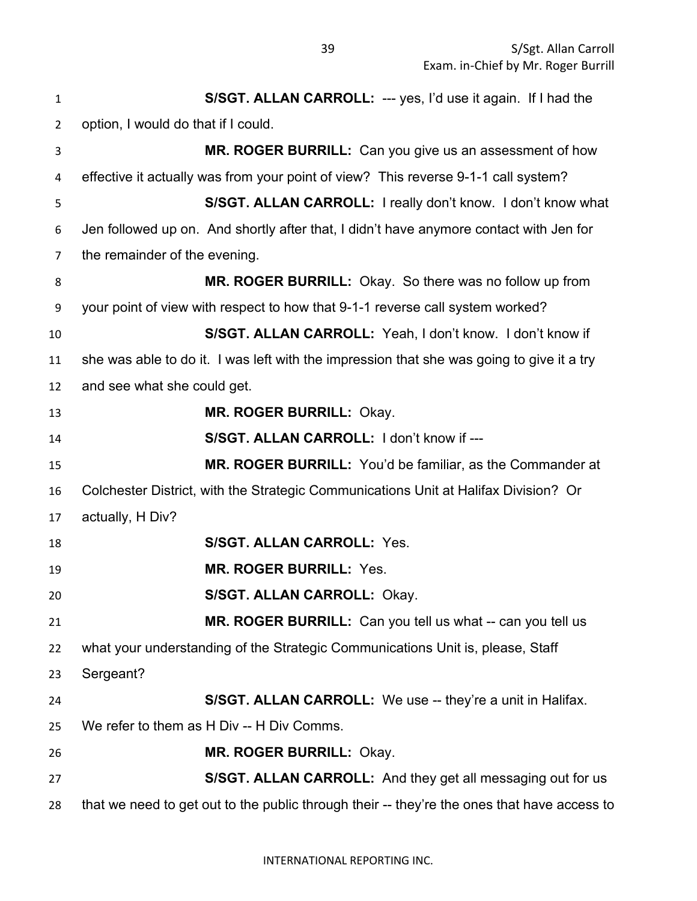**S/SGT. ALLAN CARROLL:** --- yes, I'd use it again. If I had the option, I would do that if I could. **MR. ROGER BURRILL:** Can you give us an assessment of how effective it actually was from your point of view? This reverse 9-1-1 call system? **S/SGT. ALLAN CARROLL:** I really don't know. I don't know what Jen followed up on. And shortly after that, I didn't have anymore contact with Jen for the remainder of the evening. **MR. ROGER BURRILL:** Okay. So there was no follow up from your point of view with respect to how that 9-1-1 reverse call system worked? **S/SGT. ALLAN CARROLL:** Yeah, I don't know. I don't know if she was able to do it. I was left with the impression that she was going to give it a try and see what she could get. **MR. ROGER BURRILL:** Okay. **S/SGT. ALLAN CARROLL:** I don't know if --- **MR. ROGER BURRILL:** You'd be familiar, as the Commander at Colchester District, with the Strategic Communications Unit at Halifax Division? Or actually, H Div? **S/SGT. ALLAN CARROLL:** Yes. **MR. ROGER BURRILL:** Yes. **S/SGT. ALLAN CARROLL:** Okay. **MR. ROGER BURRILL:** Can you tell us what -- can you tell us what your understanding of the Strategic Communications Unit is, please, Staff Sergeant? **S/SGT. ALLAN CARROLL:** We use -- they're a unit in Halifax. We refer to them as H Div -- H Div Comms. **MR. ROGER BURRILL:** Okay. **S/SGT. ALLAN CARROLL:** And they get all messaging out for us that we need to get out to the public through their -- they're the ones that have access to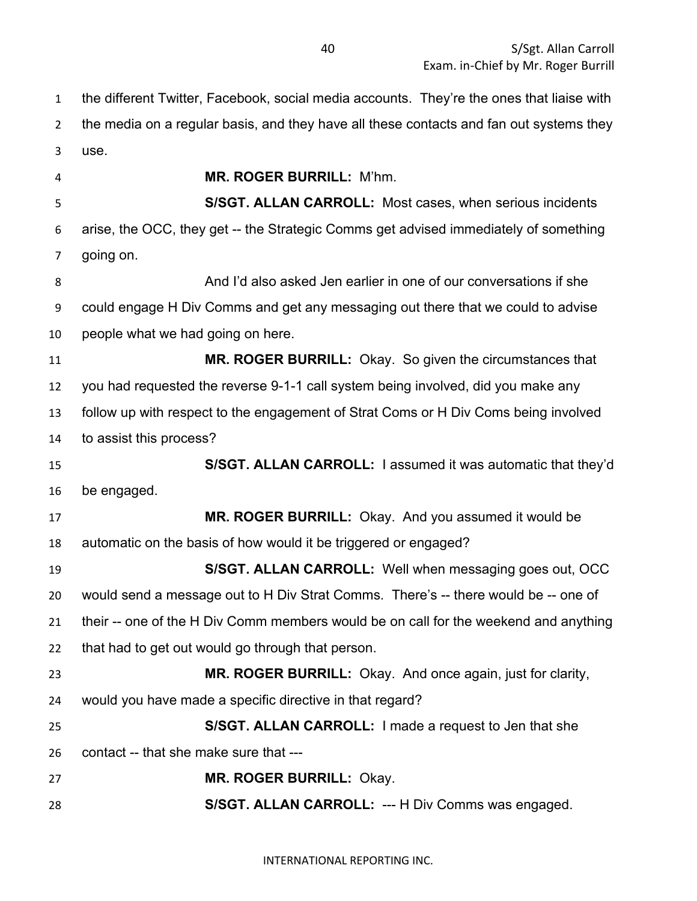the different Twitter, Facebook, social media accounts. They're the ones that liaise with the media on a regular basis, and they have all these contacts and fan out systems they use.

 **MR. ROGER BURRILL:** M'hm. **S/SGT. ALLAN CARROLL:** Most cases, when serious incidents arise, the OCC, they get -- the Strategic Comms get advised immediately of something going on. And I'd also asked Jen earlier in one of our conversations if she could engage H Div Comms and get any messaging out there that we could to advise people what we had going on here. **MR. ROGER BURRILL:** Okay. So given the circumstances that you had requested the reverse 9-1-1 call system being involved, did you make any follow up with respect to the engagement of Strat Coms or H Div Coms being involved to assist this process? **S/SGT. ALLAN CARROLL:** I assumed it was automatic that they'd be engaged. **MR. ROGER BURRILL:** Okay. And you assumed it would be automatic on the basis of how would it be triggered or engaged? **S/SGT. ALLAN CARROLL:** Well when messaging goes out, OCC would send a message out to H Div Strat Comms. There's -- there would be -- one of their -- one of the H Div Comm members would be on call for the weekend and anything that had to get out would go through that person. **MR. ROGER BURRILL:** Okay. And once again, just for clarity, would you have made a specific directive in that regard? **S/SGT. ALLAN CARROLL:** I made a request to Jen that she contact -- that she make sure that --- **MR. ROGER BURRILL:** Okay. **S/SGT. ALLAN CARROLL:** --- H Div Comms was engaged.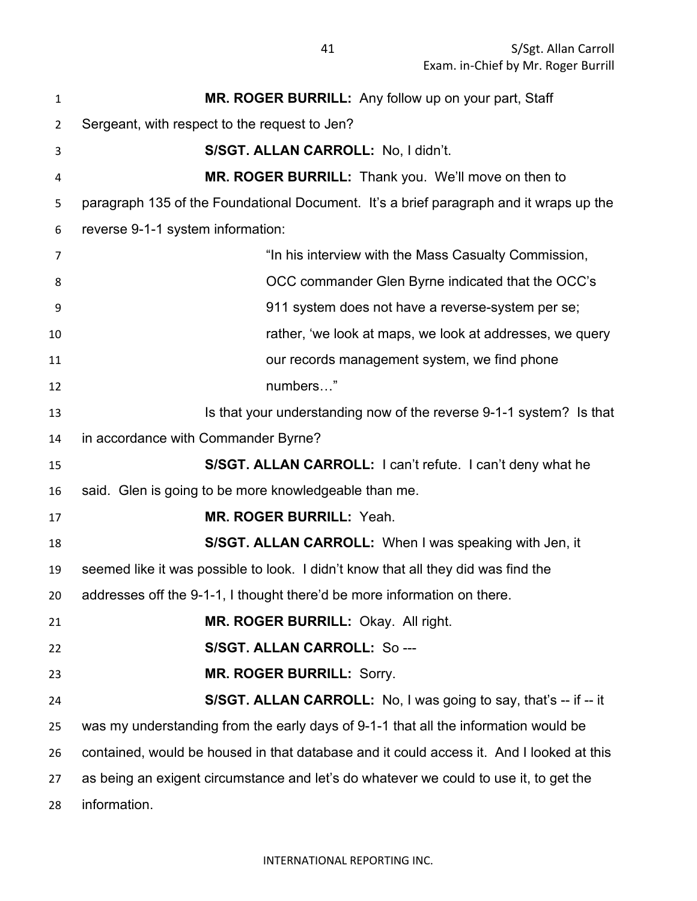| $\mathbf{1}$   | MR. ROGER BURRILL: Any follow up on your part, Staff                                     |
|----------------|------------------------------------------------------------------------------------------|
| $\overline{2}$ | Sergeant, with respect to the request to Jen?                                            |
| 3              | S/SGT. ALLAN CARROLL: No, I didn't.                                                      |
| 4              | MR. ROGER BURRILL: Thank you. We'll move on then to                                      |
| 5              | paragraph 135 of the Foundational Document. It's a brief paragraph and it wraps up the   |
| 6              | reverse 9-1-1 system information:                                                        |
| 7              | "In his interview with the Mass Casualty Commission,                                     |
| 8              | OCC commander Glen Byrne indicated that the OCC's                                        |
| 9              | 911 system does not have a reverse-system per se;                                        |
| 10             | rather, 'we look at maps, we look at addresses, we query                                 |
| 11             | our records management system, we find phone                                             |
| 12             | numbers"                                                                                 |
| 13             | Is that your understanding now of the reverse 9-1-1 system? Is that                      |
| 14             | in accordance with Commander Byrne?                                                      |
| 15             | S/SGT. ALLAN CARROLL: I can't refute. I can't deny what he                               |
| 16             | said. Glen is going to be more knowledgeable than me.                                    |
| 17             | MR. ROGER BURRILL: Yeah.                                                                 |
| 18             | S/SGT. ALLAN CARROLL: When I was speaking with Jen, it                                   |
| 19             | seemed like it was possible to look. I didn't know that all they did was find the        |
| 20             | addresses off the 9-1-1, I thought there'd be more information on there.                 |
| 21             | MR. ROGER BURRILL: Okay. All right.                                                      |
| 22             | S/SGT. ALLAN CARROLL: So ---                                                             |
| 23             | <b>MR. ROGER BURRILL: Sorry.</b>                                                         |
| 24             | S/SGT. ALLAN CARROLL: No, I was going to say, that's -- if -- it                         |
| 25             | was my understanding from the early days of 9-1-1 that all the information would be      |
| 26             | contained, would be housed in that database and it could access it. And I looked at this |
| 27             | as being an exigent circumstance and let's do whatever we could to use it, to get the    |
| 28             | information.                                                                             |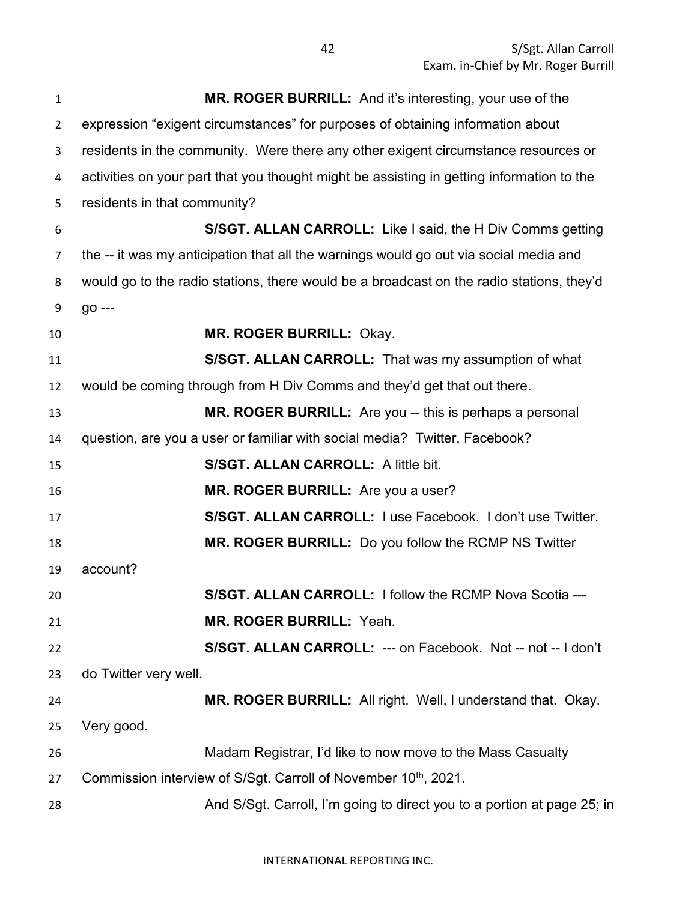| $\mathbf{1}$   | MR. ROGER BURRILL: And it's interesting, your use of the                                  |
|----------------|-------------------------------------------------------------------------------------------|
| $\overline{2}$ | expression "exigent circumstances" for purposes of obtaining information about            |
| 3              | residents in the community. Were there any other exigent circumstance resources or        |
| 4              | activities on your part that you thought might be assisting in getting information to the |
| 5              | residents in that community?                                                              |
| 6              | S/SGT. ALLAN CARROLL: Like I said, the H Div Comms getting                                |
| 7              | the -- it was my anticipation that all the warnings would go out via social media and     |
| 8              | would go to the radio stations, there would be a broadcast on the radio stations, they'd  |
| 9              | go ---                                                                                    |
| 10             | MR. ROGER BURRILL: Okay.                                                                  |
| 11             | S/SGT. ALLAN CARROLL: That was my assumption of what                                      |
| 12             | would be coming through from H Div Comms and they'd get that out there.                   |
| 13             | MR. ROGER BURRILL: Are you -- this is perhaps a personal                                  |
| 14             | question, are you a user or familiar with social media? Twitter, Facebook?                |
| 15             | S/SGT. ALLAN CARROLL: A little bit.                                                       |
| 16             | MR. ROGER BURRILL: Are you a user?                                                        |
| 17             | S/SGT. ALLAN CARROLL: I use Facebook. I don't use Twitter.                                |
| 18             | MR. ROGER BURRILL: Do you follow the RCMP NS Twitter                                      |
| 19             | account?                                                                                  |
| 20             | S/SGT. ALLAN CARROLL: I follow the RCMP Nova Scotia ---                                   |
| 21             | <b>MR. ROGER BURRILL: Yeah.</b>                                                           |
| 22             | S/SGT. ALLAN CARROLL: --- on Facebook. Not -- not -- I don't                              |
| 23             | do Twitter very well.                                                                     |
| 24             | MR. ROGER BURRILL: All right. Well, I understand that. Okay.                              |
| 25             | Very good.                                                                                |
| 26             | Madam Registrar, I'd like to now move to the Mass Casualty                                |
| 27             | Commission interview of S/Sgt. Carroll of November 10 <sup>th</sup> , 2021.               |
| 28             | And S/Sgt. Carroll, I'm going to direct you to a portion at page 25; in                   |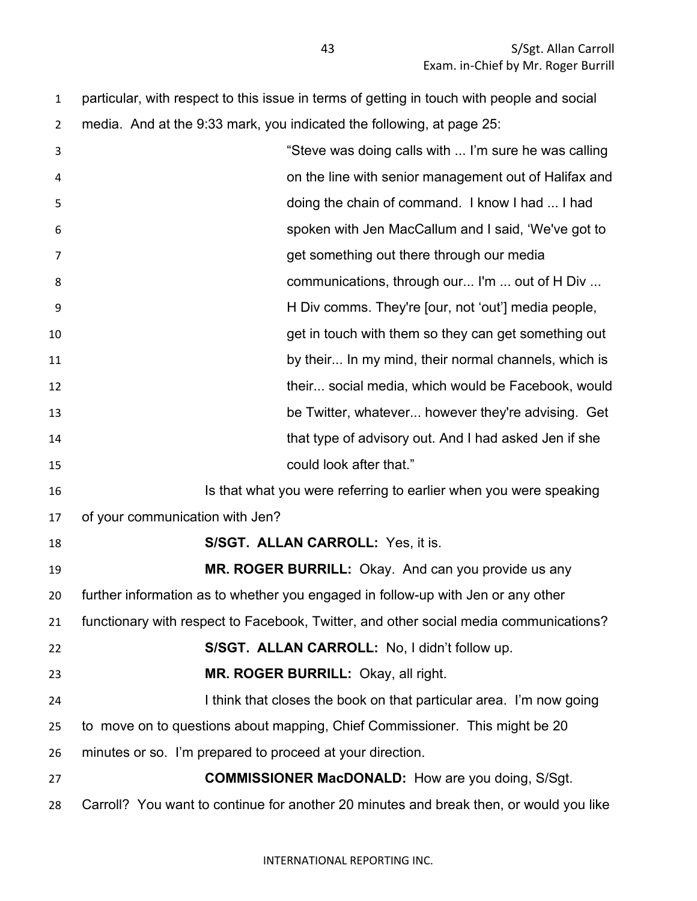particular, with respect to this issue in terms of getting in touch with people and social media. And at the 9:33 mark, you indicated the following, at page 25:

| 3  | "Steve was doing calls with  I'm sure he was calling                                   |
|----|----------------------------------------------------------------------------------------|
| 4  | on the line with senior management out of Halifax and                                  |
| 5  | doing the chain of command. I know I had  I had                                        |
| 6  | spoken with Jen MacCallum and I said, 'We've got to                                    |
| 7  | get something out there through our media                                              |
| 8  | communications, through our I'm  out of H Div                                          |
| 9  | H Div comms. They're [our, not 'out'] media people,                                    |
| 10 | get in touch with them so they can get something out                                   |
| 11 | by their In my mind, their normal channels, which is                                   |
| 12 | their social media, which would be Facebook, would                                     |
| 13 | be Twitter, whatever however they're advising. Get                                     |
| 14 | that type of advisory out. And I had asked Jen if she                                  |
| 15 | could look after that."                                                                |
| 16 | Is that what you were referring to earlier when you were speaking                      |
| 17 | of your communication with Jen?                                                        |
| 18 | <b>S/SGT. ALLAN CARROLL: Yes, it is.</b>                                               |
| 19 | MR. ROGER BURRILL: Okay. And can you provide us any                                    |
| 20 | further information as to whether you engaged in follow-up with Jen or any other       |
| 21 | functionary with respect to Facebook, Twitter, and other social media communications?  |
| 22 | S/SGT. ALLAN CARROLL: No, I didn't follow up.                                          |
| 23 | MR. ROGER BURRILL: Okay, all right.                                                    |
| 24 | I think that closes the book on that particular area. I'm now going                    |
| 25 | to move on to questions about mapping, Chief Commissioner. This might be 20            |
| 26 | minutes or so. I'm prepared to proceed at your direction.                              |
| 27 | <b>COMMISSIONER MacDONALD:</b> How are you doing, S/Sgt.                               |
| 28 | Carroll? You want to continue for another 20 minutes and break then, or would you like |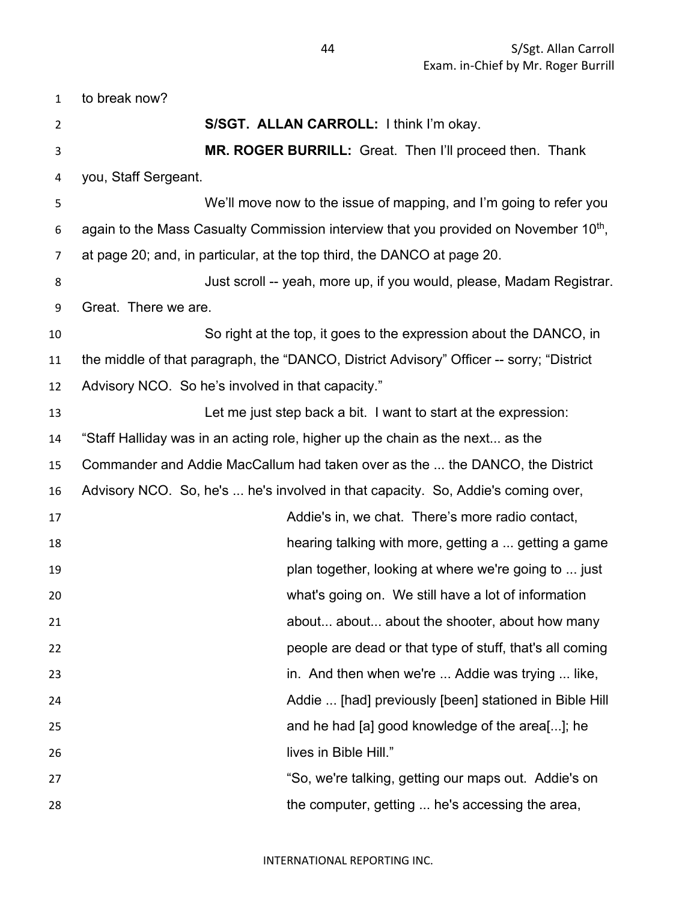to break now? **S/SGT. ALLAN CARROLL:** I think I'm okay. **MR. ROGER BURRILL:** Great. Then I'll proceed then. Thank you, Staff Sergeant. We'll move now to the issue of mapping, and I'm going to refer you 6 again to the Mass Casualty Commission interview that you provided on November  $10<sup>th</sup>$ , at page 20; and, in particular, at the top third, the DANCO at page 20. Just scroll -- yeah, more up, if you would, please, Madam Registrar. Great. There we are. So right at the top, it goes to the expression about the DANCO, in the middle of that paragraph, the "DANCO, District Advisory" Officer -- sorry; "District Advisory NCO. So he's involved in that capacity." Let me just step back a bit. I want to start at the expression: "Staff Halliday was in an acting role, higher up the chain as the next... as the Commander and Addie MacCallum had taken over as the ... the DANCO, the District Advisory NCO. So, he's ... he's involved in that capacity. So, Addie's coming over, Addie's in, we chat. There's more radio contact, hearing talking with more, getting a ... getting a game plan together, looking at where we're going to ... just what's going on. We still have a lot of information about... about... about the shooter, about how many people are dead or that type of stuff, that's all coming in. And then when we're ... Addie was trying ... like, Addie ... [had] previously [been] stationed in Bible Hill and he had [a] good knowledge of the area[...]; he lives in Bible Hill." **120 Telemon Constructs** So, we're talking, getting our maps out. Addie's on the computer, getting ... he's accessing the area,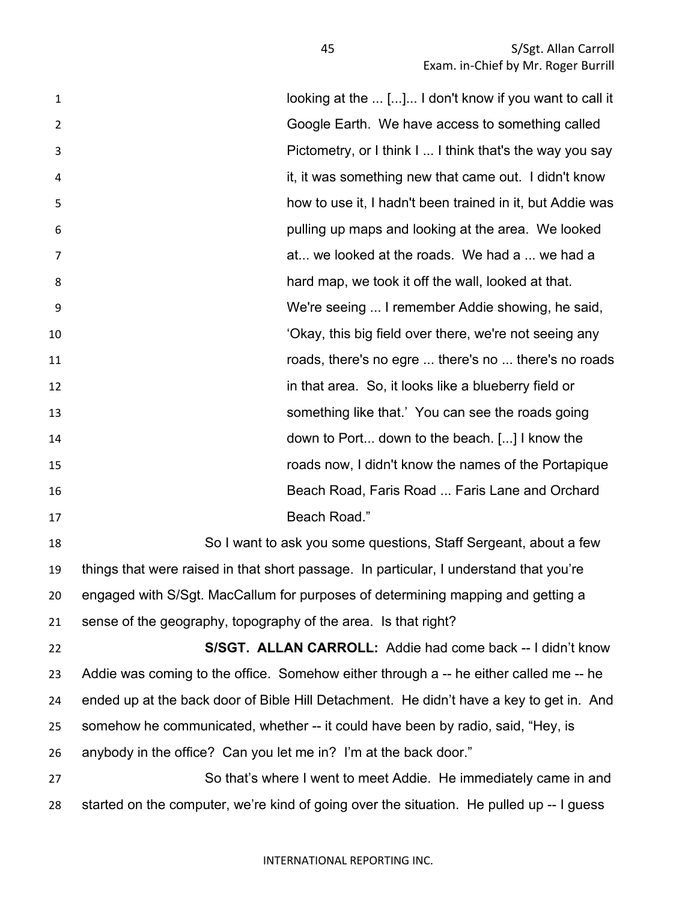**looking at the ...** [...]... I don't know if you want to call it Google Earth. We have access to something called Pictometry, or I think I ... I think that's the way you say it, it was something new that came out. I didn't know how to use it, I hadn't been trained in it, but Addie was pulling up maps and looking at the area. We looked at... we looked at the roads. We had a ... we had a hard map, we took it off the wall, looked at that. We're seeing ... I remember Addie showing, he said, **10** 'Okay, this big field over there, we're not seeing any roads, there's no egre ... there's no ... there's no roads in that area. So, it looks like a blueberry field or something like that.' You can see the roads going down to Port... down to the beach. [...] I know the roads now, I didn't know the names of the Portapique Beach Road, Faris Road ... Faris Lane and Orchard Beach Road." So I want to ask you some questions, Staff Sergeant, about a few

 things that were raised in that short passage. In particular, I understand that you're engaged with S/Sgt. MacCallum for purposes of determining mapping and getting a sense of the geography, topography of the area. Is that right?

 **S/SGT. ALLAN CARROLL:** Addie had come back -- I didn't know Addie was coming to the office. Somehow either through a -- he either called me -- he ended up at the back door of Bible Hill Detachment. He didn't have a key to get in. And somehow he communicated, whether -- it could have been by radio, said, "Hey, is anybody in the office? Can you let me in? I'm at the back door."

 So that's where I went to meet Addie. He immediately came in and started on the computer, we're kind of going over the situation. He pulled up -- I guess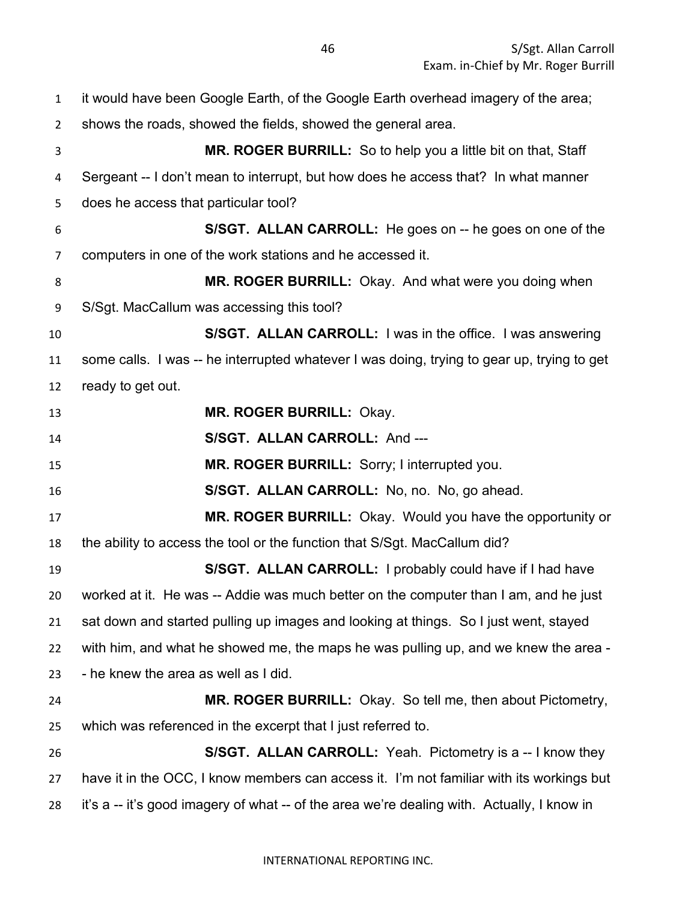it would have been Google Earth, of the Google Earth overhead imagery of the area; shows the roads, showed the fields, showed the general area. **MR. ROGER BURRILL:** So to help you a little bit on that, Staff Sergeant -- I don't mean to interrupt, but how does he access that? In what manner does he access that particular tool? **S/SGT. ALLAN CARROLL:** He goes on -- he goes on one of the computers in one of the work stations and he accessed it. **MR. ROGER BURRILL:** Okay. And what were you doing when S/Sgt. MacCallum was accessing this tool? **S/SGT. ALLAN CARROLL:** I was in the office. I was answering some calls. I was -- he interrupted whatever I was doing, trying to gear up, trying to get ready to get out. **MR. ROGER BURRILL:** Okay. **S/SGT. ALLAN CARROLL:** And --- **MR. ROGER BURRILL:** Sorry; I interrupted you. **S/SGT. ALLAN CARROLL:** No, no. No, go ahead. **MR. ROGER BURRILL:** Okay. Would you have the opportunity or the ability to access the tool or the function that S/Sgt. MacCallum did? **S/SGT. ALLAN CARROLL:** I probably could have if I had have worked at it. He was -- Addie was much better on the computer than I am, and he just sat down and started pulling up images and looking at things. So I just went, stayed with him, and what he showed me, the maps he was pulling up, and we knew the area - - he knew the area as well as I did. **MR. ROGER BURRILL:** Okay. So tell me, then about Pictometry, which was referenced in the excerpt that I just referred to. **S/SGT. ALLAN CARROLL:** Yeah. Pictometry is a -- I know they have it in the OCC, I know members can access it. I'm not familiar with its workings but 28 it's a -- it's good imagery of what -- of the area we're dealing with. Actually, I know in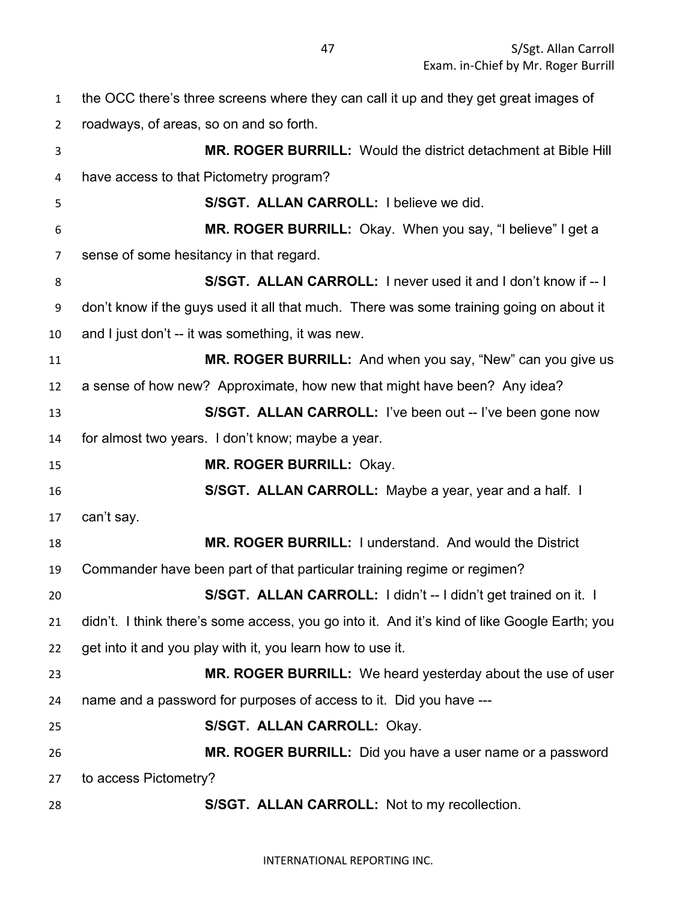the OCC there's three screens where they can call it up and they get great images of roadways, of areas, so on and so forth. **MR. ROGER BURRILL:** Would the district detachment at Bible Hill have access to that Pictometry program? **S/SGT. ALLAN CARROLL:** I believe we did. **MR. ROGER BURRILL:** Okay. When you say, "I believe" I get a sense of some hesitancy in that regard. **S/SGT. ALLAN CARROLL:** I never used it and I don't know if -- I don't know if the guys used it all that much. There was some training going on about it and I just don't -- it was something, it was new. **MR. ROGER BURRILL:** And when you say, "New" can you give us a sense of how new? Approximate, how new that might have been? Any idea? **S/SGT. ALLAN CARROLL:** I've been out -- I've been gone now for almost two years. I don't know; maybe a year. **MR. ROGER BURRILL:** Okay. **S/SGT. ALLAN CARROLL:** Maybe a year, year and a half. I can't say. **MR. ROGER BURRILL:** I understand. And would the District Commander have been part of that particular training regime or regimen? **S/SGT. ALLAN CARROLL:** I didn't -- I didn't get trained on it. I didn't. I think there's some access, you go into it. And it's kind of like Google Earth; you get into it and you play with it, you learn how to use it. **MR. ROGER BURRILL:** We heard yesterday about the use of user name and a password for purposes of access to it. Did you have --- **S/SGT. ALLAN CARROLL:** Okay. **MR. ROGER BURRILL:** Did you have a user name or a password to access Pictometry? **S/SGT. ALLAN CARROLL:** Not to my recollection.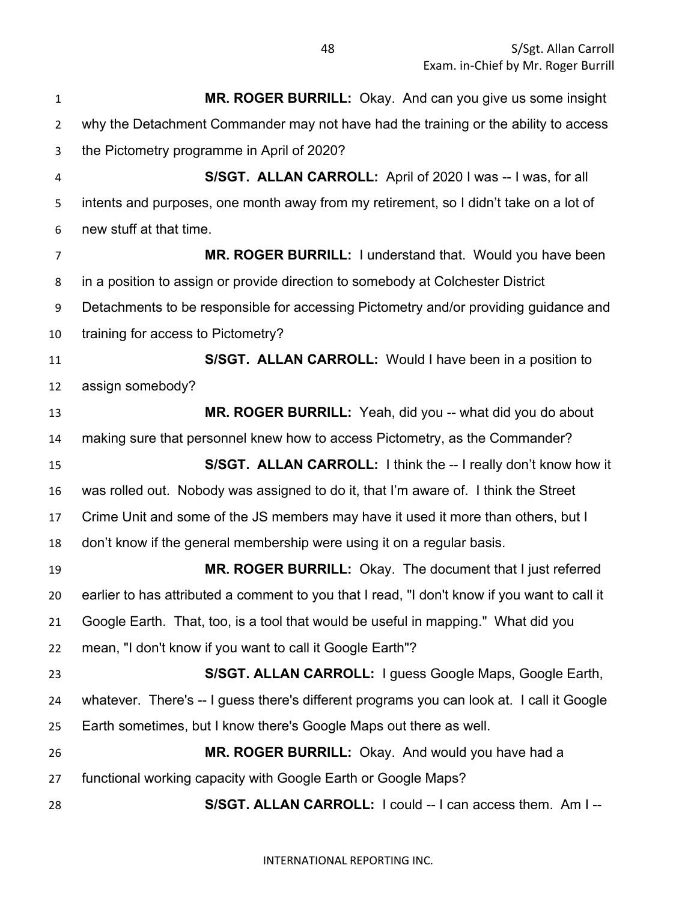**MR. ROGER BURRILL:** Okay. And can you give us some insight why the Detachment Commander may not have had the training or the ability to access the Pictometry programme in April of 2020? **S/SGT. ALLAN CARROLL:** April of 2020 I was -- I was, for all intents and purposes, one month away from my retirement, so I didn't take on a lot of new stuff at that time. **MR. ROGER BURRILL:** I understand that. Would you have been in a position to assign or provide direction to somebody at Colchester District Detachments to be responsible for accessing Pictometry and/or providing guidance and training for access to Pictometry? **S/SGT. ALLAN CARROLL:** Would I have been in a position to assign somebody? **MR. ROGER BURRILL:** Yeah, did you -- what did you do about making sure that personnel knew how to access Pictometry, as the Commander? **S/SGT. ALLAN CARROLL:** I think the -- I really don't know how it was rolled out. Nobody was assigned to do it, that I'm aware of. I think the Street Crime Unit and some of the JS members may have it used it more than others, but I don't know if the general membership were using it on a regular basis. **MR. ROGER BURRILL:** Okay. The document that I just referred earlier to has attributed a comment to you that I read, "I don't know if you want to call it Google Earth. That, too, is a tool that would be useful in mapping." What did you mean, "I don't know if you want to call it Google Earth"? **S/SGT. ALLAN CARROLL:** I guess Google Maps, Google Earth, whatever. There's -- I guess there's different programs you can look at. I call it Google Earth sometimes, but I know there's Google Maps out there as well. **MR. ROGER BURRILL:** Okay. And would you have had a functional working capacity with Google Earth or Google Maps? **S/SGT. ALLAN CARROLL:** I could -- I can access them. Am I --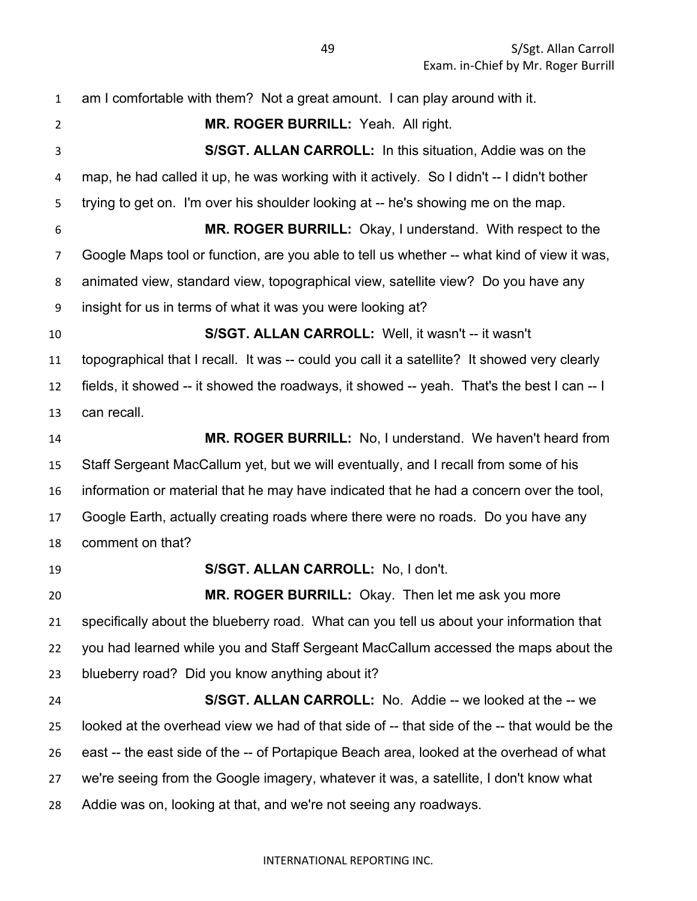am I comfortable with them? Not a great amount. I can play around with it. **MR. ROGER BURRILL:** Yeah. All right. **S/SGT. ALLAN CARROLL:** In this situation, Addie was on the map, he had called it up, he was working with it actively. So I didn't -- I didn't bother trying to get on. I'm over his shoulder looking at -- he's showing me on the map. **MR. ROGER BURRILL:** Okay, I understand. With respect to the Google Maps tool or function, are you able to tell us whether -- what kind of view it was, animated view, standard view, topographical view, satellite view? Do you have any insight for us in terms of what it was you were looking at? **S/SGT. ALLAN CARROLL:** Well, it wasn't -- it wasn't topographical that I recall. It was -- could you call it a satellite? It showed very clearly fields, it showed -- it showed the roadways, it showed -- yeah. That's the best I can -- I can recall. **MR. ROGER BURRILL:** No, I understand. We haven't heard from Staff Sergeant MacCallum yet, but we will eventually, and I recall from some of his information or material that he may have indicated that he had a concern over the tool, Google Earth, actually creating roads where there were no roads. Do you have any comment on that? **S/SGT. ALLAN CARROLL:** No, I don't. **MR. ROGER BURRILL:** Okay. Then let me ask you more specifically about the blueberry road. What can you tell us about your information that you had learned while you and Staff Sergeant MacCallum accessed the maps about the blueberry road? Did you know anything about it? **S/SGT. ALLAN CARROLL:** No. Addie -- we looked at the -- we looked at the overhead view we had of that side of -- that side of the -- that would be the east -- the east side of the -- of Portapique Beach area, looked at the overhead of what we're seeing from the Google imagery, whatever it was, a satellite, I don't know what Addie was on, looking at that, and we're not seeing any roadways.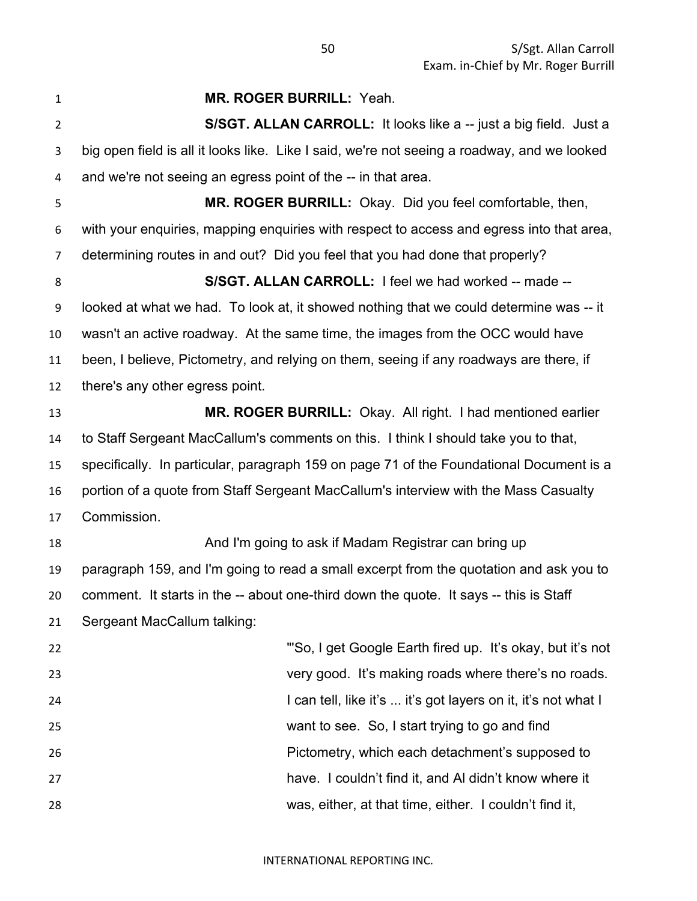| 1              | MR. ROGER BURRILL: Yeah.                                                                    |
|----------------|---------------------------------------------------------------------------------------------|
| $\overline{2}$ | S/SGT. ALLAN CARROLL: It looks like a -- just a big field. Just a                           |
| 3              | big open field is all it looks like. Like I said, we're not seeing a roadway, and we looked |
| 4              | and we're not seeing an egress point of the -- in that area.                                |
| 5              | MR. ROGER BURRILL: Okay. Did you feel comfortable, then,                                    |
| 6              | with your enquiries, mapping enquiries with respect to access and egress into that area,    |
| 7              | determining routes in and out? Did you feel that you had done that properly?                |
| 8              | S/SGT. ALLAN CARROLL: I feel we had worked -- made --                                       |
| 9              | looked at what we had. To look at, it showed nothing that we could determine was -- it      |
| 10             | wasn't an active roadway. At the same time, the images from the OCC would have              |
| 11             | been, I believe, Pictometry, and relying on them, seeing if any roadways are there, if      |
| 12             | there's any other egress point.                                                             |
| 13             | MR. ROGER BURRILL: Okay. All right. I had mentioned earlier                                 |
| 14             | to Staff Sergeant MacCallum's comments on this. I think I should take you to that,          |
| 15             | specifically. In particular, paragraph 159 on page 71 of the Foundational Document is a     |
| 16             | portion of a quote from Staff Sergeant MacCallum's interview with the Mass Casualty         |
| 17             | Commission.                                                                                 |
| 18             | And I'm going to ask if Madam Registrar can bring up                                        |
| 19             | paragraph 159, and I'm going to read a small excerpt from the quotation and ask you to      |
| 20             | comment. It starts in the -- about one-third down the quote. It says -- this is Staff       |
| 21             | Sergeant MacCallum talking:                                                                 |
| 22             | "So, I get Google Earth fired up. It's okay, but it's not                                   |
| 23             | very good. It's making roads where there's no roads.                                        |
| 24             | I can tell, like it's  it's got layers on it, it's not what I                               |
| 25             | want to see. So, I start trying to go and find                                              |
| 26             | Pictometry, which each detachment's supposed to                                             |
| 27             | have. I couldn't find it, and AI didn't know where it                                       |
| 28             | was, either, at that time, either. I couldn't find it,                                      |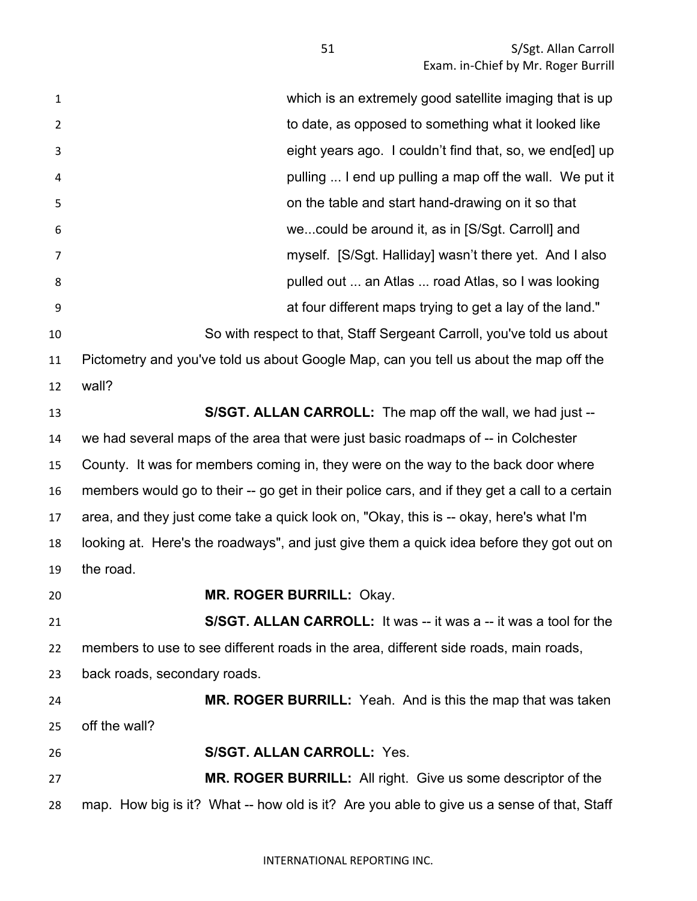| $\mathbf{1}$   | which is an extremely good satellite imaging that is up                                       |
|----------------|-----------------------------------------------------------------------------------------------|
| $\overline{2}$ | to date, as opposed to something what it looked like                                          |
| 3              | eight years ago. I couldn't find that, so, we end [ed] up                                     |
| 4              | pulling  I end up pulling a map off the wall. We put it                                       |
| 5              | on the table and start hand-drawing on it so that                                             |
| 6              | wecould be around it, as in [S/Sgt. Carroll] and                                              |
| 7              | myself. [S/Sgt. Halliday] wasn't there yet. And I also                                        |
| 8              | pulled out  an Atlas  road Atlas, so I was looking                                            |
| 9              | at four different maps trying to get a lay of the land."                                      |
| 10             | So with respect to that, Staff Sergeant Carroll, you've told us about                         |
| 11             | Pictometry and you've told us about Google Map, can you tell us about the map off the         |
| 12             | wall?                                                                                         |
| 13             | S/SGT. ALLAN CARROLL: The map off the wall, we had just --                                    |
| 14             | we had several maps of the area that were just basic roadmaps of -- in Colchester             |
| 15             | County. It was for members coming in, they were on the way to the back door where             |
| 16             | members would go to their -- go get in their police cars, and if they get a call to a certain |
| 17             | area, and they just come take a quick look on, "Okay, this is -- okay, here's what I'm        |
| 18             | looking at. Here's the roadways", and just give them a quick idea before they got out on      |
| 19             | the road.                                                                                     |
| 20             | MR. ROGER BURRILL: Okay.                                                                      |
| 21             | S/SGT. ALLAN CARROLL: It was -- it was a -- it was a tool for the                             |
| 22             | members to use to see different roads in the area, different side roads, main roads,          |
| 23             | back roads, secondary roads.                                                                  |
| 24             | MR. ROGER BURRILL: Yeah. And is this the map that was taken                                   |
| 25             | off the wall?                                                                                 |
| 26             | <b>S/SGT. ALLAN CARROLL: Yes.</b>                                                             |
| 27             | <b>MR. ROGER BURRILL:</b> All right. Give us some descriptor of the                           |
| 28             | map. How big is it? What -- how old is it? Are you able to give us a sense of that, Staff     |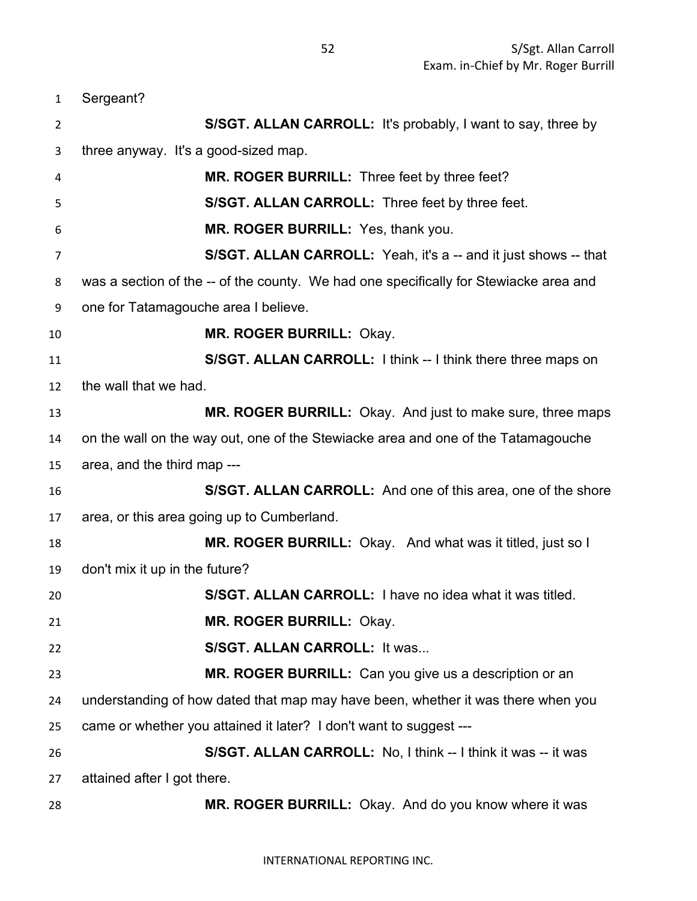Sergeant? **S/SGT. ALLAN CARROLL:** It's probably, I want to say, three by three anyway. It's a good-sized map. **MR. ROGER BURRILL:** Three feet by three feet? **S/SGT. ALLAN CARROLL:** Three feet by three feet. **MR. ROGER BURRILL:** Yes, thank you. **S/SGT. ALLAN CARROLL:** Yeah, it's a -- and it just shows -- that was a section of the -- of the county. We had one specifically for Stewiacke area and one for Tatamagouche area I believe. **MR. ROGER BURRILL:** Okay. **S/SGT. ALLAN CARROLL:** I think -- I think there three maps on the wall that we had. **MR. ROGER BURRILL:** Okay. And just to make sure, three maps on the wall on the way out, one of the Stewiacke area and one of the Tatamagouche area, and the third map --- **S/SGT. ALLAN CARROLL:** And one of this area, one of the shore area, or this area going up to Cumberland. **MR. ROGER BURRILL:** Okay. And what was it titled, just so I don't mix it up in the future? **S/SGT. ALLAN CARROLL:** I have no idea what it was titled. **MR. ROGER BURRILL:** Okay. **S/SGT. ALLAN CARROLL:** It was... **MR. ROGER BURRILL:** Can you give us a description or an understanding of how dated that map may have been, whether it was there when you came or whether you attained it later? I don't want to suggest --- **S/SGT. ALLAN CARROLL:** No, I think -- I think it was -- it was attained after I got there. **MR. ROGER BURRILL:** Okay. And do you know where it was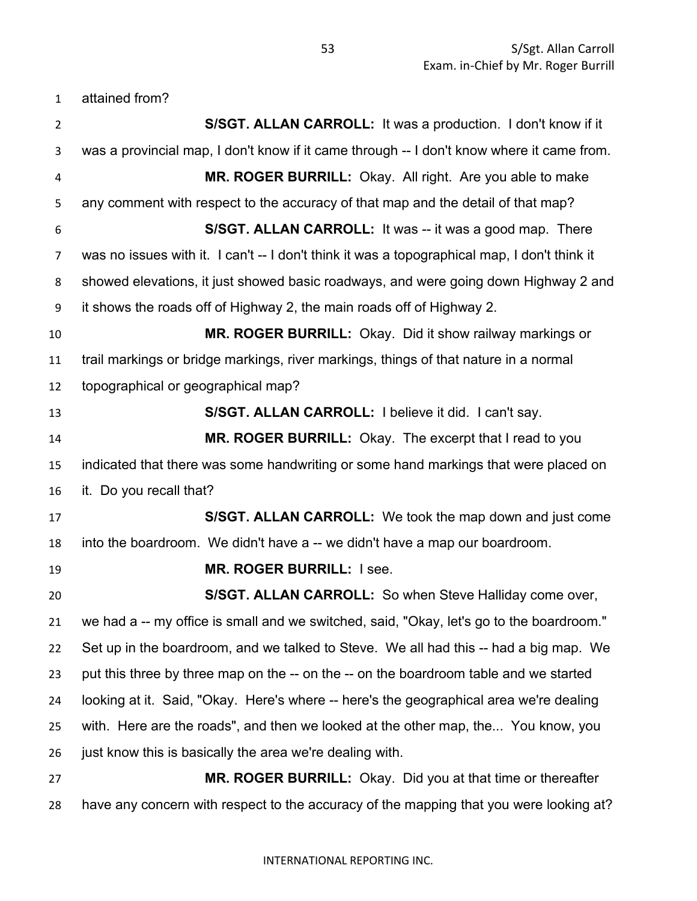attained from?

| $\overline{2}$   | S/SGT. ALLAN CARROLL: It was a production. I don't know if it                                |
|------------------|----------------------------------------------------------------------------------------------|
| 3                | was a provincial map, I don't know if it came through -- I don't know where it came from.    |
| 4                | MR. ROGER BURRILL: Okay. All right. Are you able to make                                     |
| 5                | any comment with respect to the accuracy of that map and the detail of that map?             |
| 6                | <b>S/SGT. ALLAN CARROLL:</b> It was -- it was a good map. There                              |
| 7                | was no issues with it. I can't -- I don't think it was a topographical map, I don't think it |
| 8                | showed elevations, it just showed basic roadways, and were going down Highway 2 and          |
| $\boldsymbol{9}$ | it shows the roads off of Highway 2, the main roads off of Highway 2.                        |
| 10               | MR. ROGER BURRILL: Okay. Did it show railway markings or                                     |
| 11               | trail markings or bridge markings, river markings, things of that nature in a normal         |
| 12               | topographical or geographical map?                                                           |
| 13               | S/SGT. ALLAN CARROLL: I believe it did. I can't say.                                         |
| 14               | MR. ROGER BURRILL: Okay. The excerpt that I read to you                                      |
| 15               | indicated that there was some handwriting or some hand markings that were placed on          |
| 16               | it. Do you recall that?                                                                      |
| 17               | S/SGT. ALLAN CARROLL: We took the map down and just come                                     |
| 18               | into the boardroom. We didn't have a -- we didn't have a map our boardroom.                  |
| 19               | MR. ROGER BURRILL: I see.                                                                    |
| 20               | S/SGT. ALLAN CARROLL: So when Steve Halliday come over,                                      |
| 21               | we had a -- my office is small and we switched, said, "Okay, let's go to the boardroom."     |
| 22               | Set up in the boardroom, and we talked to Steve. We all had this -- had a big map. We        |
| 23               | put this three by three map on the -- on the -- on the boardroom table and we started        |
| 24               | looking at it. Said, "Okay. Here's where -- here's the geographical area we're dealing       |
| 25               | with. Here are the roads", and then we looked at the other map, the You know, you            |
| 26               | just know this is basically the area we're dealing with.                                     |
| 27               | MR. ROGER BURRILL: Okay. Did you at that time or thereafter                                  |
| 28               | have any concern with respect to the accuracy of the mapping that you were looking at?       |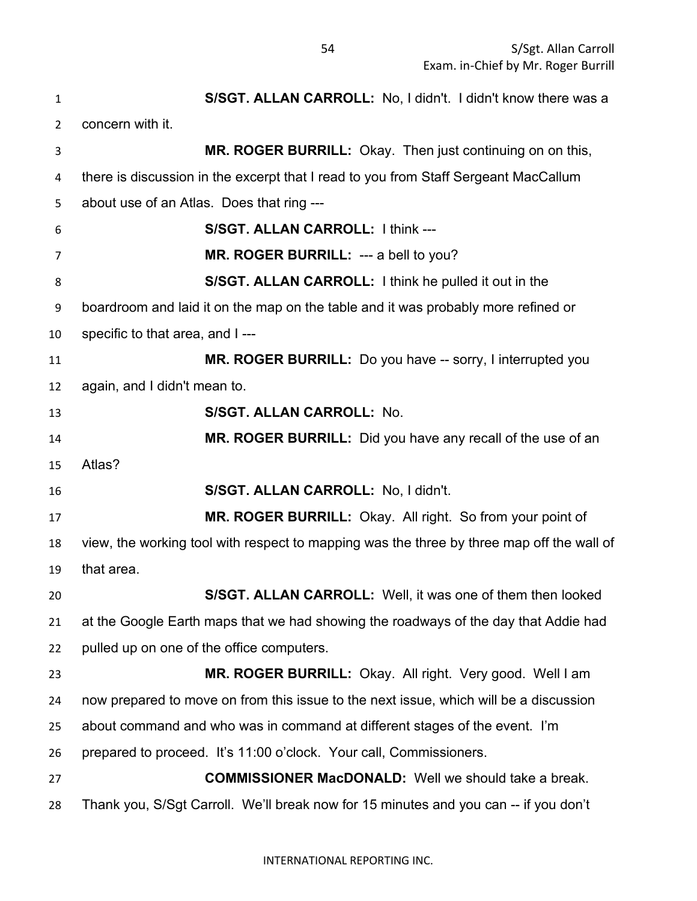**S/SGT. ALLAN CARROLL:** No, I didn't. I didn't know there was a concern with it. **MR. ROGER BURRILL:** Okay. Then just continuing on on this, there is discussion in the excerpt that I read to you from Staff Sergeant MacCallum about use of an Atlas. Does that ring --- **S/SGT. ALLAN CARROLL:** I think --- **MR. ROGER BURRILL:** --- a bell to you? **S/SGT. ALLAN CARROLL:** I think he pulled it out in the boardroom and laid it on the map on the table and it was probably more refined or specific to that area, and I --- **MR. ROGER BURRILL:** Do you have -- sorry, I interrupted you again, and I didn't mean to. **S/SGT. ALLAN CARROLL:** No. **MR. ROGER BURRILL:** Did you have any recall of the use of an Atlas? **S/SGT. ALLAN CARROLL:** No, I didn't. **MR. ROGER BURRILL:** Okay. All right. So from your point of view, the working tool with respect to mapping was the three by three map off the wall of that area. **S/SGT. ALLAN CARROLL:** Well, it was one of them then looked at the Google Earth maps that we had showing the roadways of the day that Addie had pulled up on one of the office computers. **MR. ROGER BURRILL:** Okay. All right. Very good. Well I am now prepared to move on from this issue to the next issue, which will be a discussion about command and who was in command at different stages of the event. I'm prepared to proceed. It's 11:00 o'clock. Your call, Commissioners. **COMMISSIONER MacDONALD:** Well we should take a break. Thank you, S/Sgt Carroll. We'll break now for 15 minutes and you can -- if you don't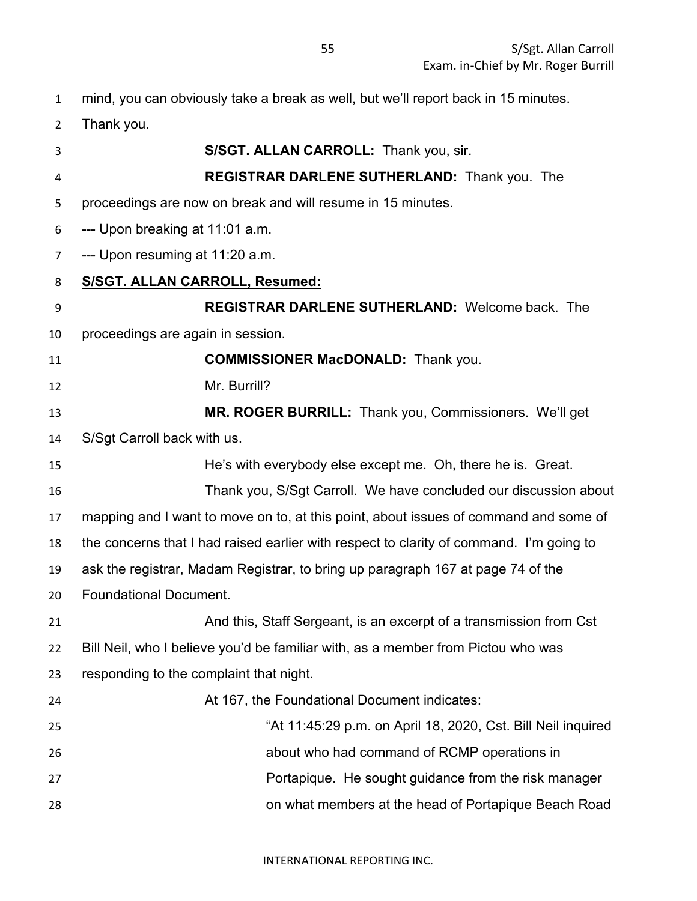mind, you can obviously take a break as well, but we'll report back in 15 minutes.

Thank you.

**S/SGT. ALLAN CARROLL:** Thank you, sir. **REGISTRAR DARLENE SUTHERLAND:** Thank you. The proceedings are now on break and will resume in 15 minutes. --- Upon breaking at 11:01 a.m. --- Upon resuming at 11:20 a.m. **S/SGT. ALLAN CARROLL, Resumed: REGISTRAR DARLENE SUTHERLAND:** Welcome back. The proceedings are again in session. **COMMISSIONER MacDONALD:** Thank you. Mr. Burrill? **MR. ROGER BURRILL:** Thank you, Commissioners. We'll get S/Sgt Carroll back with us. He's with everybody else except me. Oh, there he is. Great. Thank you, S/Sgt Carroll. We have concluded our discussion about mapping and I want to move on to, at this point, about issues of command and some of the concerns that I had raised earlier with respect to clarity of command. I'm going to ask the registrar, Madam Registrar, to bring up paragraph 167 at page 74 of the Foundational Document. And this, Staff Sergeant, is an excerpt of a transmission from Cst Bill Neil, who I believe you'd be familiar with, as a member from Pictou who was responding to the complaint that night. At 167, the Foundational Document indicates: "At 11:45:29 p.m. on April 18, 2020, Cst. Bill Neil inquired about who had command of RCMP operations in **Portapique. He sought guidance from the risk manager** and research problem in Portapique. He sought guidance from the risk manager on what members at the head of Portapique Beach Road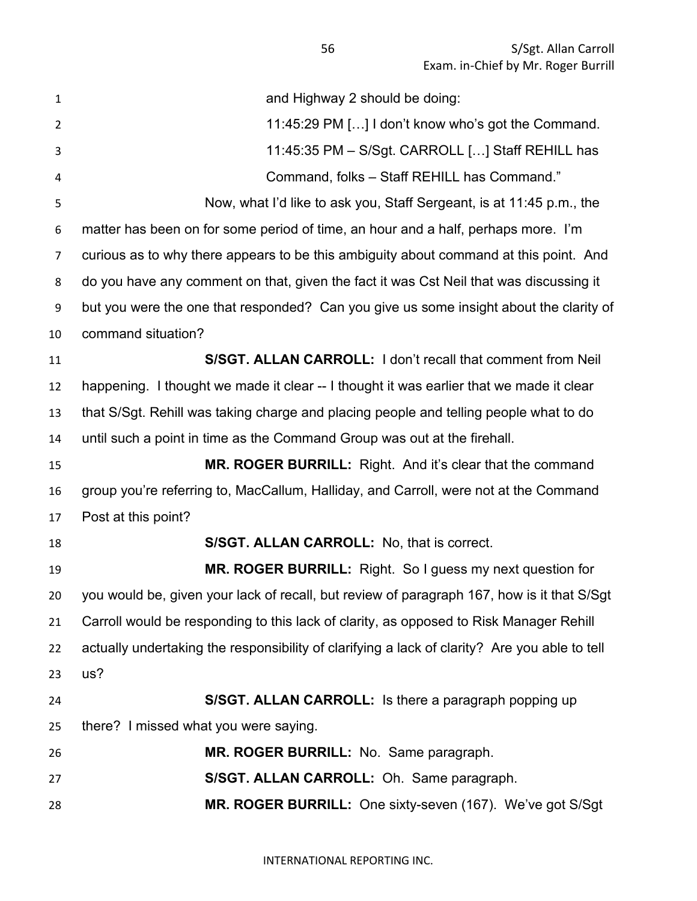| $\mathbf{1}$   | and Highway 2 should be doing:                                                                |
|----------------|-----------------------------------------------------------------------------------------------|
| $\overline{2}$ | 11:45:29 PM [] I don't know who's got the Command.                                            |
| 3              | 11:45:35 PM - S/Sgt. CARROLL [] Staff REHILL has                                              |
| 4              | Command, folks - Staff REHILL has Command."                                                   |
| 5              | Now, what I'd like to ask you, Staff Sergeant, is at 11:45 p.m., the                          |
| 6              | matter has been on for some period of time, an hour and a half, perhaps more. I'm             |
| $\overline{7}$ | curious as to why there appears to be this ambiguity about command at this point. And         |
| 8              | do you have any comment on that, given the fact it was Cst Neil that was discussing it        |
| 9              | but you were the one that responded? Can you give us some insight about the clarity of        |
| 10             | command situation?                                                                            |
| 11             | S/SGT. ALLAN CARROLL: I don't recall that comment from Neil                                   |
| 12             | happening. I thought we made it clear -- I thought it was earlier that we made it clear       |
| 13             | that S/Sgt. Rehill was taking charge and placing people and telling people what to do         |
| 14             | until such a point in time as the Command Group was out at the firehall.                      |
| 15             | MR. ROGER BURRILL: Right. And it's clear that the command                                     |
| 16             | group you're referring to, MacCallum, Halliday, and Carroll, were not at the Command          |
| 17             | Post at this point?                                                                           |
| 18             | S/SGT. ALLAN CARROLL: No, that is correct.                                                    |
| 19             | <b>MR. ROGER BURRILL:</b> Right. So I guess my next question for                              |
| 20             | you would be, given your lack of recall, but review of paragraph 167, how is it that S/Sgt    |
| 21             | Carroll would be responding to this lack of clarity, as opposed to Risk Manager Rehill        |
| 22             | actually undertaking the responsibility of clarifying a lack of clarity? Are you able to tell |
| 23             | us?                                                                                           |
| 24             | S/SGT. ALLAN CARROLL: Is there a paragraph popping up                                         |
| 25             | there? I missed what you were saying.                                                         |
| 26             | MR. ROGER BURRILL: No. Same paragraph.                                                        |
| 27             | S/SGT. ALLAN CARROLL: Oh. Same paragraph.                                                     |
| 28             | MR. ROGER BURRILL: One sixty-seven (167). We've got S/Sgt                                     |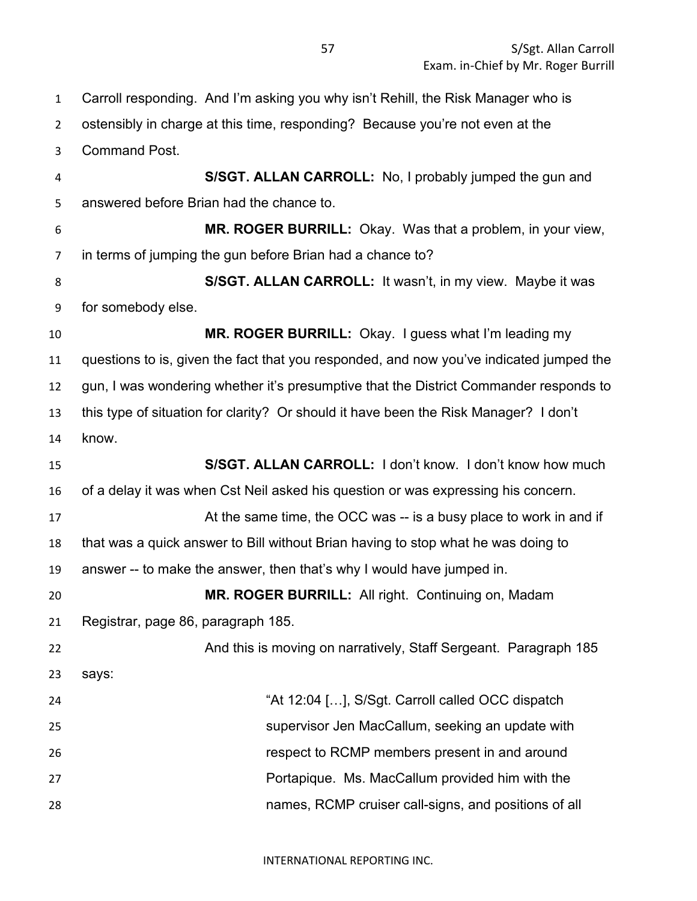Carroll responding. And I'm asking you why isn't Rehill, the Risk Manager who is ostensibly in charge at this time, responding? Because you're not even at the

Command Post.

 **S/SGT. ALLAN CARROLL:** No, I probably jumped the gun and answered before Brian had the chance to.

 **MR. ROGER BURRILL:** Okay. Was that a problem, in your view, in terms of jumping the gun before Brian had a chance to?

 **S/SGT. ALLAN CARROLL:** It wasn't, in my view. Maybe it was for somebody else.

 **MR. ROGER BURRILL:** Okay. I guess what I'm leading my questions to is, given the fact that you responded, and now you've indicated jumped the gun, I was wondering whether it's presumptive that the District Commander responds to this type of situation for clarity? Or should it have been the Risk Manager? I don't know.

 **S/SGT. ALLAN CARROLL:** I don't know. I don't know how much of a delay it was when Cst Neil asked his question or was expressing his concern. 17 At the same time, the OCC was -- is a busy place to work in and if that was a quick answer to Bill without Brian having to stop what he was doing to answer -- to make the answer, then that's why I would have jumped in.

**MR. ROGER BURRILL:** All right. Continuing on, Madam

Registrar, page 86, paragraph 185.

 And this is moving on narratively, Staff Sergeant. Paragraph 185 says:

 "At 12:04 […], S/Sgt. Carroll called OCC dispatch supervisor Jen MacCallum, seeking an update with respect to RCMP members present in and around Portapique. Ms. MacCallum provided him with the names, RCMP cruiser call-signs, and positions of all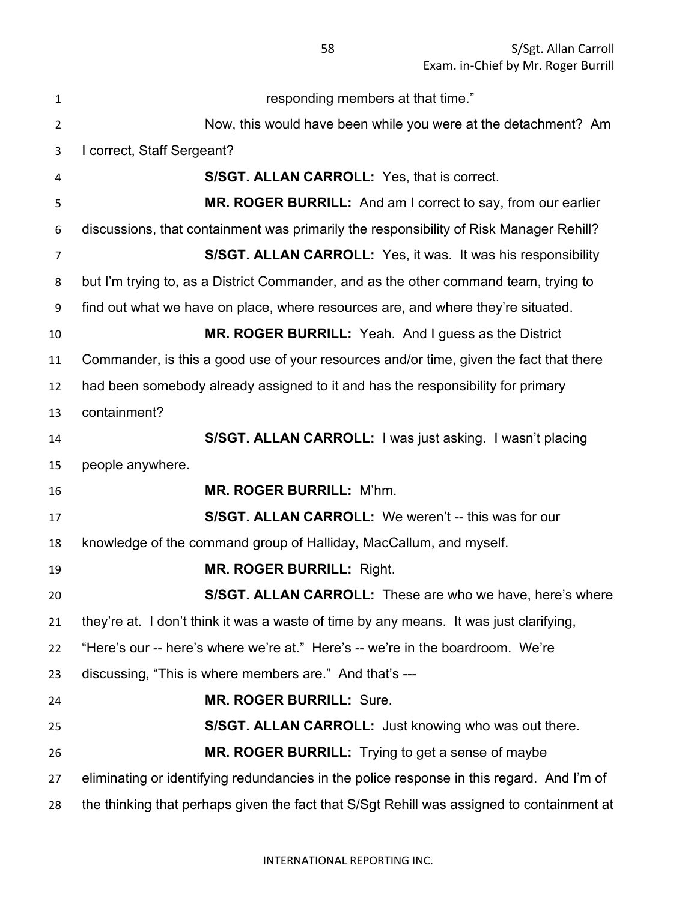responding members at that time." Now, this would have been while you were at the detachment? Am I correct, Staff Sergeant? **S/SGT. ALLAN CARROLL:** Yes, that is correct. **MR. ROGER BURRILL:** And am I correct to say, from our earlier discussions, that containment was primarily the responsibility of Risk Manager Rehill? **S/SGT. ALLAN CARROLL:** Yes, it was. It was his responsibility but I'm trying to, as a District Commander, and as the other command team, trying to find out what we have on place, where resources are, and where they're situated. **MR. ROGER BURRILL:** Yeah. And I guess as the District Commander, is this a good use of your resources and/or time, given the fact that there had been somebody already assigned to it and has the responsibility for primary containment? **S/SGT. ALLAN CARROLL:** I was just asking. I wasn't placing people anywhere. **MR. ROGER BURRILL:** M'hm. **S/SGT. ALLAN CARROLL:** We weren't -- this was for our knowledge of the command group of Halliday, MacCallum, and myself. **MR. ROGER BURRILL:** Right. **S/SGT. ALLAN CARROLL:** These are who we have, here's where they're at. I don't think it was a waste of time by any means. It was just clarifying, "Here's our -- here's where we're at." Here's -- we're in the boardroom. We're discussing, "This is where members are." And that's --- **MR. ROGER BURRILL:** Sure. **S/SGT. ALLAN CARROLL:** Just knowing who was out there. **MR. ROGER BURRILL:** Trying to get a sense of maybe eliminating or identifying redundancies in the police response in this regard. And I'm of the thinking that perhaps given the fact that S/Sgt Rehill was assigned to containment at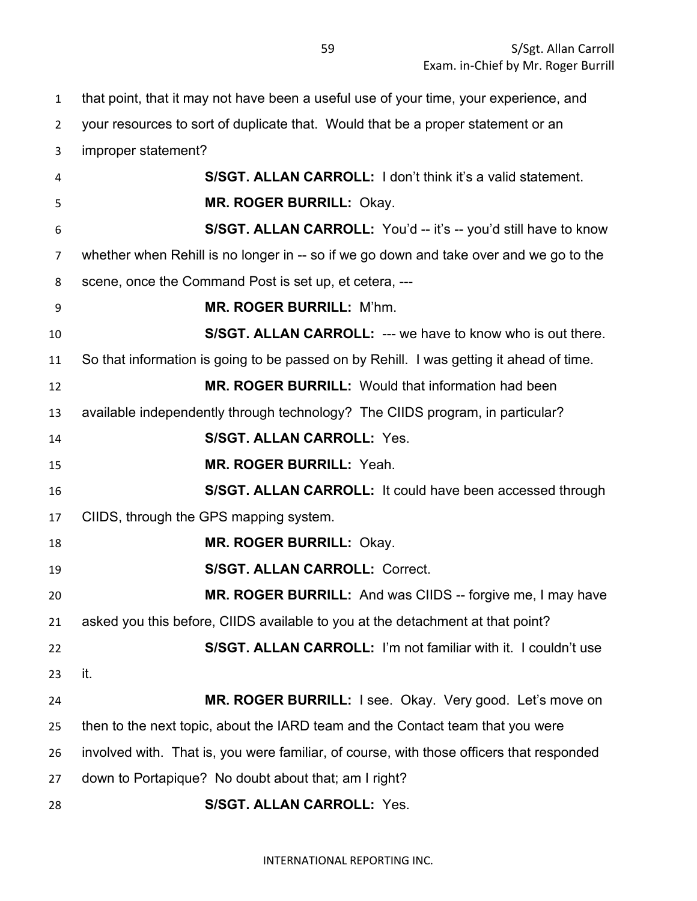that point, that it may not have been a useful use of your time, your experience, and

 your resources to sort of duplicate that. Would that be a proper statement or an improper statement? **S/SGT. ALLAN CARROLL:** I don't think it's a valid statement. **MR. ROGER BURRILL:** Okay. **S/SGT. ALLAN CARROLL:** You'd -- it's -- you'd still have to know whether when Rehill is no longer in -- so if we go down and take over and we go to the scene, once the Command Post is set up, et cetera, --- **MR. ROGER BURRILL:** M'hm. **S/SGT. ALLAN CARROLL:** --- we have to know who is out there. So that information is going to be passed on by Rehill. I was getting it ahead of time. **MR. ROGER BURRILL:** Would that information had been available independently through technology? The CIIDS program, in particular? **S/SGT. ALLAN CARROLL:** Yes. **MR. ROGER BURRILL:** Yeah. **S/SGT. ALLAN CARROLL:** It could have been accessed through CIIDS, through the GPS mapping system. **MR. ROGER BURRILL:** Okay. **S/SGT. ALLAN CARROLL:** Correct. **MR. ROGER BURRILL:** And was CIIDS -- forgive me, I may have asked you this before, CIIDS available to you at the detachment at that point? **S/SGT. ALLAN CARROLL:** I'm not familiar with it. I couldn't use it. **MR. ROGER BURRILL:** I see. Okay. Very good. Let's move on then to the next topic, about the IARD team and the Contact team that you were involved with. That is, you were familiar, of course, with those officers that responded

down to Portapique? No doubt about that; am I right?

**S/SGT. ALLAN CARROLL:** Yes.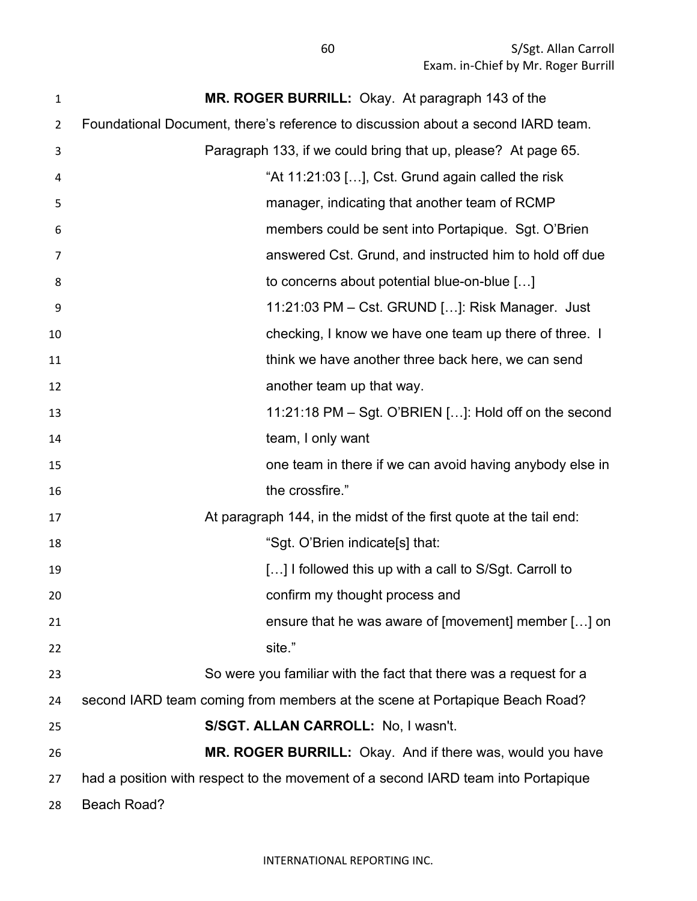S/Sgt. Allan Carroll Exam. in-Chief by Mr. Roger Burrill

| 1  | MR. ROGER BURRILL: Okay. At paragraph 143 of the                                  |
|----|-----------------------------------------------------------------------------------|
| 2  | Foundational Document, there's reference to discussion about a second IARD team.  |
| 3  | Paragraph 133, if we could bring that up, please? At page 65.                     |
| 4  | "At 11:21:03 [], Cst. Grund again called the risk                                 |
| 5  | manager, indicating that another team of RCMP                                     |
| 6  | members could be sent into Portapique. Sgt. O'Brien                               |
| 7  | answered Cst. Grund, and instructed him to hold off due                           |
| 8  | to concerns about potential blue-on-blue []                                       |
| 9  | 11:21:03 PM - Cst. GRUND []: Risk Manager. Just                                   |
| 10 | checking, I know we have one team up there of three. I                            |
| 11 | think we have another three back here, we can send                                |
| 12 | another team up that way.                                                         |
| 13 | 11:21:18 PM $-$ Sgt. O'BRIEN $[]$ : Hold off on the second                        |
| 14 | team, I only want                                                                 |
| 15 | one team in there if we can avoid having anybody else in                          |
| 16 | the crossfire."                                                                   |
| 17 | At paragraph 144, in the midst of the first quote at the tail end:                |
| 18 | "Sgt. O'Brien indicate[s] that:                                                   |
| 19 | [] I followed this up with a call to S/Sgt. Carroll to                            |
| 20 | confirm my thought process and                                                    |
| 21 | ensure that he was aware of [movement] member [] on                               |
| 22 | site."                                                                            |
| 23 | So were you familiar with the fact that there was a request for a                 |
| 24 | second IARD team coming from members at the scene at Portapique Beach Road?       |
| 25 | S/SGT. ALLAN CARROLL: No, I wasn't.                                               |
| 26 | MR. ROGER BURRILL: Okay. And if there was, would you have                         |
| 27 | had a position with respect to the movement of a second IARD team into Portapique |
| 28 | Beach Road?                                                                       |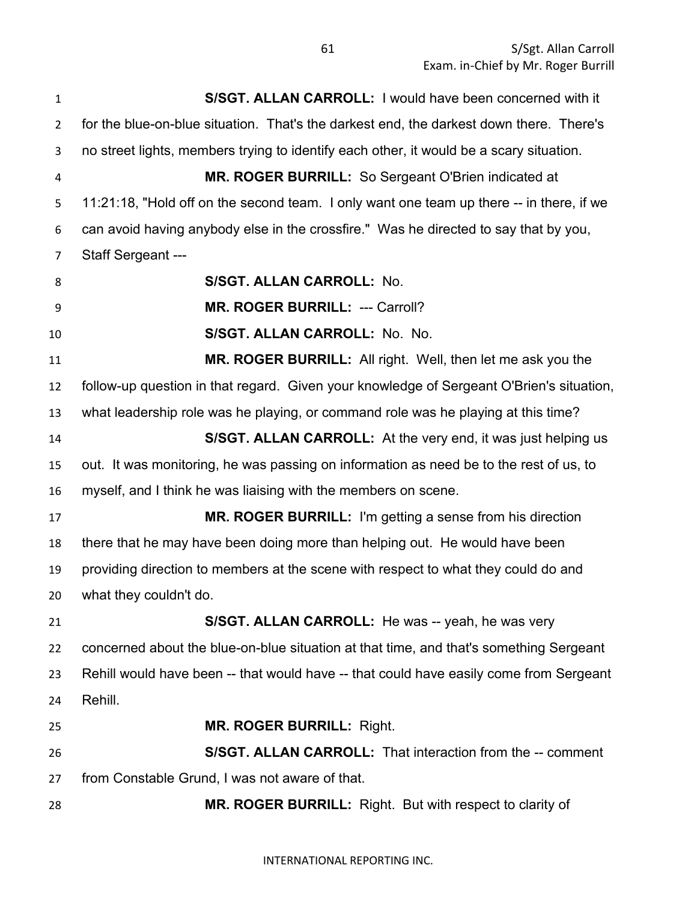S/Sgt. Allan Carroll Exam. in-Chief by Mr. Roger Burrill

 **S/SGT. ALLAN CARROLL:** I would have been concerned with it for the blue-on-blue situation. That's the darkest end, the darkest down there. There's no street lights, members trying to identify each other, it would be a scary situation. **MR. ROGER BURRILL:** So Sergeant O'Brien indicated at 5 11:21:18, "Hold off on the second team. I only want one team up there -- in there, if we can avoid having anybody else in the crossfire." Was he directed to say that by you, Staff Sergeant --- **S/SGT. ALLAN CARROLL:** No. **MR. ROGER BURRILL:** --- Carroll? **S/SGT. ALLAN CARROLL:** No. No. **MR. ROGER BURRILL:** All right. Well, then let me ask you the follow-up question in that regard. Given your knowledge of Sergeant O'Brien's situation, what leadership role was he playing, or command role was he playing at this time? **S/SGT. ALLAN CARROLL:** At the very end, it was just helping us out. It was monitoring, he was passing on information as need be to the rest of us, to myself, and I think he was liaising with the members on scene. **MR. ROGER BURRILL:** I'm getting a sense from his direction there that he may have been doing more than helping out. He would have been providing direction to members at the scene with respect to what they could do and what they couldn't do. **S/SGT. ALLAN CARROLL:** He was -- yeah, he was very concerned about the blue-on-blue situation at that time, and that's something Sergeant Rehill would have been -- that would have -- that could have easily come from Sergeant Rehill. **MR. ROGER BURRILL:** Right. **S/SGT. ALLAN CARROLL:** That interaction from the -- comment from Constable Grund, I was not aware of that. **MR. ROGER BURRILL:** Right. But with respect to clarity of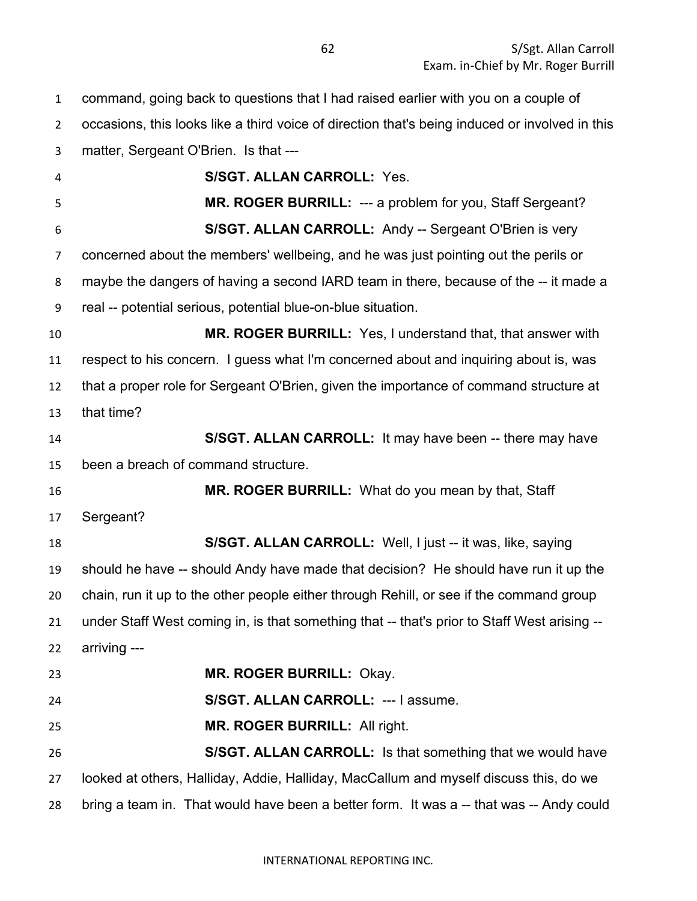command, going back to questions that I had raised earlier with you on a couple of occasions, this looks like a third voice of direction that's being induced or involved in this matter, Sergeant O'Brien. Is that --- **S/SGT. ALLAN CARROLL:** Yes. **MR. ROGER BURRILL:** --- a problem for you, Staff Sergeant? **S/SGT. ALLAN CARROLL:** Andy -- Sergeant O'Brien is very concerned about the members' wellbeing, and he was just pointing out the perils or maybe the dangers of having a second IARD team in there, because of the -- it made a real -- potential serious, potential blue-on-blue situation. **MR. ROGER BURRILL:** Yes, I understand that, that answer with respect to his concern. I guess what I'm concerned about and inquiring about is, was that a proper role for Sergeant O'Brien, given the importance of command structure at that time? **S/SGT. ALLAN CARROLL:** It may have been -- there may have been a breach of command structure. **MR. ROGER BURRILL:** What do you mean by that, Staff Sergeant? **S/SGT. ALLAN CARROLL:** Well, I just -- it was, like, saying should he have -- should Andy have made that decision? He should have run it up the chain, run it up to the other people either through Rehill, or see if the command group under Staff West coming in, is that something that -- that's prior to Staff West arising -- arriving --- **MR. ROGER BURRILL:** Okay. **S/SGT. ALLAN CARROLL:** --- I assume. **MR. ROGER BURRILL:** All right. **S/SGT. ALLAN CARROLL:** Is that something that we would have looked at others, Halliday, Addie, Halliday, MacCallum and myself discuss this, do we bring a team in. That would have been a better form. It was a -- that was -- Andy could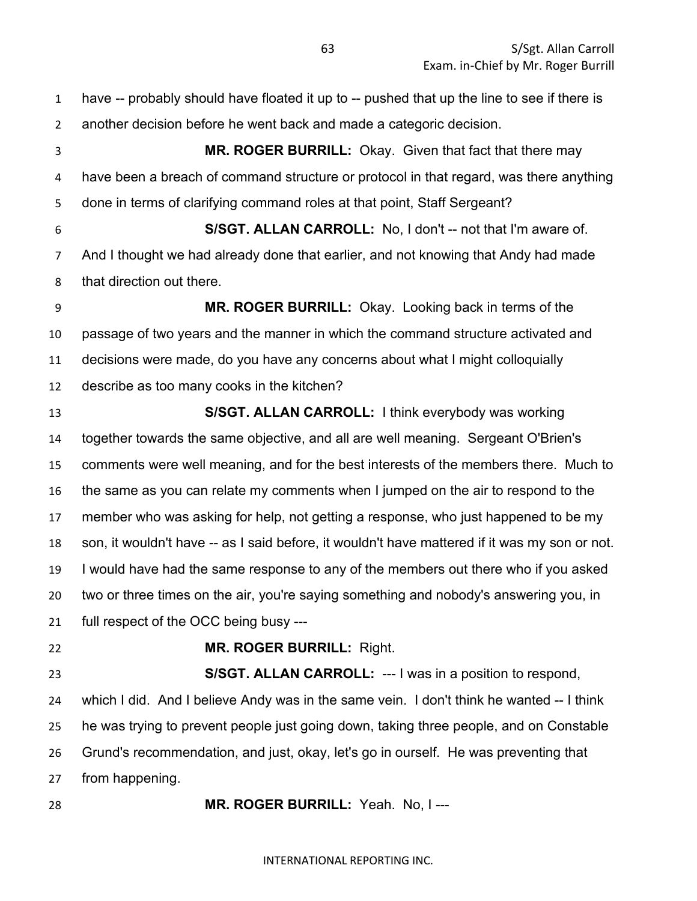have -- probably should have floated it up to -- pushed that up the line to see if there is another decision before he went back and made a categoric decision. **MR. ROGER BURRILL:** Okay. Given that fact that there may have been a breach of command structure or protocol in that regard, was there anything done in terms of clarifying command roles at that point, Staff Sergeant? **S/SGT. ALLAN CARROLL:** No, I don't -- not that I'm aware of. And I thought we had already done that earlier, and not knowing that Andy had made that direction out there. **MR. ROGER BURRILL:** Okay. Looking back in terms of the passage of two years and the manner in which the command structure activated and decisions were made, do you have any concerns about what I might colloquially describe as too many cooks in the kitchen? **S/SGT. ALLAN CARROLL:** I think everybody was working together towards the same objective, and all are well meaning. Sergeant O'Brien's comments were well meaning, and for the best interests of the members there. Much to the same as you can relate my comments when I jumped on the air to respond to the member who was asking for help, not getting a response, who just happened to be my son, it wouldn't have -- as I said before, it wouldn't have mattered if it was my son or not. I would have had the same response to any of the members out there who if you asked two or three times on the air, you're saying something and nobody's answering you, in full respect of the OCC being busy --- **MR. ROGER BURRILL:** Right. **S/SGT. ALLAN CARROLL:** --- I was in a position to respond, which I did. And I believe Andy was in the same vein. I don't think he wanted -- I think he was trying to prevent people just going down, taking three people, and on Constable Grund's recommendation, and just, okay, let's go in ourself. He was preventing that from happening.

**MR. ROGER BURRILL:** Yeah. No, I ---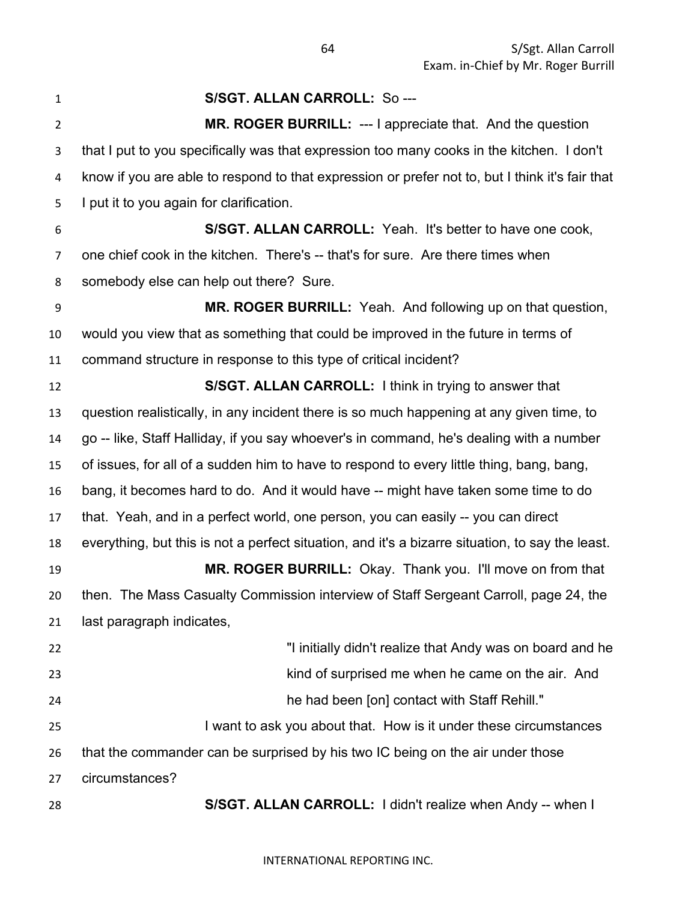| $\mathbf{1}$   | S/SGT. ALLAN CARROLL: So ---                                                                     |
|----------------|--------------------------------------------------------------------------------------------------|
| $\overline{2}$ | MR. ROGER BURRILL: --- I appreciate that. And the question                                       |
| 3              | that I put to you specifically was that expression too many cooks in the kitchen. I don't        |
| 4              | know if you are able to respond to that expression or prefer not to, but I think it's fair that  |
| 5              | I put it to you again for clarification.                                                         |
| 6              | S/SGT. ALLAN CARROLL: Yeah. It's better to have one cook,                                        |
| 7              | one chief cook in the kitchen. There's -- that's for sure. Are there times when                  |
| 8              | somebody else can help out there? Sure.                                                          |
| 9              | MR. ROGER BURRILL: Yeah. And following up on that question,                                      |
| 10             | would you view that as something that could be improved in the future in terms of                |
| 11             | command structure in response to this type of critical incident?                                 |
| 12             | S/SGT. ALLAN CARROLL: I think in trying to answer that                                           |
| 13             | question realistically, in any incident there is so much happening at any given time, to         |
| 14             | go -- like, Staff Halliday, if you say whoever's in command, he's dealing with a number          |
| 15             | of issues, for all of a sudden him to have to respond to every little thing, bang, bang,         |
| 16             | bang, it becomes hard to do. And it would have -- might have taken some time to do               |
| 17             | that. Yeah, and in a perfect world, one person, you can easily -- you can direct                 |
| 18             | everything, but this is not a perfect situation, and it's a bizarre situation, to say the least. |
| 19             | MR. ROGER BURRILL: Okay. Thank you. I'll move on from that                                       |
| 20             | then. The Mass Casualty Commission interview of Staff Sergeant Carroll, page 24, the             |
| 21             | last paragraph indicates,                                                                        |
| 22             | "I initially didn't realize that Andy was on board and he                                        |
| 23             | kind of surprised me when he came on the air. And                                                |
| 24             | he had been [on] contact with Staff Rehill."                                                     |
| 25             | I want to ask you about that. How is it under these circumstances                                |
| 26             | that the commander can be surprised by his two IC being on the air under those                   |
| 27             | circumstances?                                                                                   |
| 28             | S/SGT. ALLAN CARROLL: I didn't realize when Andy -- when I                                       |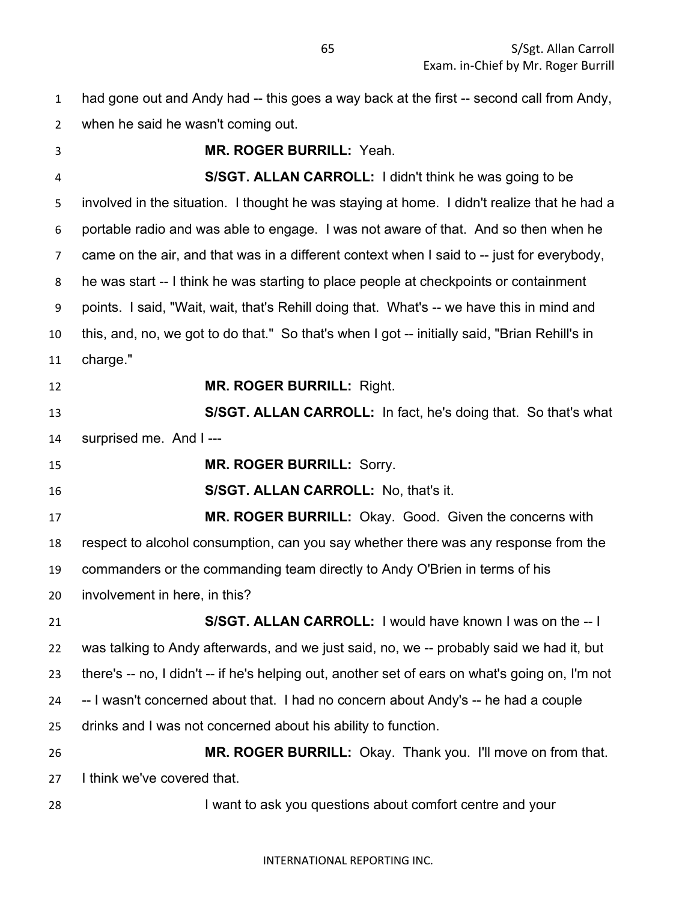had gone out and Andy had -- this goes a way back at the first -- second call from Andy, when he said he wasn't coming out.

 **MR. ROGER BURRILL:** Yeah. **S/SGT. ALLAN CARROLL:** I didn't think he was going to be involved in the situation. I thought he was staying at home. I didn't realize that he had a portable radio and was able to engage. I was not aware of that. And so then when he came on the air, and that was in a different context when I said to -- just for everybody, he was start -- I think he was starting to place people at checkpoints or containment points. I said, "Wait, wait, that's Rehill doing that. What's -- we have this in mind and this, and, no, we got to do that." So that's when I got -- initially said, "Brian Rehill's in charge." **MR. ROGER BURRILL:** Right. **S/SGT. ALLAN CARROLL:** In fact, he's doing that. So that's what surprised me. And I --- **MR. ROGER BURRILL:** Sorry. **S/SGT. ALLAN CARROLL:** No, that's it. **MR. ROGER BURRILL:** Okay. Good. Given the concerns with respect to alcohol consumption, can you say whether there was any response from the commanders or the commanding team directly to Andy O'Brien in terms of his involvement in here, in this? **S/SGT. ALLAN CARROLL:** I would have known I was on the -- I was talking to Andy afterwards, and we just said, no, we -- probably said we had it, but there's -- no, I didn't -- if he's helping out, another set of ears on what's going on, I'm not -- I wasn't concerned about that. I had no concern about Andy's -- he had a couple drinks and I was not concerned about his ability to function. **MR. ROGER BURRILL:** Okay. Thank you. I'll move on from that.

I think we've covered that.

I want to ask you questions about comfort centre and your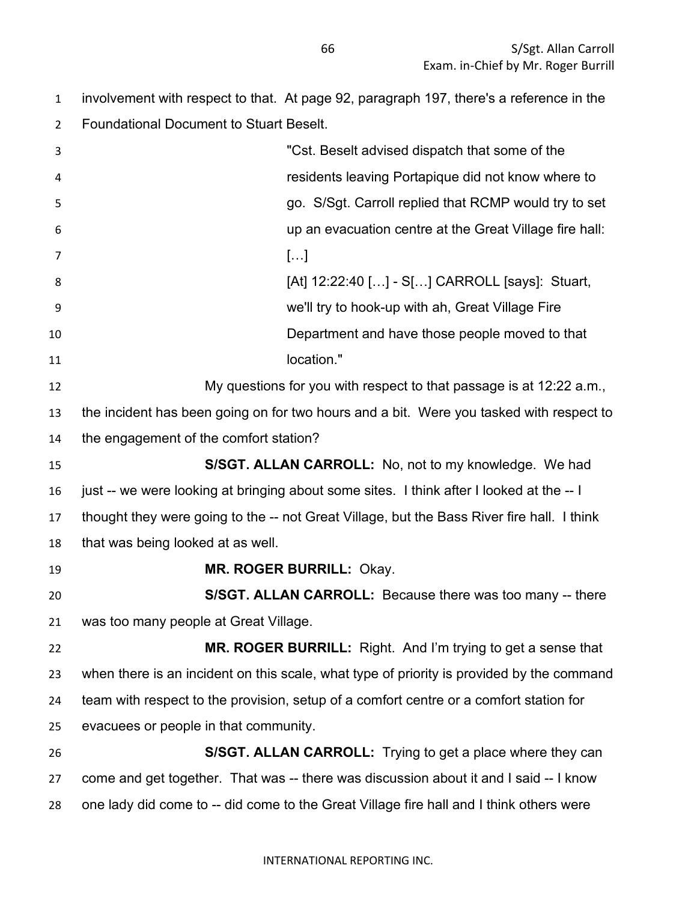involvement with respect to that. At page 92, paragraph 197, there's a reference in the Foundational Document to Stuart Beselt.

| 3  | "Cst. Beselt advised dispatch that some of the                                             |
|----|--------------------------------------------------------------------------------------------|
| 4  | residents leaving Portapique did not know where to                                         |
| 5  | go. S/Sgt. Carroll replied that RCMP would try to set                                      |
| 6  | up an evacuation centre at the Great Village fire hall:                                    |
| 7  | []                                                                                         |
| 8  | [At] 12:22:40 [] - S[] CARROLL [says]: Stuart,                                             |
| 9  | we'll try to hook-up with ah, Great Village Fire                                           |
| 10 | Department and have those people moved to that                                             |
| 11 | location."                                                                                 |
| 12 | My questions for you with respect to that passage is at 12:22 a.m.,                        |
| 13 | the incident has been going on for two hours and a bit. Were you tasked with respect to    |
| 14 | the engagement of the comfort station?                                                     |
| 15 | S/SGT. ALLAN CARROLL: No, not to my knowledge. We had                                      |
| 16 | just -- we were looking at bringing about some sites. I think after I looked at the -- I   |
| 17 | thought they were going to the -- not Great Village, but the Bass River fire hall. I think |
| 18 | that was being looked at as well.                                                          |
| 19 | MR. ROGER BURRILL: Okay.                                                                   |
| 20 | S/SGT. ALLAN CARROLL: Because there was too many -- there                                  |
| 21 | was too many people at Great Village.                                                      |
| 22 | <b>MR. ROGER BURRILL:</b> Right. And I'm trying to get a sense that                        |
| 23 | when there is an incident on this scale, what type of priority is provided by the command  |
| 24 | team with respect to the provision, setup of a comfort centre or a comfort station for     |
| 25 | evacuees or people in that community.                                                      |
| 26 | S/SGT. ALLAN CARROLL: Trying to get a place where they can                                 |
| 27 | come and get together. That was -- there was discussion about it and I said -- I know      |
| 28 | one lady did come to -- did come to the Great Village fire hall and I think others were    |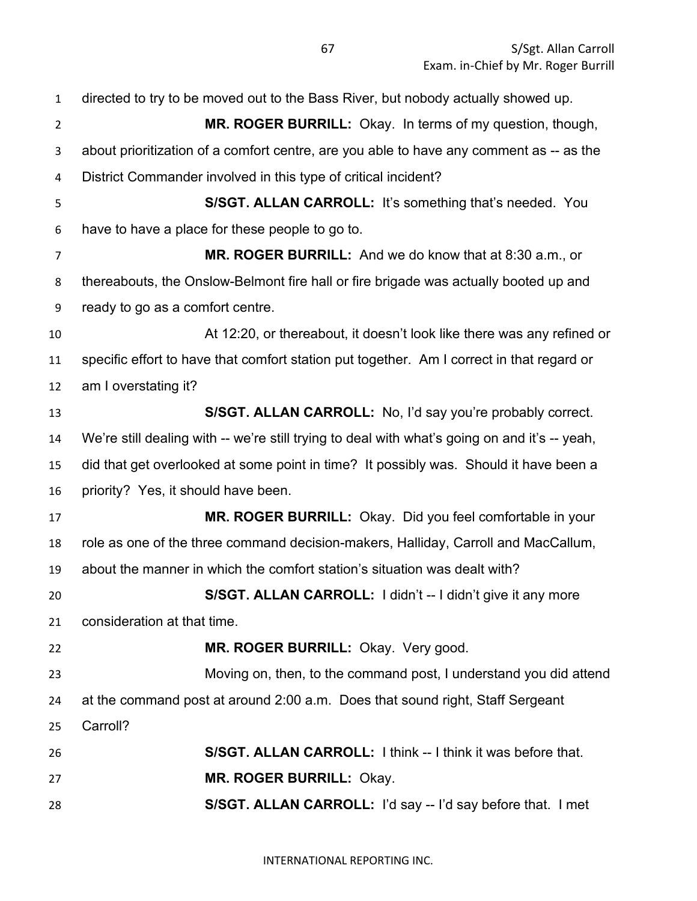| $\mathbf{1}$   | directed to try to be moved out to the Bass River, but nobody actually showed up.             |
|----------------|-----------------------------------------------------------------------------------------------|
| $\overline{2}$ | MR. ROGER BURRILL: Okay. In terms of my question, though,                                     |
| 3              | about prioritization of a comfort centre, are you able to have any comment as -- as the       |
| 4              | District Commander involved in this type of critical incident?                                |
| 5              | S/SGT. ALLAN CARROLL: It's something that's needed. You                                       |
| 6              | have to have a place for these people to go to.                                               |
| 7              | MR. ROGER BURRILL: And we do know that at 8:30 a.m., or                                       |
| 8              | thereabouts, the Onslow-Belmont fire hall or fire brigade was actually booted up and          |
| 9              | ready to go as a comfort centre.                                                              |
| 10             | At 12:20, or thereabout, it doesn't look like there was any refined or                        |
| 11             | specific effort to have that comfort station put together. Am I correct in that regard or     |
| 12             | am I overstating it?                                                                          |
| 13             | S/SGT. ALLAN CARROLL: No, I'd say you're probably correct.                                    |
| 14             | We're still dealing with -- we're still trying to deal with what's going on and it's -- yeah, |
| 15             | did that get overlooked at some point in time? It possibly was. Should it have been a         |
| 16             | priority? Yes, it should have been.                                                           |
| 17             | MR. ROGER BURRILL: Okay. Did you feel comfortable in your                                     |
| 18             | role as one of the three command decision-makers, Halliday, Carroll and MacCallum,            |
| 19             | about the manner in which the comfort station's situation was dealt with?                     |
| 20             | S/SGT. ALLAN CARROLL: I didn't -- I didn't give it any more                                   |
| 21             | consideration at that time.                                                                   |
| 22             | MR. ROGER BURRILL: Okay. Very good.                                                           |
| 23             | Moving on, then, to the command post, I understand you did attend                             |
| 24             | at the command post at around 2:00 a.m. Does that sound right, Staff Sergeant                 |
| 25             | Carroll?                                                                                      |
| 26             | S/SGT. ALLAN CARROLL: I think -- I think it was before that.                                  |
| 27             | MR. ROGER BURRILL: Okay.                                                                      |
| 28             | S/SGT. ALLAN CARROLL: I'd say -- I'd say before that. I met                                   |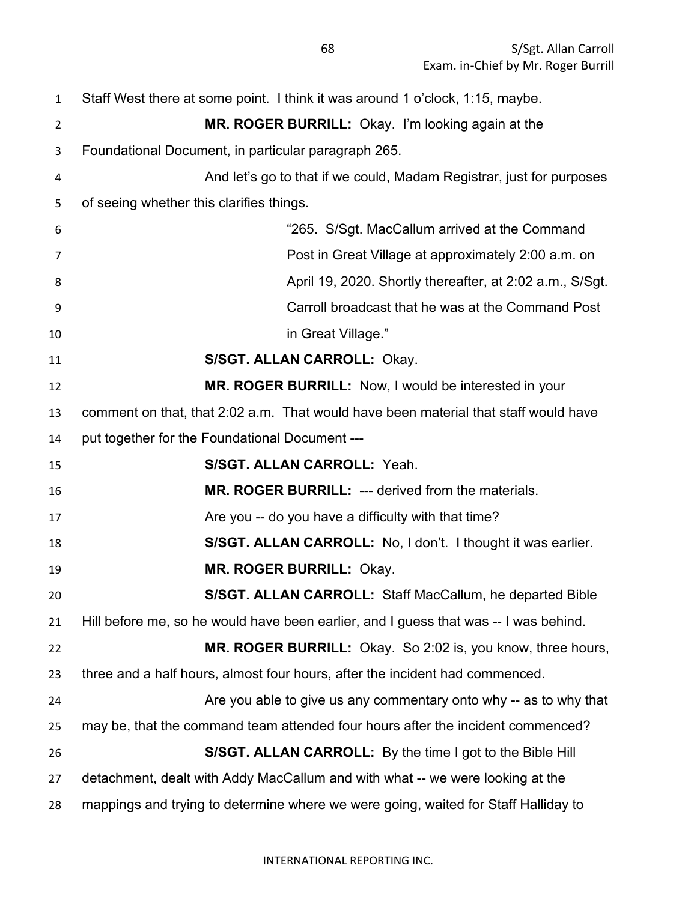Staff West there at some point. I think it was around 1 o'clock, 1:15, maybe. **MR. ROGER BURRILL:** Okay. I'm looking again at the Foundational Document, in particular paragraph 265. And let's go to that if we could, Madam Registrar, just for purposes of seeing whether this clarifies things. "265. S/Sgt. MacCallum arrived at the Command Post in Great Village at approximately 2:00 a.m. on April 19, 2020. Shortly thereafter, at 2:02 a.m., S/Sgt. Carroll broadcast that he was at the Command Post in Great Village." **S/SGT. ALLAN CARROLL:** Okay. **MR. ROGER BURRILL:** Now, I would be interested in your comment on that, that 2:02 a.m. That would have been material that staff would have put together for the Foundational Document --- **S/SGT. ALLAN CARROLL:** Yeah. **MR. ROGER BURRILL:** --- derived from the materials. 17 Are you -- do you have a difficulty with that time? **S/SGT. ALLAN CARROLL:** No, I don't. I thought it was earlier. **MR. ROGER BURRILL:** Okay. **S/SGT. ALLAN CARROLL:** Staff MacCallum, he departed Bible Hill before me, so he would have been earlier, and I guess that was -- I was behind. **MR. ROGER BURRILL:** Okay. So 2:02 is, you know, three hours, three and a half hours, almost four hours, after the incident had commenced. Are you able to give us any commentary onto why -- as to why that may be, that the command team attended four hours after the incident commenced? **S/SGT. ALLAN CARROLL:** By the time I got to the Bible Hill detachment, dealt with Addy MacCallum and with what -- we were looking at the mappings and trying to determine where we were going, waited for Staff Halliday to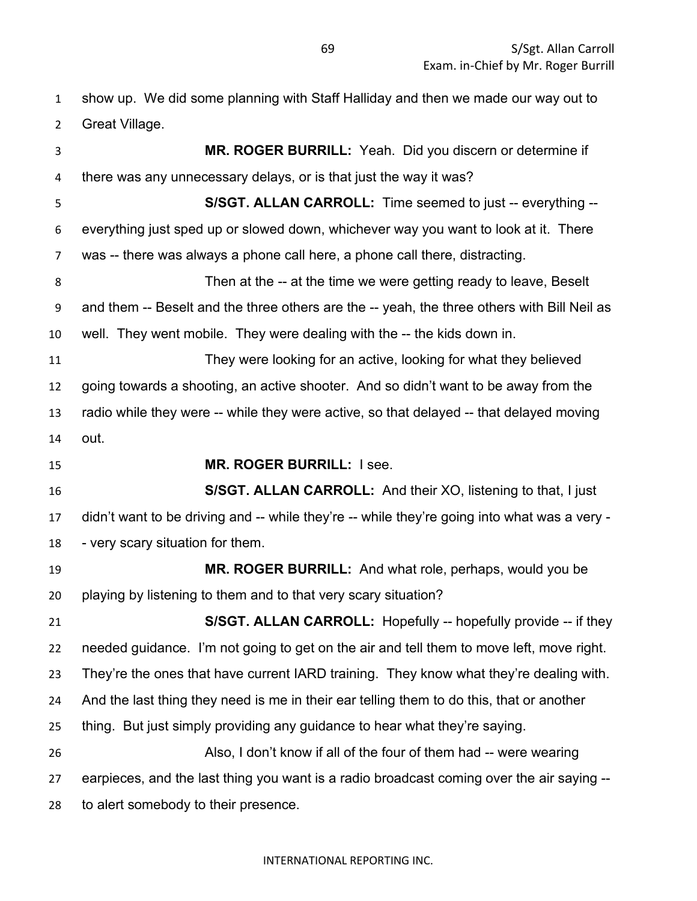show up. We did some planning with Staff Halliday and then we made our way out to Great Village.

 **MR. ROGER BURRILL:** Yeah. Did you discern or determine if there was any unnecessary delays, or is that just the way it was? **S/SGT. ALLAN CARROLL:** Time seemed to just -- everything -- everything just sped up or slowed down, whichever way you want to look at it. There was -- there was always a phone call here, a phone call there, distracting. Then at the -- at the time we were getting ready to leave, Beselt and them -- Beselt and the three others are the -- yeah, the three others with Bill Neil as well. They went mobile. They were dealing with the -- the kids down in. They were looking for an active, looking for what they believed going towards a shooting, an active shooter. And so didn't want to be away from the radio while they were -- while they were active, so that delayed -- that delayed moving out. **MR. ROGER BURRILL:** I see. **S/SGT. ALLAN CARROLL:** And their XO, listening to that, I just didn't want to be driving and -- while they're -- while they're going into what was a very - - very scary situation for them. **MR. ROGER BURRILL:** And what role, perhaps, would you be playing by listening to them and to that very scary situation? **S/SGT. ALLAN CARROLL:** Hopefully -- hopefully provide -- if they needed guidance. I'm not going to get on the air and tell them to move left, move right. They're the ones that have current IARD training. They know what they're dealing with. And the last thing they need is me in their ear telling them to do this, that or another thing. But just simply providing any guidance to hear what they're saying. Also, I don't know if all of the four of them had -- were wearing earpieces, and the last thing you want is a radio broadcast coming over the air saying -- to alert somebody to their presence.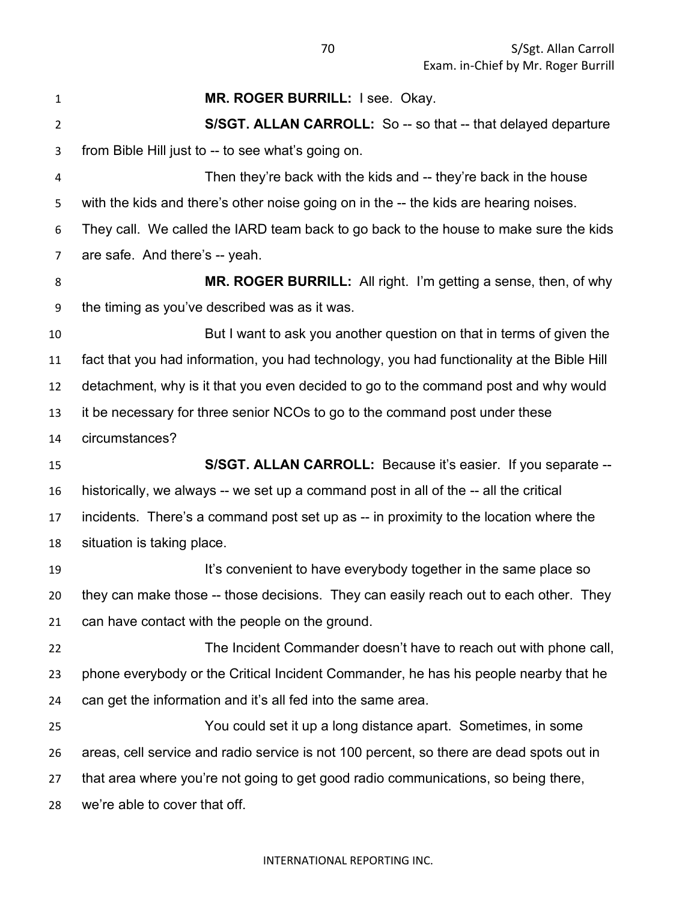**MR. ROGER BURRILL:** I see. Okay. **S/SGT. ALLAN CARROLL:** So -- so that -- that delayed departure from Bible Hill just to -- to see what's going on. Then they're back with the kids and -- they're back in the house with the kids and there's other noise going on in the -- the kids are hearing noises. They call. We called the IARD team back to go back to the house to make sure the kids are safe. And there's -- yeah. **MR. ROGER BURRILL:** All right. I'm getting a sense, then, of why the timing as you've described was as it was. But I want to ask you another question on that in terms of given the fact that you had information, you had technology, you had functionality at the Bible Hill detachment, why is it that you even decided to go to the command post and why would it be necessary for three senior NCOs to go to the command post under these circumstances? **S/SGT. ALLAN CARROLL:** Because it's easier. If you separate -- historically, we always -- we set up a command post in all of the -- all the critical incidents. There's a command post set up as -- in proximity to the location where the situation is taking place. **It's convenient to have everybody together in the same place so**  they can make those -- those decisions. They can easily reach out to each other. They can have contact with the people on the ground. The Incident Commander doesn't have to reach out with phone call, phone everybody or the Critical Incident Commander, he has his people nearby that he can get the information and it's all fed into the same area. You could set it up a long distance apart. Sometimes, in some areas, cell service and radio service is not 100 percent, so there are dead spots out in that area where you're not going to get good radio communications, so being there, we're able to cover that off.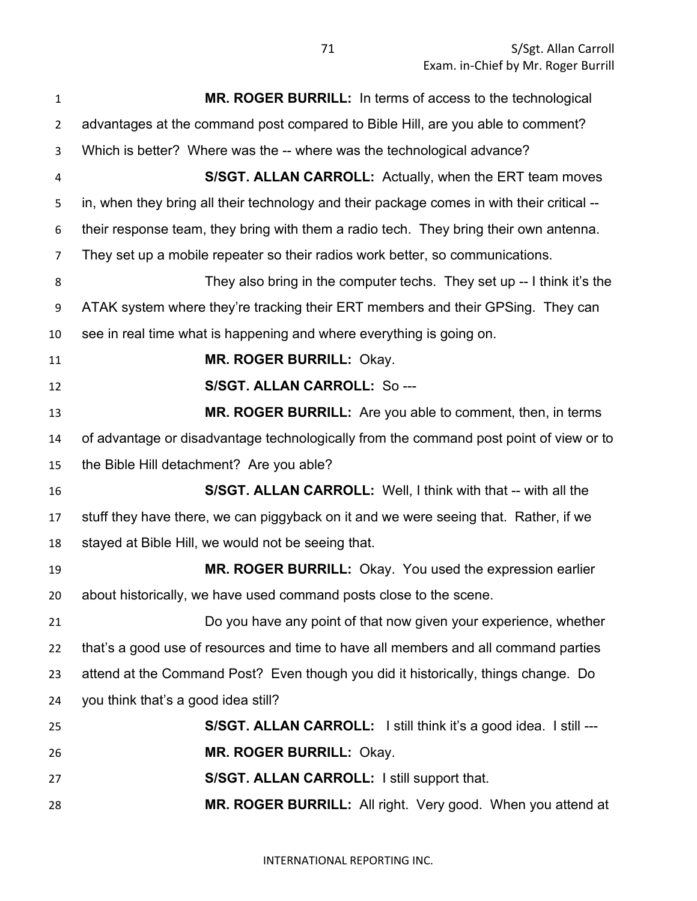| $\mathbf{1}$   | MR. ROGER BURRILL: In terms of access to the technological                                 |
|----------------|--------------------------------------------------------------------------------------------|
| $\overline{2}$ | advantages at the command post compared to Bible Hill, are you able to comment?            |
| 3              | Which is better? Where was the -- where was the technological advance?                     |
| 4              | S/SGT. ALLAN CARROLL: Actually, when the ERT team moves                                    |
| 5              | in, when they bring all their technology and their package comes in with their critical -- |
| 6              | their response team, they bring with them a radio tech. They bring their own antenna.      |
| $\overline{7}$ | They set up a mobile repeater so their radios work better, so communications.              |
| 8              | They also bring in the computer techs. They set up -- I think it's the                     |
| 9              | ATAK system where they're tracking their ERT members and their GPSing. They can            |
| 10             | see in real time what is happening and where everything is going on.                       |
| 11             | <b>MR. ROGER BURRILL: Okay.</b>                                                            |
| 12             | S/SGT. ALLAN CARROLL: So ---                                                               |
| 13             | MR. ROGER BURRILL: Are you able to comment, then, in terms                                 |
| 14             | of advantage or disadvantage technologically from the command post point of view or to     |
| 15             | the Bible Hill detachment? Are you able?                                                   |
| 16             | S/SGT. ALLAN CARROLL: Well, I think with that -- with all the                              |
| 17             | stuff they have there, we can piggyback on it and we were seeing that. Rather, if we       |
| 18             | stayed at Bible Hill, we would not be seeing that.                                         |
| 19             | MR. ROGER BURRILL: Okay. You used the expression earlier                                   |
| 20             | about historically, we have used command posts close to the scene.                         |
| 21             | Do you have any point of that now given your experience, whether                           |
| 22             | that's a good use of resources and time to have all members and all command parties        |
| 23             | attend at the Command Post? Even though you did it historically, things change. Do         |
| 24             | you think that's a good idea still?                                                        |
| 25             | S/SGT. ALLAN CARROLL: I still think it's a good idea. I still ---                          |
| 26             | MR. ROGER BURRILL: Okay.                                                                   |
| 27             | S/SGT. ALLAN CARROLL: I still support that.                                                |
| 28             | MR. ROGER BURRILL: All right. Very good. When you attend at                                |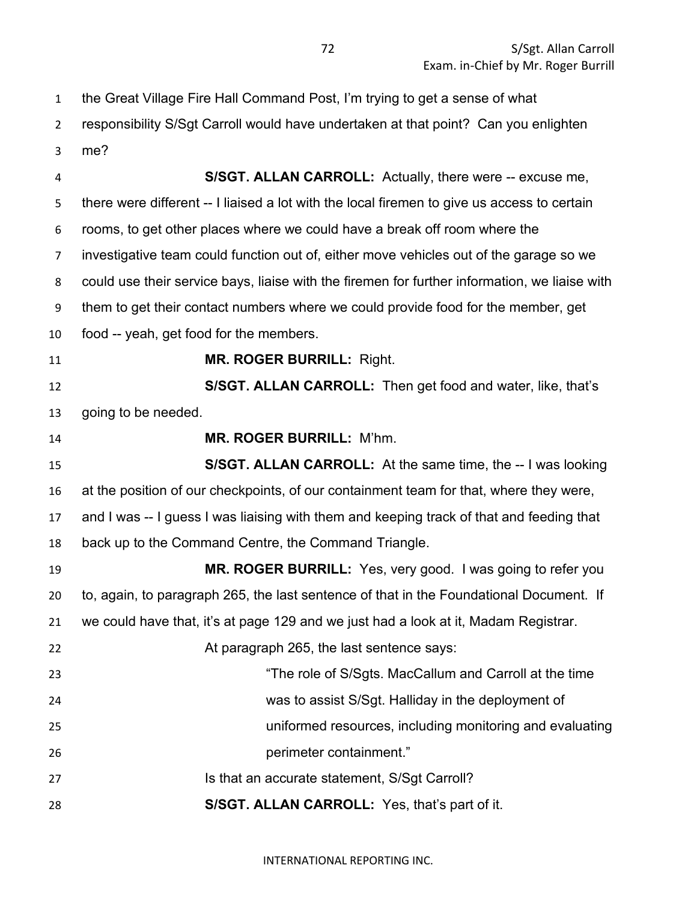| $\mathbf{1}$   | the Great Village Fire Hall Command Post, I'm trying to get a sense of what                   |
|----------------|-----------------------------------------------------------------------------------------------|
| $\overline{2}$ | responsibility S/Sgt Carroll would have undertaken at that point? Can you enlighten           |
| 3              | me?                                                                                           |
| 4              | S/SGT. ALLAN CARROLL: Actually, there were -- excuse me,                                      |
| 5              | there were different -- I liaised a lot with the local firemen to give us access to certain   |
| 6              | rooms, to get other places where we could have a break off room where the                     |
| $\overline{7}$ | investigative team could function out of, either move vehicles out of the garage so we        |
| 8              | could use their service bays, liaise with the firemen for further information, we liaise with |
| 9              | them to get their contact numbers where we could provide food for the member, get             |
| 10             | food -- yeah, get food for the members.                                                       |
| 11             | <b>MR. ROGER BURRILL: Right.</b>                                                              |
| 12             | S/SGT. ALLAN CARROLL: Then get food and water, like, that's                                   |
| 13             | going to be needed.                                                                           |
| 14             | <b>MR. ROGER BURRILL: M'hm.</b>                                                               |
| 15             | S/SGT. ALLAN CARROLL: At the same time, the -- I was looking                                  |
| 16             | at the position of our checkpoints, of our containment team for that, where they were,        |
| 17             | and I was -- I guess I was liaising with them and keeping track of that and feeding that      |
| 18             | back up to the Command Centre, the Command Triangle.                                          |
| 19             | MR. ROGER BURRILL: Yes, very good. I was going to refer you                                   |
| 20             | to, again, to paragraph 265, the last sentence of that in the Foundational Document. If       |
| 21             | we could have that, it's at page 129 and we just had a look at it, Madam Registrar.           |
| 22             | At paragraph 265, the last sentence says:                                                     |
| 23             | "The role of S/Sgts. MacCallum and Carroll at the time                                        |
| 24             | was to assist S/Sgt. Halliday in the deployment of                                            |
| 25             | uniformed resources, including monitoring and evaluating                                      |
| 26             | perimeter containment."                                                                       |
| 27             | Is that an accurate statement, S/Sgt Carroll?                                                 |
| 28             | S/SGT. ALLAN CARROLL: Yes, that's part of it.                                                 |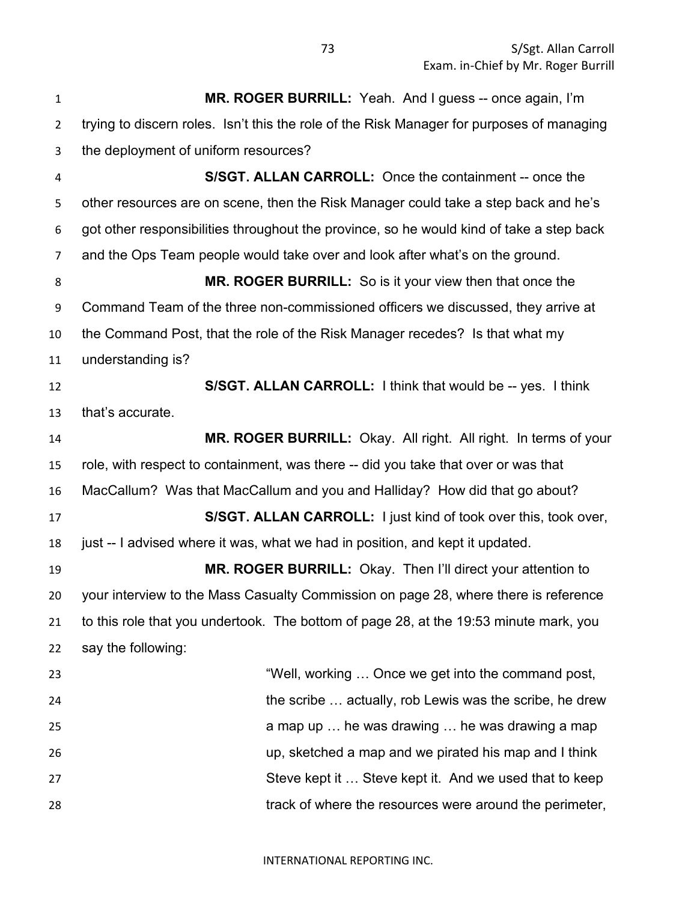**MR. ROGER BURRILL:** Yeah. And I guess -- once again, I'm trying to discern roles. Isn't this the role of the Risk Manager for purposes of managing the deployment of uniform resources? **S/SGT. ALLAN CARROLL:** Once the containment -- once the other resources are on scene, then the Risk Manager could take a step back and he's got other responsibilities throughout the province, so he would kind of take a step back and the Ops Team people would take over and look after what's on the ground. **MR. ROGER BURRILL:** So is it your view then that once the Command Team of the three non-commissioned officers we discussed, they arrive at the Command Post, that the role of the Risk Manager recedes? Is that what my understanding is? **S/SGT. ALLAN CARROLL:** I think that would be -- yes. I think that's accurate. **MR. ROGER BURRILL:** Okay. All right. All right. In terms of your role, with respect to containment, was there -- did you take that over or was that MacCallum? Was that MacCallum and you and Halliday? How did that go about? **S/SGT. ALLAN CARROLL:** I just kind of took over this, took over, just -- I advised where it was, what we had in position, and kept it updated. **MR. ROGER BURRILL:** Okay. Then I'll direct your attention to your interview to the Mass Casualty Commission on page 28, where there is reference to this role that you undertook. The bottom of page 28, at the 19:53 minute mark, you say the following: "Well, working … Once we get into the command post, the scribe … actually, rob Lewis was the scribe, he drew a map up … he was drawing … he was drawing a map up, sketched a map and we pirated his map and I think Steve kept it … Steve kept it. And we used that to keep track of where the resources were around the perimeter,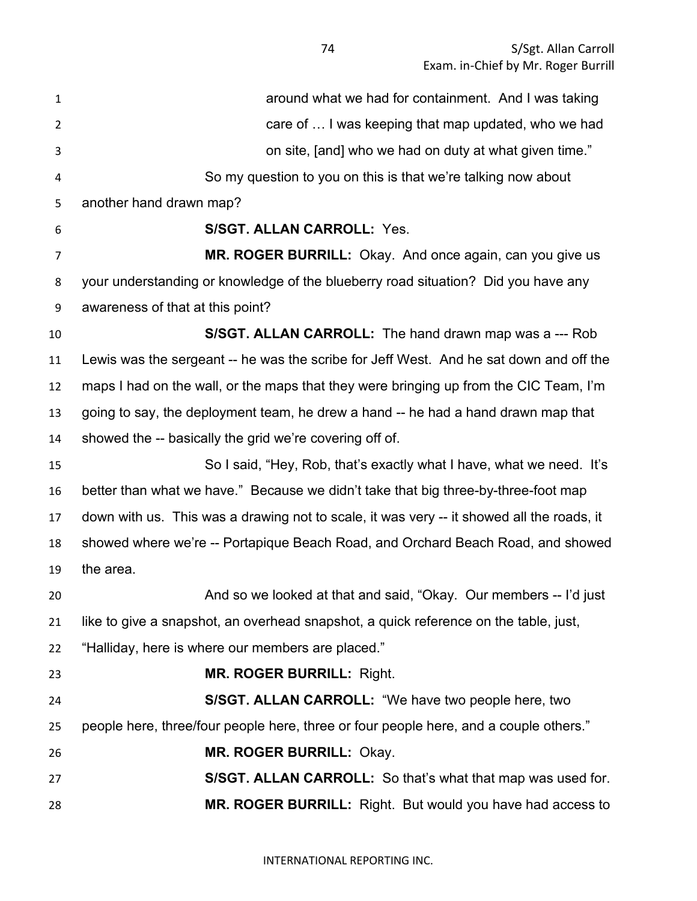| 1              | around what we had for containment. And I was taking                                      |
|----------------|-------------------------------------------------------------------------------------------|
| $\overline{2}$ | care of  I was keeping that map updated, who we had                                       |
| 3              | on site, [and] who we had on duty at what given time."                                    |
| 4              | So my question to you on this is that we're talking now about                             |
| 5              | another hand drawn map?                                                                   |
| 6              | <b>S/SGT. ALLAN CARROLL: Yes.</b>                                                         |
| 7              | MR. ROGER BURRILL: Okay. And once again, can you give us                                  |
| 8              | your understanding or knowledge of the blueberry road situation? Did you have any         |
| 9              | awareness of that at this point?                                                          |
| 10             | S/SGT. ALLAN CARROLL: The hand drawn map was a --- Rob                                    |
| 11             | Lewis was the sergeant -- he was the scribe for Jeff West. And he sat down and off the    |
| 12             | maps I had on the wall, or the maps that they were bringing up from the CIC Team, I'm     |
| 13             | going to say, the deployment team, he drew a hand -- he had a hand drawn map that         |
| 14             | showed the -- basically the grid we're covering off of.                                   |
| 15             | So I said, "Hey, Rob, that's exactly what I have, what we need. It's                      |
| 16             | better than what we have." Because we didn't take that big three-by-three-foot map        |
| 17             | down with us. This was a drawing not to scale, it was very -- it showed all the roads, it |
| 18             | showed where we're -- Portapique Beach Road, and Orchard Beach Road, and showed           |
| 19             | the area.                                                                                 |
| 20             | And so we looked at that and said, "Okay. Our members -- I'd just                         |
| 21             | like to give a snapshot, an overhead snapshot, a quick reference on the table, just,      |
| 22             | "Halliday, here is where our members are placed."                                         |
| 23             | <b>MR. ROGER BURRILL: Right.</b>                                                          |
| 24             | S/SGT. ALLAN CARROLL: "We have two people here, two                                       |
| 25             | people here, three/four people here, three or four people here, and a couple others."     |
| 26             | MR. ROGER BURRILL: Okay.                                                                  |
| 27             | S/SGT. ALLAN CARROLL: So that's what that map was used for.                               |
| 28             | MR. ROGER BURRILL: Right. But would you have had access to                                |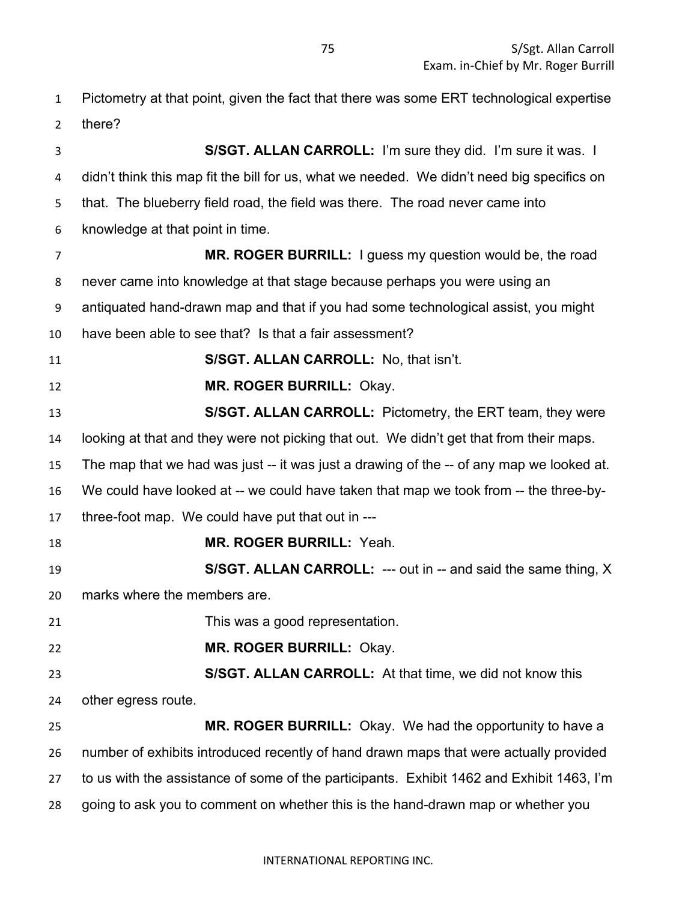Pictometry at that point, given the fact that there was some ERT technological expertise there?

 **S/SGT. ALLAN CARROLL:** I'm sure they did. I'm sure it was. I didn't think this map fit the bill for us, what we needed. We didn't need big specifics on that. The blueberry field road, the field was there. The road never came into knowledge at that point in time. **MR. ROGER BURRILL:** I guess my question would be, the road never came into knowledge at that stage because perhaps you were using an antiquated hand-drawn map and that if you had some technological assist, you might have been able to see that? Is that a fair assessment? **S/SGT. ALLAN CARROLL:** No, that isn't. **MR. ROGER BURRILL:** Okay. **S/SGT. ALLAN CARROLL:** Pictometry, the ERT team, they were looking at that and they were not picking that out. We didn't get that from their maps. The map that we had was just -- it was just a drawing of the -- of any map we looked at. We could have looked at -- we could have taken that map we took from -- the three-by- three-foot map. We could have put that out in --- **MR. ROGER BURRILL:** Yeah. **S/SGT. ALLAN CARROLL:** --- out in -- and said the same thing, X marks where the members are. This was a good representation. **MR. ROGER BURRILL:** Okay. **S/SGT. ALLAN CARROLL:** At that time, we did not know this other egress route. **MR. ROGER BURRILL:** Okay. We had the opportunity to have a number of exhibits introduced recently of hand drawn maps that were actually provided to us with the assistance of some of the participants. Exhibit 1462 and Exhibit 1463, I'm going to ask you to comment on whether this is the hand-drawn map or whether you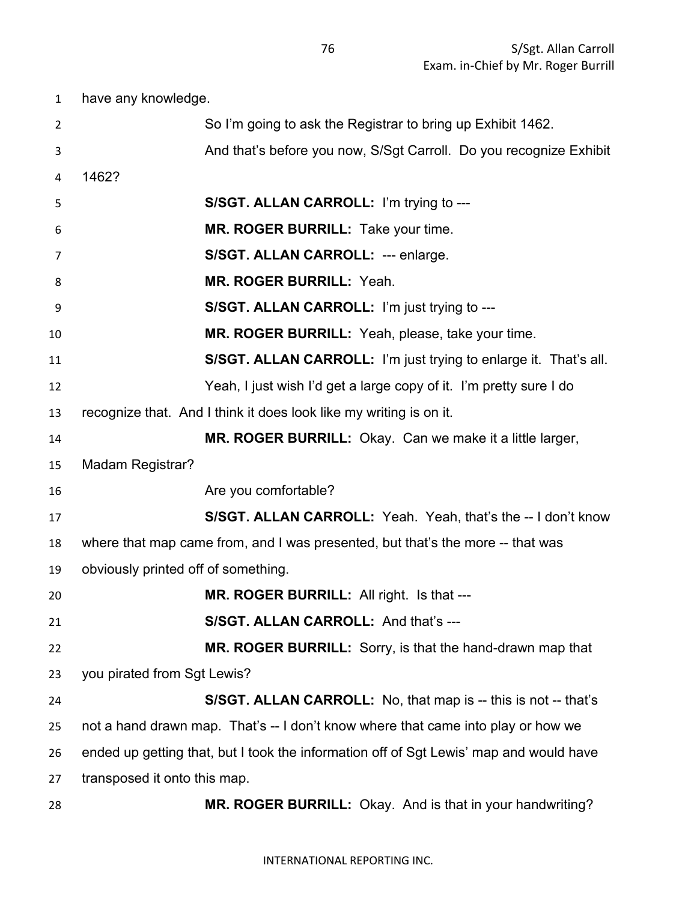have any knowledge. So I'm going to ask the Registrar to bring up Exhibit 1462. And that's before you now, S/Sgt Carroll. Do you recognize Exhibit 1462? **S/SGT. ALLAN CARROLL:** I'm trying to --- **MR. ROGER BURRILL:** Take your time. **S/SGT. ALLAN CARROLL:** --- enlarge. **MR. ROGER BURRILL:** Yeah. **S/SGT. ALLAN CARROLL:** I'm just trying to --- **MR. ROGER BURRILL:** Yeah, please, take your time. **S/SGT. ALLAN CARROLL:** I'm just trying to enlarge it. That's all. Yeah, I just wish I'd get a large copy of it. I'm pretty sure I do recognize that. And I think it does look like my writing is on it. **MR. ROGER BURRILL:** Okay. Can we make it a little larger, Madam Registrar? **Are you comfortable? S/SGT. ALLAN CARROLL:** Yeah. Yeah, that's the -- I don't know where that map came from, and I was presented, but that's the more -- that was obviously printed off of something. **MR. ROGER BURRILL:** All right. Is that --- **S/SGT. ALLAN CARROLL:** And that's --- **MR. ROGER BURRILL:** Sorry, is that the hand-drawn map that you pirated from Sgt Lewis? **S/SGT. ALLAN CARROLL:** No, that map is -- this is not -- that's not a hand drawn map. That's -- I don't know where that came into play or how we ended up getting that, but I took the information off of Sgt Lewis' map and would have transposed it onto this map. **MR. ROGER BURRILL:** Okay. And is that in your handwriting?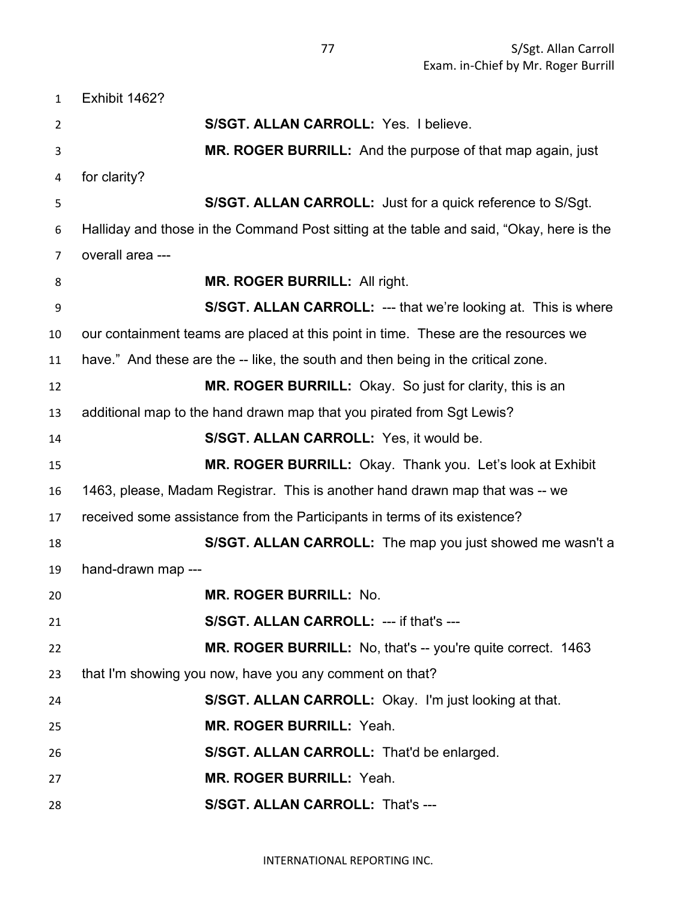Exhibit 1462? **S/SGT. ALLAN CARROLL:** Yes. I believe. **MR. ROGER BURRILL:** And the purpose of that map again, just for clarity? **S/SGT. ALLAN CARROLL:** Just for a quick reference to S/Sgt. Halliday and those in the Command Post sitting at the table and said, "Okay, here is the overall area --- **MR. ROGER BURRILL:** All right. **S/SGT. ALLAN CARROLL:** --- that we're looking at. This is where our containment teams are placed at this point in time. These are the resources we have." And these are the -- like, the south and then being in the critical zone. **MR. ROGER BURRILL:** Okay. So just for clarity, this is an additional map to the hand drawn map that you pirated from Sgt Lewis? **S/SGT. ALLAN CARROLL:** Yes, it would be. **MR. ROGER BURRILL:** Okay. Thank you. Let's look at Exhibit 1463, please, Madam Registrar. This is another hand drawn map that was -- we received some assistance from the Participants in terms of its existence? **S/SGT. ALLAN CARROLL:** The map you just showed me wasn't a hand-drawn map --- **MR. ROGER BURRILL:** No. **S/SGT. ALLAN CARROLL:** --- if that's --- **MR. ROGER BURRILL:** No, that's -- you're quite correct. 1463 that I'm showing you now, have you any comment on that? **S/SGT. ALLAN CARROLL:** Okay. I'm just looking at that. **MR. ROGER BURRILL:** Yeah. **S/SGT. ALLAN CARROLL:** That'd be enlarged. **MR. ROGER BURRILL:** Yeah. **S/SGT. ALLAN CARROLL:** That's ---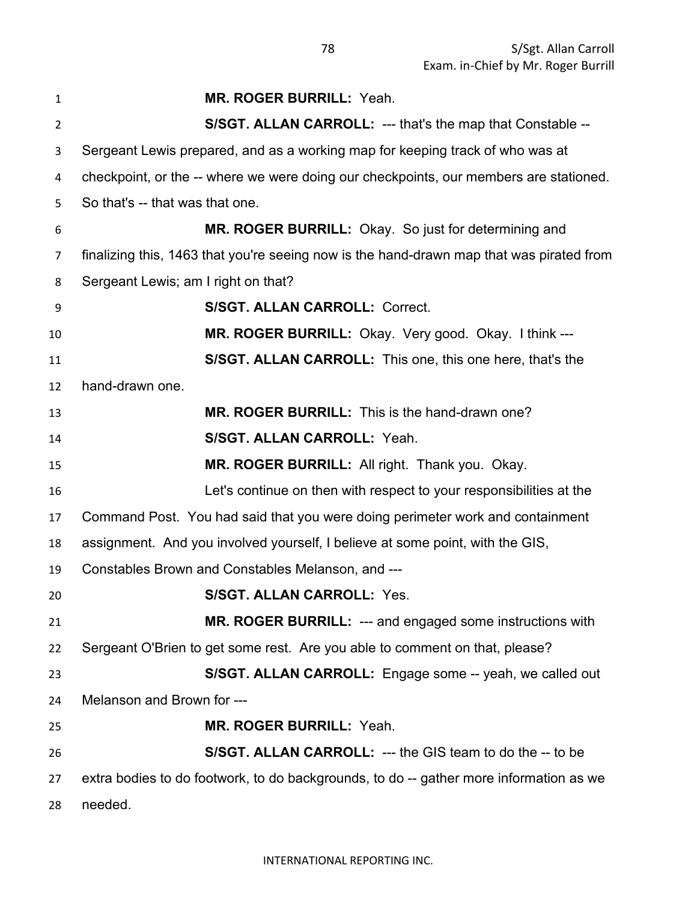| 1  | <b>MR. ROGER BURRILL: Yeah.</b>                                                          |
|----|------------------------------------------------------------------------------------------|
| 2  | S/SGT. ALLAN CARROLL: --- that's the map that Constable --                               |
| 3  | Sergeant Lewis prepared, and as a working map for keeping track of who was at            |
| 4  | checkpoint, or the -- where we were doing our checkpoints, our members are stationed.    |
| 5  | So that's -- that was that one.                                                          |
| 6  | MR. ROGER BURRILL: Okay. So just for determining and                                     |
| 7  | finalizing this, 1463 that you're seeing now is the hand-drawn map that was pirated from |
| 8  | Sergeant Lewis; am I right on that?                                                      |
| 9  | <b>S/SGT. ALLAN CARROLL: Correct.</b>                                                    |
| 10 | MR. ROGER BURRILL: Okay. Very good. Okay. I think ---                                    |
| 11 | <b>S/SGT. ALLAN CARROLL:</b> This one, this one here, that's the                         |
| 12 | hand-drawn one.                                                                          |
| 13 | MR. ROGER BURRILL: This is the hand-drawn one?                                           |
| 14 | <b>S/SGT. ALLAN CARROLL: Yeah.</b>                                                       |
| 15 | MR. ROGER BURRILL: All right. Thank you. Okay.                                           |
| 16 | Let's continue on then with respect to your responsibilities at the                      |
| 17 | Command Post. You had said that you were doing perimeter work and containment            |
| 18 | assignment. And you involved yourself, I believe at some point, with the GIS,            |
| 19 | Constables Brown and Constables Melanson, and ---                                        |
| 20 | <b>S/SGT. ALLAN CARROLL: Yes.</b>                                                        |
| 21 | MR. ROGER BURRILL: --- and engaged some instructions with                                |
| 22 | Sergeant O'Brien to get some rest. Are you able to comment on that, please?              |
| 23 | S/SGT. ALLAN CARROLL: Engage some -- yeah, we called out                                 |
| 24 | Melanson and Brown for ---                                                               |
| 25 | <b>MR. ROGER BURRILL: Yeah.</b>                                                          |
| 26 | <b>S/SGT. ALLAN CARROLL: --- the GIS team to do the -- to be</b>                         |
| 27 | extra bodies to do footwork, to do backgrounds, to do -- gather more information as we   |
| 28 | needed.                                                                                  |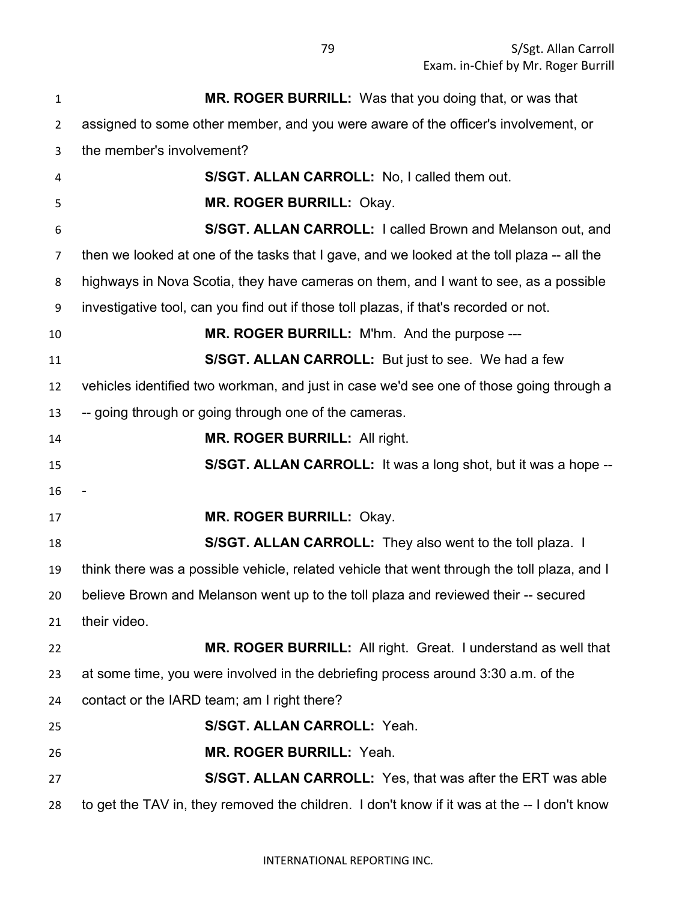| $\mathbf{1}$   | MR. ROGER BURRILL: Was that you doing that, or was that                                     |
|----------------|---------------------------------------------------------------------------------------------|
| 2              | assigned to some other member, and you were aware of the officer's involvement, or          |
| 3              | the member's involvement?                                                                   |
| 4              | S/SGT. ALLAN CARROLL: No, I called them out.                                                |
| 5              | MR. ROGER BURRILL: Okay.                                                                    |
| 6              | S/SGT. ALLAN CARROLL: I called Brown and Melanson out, and                                  |
| $\overline{7}$ | then we looked at one of the tasks that I gave, and we looked at the toll plaza -- all the  |
| 8              | highways in Nova Scotia, they have cameras on them, and I want to see, as a possible        |
| 9              | investigative tool, can you find out if those toll plazas, if that's recorded or not.       |
| 10             | MR. ROGER BURRILL: M'hm. And the purpose ---                                                |
| 11             | S/SGT. ALLAN CARROLL: But just to see. We had a few                                         |
| 12             | vehicles identified two workman, and just in case we'd see one of those going through a     |
| 13             | -- going through or going through one of the cameras.                                       |
| 14             | MR. ROGER BURRILL: All right.                                                               |
| 15             | S/SGT. ALLAN CARROLL: It was a long shot, but it was a hope --                              |
| 16             |                                                                                             |
| 17             | MR. ROGER BURRILL: Okay.                                                                    |
| 18             | S/SGT. ALLAN CARROLL: They also went to the toll plaza. I                                   |
| 19             | think there was a possible vehicle, related vehicle that went through the toll plaza, and I |
| 20             | believe Brown and Melanson went up to the toll plaza and reviewed their -- secured          |
| 21             | their video.                                                                                |
| 22             | MR. ROGER BURRILL: All right. Great. I understand as well that                              |
| 23             | at some time, you were involved in the debriefing process around 3:30 a.m. of the           |
| 24             | contact or the IARD team; am I right there?                                                 |
| 25             | S/SGT. ALLAN CARROLL: Yeah.                                                                 |
| 26             | MR. ROGER BURRILL: Yeah.                                                                    |
| 27             | <b>S/SGT. ALLAN CARROLL:</b> Yes, that was after the ERT was able                           |
| 28             | to get the TAV in, they removed the children. I don't know if it was at the -- I don't know |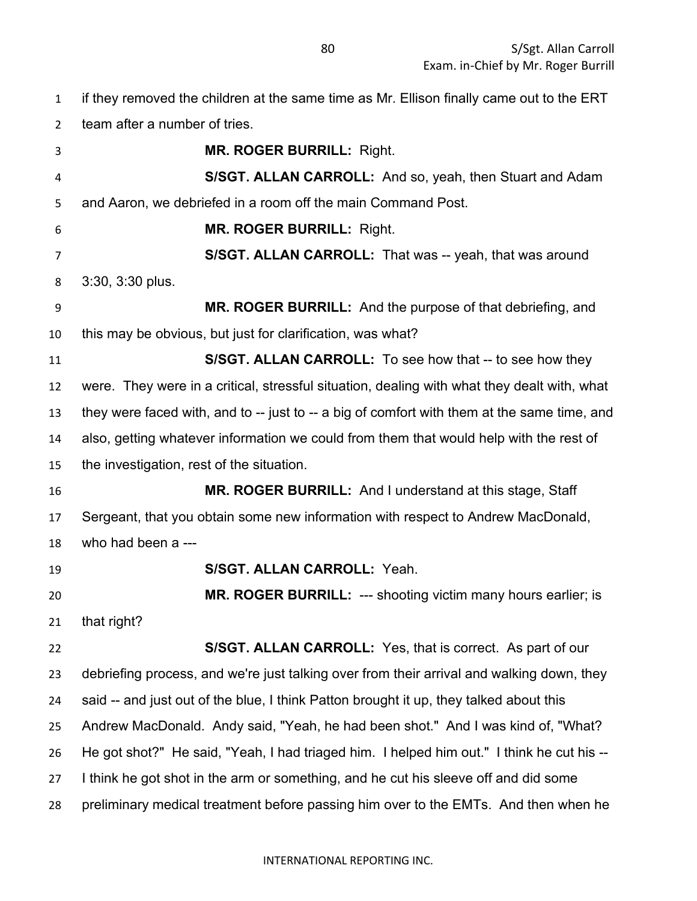if they removed the children at the same time as Mr. Ellison finally came out to the ERT team after a number of tries. **MR. ROGER BURRILL:** Right. **S/SGT. ALLAN CARROLL:** And so, yeah, then Stuart and Adam and Aaron, we debriefed in a room off the main Command Post. **MR. ROGER BURRILL:** Right. **S/SGT. ALLAN CARROLL:** That was -- yeah, that was around 3:30, 3:30 plus. **MR. ROGER BURRILL:** And the purpose of that debriefing, and this may be obvious, but just for clarification, was what? **S/SGT. ALLAN CARROLL:** To see how that -- to see how they were. They were in a critical, stressful situation, dealing with what they dealt with, what 13 they were faced with, and to -- just to -- a big of comfort with them at the same time, and also, getting whatever information we could from them that would help with the rest of the investigation, rest of the situation. **MR. ROGER BURRILL:** And I understand at this stage, Staff Sergeant, that you obtain some new information with respect to Andrew MacDonald, who had been a --- **S/SGT. ALLAN CARROLL:** Yeah. **MR. ROGER BURRILL:** --- shooting victim many hours earlier; is that right? **S/SGT. ALLAN CARROLL:** Yes, that is correct. As part of our debriefing process, and we're just talking over from their arrival and walking down, they said -- and just out of the blue, I think Patton brought it up, they talked about this Andrew MacDonald. Andy said, "Yeah, he had been shot." And I was kind of, "What? He got shot?" He said, "Yeah, I had triaged him. I helped him out." I think he cut his -- 27 I think he got shot in the arm or something, and he cut his sleeve off and did some

preliminary medical treatment before passing him over to the EMTs. And then when he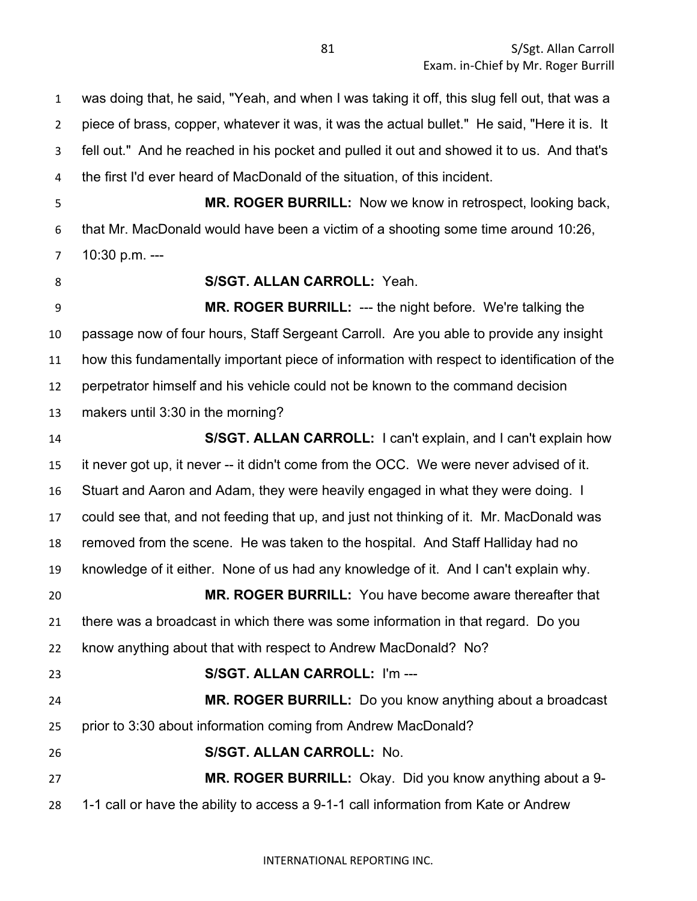was doing that, he said, "Yeah, and when I was taking it off, this slug fell out, that was a piece of brass, copper, whatever it was, it was the actual bullet." He said, "Here it is. It fell out." And he reached in his pocket and pulled it out and showed it to us. And that's the first I'd ever heard of MacDonald of the situation, of this incident.

 **MR. ROGER BURRILL:** Now we know in retrospect, looking back, that Mr. MacDonald would have been a victim of a shooting some time around 10:26, 10:30 p.m. --- **S/SGT. ALLAN CARROLL:** Yeah.

 **MR. ROGER BURRILL:** --- the night before. We're talking the passage now of four hours, Staff Sergeant Carroll. Are you able to provide any insight how this fundamentally important piece of information with respect to identification of the perpetrator himself and his vehicle could not be known to the command decision makers until 3:30 in the morning?

 **S/SGT. ALLAN CARROLL:** I can't explain, and I can't explain how it never got up, it never -- it didn't come from the OCC. We were never advised of it. Stuart and Aaron and Adam, they were heavily engaged in what they were doing. I could see that, and not feeding that up, and just not thinking of it. Mr. MacDonald was removed from the scene. He was taken to the hospital. And Staff Halliday had no knowledge of it either. None of us had any knowledge of it. And I can't explain why. **MR. ROGER BURRILL:** You have become aware thereafter that there was a broadcast in which there was some information in that regard. Do you know anything about that with respect to Andrew MacDonald? No? **S/SGT. ALLAN CARROLL:** I'm --- **MR. ROGER BURRILL:** Do you know anything about a broadcast prior to 3:30 about information coming from Andrew MacDonald? **S/SGT. ALLAN CARROLL:** No. **MR. ROGER BURRILL:** Okay. Did you know anything about a 9- 1-1 call or have the ability to access a 9-1-1 call information from Kate or Andrew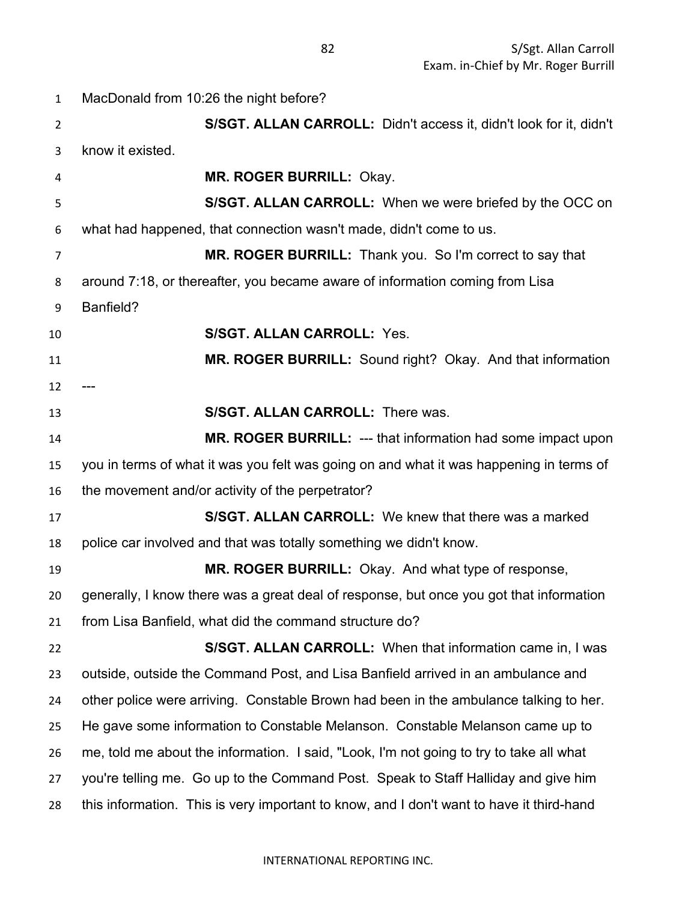| $\mathbf{1}$   | MacDonald from 10:26 the night before?                                                   |
|----------------|------------------------------------------------------------------------------------------|
| $\overline{2}$ | S/SGT. ALLAN CARROLL: Didn't access it, didn't look for it, didn't                       |
| 3              | know it existed.                                                                         |
| 4              | MR. ROGER BURRILL: Okay.                                                                 |
| 5              | S/SGT. ALLAN CARROLL: When we were briefed by the OCC on                                 |
| 6              | what had happened, that connection wasn't made, didn't come to us.                       |
| 7              | MR. ROGER BURRILL: Thank you. So I'm correct to say that                                 |
| 8              | around 7:18, or thereafter, you became aware of information coming from Lisa             |
| 9              | Banfield?                                                                                |
| 10             | <b>S/SGT. ALLAN CARROLL: Yes.</b>                                                        |
| 11             | MR. ROGER BURRILL: Sound right? Okay. And that information                               |
| 12             |                                                                                          |
| 13             | S/SGT. ALLAN CARROLL: There was.                                                         |
| 14             | <b>MR. ROGER BURRILL: --- that information had some impact upon</b>                      |
| 15             | you in terms of what it was you felt was going on and what it was happening in terms of  |
| 16             | the movement and/or activity of the perpetrator?                                         |
| 17             | S/SGT. ALLAN CARROLL: We knew that there was a marked                                    |
| 18             | police car involved and that was totally something we didn't know.                       |
| 19             | MR. ROGER BURRILL: Okay. And what type of response,                                      |
| 20             | generally, I know there was a great deal of response, but once you got that information  |
| 21             | from Lisa Banfield, what did the command structure do?                                   |
| 22             | S/SGT. ALLAN CARROLL: When that information came in, I was                               |
| 23             | outside, outside the Command Post, and Lisa Banfield arrived in an ambulance and         |
| 24             | other police were arriving. Constable Brown had been in the ambulance talking to her.    |
| 25             | He gave some information to Constable Melanson. Constable Melanson came up to            |
| 26             | me, told me about the information. I said, "Look, I'm not going to try to take all what  |
| 27             | you're telling me. Go up to the Command Post. Speak to Staff Halliday and give him       |
| 28             | this information. This is very important to know, and I don't want to have it third-hand |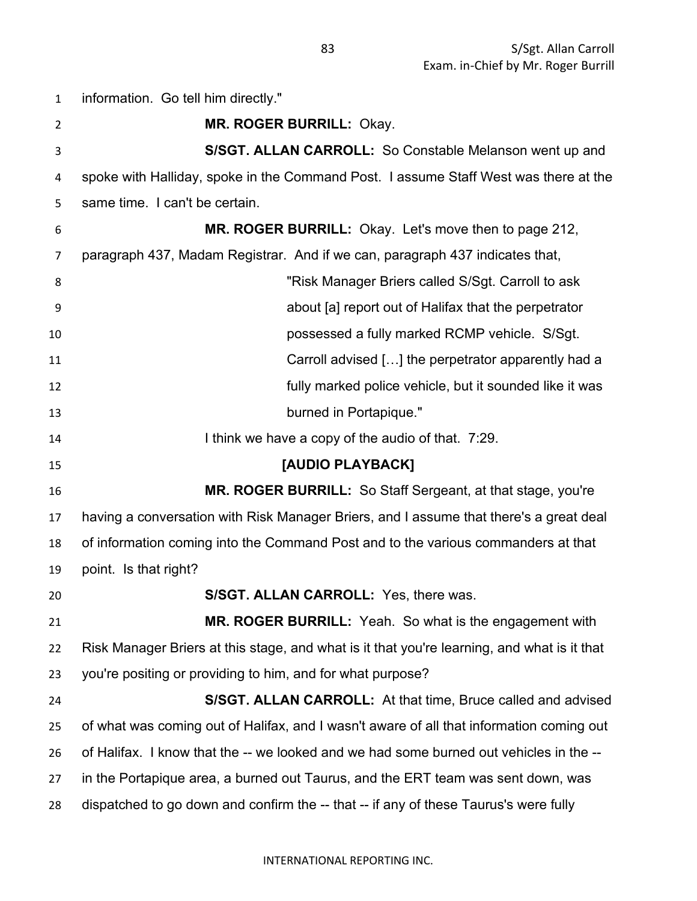information. Go tell him directly." **MR. ROGER BURRILL:** Okay. **S/SGT. ALLAN CARROLL:** So Constable Melanson went up and spoke with Halliday, spoke in the Command Post. I assume Staff West was there at the same time. I can't be certain. **MR. ROGER BURRILL:** Okay. Let's move then to page 212, paragraph 437, Madam Registrar. And if we can, paragraph 437 indicates that, **8** "Risk Manager Briers called S/Sgt. Carroll to ask about [a] report out of Halifax that the perpetrator possessed a fully marked RCMP vehicle. S/Sgt. Carroll advised […] the perpetrator apparently had a fully marked police vehicle, but it sounded like it was burned in Portapique." **I think we have a copy of the audio of that.** 7:29. **[AUDIO PLAYBACK] MR. ROGER BURRILL:** So Staff Sergeant, at that stage, you're having a conversation with Risk Manager Briers, and I assume that there's a great deal of information coming into the Command Post and to the various commanders at that point. Is that right? **S/SGT. ALLAN CARROLL:** Yes, there was. **MR. ROGER BURRILL:** Yeah. So what is the engagement with Risk Manager Briers at this stage, and what is it that you're learning, and what is it that you're positing or providing to him, and for what purpose? **S/SGT. ALLAN CARROLL:** At that time, Bruce called and advised of what was coming out of Halifax, and I wasn't aware of all that information coming out of Halifax. I know that the -- we looked and we had some burned out vehicles in the -- in the Portapique area, a burned out Taurus, and the ERT team was sent down, was dispatched to go down and confirm the -- that -- if any of these Taurus's were fully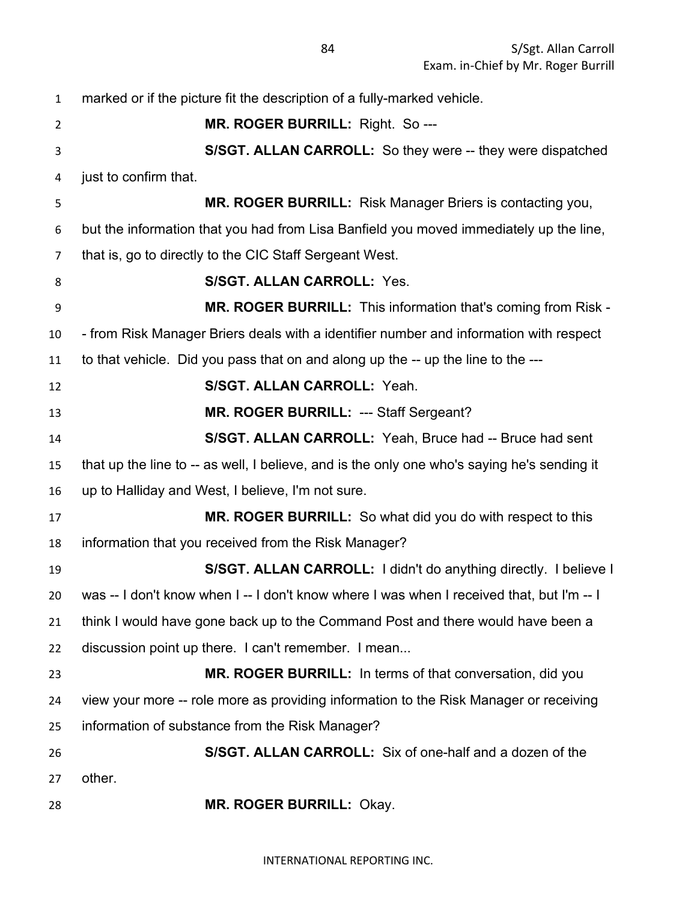| $\mathbf{1}$   | marked or if the picture fit the description of a fully-marked vehicle.                     |
|----------------|---------------------------------------------------------------------------------------------|
| $\overline{2}$ | MR. ROGER BURRILL: Right. So ---                                                            |
| $\mathsf{3}$   | S/SGT. ALLAN CARROLL: So they were -- they were dispatched                                  |
| 4              | just to confirm that.                                                                       |
| 5              | MR. ROGER BURRILL: Risk Manager Briers is contacting you,                                   |
| 6              | but the information that you had from Lisa Banfield you moved immediately up the line,      |
| $\overline{7}$ | that is, go to directly to the CIC Staff Sergeant West.                                     |
| 8              | <b>S/SGT. ALLAN CARROLL: Yes.</b>                                                           |
| 9              | MR. ROGER BURRILL: This information that's coming from Risk -                               |
| 10             | - from Risk Manager Briers deals with a identifier number and information with respect      |
| 11             | to that vehicle. Did you pass that on and along up the -- up the line to the ---            |
| 12             | S/SGT. ALLAN CARROLL: Yeah.                                                                 |
| 13             | MR. ROGER BURRILL: --- Staff Sergeant?                                                      |
| 14             | S/SGT. ALLAN CARROLL: Yeah, Bruce had -- Bruce had sent                                     |
| 15             | that up the line to -- as well, I believe, and is the only one who's saying he's sending it |
| 16             | up to Halliday and West, I believe, I'm not sure.                                           |
| 17             | MR. ROGER BURRILL: So what did you do with respect to this                                  |
| 18             | information that you received from the Risk Manager?                                        |
| 19             | S/SGT. ALLAN CARROLL: I didn't do anything directly. I believe I                            |
| 20             | was -- I don't know when I -- I don't know where I was when I received that, but I'm -- I   |
| 21             | think I would have gone back up to the Command Post and there would have been a             |
| 22             | discussion point up there. I can't remember. I mean                                         |
| 23             | MR. ROGER BURRILL: In terms of that conversation, did you                                   |
| 24             | view your more -- role more as providing information to the Risk Manager or receiving       |
| 25             | information of substance from the Risk Manager?                                             |
| 26             | S/SGT. ALLAN CARROLL: Six of one-half and a dozen of the                                    |
| 27             | other.                                                                                      |
| 28             | MR. ROGER BURRILL: Okay.                                                                    |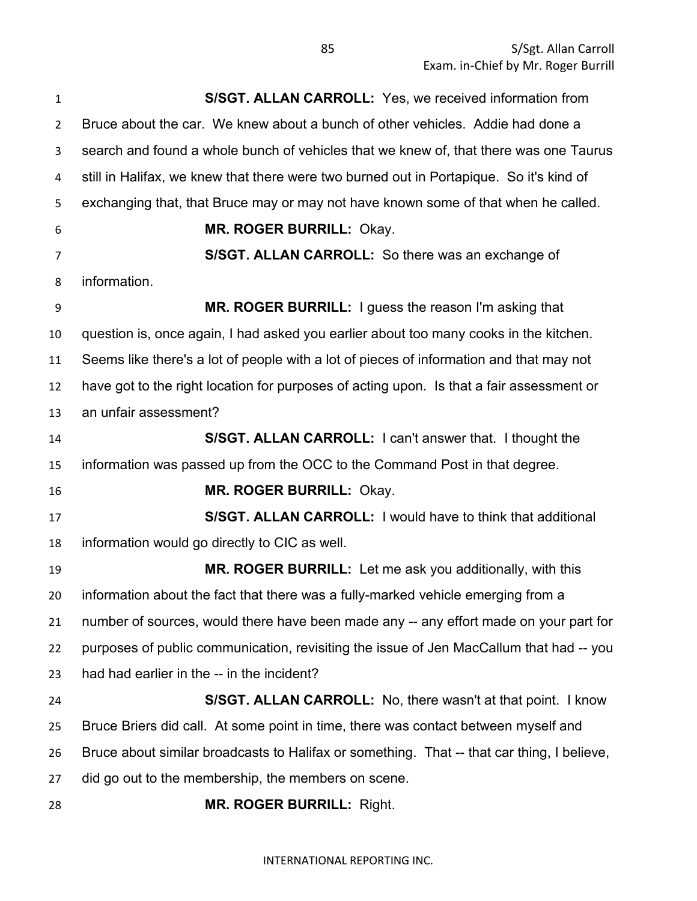**S/SGT. ALLAN CARROLL:** Yes, we received information from Bruce about the car. We knew about a bunch of other vehicles. Addie had done a search and found a whole bunch of vehicles that we knew of, that there was one Taurus still in Halifax, we knew that there were two burned out in Portapique. So it's kind of exchanging that, that Bruce may or may not have known some of that when he called. **MR. ROGER BURRILL:** Okay. **S/SGT. ALLAN CARROLL:** So there was an exchange of information. **MR. ROGER BURRILL:** I guess the reason I'm asking that question is, once again, I had asked you earlier about too many cooks in the kitchen. Seems like there's a lot of people with a lot of pieces of information and that may not have got to the right location for purposes of acting upon. Is that a fair assessment or an unfair assessment? **S/SGT. ALLAN CARROLL:** I can't answer that. I thought the information was passed up from the OCC to the Command Post in that degree. **MR. ROGER BURRILL:** Okay. **S/SGT. ALLAN CARROLL:** I would have to think that additional information would go directly to CIC as well. **MR. ROGER BURRILL:** Let me ask you additionally, with this information about the fact that there was a fully-marked vehicle emerging from a number of sources, would there have been made any -- any effort made on your part for purposes of public communication, revisiting the issue of Jen MacCallum that had -- you had had earlier in the -- in the incident? **S/SGT. ALLAN CARROLL:** No, there wasn't at that point. I know Bruce Briers did call. At some point in time, there was contact between myself and Bruce about similar broadcasts to Halifax or something. That -- that car thing, I believe, did go out to the membership, the members on scene. **MR. ROGER BURRILL:** Right.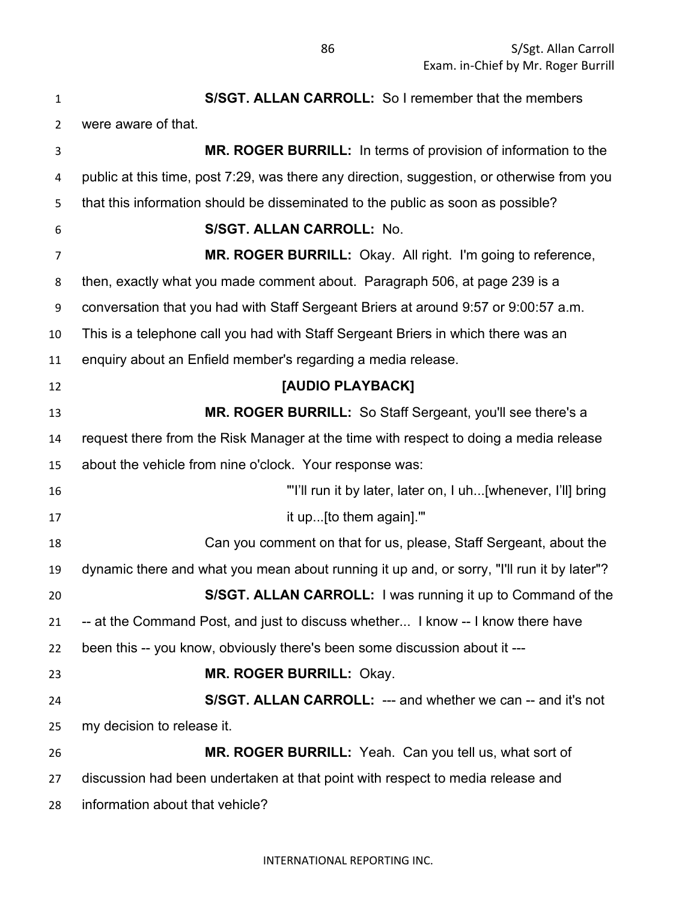| $\mathbf{1}$ | S/SGT. ALLAN CARROLL: So I remember that the members                                       |
|--------------|--------------------------------------------------------------------------------------------|
| 2            | were aware of that.                                                                        |
| 3            | MR. ROGER BURRILL: In terms of provision of information to the                             |
| 4            | public at this time, post 7:29, was there any direction, suggestion, or otherwise from you |
| 5            | that this information should be disseminated to the public as soon as possible?            |
| 6            | S/SGT. ALLAN CARROLL: No.                                                                  |
| 7            | MR. ROGER BURRILL: Okay. All right. I'm going to reference,                                |
| 8            | then, exactly what you made comment about. Paragraph 506, at page 239 is a                 |
| 9            | conversation that you had with Staff Sergeant Briers at around 9:57 or 9:00:57 a.m.        |
| 10           | This is a telephone call you had with Staff Sergeant Briers in which there was an          |
| 11           | enquiry about an Enfield member's regarding a media release.                               |
| 12           | [AUDIO PLAYBACK]                                                                           |
| 13           | <b>MR. ROGER BURRILL:</b> So Staff Sergeant, you'll see there's a                          |
| 14           | request there from the Risk Manager at the time with respect to doing a media release      |
| 15           | about the vehicle from nine o'clock. Your response was:                                    |
| 16           | "I'll run it by later, later on, I uh[whenever, I'll] bring                                |
| 17           | it up [to them again]."                                                                    |
| 18           | Can you comment on that for us, please, Staff Sergeant, about the                          |
| 19           | dynamic there and what you mean about running it up and, or sorry, "I'll run it by later"? |
| 20           | <b>S/SGT. ALLAN CARROLL:</b> I was running it up to Command of the                         |
| 21           | -- at the Command Post, and just to discuss whether I know -- I know there have            |
| 22           | been this -- you know, obviously there's been some discussion about it ---                 |
| 23           | MR. ROGER BURRILL: Okay.                                                                   |
| 24           | S/SGT. ALLAN CARROLL: --- and whether we can -- and it's not                               |
| 25           | my decision to release it.                                                                 |
| 26           | MR. ROGER BURRILL: Yeah. Can you tell us, what sort of                                     |
| 27           | discussion had been undertaken at that point with respect to media release and             |
| 28           | information about that vehicle?                                                            |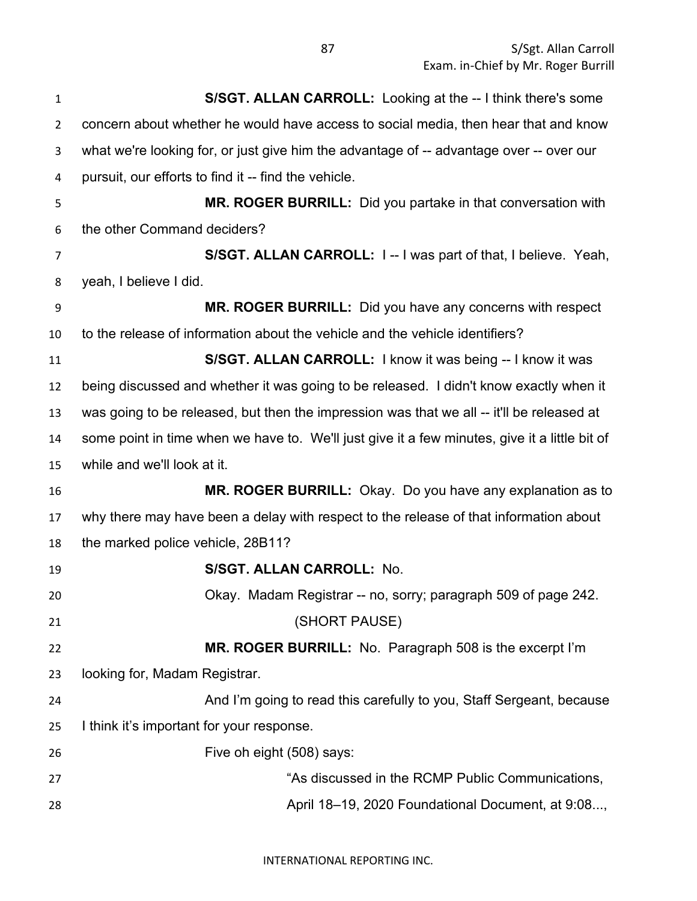| $\mathbf{1}$   | S/SGT. ALLAN CARROLL: Looking at the -- I think there's some                                  |
|----------------|-----------------------------------------------------------------------------------------------|
| $\overline{2}$ | concern about whether he would have access to social media, then hear that and know           |
| 3              | what we're looking for, or just give him the advantage of -- advantage over -- over our       |
| 4              | pursuit, our efforts to find it -- find the vehicle.                                          |
| 5              | MR. ROGER BURRILL: Did you partake in that conversation with                                  |
| 6              | the other Command deciders?                                                                   |
| $\overline{7}$ | S/SGT. ALLAN CARROLL: I -- I was part of that, I believe. Yeah,                               |
| 8              | yeah, I believe I did.                                                                        |
| 9              | MR. ROGER BURRILL: Did you have any concerns with respect                                     |
| 10             | to the release of information about the vehicle and the vehicle identifiers?                  |
| 11             | S/SGT. ALLAN CARROLL: I know it was being -- I know it was                                    |
| 12             | being discussed and whether it was going to be released. I didn't know exactly when it        |
| 13             | was going to be released, but then the impression was that we all -- it'll be released at     |
| 14             | some point in time when we have to. We'll just give it a few minutes, give it a little bit of |
| 15             | while and we'll look at it.                                                                   |
| 16             | MR. ROGER BURRILL: Okay. Do you have any explanation as to                                    |
| 17             | why there may have been a delay with respect to the release of that information about         |
| 18             | the marked police vehicle, 28B11?                                                             |
| 19             | S/SGT. ALLAN CARROLL: No.                                                                     |
| 20             | Okay. Madam Registrar -- no, sorry; paragraph 509 of page 242.                                |
| 21             | (SHORT PAUSE)                                                                                 |
| 22             | MR. ROGER BURRILL: No. Paragraph 508 is the excerpt I'm                                       |
| 23             | looking for, Madam Registrar.                                                                 |
| 24             | And I'm going to read this carefully to you, Staff Sergeant, because                          |
| 25             | I think it's important for your response.                                                     |
| 26             | Five oh eight (508) says:                                                                     |
| 27             | "As discussed in the RCMP Public Communications,                                              |
| 28             | April 18-19, 2020 Foundational Document, at 9:08,                                             |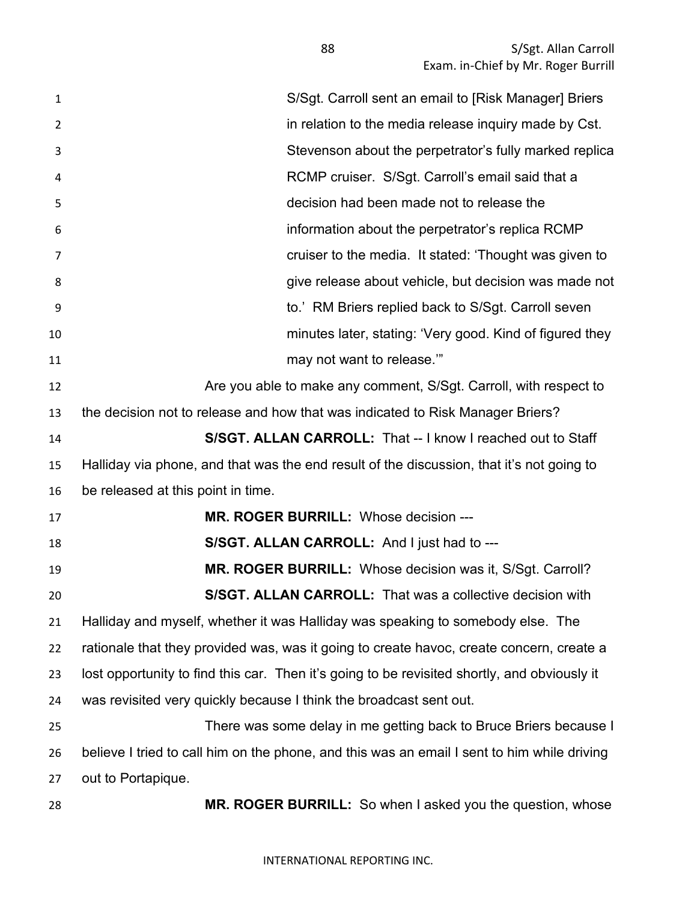| $\mathbf{1}$   | S/Sgt. Carroll sent an email to [Risk Manager] Briers                                        |
|----------------|----------------------------------------------------------------------------------------------|
| $\overline{2}$ | in relation to the media release inquiry made by Cst.                                        |
| 3              | Stevenson about the perpetrator's fully marked replica                                       |
| 4              | RCMP cruiser. S/Sgt. Carroll's email said that a                                             |
| 5              | decision had been made not to release the                                                    |
| 6              | information about the perpetrator's replica RCMP                                             |
| 7              | cruiser to the media. It stated: 'Thought was given to                                       |
| 8              | give release about vehicle, but decision was made not                                        |
| 9              | to.' RM Briers replied back to S/Sgt. Carroll seven                                          |
| 10             | minutes later, stating: 'Very good. Kind of figured they                                     |
| 11             | may not want to release."                                                                    |
| 12             | Are you able to make any comment, S/Sgt. Carroll, with respect to                            |
| 13             | the decision not to release and how that was indicated to Risk Manager Briers?               |
| 14             | S/SGT. ALLAN CARROLL: That -- I know I reached out to Staff                                  |
| 15             | Halliday via phone, and that was the end result of the discussion, that it's not going to    |
| 16             | be released at this point in time.                                                           |
| 17             | MR. ROGER BURRILL: Whose decision ---                                                        |
| 18             | S/SGT. ALLAN CARROLL: And I just had to ---                                                  |
| 19             | MR. ROGER BURRILL: Whose decision was it, S/Sgt. Carroll?                                    |
| 20             | <b>S/SGT. ALLAN CARROLL:</b> That was a collective decision with                             |
| 21             | Halliday and myself, whether it was Halliday was speaking to somebody else. The              |
| 22             | rationale that they provided was, was it going to create havoc, create concern, create a     |
| 23             | lost opportunity to find this car. Then it's going to be revisited shortly, and obviously it |
| 24             | was revisited very quickly because I think the broadcast sent out.                           |
| 25             | There was some delay in me getting back to Bruce Briers because I                            |
| 26             | believe I tried to call him on the phone, and this was an email I sent to him while driving  |
| 27             | out to Portapique.                                                                           |
| 28             | MR. ROGER BURRILL: So when I asked you the question, whose                                   |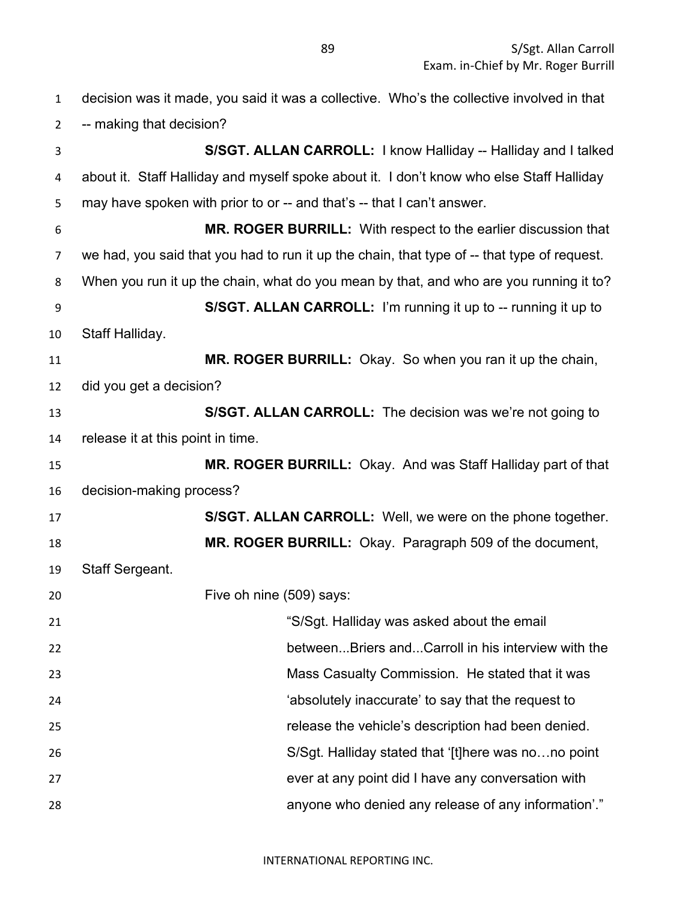| $\mathbf{1}$   | decision was it made, you said it was a collective. Who's the collective involved in that   |
|----------------|---------------------------------------------------------------------------------------------|
| $\overline{2}$ | -- making that decision?                                                                    |
| 3              | S/SGT. ALLAN CARROLL: I know Halliday -- Halliday and I talked                              |
| 4              | about it. Staff Halliday and myself spoke about it. I don't know who else Staff Halliday    |
| 5              | may have spoken with prior to or -- and that's -- that I can't answer.                      |
| 6              | <b>MR. ROGER BURRILL:</b> With respect to the earlier discussion that                       |
| 7              | we had, you said that you had to run it up the chain, that type of -- that type of request. |
| 8              | When you run it up the chain, what do you mean by that, and who are you running it to?      |
| 9              | S/SGT. ALLAN CARROLL: I'm running it up to -- running it up to                              |
| 10             | Staff Halliday.                                                                             |
| 11             | MR. ROGER BURRILL: Okay. So when you ran it up the chain,                                   |
| 12             | did you get a decision?                                                                     |
| 13             | S/SGT. ALLAN CARROLL: The decision was we're not going to                                   |
| 14             | release it at this point in time.                                                           |
| 15             | MR. ROGER BURRILL: Okay. And was Staff Halliday part of that                                |
| 16             | decision-making process?                                                                    |
| 17             | S/SGT. ALLAN CARROLL: Well, we were on the phone together.                                  |
| 18             | MR. ROGER BURRILL: Okay. Paragraph 509 of the document,                                     |
| 19             | <b>Staff Sergeant.</b>                                                                      |
| 20             | Five oh nine (509) says:                                                                    |
| 21             | "S/Sgt. Halliday was asked about the email                                                  |
| 22             | betweenBriers andCarroll in his interview with the                                          |
| 23             | Mass Casualty Commission. He stated that it was                                             |
| 24             | 'absolutely inaccurate' to say that the request to                                          |
| 25             | release the vehicle's description had been denied.                                          |
| 26             | S/Sgt. Halliday stated that '[t]here was nono point                                         |
| 27             | ever at any point did I have any conversation with                                          |
| 28             | anyone who denied any release of any information'."                                         |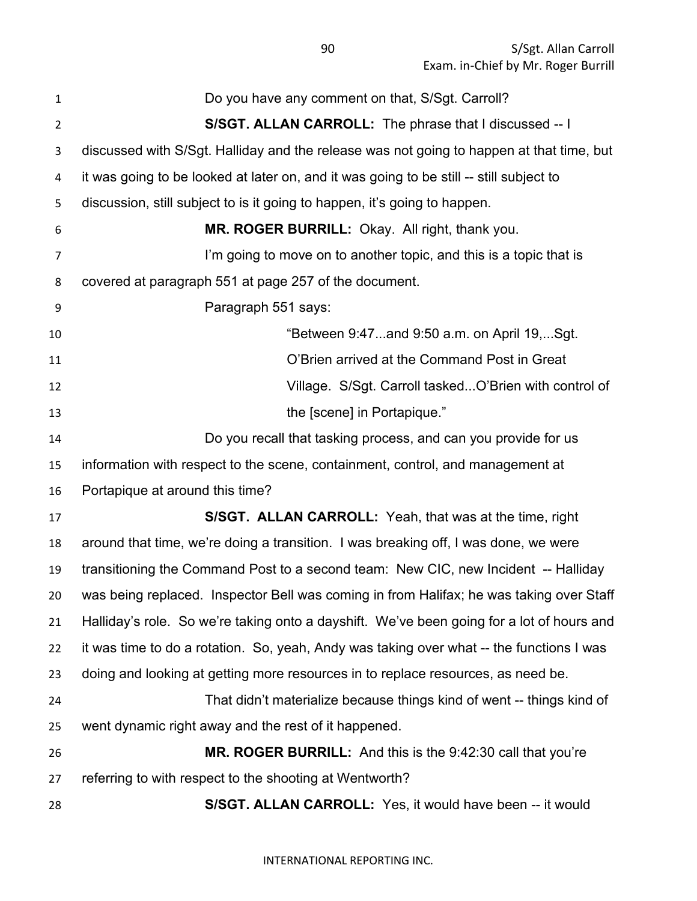| 1              | Do you have any comment on that, S/Sgt. Carroll?                                          |
|----------------|-------------------------------------------------------------------------------------------|
| $\overline{2}$ | S/SGT. ALLAN CARROLL: The phrase that I discussed -- I                                    |
| 3              | discussed with S/Sgt. Halliday and the release was not going to happen at that time, but  |
| 4              | it was going to be looked at later on, and it was going to be still -- still subject to   |
| 5              | discussion, still subject to is it going to happen, it's going to happen.                 |
| 6              | MR. ROGER BURRILL: Okay. All right, thank you.                                            |
| 7              | I'm going to move on to another topic, and this is a topic that is                        |
| 8              | covered at paragraph 551 at page 257 of the document.                                     |
| 9              | Paragraph 551 says:                                                                       |
| 10             | "Between 9:47and 9:50 a.m. on April 19,Sgt.                                               |
| 11             | O'Brien arrived at the Command Post in Great                                              |
| 12             | Village. S/Sgt. Carroll taskedO'Brien with control of                                     |
| 13             | the [scene] in Portapique."                                                               |
| 14             | Do you recall that tasking process, and can you provide for us                            |
| 15             | information with respect to the scene, containment, control, and management at            |
| 16             | Portapique at around this time?                                                           |
| 17             | S/SGT. ALLAN CARROLL: Yeah, that was at the time, right                                   |
| 18             | around that time, we're doing a transition. I was breaking off, I was done, we were       |
| 19             | transitioning the Command Post to a second team: New CIC, new Incident -- Halliday        |
| 20             | was being replaced. Inspector Bell was coming in from Halifax; he was taking over Staff   |
| 21             | Halliday's role. So we're taking onto a dayshift. We've been going for a lot of hours and |
| 22             | it was time to do a rotation. So, yeah, Andy was taking over what -- the functions I was  |
| 23             | doing and looking at getting more resources in to replace resources, as need be.          |
| 24             | That didn't materialize because things kind of went -- things kind of                     |
| 25             | went dynamic right away and the rest of it happened.                                      |
| 26             | MR. ROGER BURRILL: And this is the 9:42:30 call that you're                               |
| 27             | referring to with respect to the shooting at Wentworth?                                   |
| 28             | S/SGT. ALLAN CARROLL: Yes, it would have been -- it would                                 |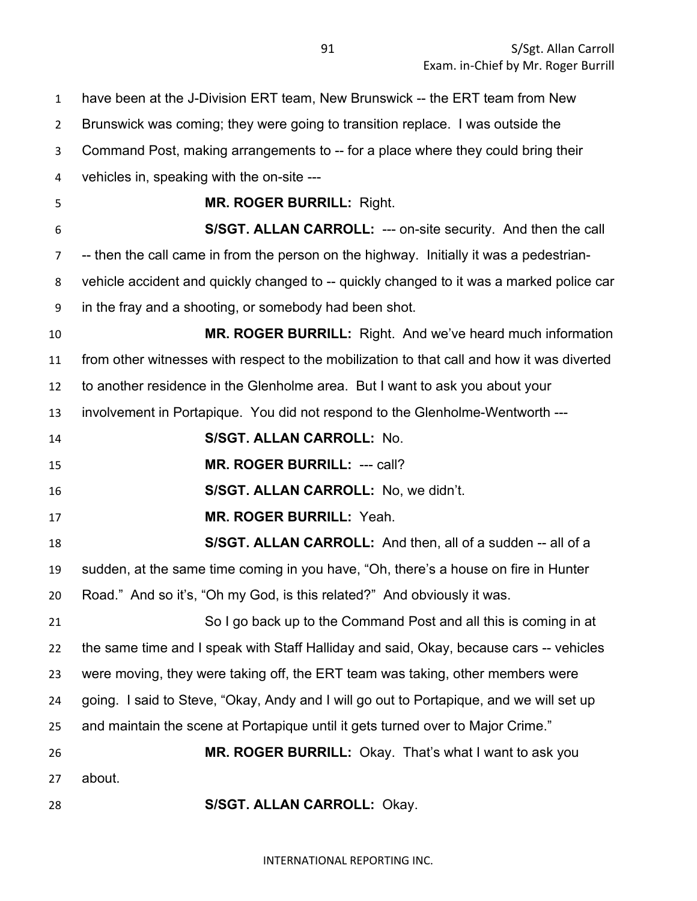| $\mathbf{1}$     | have been at the J-Division ERT team, New Brunswick -- the ERT team from New               |
|------------------|--------------------------------------------------------------------------------------------|
| $\overline{2}$   | Brunswick was coming; they were going to transition replace. I was outside the             |
| 3                | Command Post, making arrangements to -- for a place where they could bring their           |
| 4                | vehicles in, speaking with the on-site ---                                                 |
| 5                | <b>MR. ROGER BURRILL: Right.</b>                                                           |
| 6                | S/SGT. ALLAN CARROLL: --- on-site security. And then the call                              |
| 7                | -- then the call came in from the person on the highway. Initially it was a pedestrian-    |
| 8                | vehicle accident and quickly changed to -- quickly changed to it was a marked police car   |
| $\boldsymbol{9}$ | in the fray and a shooting, or somebody had been shot.                                     |
| 10               | MR. ROGER BURRILL: Right. And we've heard much information                                 |
| 11               | from other witnesses with respect to the mobilization to that call and how it was diverted |
| 12               | to another residence in the Glenholme area. But I want to ask you about your               |
| 13               | involvement in Portapique. You did not respond to the Glenholme-Wentworth ---              |
| 14               | S/SGT. ALLAN CARROLL: No.                                                                  |
| 15               | MR. ROGER BURRILL: --- call?                                                               |
| 16               | S/SGT. ALLAN CARROLL: No, we didn't.                                                       |
| 17               | MR. ROGER BURRILL: Yeah.                                                                   |
| 18               | S/SGT. ALLAN CARROLL: And then, all of a sudden -- all of a                                |
| 19               | sudden, at the same time coming in you have, "Oh, there's a house on fire in Hunter        |
| 20               | Road." And so it's, "Oh my God, is this related?" And obviously it was.                    |
| 21               | So I go back up to the Command Post and all this is coming in at                           |
| 22               | the same time and I speak with Staff Halliday and said, Okay, because cars -- vehicles     |
| 23               | were moving, they were taking off, the ERT team was taking, other members were             |
| 24               | going. I said to Steve, "Okay, Andy and I will go out to Portapique, and we will set up    |
| 25               | and maintain the scene at Portapique until it gets turned over to Major Crime."            |
| 26               | MR. ROGER BURRILL: Okay. That's what I want to ask you                                     |
| 27               | about.                                                                                     |
| 28               | S/SGT. ALLAN CARROLL: Okay.                                                                |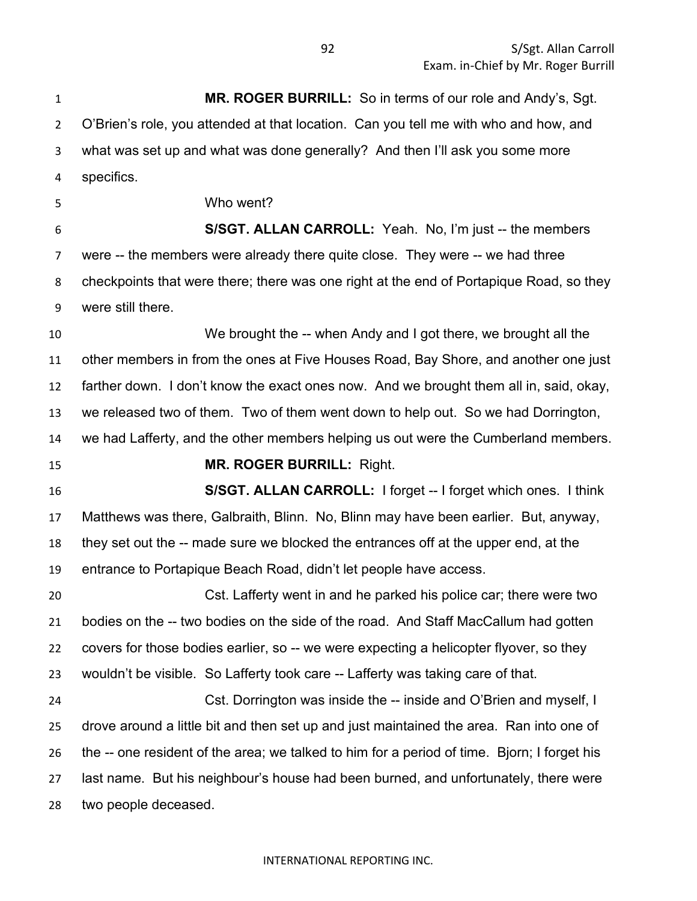**MR. ROGER BURRILL:** So in terms of our role and Andy's, Sgt. O'Brien's role, you attended at that location. Can you tell me with who and how, and what was set up and what was done generally? And then I'll ask you some more specifics. Who went? **S/SGT. ALLAN CARROLL:** Yeah. No, I'm just -- the members were -- the members were already there quite close. They were -- we had three checkpoints that were there; there was one right at the end of Portapique Road, so they were still there. We brought the -- when Andy and I got there, we brought all the other members in from the ones at Five Houses Road, Bay Shore, and another one just farther down. I don't know the exact ones now. And we brought them all in, said, okay, we released two of them. Two of them went down to help out. So we had Dorrington, we had Lafferty, and the other members helping us out were the Cumberland members. **MR. ROGER BURRILL:** Right. **S/SGT. ALLAN CARROLL:** I forget -- I forget which ones. I think Matthews was there, Galbraith, Blinn. No, Blinn may have been earlier. But, anyway, they set out the -- made sure we blocked the entrances off at the upper end, at the entrance to Portapique Beach Road, didn't let people have access. Cst. Lafferty went in and he parked his police car; there were two bodies on the -- two bodies on the side of the road. And Staff MacCallum had gotten covers for those bodies earlier, so -- we were expecting a helicopter flyover, so they wouldn't be visible. So Lafferty took care -- Lafferty was taking care of that. Cst. Dorrington was inside the -- inside and O'Brien and myself, I drove around a little bit and then set up and just maintained the area. Ran into one of the -- one resident of the area; we talked to him for a period of time. Bjorn; I forget his last name. But his neighbour's house had been burned, and unfortunately, there were two people deceased.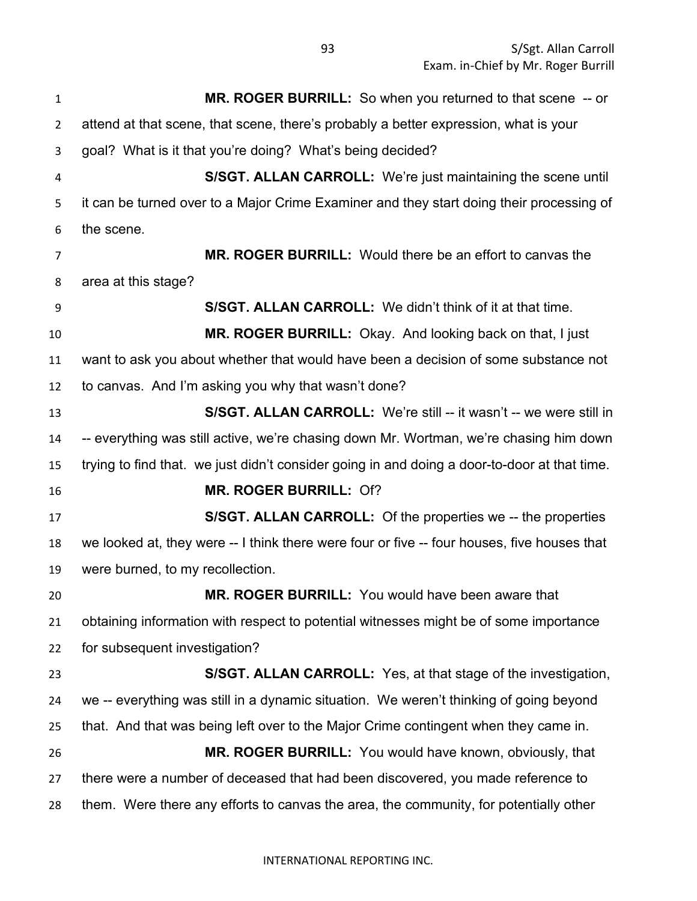S/Sgt. Allan Carroll Exam. in-Chief by Mr. Roger Burrill

 **MR. ROGER BURRILL:** So when you returned to that scene -- or attend at that scene, that scene, there's probably a better expression, what is your goal? What is it that you're doing? What's being decided? **S/SGT. ALLAN CARROLL:** We're just maintaining the scene until it can be turned over to a Major Crime Examiner and they start doing their processing of the scene. **MR. ROGER BURRILL:** Would there be an effort to canvas the area at this stage? **S/SGT. ALLAN CARROLL:** We didn't think of it at that time. **MR. ROGER BURRILL:** Okay. And looking back on that, I just want to ask you about whether that would have been a decision of some substance not to canvas. And I'm asking you why that wasn't done? **S/SGT. ALLAN CARROLL:** We're still -- it wasn't -- we were still in -- everything was still active, we're chasing down Mr. Wortman, we're chasing him down trying to find that. we just didn't consider going in and doing a door-to-door at that time. **MR. ROGER BURRILL:** Of? **S/SGT. ALLAN CARROLL:** Of the properties we -- the properties we looked at, they were -- I think there were four or five -- four houses, five houses that were burned, to my recollection. **MR. ROGER BURRILL:** You would have been aware that obtaining information with respect to potential witnesses might be of some importance for subsequent investigation? **S/SGT. ALLAN CARROLL:** Yes, at that stage of the investigation, we -- everything was still in a dynamic situation. We weren't thinking of going beyond that. And that was being left over to the Major Crime contingent when they came in. **MR. ROGER BURRILL:** You would have known, obviously, that there were a number of deceased that had been discovered, you made reference to them. Were there any efforts to canvas the area, the community, for potentially other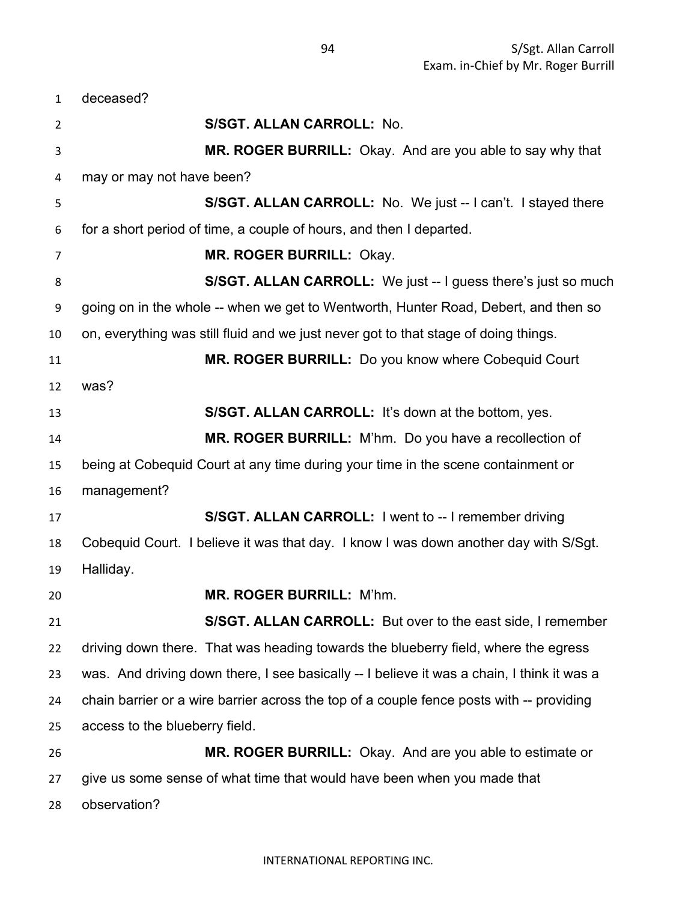deceased? **S/SGT. ALLAN CARROLL:** No. **MR. ROGER BURRILL:** Okay. And are you able to say why that may or may not have been? **S/SGT. ALLAN CARROLL:** No. We just -- I can't. I stayed there for a short period of time, a couple of hours, and then I departed. **MR. ROGER BURRILL:** Okay. **S/SGT. ALLAN CARROLL:** We just -- I guess there's just so much going on in the whole -- when we get to Wentworth, Hunter Road, Debert, and then so on, everything was still fluid and we just never got to that stage of doing things. **MR. ROGER BURRILL:** Do you know where Cobequid Court was? **S/SGT. ALLAN CARROLL:** It's down at the bottom, yes. **MR. ROGER BURRILL:** M'hm. Do you have a recollection of being at Cobequid Court at any time during your time in the scene containment or management? **S/SGT. ALLAN CARROLL:** I went to -- I remember driving Cobequid Court. I believe it was that day. I know I was down another day with S/Sgt. Halliday. **MR. ROGER BURRILL:** M'hm. **S/SGT. ALLAN CARROLL:** But over to the east side, I remember driving down there. That was heading towards the blueberry field, where the egress was. And driving down there, I see basically -- I believe it was a chain, I think it was a chain barrier or a wire barrier across the top of a couple fence posts with -- providing access to the blueberry field. **MR. ROGER BURRILL:** Okay. And are you able to estimate or give us some sense of what time that would have been when you made that observation?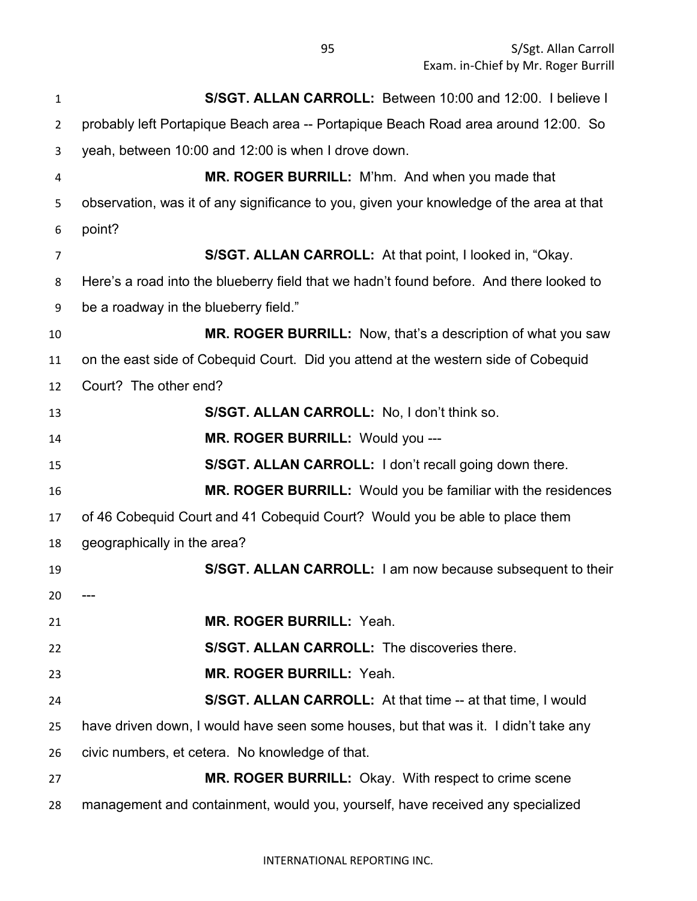| $\mathbf{1}$   | S/SGT. ALLAN CARROLL: Between 10:00 and 12:00. I believe I                               |
|----------------|------------------------------------------------------------------------------------------|
| $\overline{2}$ | probably left Portapique Beach area -- Portapique Beach Road area around 12:00. So       |
| 3              | yeah, between 10:00 and 12:00 is when I drove down.                                      |
| 4              | MR. ROGER BURRILL: M'hm. And when you made that                                          |
| 5              | observation, was it of any significance to you, given your knowledge of the area at that |
| 6              | point?                                                                                   |
| $\overline{7}$ | S/SGT. ALLAN CARROLL: At that point, I looked in, "Okay.                                 |
| 8              | Here's a road into the blueberry field that we hadn't found before. And there looked to  |
| 9              | be a roadway in the blueberry field."                                                    |
| 10             | <b>MR. ROGER BURRILL:</b> Now, that's a description of what you saw                      |
| 11             | on the east side of Cobequid Court. Did you attend at the western side of Cobequid       |
| 12             | Court? The other end?                                                                    |
| 13             | S/SGT. ALLAN CARROLL: No, I don't think so.                                              |
| 14             | MR. ROGER BURRILL: Would you ---                                                         |
| 15             | S/SGT. ALLAN CARROLL: I don't recall going down there.                                   |
| 16             | MR. ROGER BURRILL: Would you be familiar with the residences                             |
| 17             | of 46 Cobequid Court and 41 Cobequid Court? Would you be able to place them              |
| 18             | geographically in the area?                                                              |
| 19             | S/SGT. ALLAN CARROLL: I am now because subsequent to their                               |
| 20             |                                                                                          |
| 21             | MR. ROGER BURRILL: Yeah.                                                                 |
| 22             | <b>S/SGT. ALLAN CARROLL: The discoveries there.</b>                                      |
| 23             | <b>MR. ROGER BURRILL: Yeah.</b>                                                          |
| 24             | <b>S/SGT. ALLAN CARROLL:</b> At that time -- at that time, I would                       |
| 25             | have driven down, I would have seen some houses, but that was it. I didn't take any      |
| 26             | civic numbers, et cetera. No knowledge of that.                                          |
| 27             | <b>MR. ROGER BURRILL:</b> Okay. With respect to crime scene                              |
| 28             | management and containment, would you, yourself, have received any specialized           |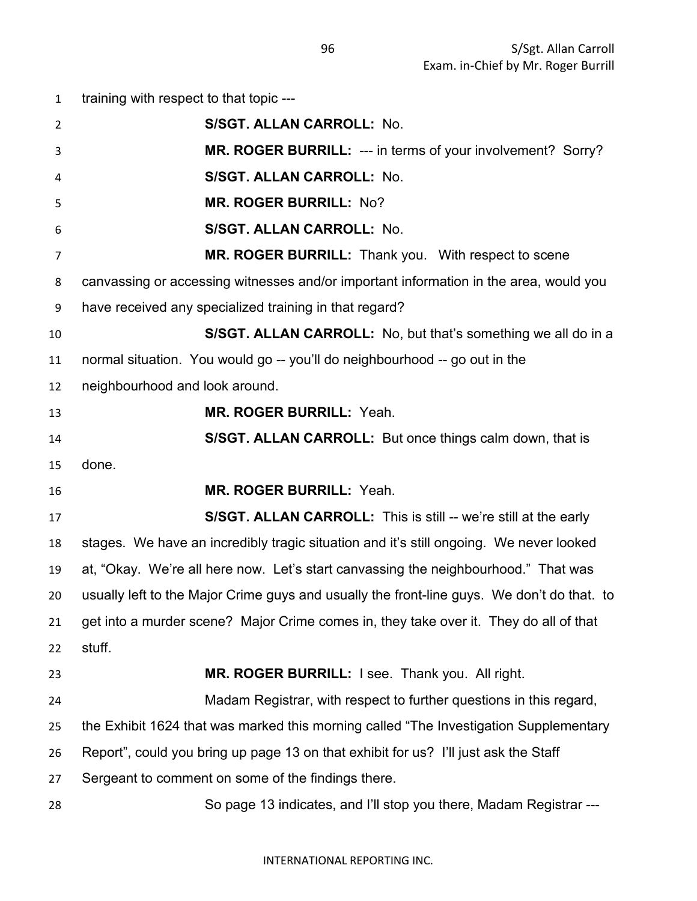training with respect to that topic --- **S/SGT. ALLAN CARROLL:** No. **MR. ROGER BURRILL:** --- in terms of your involvement? Sorry? **S/SGT. ALLAN CARROLL:** No. **MR. ROGER BURRILL:** No? **S/SGT. ALLAN CARROLL:** No. **MR. ROGER BURRILL:** Thank you. With respect to scene canvassing or accessing witnesses and/or important information in the area, would you have received any specialized training in that regard? **S/SGT. ALLAN CARROLL:** No, but that's something we all do in a normal situation. You would go -- you'll do neighbourhood -- go out in the neighbourhood and look around. **MR. ROGER BURRILL:** Yeah. **S/SGT. ALLAN CARROLL:** But once things calm down, that is done. **MR. ROGER BURRILL:** Yeah. **S/SGT. ALLAN CARROLL:** This is still -- we're still at the early stages. We have an incredibly tragic situation and it's still ongoing. We never looked at, "Okay. We're all here now. Let's start canvassing the neighbourhood." That was usually left to the Major Crime guys and usually the front-line guys. We don't do that. to get into a murder scene? Major Crime comes in, they take over it. They do all of that stuff. **MR. ROGER BURRILL:** I see. Thank you. All right. Madam Registrar, with respect to further questions in this regard, the Exhibit 1624 that was marked this morning called "The Investigation Supplementary Report", could you bring up page 13 on that exhibit for us? I'll just ask the Staff Sergeant to comment on some of the findings there. So page 13 indicates, and I'll stop you there, Madam Registrar ---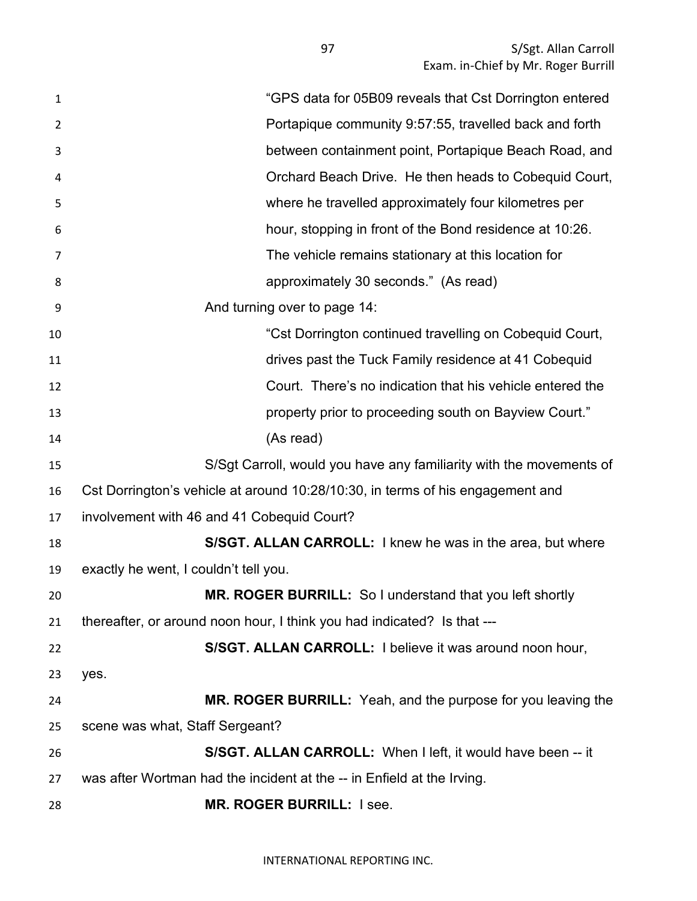| 1  | "GPS data for 05B09 reveals that Cst Dorrington entered                        |
|----|--------------------------------------------------------------------------------|
| 2  | Portapique community 9:57:55, travelled back and forth                         |
| 3  | between containment point, Portapique Beach Road, and                          |
| 4  | Orchard Beach Drive. He then heads to Cobequid Court,                          |
| 5  | where he travelled approximately four kilometres per                           |
| 6  | hour, stopping in front of the Bond residence at 10:26.                        |
| 7  | The vehicle remains stationary at this location for                            |
| 8  | approximately 30 seconds." (As read)                                           |
| 9  | And turning over to page 14:                                                   |
| 10 | "Cst Dorrington continued travelling on Cobequid Court,                        |
| 11 | drives past the Tuck Family residence at 41 Cobequid                           |
| 12 | Court. There's no indication that his vehicle entered the                      |
| 13 | property prior to proceeding south on Bayview Court."                          |
| 14 | (As read)                                                                      |
| 15 | S/Sgt Carroll, would you have any familiarity with the movements of            |
| 16 | Cst Dorrington's vehicle at around 10:28/10:30, in terms of his engagement and |
| 17 | involvement with 46 and 41 Cobequid Court?                                     |
| 18 | S/SGT. ALLAN CARROLL: I knew he was in the area, but where                     |
| 19 | exactly he went, I couldn't tell you.                                          |
| 20 | MR. ROGER BURRILL: So I understand that you left shortly                       |
| 21 | thereafter, or around noon hour, I think you had indicated? Is that ---        |
| 22 | S/SGT. ALLAN CARROLL: I believe it was around noon hour,                       |
| 23 | yes.                                                                           |
| 24 | MR. ROGER BURRILL: Yeah, and the purpose for you leaving the                   |
| 25 | scene was what, Staff Sergeant?                                                |
| 26 | S/SGT. ALLAN CARROLL: When I left, it would have been -- it                    |
| 27 | was after Wortman had the incident at the -- in Enfield at the Irving.         |
| 28 | <b>MR. ROGER BURRILL: I see.</b>                                               |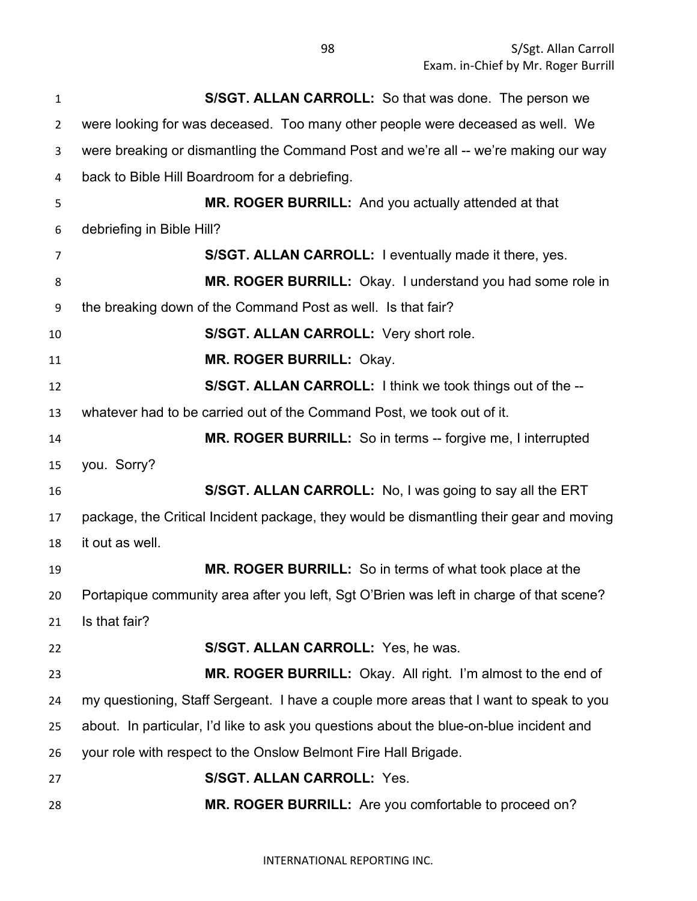| $\mathbf{1}$   | <b>S/SGT. ALLAN CARROLL:</b> So that was done. The person we                            |
|----------------|-----------------------------------------------------------------------------------------|
| $\overline{2}$ | were looking for was deceased. Too many other people were deceased as well. We          |
| 3              | were breaking or dismantling the Command Post and we're all -- we're making our way     |
| 4              | back to Bible Hill Boardroom for a debriefing.                                          |
| 5              | MR. ROGER BURRILL: And you actually attended at that                                    |
| 6              | debriefing in Bible Hill?                                                               |
| 7              | S/SGT. ALLAN CARROLL: I eventually made it there, yes.                                  |
| 8              | MR. ROGER BURRILL: Okay. I understand you had some role in                              |
| 9              | the breaking down of the Command Post as well. Is that fair?                            |
| 10             | S/SGT. ALLAN CARROLL: Very short role.                                                  |
| 11             | MR. ROGER BURRILL: Okay.                                                                |
| 12             | S/SGT. ALLAN CARROLL: I think we took things out of the --                              |
| 13             | whatever had to be carried out of the Command Post, we took out of it.                  |
| 14             | MR. ROGER BURRILL: So in terms -- forgive me, I interrupted                             |
| 15             | you. Sorry?                                                                             |
| 16             | S/SGT. ALLAN CARROLL: No, I was going to say all the ERT                                |
| 17             | package, the Critical Incident package, they would be dismantling their gear and moving |
| 18             | it out as well.                                                                         |
| 19             | MR. ROGER BURRILL: So in terms of what took place at the                                |
| 20             | Portapique community area after you left, Sgt O'Brien was left in charge of that scene? |
| 21             | Is that fair?                                                                           |
| 22             | S/SGT. ALLAN CARROLL: Yes, he was.                                                      |
| 23             | MR. ROGER BURRILL: Okay. All right. I'm almost to the end of                            |
| 24             | my questioning, Staff Sergeant. I have a couple more areas that I want to speak to you  |
| 25             | about. In particular, I'd like to ask you questions about the blue-on-blue incident and |
| 26             | your role with respect to the Onslow Belmont Fire Hall Brigade.                         |
| 27             | <b>S/SGT. ALLAN CARROLL: Yes.</b>                                                       |
| 28             | MR. ROGER BURRILL: Are you comfortable to proceed on?                                   |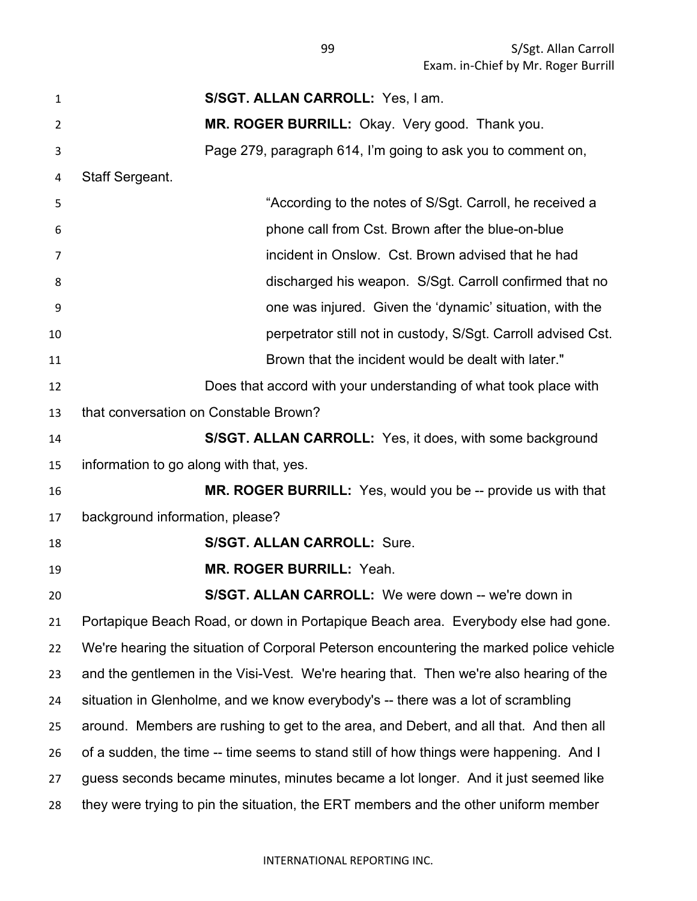S/Sgt. Allan Carroll Exam. in-Chief by Mr. Roger Burrill

| $\mathbf{1}$   | S/SGT. ALLAN CARROLL: Yes, I am.                                                        |
|----------------|-----------------------------------------------------------------------------------------|
| $\overline{2}$ | MR. ROGER BURRILL: Okay. Very good. Thank you.                                          |
| 3              | Page 279, paragraph 614, I'm going to ask you to comment on,                            |
| 4              | Staff Sergeant.                                                                         |
| 5              | "According to the notes of S/Sgt. Carroll, he received a                                |
| 6              | phone call from Cst. Brown after the blue-on-blue                                       |
| 7              | incident in Onslow. Cst. Brown advised that he had                                      |
| 8              | discharged his weapon. S/Sgt. Carroll confirmed that no                                 |
| 9              | one was injured. Given the 'dynamic' situation, with the                                |
| 10             | perpetrator still not in custody, S/Sgt. Carroll advised Cst.                           |
| 11             | Brown that the incident would be dealt with later."                                     |
| 12             | Does that accord with your understanding of what took place with                        |
| 13             | that conversation on Constable Brown?                                                   |
| 14             | S/SGT. ALLAN CARROLL: Yes, it does, with some background                                |
| 15             | information to go along with that, yes.                                                 |
| 16             | <b>MR. ROGER BURRILL:</b> Yes, would you be -- provide us with that                     |
| 17             | background information, please?                                                         |
| 18             | <b>S/SGT. ALLAN CARROLL: Sure.</b>                                                      |
| 19             | <b>MR. ROGER BURRILL: Yeah.</b>                                                         |
| 20             | <b>S/SGT. ALLAN CARROLL:</b> We were down -- we're down in                              |
| 21             | Portapique Beach Road, or down in Portapique Beach area. Everybody else had gone.       |
| 22             | We're hearing the situation of Corporal Peterson encountering the marked police vehicle |
| 23             | and the gentlemen in the Visi-Vest. We're hearing that. Then we're also hearing of the  |
| 24             | situation in Glenholme, and we know everybody's -- there was a lot of scrambling        |
| 25             | around. Members are rushing to get to the area, and Debert, and all that. And then all  |
| 26             | of a sudden, the time -- time seems to stand still of how things were happening. And I  |
| 27             | guess seconds became minutes, minutes became a lot longer. And it just seemed like      |
| 28             | they were trying to pin the situation, the ERT members and the other uniform member     |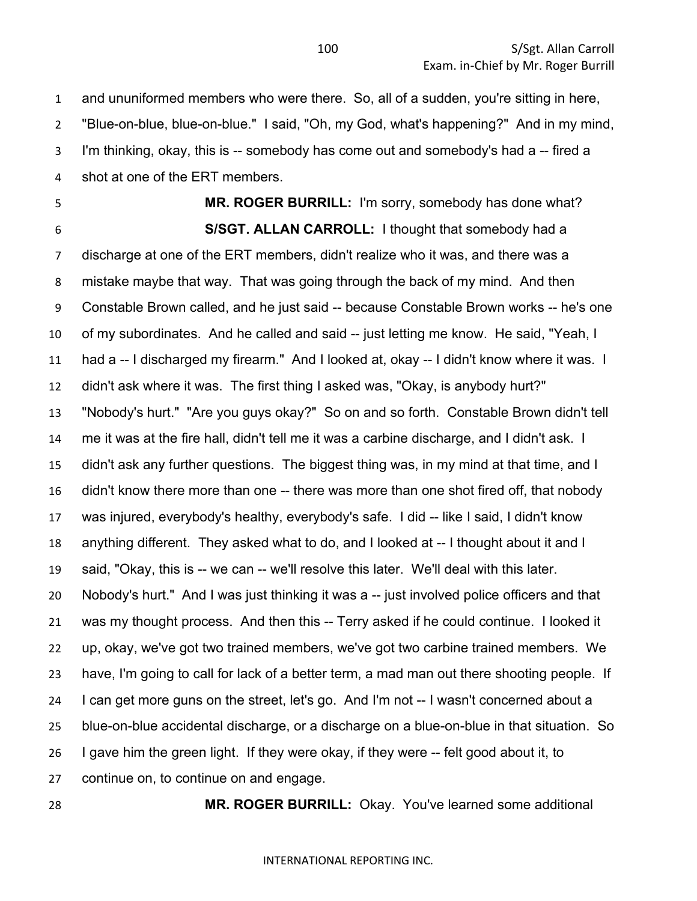and ununiformed members who were there. So, all of a sudden, you're sitting in here, "Blue-on-blue, blue-on-blue." I said, "Oh, my God, what's happening?" And in my mind, I'm thinking, okay, this is -- somebody has come out and somebody's had a -- fired a shot at one of the ERT members.

 **MR. ROGER BURRILL:** I'm sorry, somebody has done what? **S/SGT. ALLAN CARROLL:** I thought that somebody had a

 discharge at one of the ERT members, didn't realize who it was, and there was a mistake maybe that way. That was going through the back of my mind. And then Constable Brown called, and he just said -- because Constable Brown works -- he's one of my subordinates. And he called and said -- just letting me know. He said, "Yeah, I had a -- I discharged my firearm." And I looked at, okay -- I didn't know where it was. I didn't ask where it was. The first thing I asked was, "Okay, is anybody hurt?" "Nobody's hurt." "Are you guys okay?" So on and so forth. Constable Brown didn't tell me it was at the fire hall, didn't tell me it was a carbine discharge, and I didn't ask. I didn't ask any further questions. The biggest thing was, in my mind at that time, and I didn't know there more than one -- there was more than one shot fired off, that nobody was injured, everybody's healthy, everybody's safe. I did -- like I said, I didn't know anything different. They asked what to do, and I looked at -- I thought about it and I said, "Okay, this is -- we can -- we'll resolve this later. We'll deal with this later. Nobody's hurt." And I was just thinking it was a -- just involved police officers and that was my thought process. And then this -- Terry asked if he could continue. I looked it up, okay, we've got two trained members, we've got two carbine trained members. We have, I'm going to call for lack of a better term, a mad man out there shooting people. If I can get more guns on the street, let's go. And I'm not -- I wasn't concerned about a blue-on-blue accidental discharge, or a discharge on a blue-on-blue in that situation. So I gave him the green light. If they were okay, if they were -- felt good about it, to continue on, to continue on and engage.

**MR. ROGER BURRILL:** Okay. You've learned some additional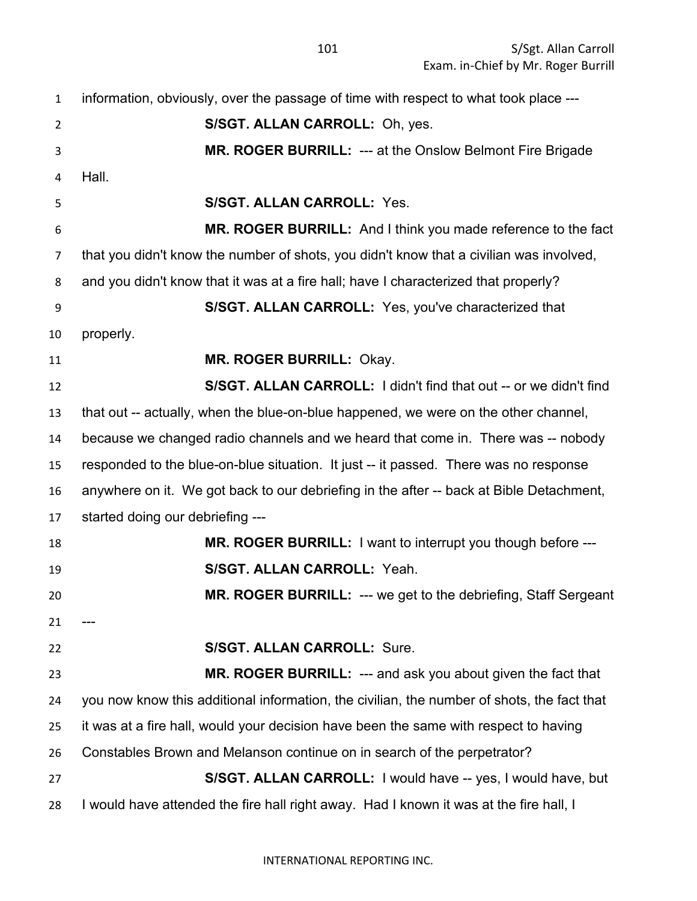information, obviously, over the passage of time with respect to what took place --- **S/SGT. ALLAN CARROLL:** Oh, yes. **MR. ROGER BURRILL:** --- at the Onslow Belmont Fire Brigade Hall. **S/SGT. ALLAN CARROLL:** Yes. **MR. ROGER BURRILL:** And I think you made reference to the fact that you didn't know the number of shots, you didn't know that a civilian was involved, and you didn't know that it was at a fire hall; have I characterized that properly? **S/SGT. ALLAN CARROLL:** Yes, you've characterized that properly. **MR. ROGER BURRILL:** Okay. **S/SGT. ALLAN CARROLL:** I didn't find that out -- or we didn't find that out -- actually, when the blue-on-blue happened, we were on the other channel, because we changed radio channels and we heard that come in. There was -- nobody responded to the blue-on-blue situation. It just -- it passed. There was no response anywhere on it. We got back to our debriefing in the after -- back at Bible Detachment, started doing our debriefing --- **MR. ROGER BURRILL:** I want to interrupt you though before --- **S/SGT. ALLAN CARROLL:** Yeah. **MR. ROGER BURRILL:** --- we get to the debriefing, Staff Sergeant **S/SGT. ALLAN CARROLL:** Sure. **MR. ROGER BURRILL:** --- and ask you about given the fact that you now know this additional information, the civilian, the number of shots, the fact that it was at a fire hall, would your decision have been the same with respect to having Constables Brown and Melanson continue on in search of the perpetrator? **S/SGT. ALLAN CARROLL:** I would have -- yes, I would have, but I would have attended the fire hall right away. Had I known it was at the fire hall, I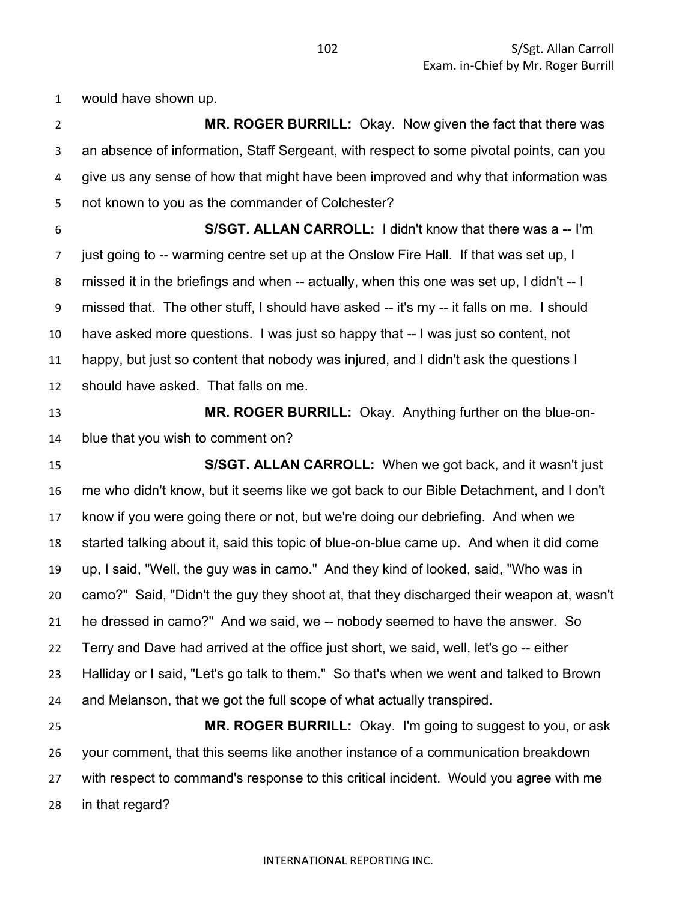would have shown up.

 **MR. ROGER BURRILL:** Okay. Now given the fact that there was an absence of information, Staff Sergeant, with respect to some pivotal points, can you give us any sense of how that might have been improved and why that information was not known to you as the commander of Colchester?

 **S/SGT. ALLAN CARROLL:** I didn't know that there was a -- I'm just going to -- warming centre set up at the Onslow Fire Hall. If that was set up, I missed it in the briefings and when -- actually, when this one was set up, I didn't -- I missed that. The other stuff, I should have asked -- it's my -- it falls on me. I should have asked more questions. I was just so happy that -- I was just so content, not happy, but just so content that nobody was injured, and I didn't ask the questions I should have asked. That falls on me.

 **MR. ROGER BURRILL:** Okay. Anything further on the blue-on-blue that you wish to comment on?

 **S/SGT. ALLAN CARROLL:** When we got back, and it wasn't just me who didn't know, but it seems like we got back to our Bible Detachment, and I don't know if you were going there or not, but we're doing our debriefing. And when we started talking about it, said this topic of blue-on-blue came up. And when it did come up, I said, "Well, the guy was in camo." And they kind of looked, said, "Who was in camo?" Said, "Didn't the guy they shoot at, that they discharged their weapon at, wasn't he dressed in camo?" And we said, we -- nobody seemed to have the answer. So Terry and Dave had arrived at the office just short, we said, well, let's go -- either Halliday or I said, "Let's go talk to them." So that's when we went and talked to Brown and Melanson, that we got the full scope of what actually transpired.

 **MR. ROGER BURRILL:** Okay. I'm going to suggest to you, or ask your comment, that this seems like another instance of a communication breakdown with respect to command's response to this critical incident. Would you agree with me in that regard?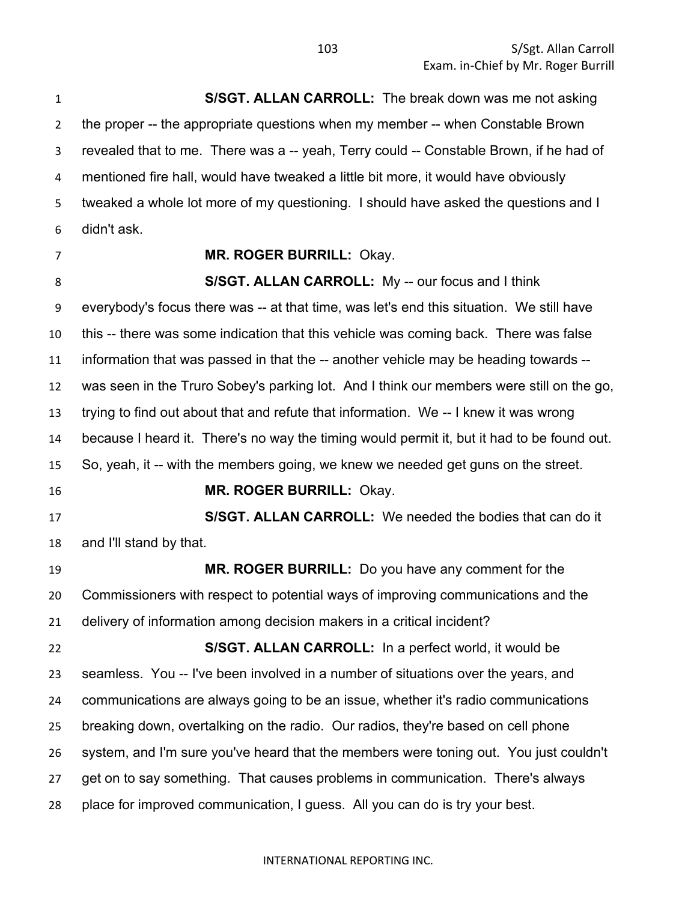**S/SGT. ALLAN CARROLL:** The break down was me not asking the proper -- the appropriate questions when my member -- when Constable Brown revealed that to me. There was a -- yeah, Terry could -- Constable Brown, if he had of mentioned fire hall, would have tweaked a little bit more, it would have obviously tweaked a whole lot more of my questioning. I should have asked the questions and I didn't ask.

## **MR. ROGER BURRILL:** Okay.

**S/SGT. ALLAN CARROLL:** My -- our focus and I think everybody's focus there was -- at that time, was let's end this situation. We still have this -- there was some indication that this vehicle was coming back. There was false information that was passed in that the -- another vehicle may be heading towards -- was seen in the Truro Sobey's parking lot. And I think our members were still on the go, trying to find out about that and refute that information. We -- I knew it was wrong because I heard it. There's no way the timing would permit it, but it had to be found out. So, yeah, it -- with the members going, we knew we needed get guns on the street. **MR. ROGER BURRILL:** Okay. **S/SGT. ALLAN CARROLL:** We needed the bodies that can do it and I'll stand by that. **MR. ROGER BURRILL:** Do you have any comment for the Commissioners with respect to potential ways of improving communications and the delivery of information among decision makers in a critical incident? **S/SGT. ALLAN CARROLL:** In a perfect world, it would be seamless. You -- I've been involved in a number of situations over the years, and communications are always going to be an issue, whether it's radio communications breaking down, overtalking on the radio. Our radios, they're based on cell phone system, and I'm sure you've heard that the members were toning out. You just couldn't get on to say something. That causes problems in communication. There's always place for improved communication, I guess. All you can do is try your best.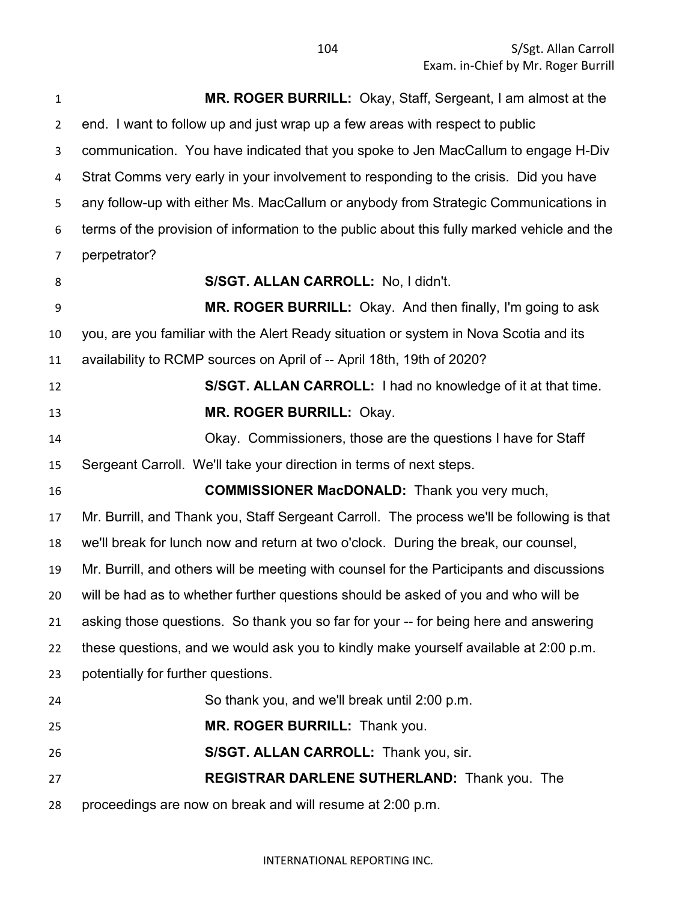S/Sgt. Allan Carroll Exam. in-Chief by Mr. Roger Burrill

 **MR. ROGER BURRILL:** Okay, Staff, Sergeant, I am almost at the end. I want to follow up and just wrap up a few areas with respect to public communication. You have indicated that you spoke to Jen MacCallum to engage H-Div Strat Comms very early in your involvement to responding to the crisis. Did you have any follow-up with either Ms. MacCallum or anybody from Strategic Communications in terms of the provision of information to the public about this fully marked vehicle and the perpetrator? **S/SGT. ALLAN CARROLL:** No, I didn't. **MR. ROGER BURRILL:** Okay. And then finally, I'm going to ask you, are you familiar with the Alert Ready situation or system in Nova Scotia and its availability to RCMP sources on April of -- April 18th, 19th of 2020? **S/SGT. ALLAN CARROLL:** I had no knowledge of it at that time. **MR. ROGER BURRILL:** Okay. Okay. Commissioners, those are the questions I have for Staff Sergeant Carroll. We'll take your direction in terms of next steps. **COMMISSIONER MacDONALD:** Thank you very much, Mr. Burrill, and Thank you, Staff Sergeant Carroll. The process we'll be following is that we'll break for lunch now and return at two o'clock. During the break, our counsel, Mr. Burrill, and others will be meeting with counsel for the Participants and discussions will be had as to whether further questions should be asked of you and who will be asking those questions. So thank you so far for your -- for being here and answering these questions, and we would ask you to kindly make yourself available at 2:00 p.m. potentially for further questions. So thank you, and we'll break until 2:00 p.m. **MR. ROGER BURRILL:** Thank you. **S/SGT. ALLAN CARROLL:** Thank you, sir. **REGISTRAR DARLENE SUTHERLAND:** Thank you. The proceedings are now on break and will resume at 2:00 p.m.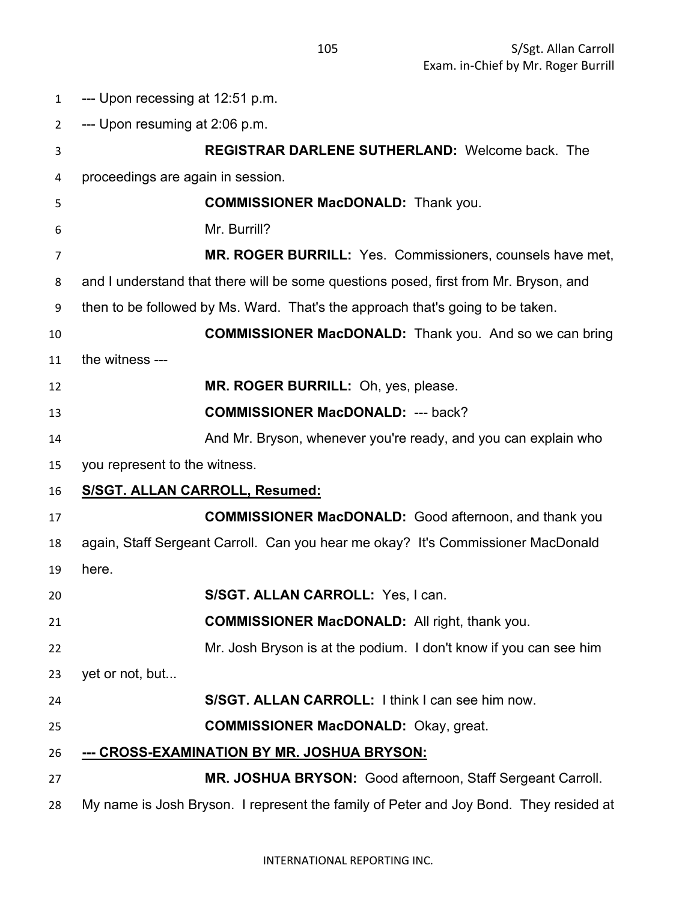| $\mathbf{1}$   | --- Upon recessing at 12:51 p.m.                                                      |
|----------------|---------------------------------------------------------------------------------------|
| $\overline{2}$ | --- Upon resuming at 2:06 p.m.                                                        |
| 3              | <b>REGISTRAR DARLENE SUTHERLAND: Welcome back. The</b>                                |
| 4              | proceedings are again in session.                                                     |
| 5              | <b>COMMISSIONER MacDONALD:</b> Thank you.                                             |
| 6              | Mr. Burrill?                                                                          |
| 7              | MR. ROGER BURRILL: Yes. Commissioners, counsels have met,                             |
| 8              | and I understand that there will be some questions posed, first from Mr. Bryson, and  |
| 9              | then to be followed by Ms. Ward. That's the approach that's going to be taken.        |
| 10             | <b>COMMISSIONER MacDONALD:</b> Thank you. And so we can bring                         |
| 11             | the witness ---                                                                       |
| 12             | MR. ROGER BURRILL: Oh, yes, please.                                                   |
| 13             | <b>COMMISSIONER MacDONALD: --- back?</b>                                              |
| 14             | And Mr. Bryson, whenever you're ready, and you can explain who                        |
| 15             | you represent to the witness.                                                         |
| 16             | S/SGT. ALLAN CARROLL, Resumed:                                                        |
| 17             | <b>COMMISSIONER MacDONALD:</b> Good afternoon, and thank you                          |
| 18             | again, Staff Sergeant Carroll. Can you hear me okay? It's Commissioner MacDonald      |
| 19             | here.                                                                                 |
| 20             | S/SGT. ALLAN CARROLL: Yes, I can.                                                     |
| 21             | <b>COMMISSIONER MacDONALD:</b> All right, thank you.                                  |
| 22             | Mr. Josh Bryson is at the podium. I don't know if you can see him                     |
| 23             | yet or not, but                                                                       |
| 24             | S/SGT. ALLAN CARROLL: I think I can see him now.                                      |
| 25             | <b>COMMISSIONER MacDONALD: Okay, great.</b>                                           |
| 26             | --- CROSS-EXAMINATION BY MR. JOSHUA BRYSON:                                           |
| 27             | MR. JOSHUA BRYSON: Good afternoon, Staff Sergeant Carroll.                            |
| 28             | My name is Josh Bryson. I represent the family of Peter and Joy Bond. They resided at |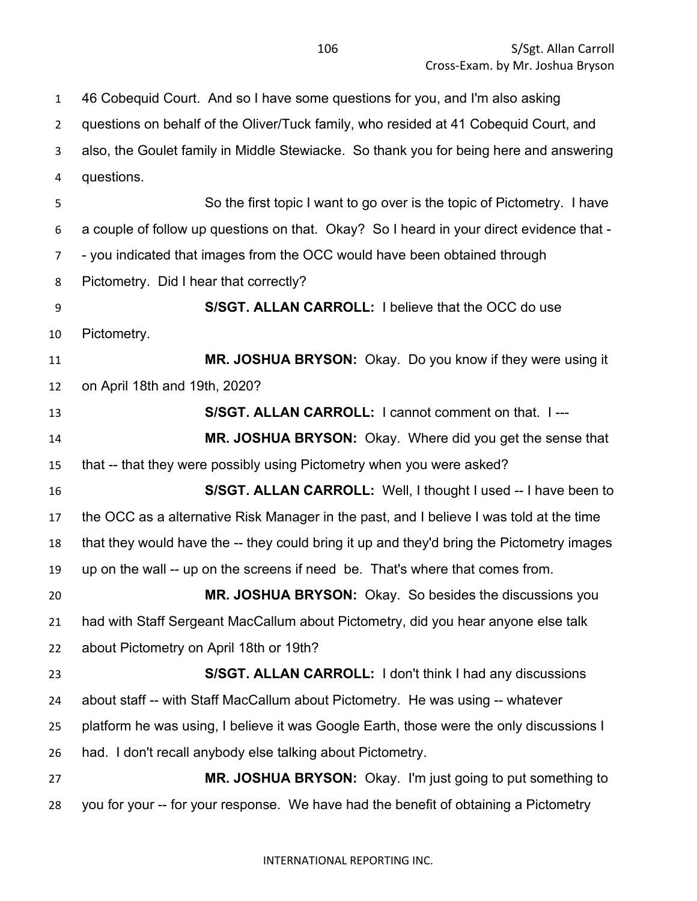46 Cobequid Court. And so I have some questions for you, and I'm also asking

 questions on behalf of the Oliver/Tuck family, who resided at 41 Cobequid Court, and also, the Goulet family in Middle Stewiacke. So thank you for being here and answering questions. So the first topic I want to go over is the topic of Pictometry. I have a couple of follow up questions on that. Okay? So I heard in your direct evidence that - - you indicated that images from the OCC would have been obtained through Pictometry. Did I hear that correctly? **S/SGT. ALLAN CARROLL:** I believe that the OCC do use Pictometry. **MR. JOSHUA BRYSON:** Okay. Do you know if they were using it on April 18th and 19th, 2020? **S/SGT. ALLAN CARROLL:** I cannot comment on that. I --- **MR. JOSHUA BRYSON:** Okay. Where did you get the sense that that -- that they were possibly using Pictometry when you were asked? **S/SGT. ALLAN CARROLL:** Well, I thought I used -- I have been to the OCC as a alternative Risk Manager in the past, and I believe I was told at the time that they would have the -- they could bring it up and they'd bring the Pictometry images up on the wall -- up on the screens if need be. That's where that comes from. **MR. JOSHUA BRYSON:** Okay. So besides the discussions you had with Staff Sergeant MacCallum about Pictometry, did you hear anyone else talk about Pictometry on April 18th or 19th? **S/SGT. ALLAN CARROLL:** I don't think I had any discussions about staff -- with Staff MacCallum about Pictometry. He was using -- whatever platform he was using, I believe it was Google Earth, those were the only discussions I had. I don't recall anybody else talking about Pictometry. **MR. JOSHUA BRYSON:** Okay. I'm just going to put something to you for your -- for your response. We have had the benefit of obtaining a Pictometry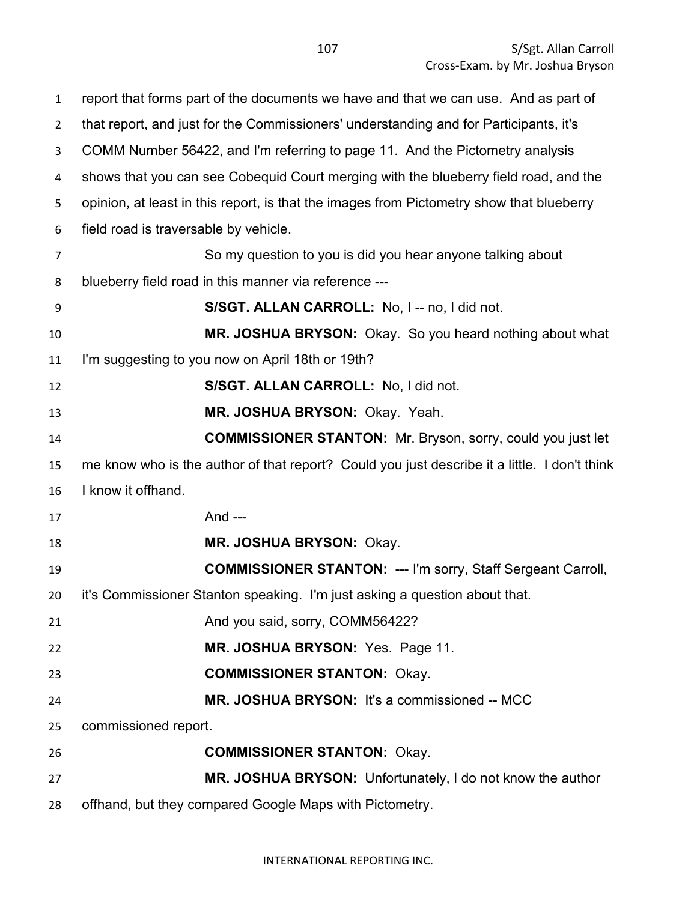| $\mathbf{1}$   | report that forms part of the documents we have and that we can use. And as part of          |
|----------------|----------------------------------------------------------------------------------------------|
| $\overline{2}$ | that report, and just for the Commissioners' understanding and for Participants, it's        |
| 3              | COMM Number 56422, and I'm referring to page 11. And the Pictometry analysis                 |
| 4              | shows that you can see Cobequid Court merging with the blueberry field road, and the         |
| 5              | opinion, at least in this report, is that the images from Pictometry show that blueberry     |
| 6              | field road is traversable by vehicle.                                                        |
| 7              | So my question to you is did you hear anyone talking about                                   |
| 8              | blueberry field road in this manner via reference ---                                        |
| 9              | S/SGT. ALLAN CARROLL: No, I -- no, I did not.                                                |
| 10             | MR. JOSHUA BRYSON: Okay. So you heard nothing about what                                     |
| 11             | I'm suggesting to you now on April 18th or 19th?                                             |
| 12             | S/SGT. ALLAN CARROLL: No, I did not.                                                         |
| 13             | MR. JOSHUA BRYSON: Okay. Yeah.                                                               |
| 14             | <b>COMMISSIONER STANTON:</b> Mr. Bryson, sorry, could you just let                           |
| 15             | me know who is the author of that report? Could you just describe it a little. I don't think |
| 16             | I know it offhand.                                                                           |
| 17             | And ---                                                                                      |
| 18             | MR. JOSHUA BRYSON: Okay.                                                                     |
| 19             | <b>COMMISSIONER STANTON: --- I'm sorry, Staff Sergeant Carroll,</b>                          |
| 20             | it's Commissioner Stanton speaking. I'm just asking a question about that.                   |
| 21             | And you said, sorry, COMM56422?                                                              |
| 22             | MR. JOSHUA BRYSON: Yes. Page 11.                                                             |
| 23             | <b>COMMISSIONER STANTON: Okay.</b>                                                           |
| 24             | MR. JOSHUA BRYSON: It's a commissioned -- MCC                                                |
| 25             | commissioned report.                                                                         |
| 26             | <b>COMMISSIONER STANTON: Okay.</b>                                                           |
| 27             | MR. JOSHUA BRYSON: Unfortunately, I do not know the author                                   |
| 28             | offhand, but they compared Google Maps with Pictometry.                                      |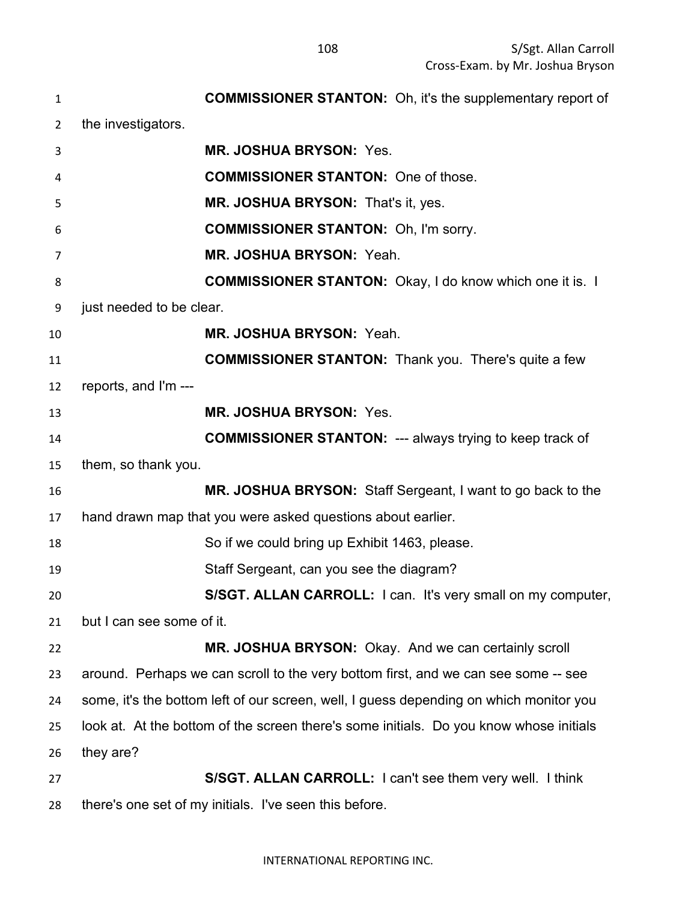| 1              | <b>COMMISSIONER STANTON:</b> Oh, it's the supplementary report of                      |
|----------------|----------------------------------------------------------------------------------------|
| $\overline{2}$ | the investigators.                                                                     |
| 3              | <b>MR. JOSHUA BRYSON: Yes.</b>                                                         |
| 4              | <b>COMMISSIONER STANTON: One of those.</b>                                             |
| 5              | MR. JOSHUA BRYSON: That's it, yes.                                                     |
| 6              | <b>COMMISSIONER STANTON: Oh, I'm sorry.</b>                                            |
| 7              | MR. JOSHUA BRYSON: Yeah.                                                               |
| 8              | <b>COMMISSIONER STANTON:</b> Okay, I do know which one it is. I                        |
| 9              | just needed to be clear.                                                               |
| 10             | MR. JOSHUA BRYSON: Yeah.                                                               |
| 11             | <b>COMMISSIONER STANTON:</b> Thank you. There's quite a few                            |
| 12             | reports, and I'm ---                                                                   |
| 13             | <b>MR. JOSHUA BRYSON: Yes.</b>                                                         |
| 14             | <b>COMMISSIONER STANTON: --- always trying to keep track of</b>                        |
| 15             | them, so thank you.                                                                    |
| 16             | MR. JOSHUA BRYSON: Staff Sergeant, I want to go back to the                            |
| 17             | hand drawn map that you were asked questions about earlier.                            |
| 18             | So if we could bring up Exhibit 1463, please.                                          |
| 19             | Staff Sergeant, can you see the diagram?                                               |
| 20             | S/SGT. ALLAN CARROLL: I can. It's very small on my computer,                           |
| 21             | but I can see some of it.                                                              |
| 22             | MR. JOSHUA BRYSON: Okay. And we can certainly scroll                                   |
| 23             | around. Perhaps we can scroll to the very bottom first, and we can see some -- see     |
| 24             | some, it's the bottom left of our screen, well, I guess depending on which monitor you |
| 25             | look at. At the bottom of the screen there's some initials. Do you know whose initials |
| 26             | they are?                                                                              |
| 27             | S/SGT. ALLAN CARROLL: I can't see them very well. I think                              |
| 28             | there's one set of my initials. I've seen this before.                                 |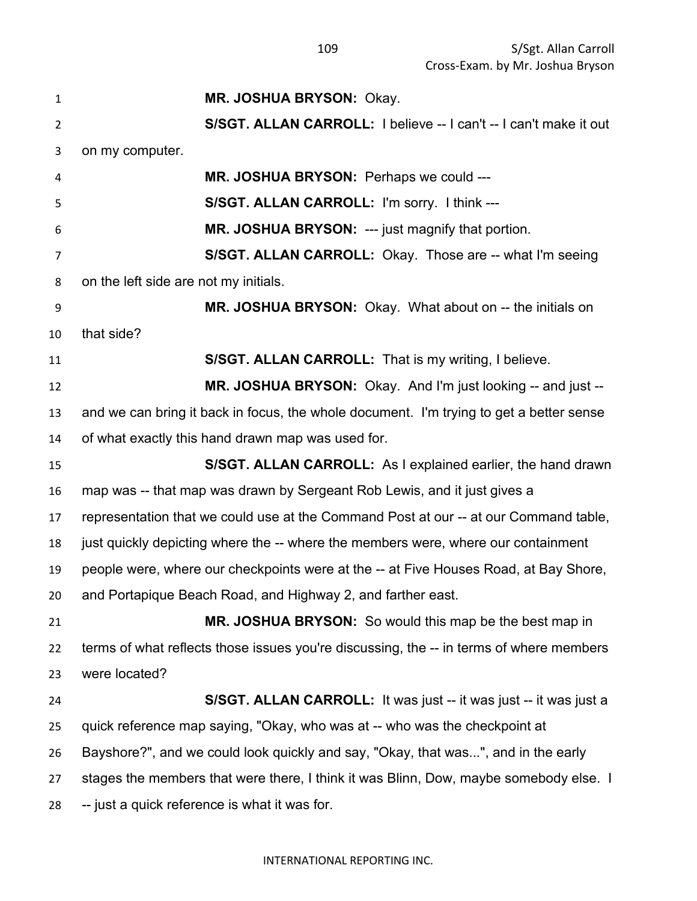**MR. JOSHUA BRYSON:** Okay. **S/SGT. ALLAN CARROLL:** I believe -- I can't -- I can't make it out on my computer. **MR. JOSHUA BRYSON:** Perhaps we could --- **S/SGT. ALLAN CARROLL:** I'm sorry. I think --- **MR. JOSHUA BRYSON:** --- just magnify that portion. **S/SGT. ALLAN CARROLL:** Okay. Those are -- what I'm seeing on the left side are not my initials. **MR. JOSHUA BRYSON:** Okay. What about on -- the initials on that side? **S/SGT. ALLAN CARROLL:** That is my writing, I believe. **MR. JOSHUA BRYSON:** Okay. And I'm just looking -- and just -- and we can bring it back in focus, the whole document. I'm trying to get a better sense of what exactly this hand drawn map was used for. **S/SGT. ALLAN CARROLL:** As I explained earlier, the hand drawn map was -- that map was drawn by Sergeant Rob Lewis, and it just gives a representation that we could use at the Command Post at our -- at our Command table, just quickly depicting where the -- where the members were, where our containment people were, where our checkpoints were at the -- at Five Houses Road, at Bay Shore, and Portapique Beach Road, and Highway 2, and farther east. **MR. JOSHUA BRYSON:** So would this map be the best map in terms of what reflects those issues you're discussing, the -- in terms of where members were located? **S/SGT. ALLAN CARROLL:** It was just -- it was just -- it was just a quick reference map saying, "Okay, who was at -- who was the checkpoint at Bayshore?", and we could look quickly and say, "Okay, that was...", and in the early stages the members that were there, I think it was Blinn, Dow, maybe somebody else. I -- just a quick reference is what it was for.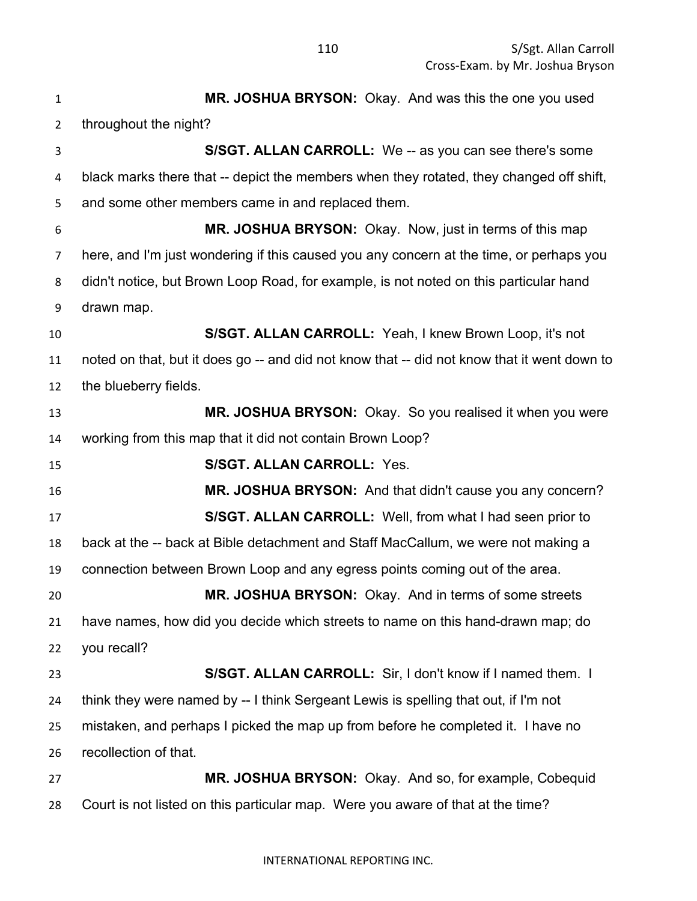**MR. JOSHUA BRYSON:** Okay. And was this the one you used throughout the night? **S/SGT. ALLAN CARROLL:** We -- as you can see there's some black marks there that -- depict the members when they rotated, they changed off shift, and some other members came in and replaced them. **MR. JOSHUA BRYSON:** Okay. Now, just in terms of this map here, and I'm just wondering if this caused you any concern at the time, or perhaps you didn't notice, but Brown Loop Road, for example, is not noted on this particular hand drawn map. **S/SGT. ALLAN CARROLL:** Yeah, I knew Brown Loop, it's not noted on that, but it does go -- and did not know that -- did not know that it went down to the blueberry fields. **MR. JOSHUA BRYSON:** Okay. So you realised it when you were working from this map that it did not contain Brown Loop? **S/SGT. ALLAN CARROLL:** Yes. **MR. JOSHUA BRYSON:** And that didn't cause you any concern? **S/SGT. ALLAN CARROLL:** Well, from what I had seen prior to back at the -- back at Bible detachment and Staff MacCallum, we were not making a connection between Brown Loop and any egress points coming out of the area. **MR. JOSHUA BRYSON:** Okay. And in terms of some streets have names, how did you decide which streets to name on this hand-drawn map; do you recall? **S/SGT. ALLAN CARROLL:** Sir, I don't know if I named them. I think they were named by -- I think Sergeant Lewis is spelling that out, if I'm not mistaken, and perhaps I picked the map up from before he completed it. I have no recollection of that. **MR. JOSHUA BRYSON:** Okay. And so, for example, Cobequid Court is not listed on this particular map. Were you aware of that at the time?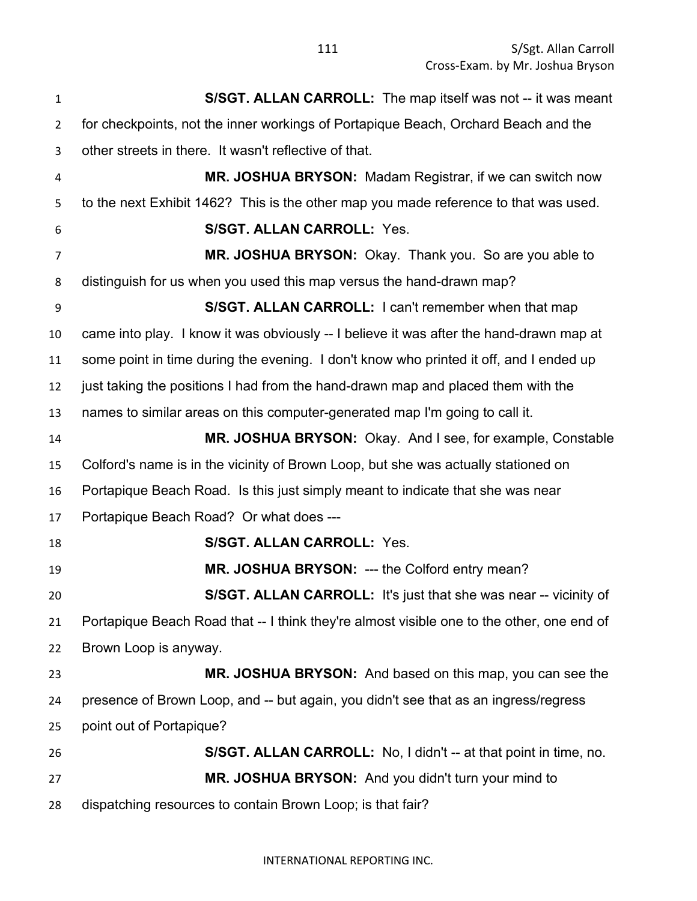**S/SGT. ALLAN CARROLL:** The map itself was not -- it was meant for checkpoints, not the inner workings of Portapique Beach, Orchard Beach and the other streets in there. It wasn't reflective of that. **MR. JOSHUA BRYSON:** Madam Registrar, if we can switch now to the next Exhibit 1462? This is the other map you made reference to that was used. **S/SGT. ALLAN CARROLL:** Yes. **MR. JOSHUA BRYSON:** Okay. Thank you. So are you able to distinguish for us when you used this map versus the hand-drawn map? **S/SGT. ALLAN CARROLL:** I can't remember when that map came into play. I know it was obviously -- I believe it was after the hand-drawn map at some point in time during the evening. I don't know who printed it off, and I ended up just taking the positions I had from the hand-drawn map and placed them with the names to similar areas on this computer-generated map I'm going to call it. **MR. JOSHUA BRYSON:** Okay. And I see, for example, Constable Colford's name is in the vicinity of Brown Loop, but she was actually stationed on Portapique Beach Road. Is this just simply meant to indicate that she was near Portapique Beach Road? Or what does --- **S/SGT. ALLAN CARROLL:** Yes. **MR. JOSHUA BRYSON:** --- the Colford entry mean? **S/SGT. ALLAN CARROLL:** It's just that she was near -- vicinity of Portapique Beach Road that -- I think they're almost visible one to the other, one end of Brown Loop is anyway. **MR. JOSHUA BRYSON:** And based on this map, you can see the presence of Brown Loop, and -- but again, you didn't see that as an ingress/regress point out of Portapique? **S/SGT. ALLAN CARROLL:** No, I didn't -- at that point in time, no. **MR. JOSHUA BRYSON:** And you didn't turn your mind to dispatching resources to contain Brown Loop; is that fair?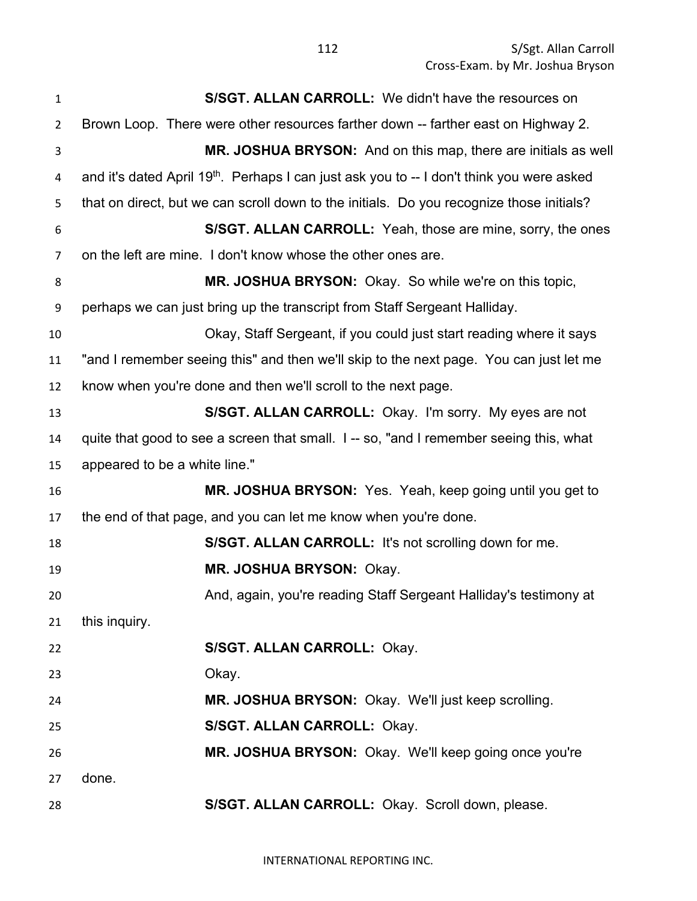| $\mathbf{1}$   | S/SGT. ALLAN CARROLL: We didn't have the resources on                                                 |
|----------------|-------------------------------------------------------------------------------------------------------|
| $\overline{2}$ | Brown Loop. There were other resources farther down -- farther east on Highway 2.                     |
| 3              | MR. JOSHUA BRYSON: And on this map, there are initials as well                                        |
| 4              | and it's dated April 19 <sup>th</sup> . Perhaps I can just ask you to -- I don't think you were asked |
| 5              | that on direct, but we can scroll down to the initials. Do you recognize those initials?              |
| 6              | S/SGT. ALLAN CARROLL: Yeah, those are mine, sorry, the ones                                           |
| 7              | on the left are mine. I don't know whose the other ones are.                                          |
| 8              | MR. JOSHUA BRYSON: Okay. So while we're on this topic,                                                |
| 9              | perhaps we can just bring up the transcript from Staff Sergeant Halliday.                             |
| 10             | Okay, Staff Sergeant, if you could just start reading where it says                                   |
| 11             | "and I remember seeing this" and then we'll skip to the next page. You can just let me                |
| 12             | know when you're done and then we'll scroll to the next page.                                         |
| 13             | S/SGT. ALLAN CARROLL: Okay. I'm sorry. My eyes are not                                                |
| 14             | quite that good to see a screen that small. I -- so, "and I remember seeing this, what                |
| 15             | appeared to be a white line."                                                                         |
| 16             | MR. JOSHUA BRYSON: Yes. Yeah, keep going until you get to                                             |
| 17             | the end of that page, and you can let me know when you're done.                                       |
| 18             | S/SGT. ALLAN CARROLL: It's not scrolling down for me.                                                 |
| 19             | MR. JOSHUA BRYSON: Okay.                                                                              |
| 20             | And, again, you're reading Staff Sergeant Halliday's testimony at                                     |
| 21             | this inquiry.                                                                                         |
| 22             | S/SGT. ALLAN CARROLL: Okay.                                                                           |
| 23             | Okay.                                                                                                 |
| 24             | MR. JOSHUA BRYSON: Okay. We'll just keep scrolling.                                                   |
| 25             | S/SGT. ALLAN CARROLL: Okay.                                                                           |
| 26             | MR. JOSHUA BRYSON: Okay. We'll keep going once you're                                                 |
| 27             | done.                                                                                                 |
| 28             | S/SGT. ALLAN CARROLL: Okay. Scroll down, please.                                                      |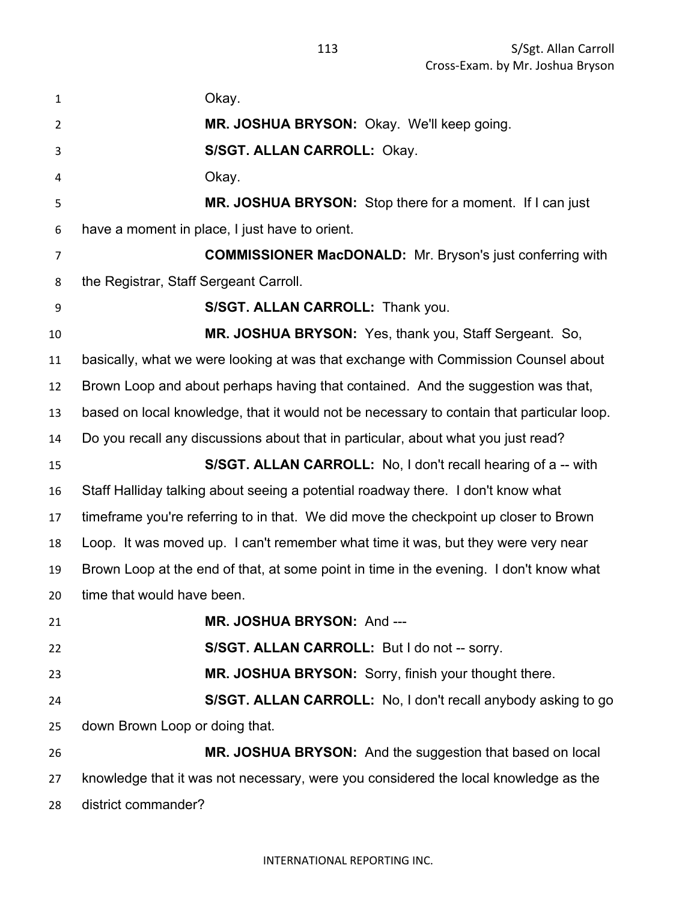| $\mathbf{1}$   | Okay.                                                                                     |
|----------------|-------------------------------------------------------------------------------------------|
| $\overline{2}$ | MR. JOSHUA BRYSON: Okay. We'll keep going.                                                |
| 3              | S/SGT. ALLAN CARROLL: Okay.                                                               |
| 4              | Okay.                                                                                     |
| 5              | MR. JOSHUA BRYSON: Stop there for a moment. If I can just                                 |
| 6              | have a moment in place, I just have to orient.                                            |
| 7              | <b>COMMISSIONER MacDONALD:</b> Mr. Bryson's just conferring with                          |
| 8              | the Registrar, Staff Sergeant Carroll.                                                    |
| 9              | S/SGT. ALLAN CARROLL: Thank you.                                                          |
| 10             | MR. JOSHUA BRYSON: Yes, thank you, Staff Sergeant. So,                                    |
| 11             | basically, what we were looking at was that exchange with Commission Counsel about        |
| 12             | Brown Loop and about perhaps having that contained. And the suggestion was that,          |
| 13             | based on local knowledge, that it would not be necessary to contain that particular loop. |
| 14             | Do you recall any discussions about that in particular, about what you just read?         |
| 15             | S/SGT. ALLAN CARROLL: No, I don't recall hearing of a -- with                             |
| 16             | Staff Halliday talking about seeing a potential roadway there. I don't know what          |
| 17             | timeframe you're referring to in that. We did move the checkpoint up closer to Brown      |
| 18             | Loop. It was moved up. I can't remember what time it was, but they were very near         |
| 19             | Brown Loop at the end of that, at some point in time in the evening. I don't know what    |
| 20             | time that would have been.                                                                |
| 21             | MR. JOSHUA BRYSON: And ---                                                                |
| 22             | S/SGT. ALLAN CARROLL: But I do not -- sorry.                                              |
| 23             | MR. JOSHUA BRYSON: Sorry, finish your thought there.                                      |
| 24             | S/SGT. ALLAN CARROLL: No, I don't recall anybody asking to go                             |
| 25             | down Brown Loop or doing that.                                                            |
| 26             | MR. JOSHUA BRYSON: And the suggestion that based on local                                 |
| 27             | knowledge that it was not necessary, were you considered the local knowledge as the       |
| 28             | district commander?                                                                       |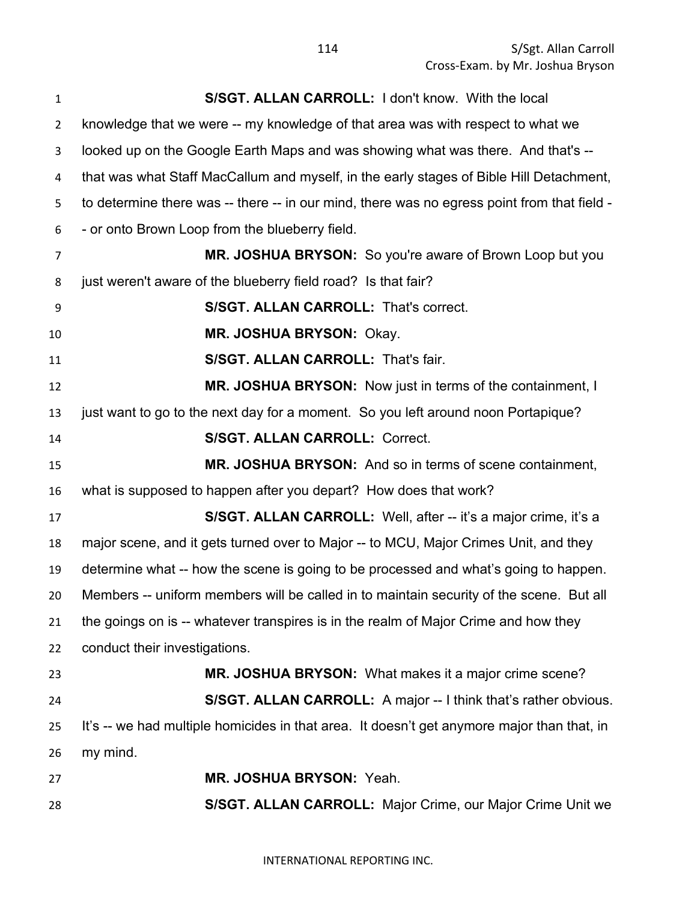| $\mathbf{1}$ | S/SGT. ALLAN CARROLL: I don't know. With the local                                          |
|--------------|---------------------------------------------------------------------------------------------|
| 2            | knowledge that we were -- my knowledge of that area was with respect to what we             |
| 3            | looked up on the Google Earth Maps and was showing what was there. And that's --            |
| 4            | that was what Staff MacCallum and myself, in the early stages of Bible Hill Detachment,     |
| 5            | to determine there was -- there -- in our mind, there was no egress point from that field - |
| 6            | - or onto Brown Loop from the blueberry field.                                              |
| 7            | MR. JOSHUA BRYSON: So you're aware of Brown Loop but you                                    |
| 8            | just weren't aware of the blueberry field road? Is that fair?                               |
| 9            | <b>S/SGT. ALLAN CARROLL: That's correct.</b>                                                |
| 10           | MR. JOSHUA BRYSON: Okay.                                                                    |
| 11           | S/SGT. ALLAN CARROLL: That's fair.                                                          |
| 12           | MR. JOSHUA BRYSON: Now just in terms of the containment, I                                  |
| 13           | just want to go to the next day for a moment. So you left around noon Portapique?           |
| 14           | <b>S/SGT. ALLAN CARROLL: Correct.</b>                                                       |
| 15           | MR. JOSHUA BRYSON: And so in terms of scene containment,                                    |
| 16           | what is supposed to happen after you depart? How does that work?                            |
| 17           | <b>S/SGT. ALLAN CARROLL:</b> Well, after -- it's a major crime, it's a                      |
| 18           | major scene, and it gets turned over to Major -- to MCU, Major Crimes Unit, and they        |
| 19           | determine what -- how the scene is going to be processed and what's going to happen.        |
| 20           | Members -- uniform members will be called in to maintain security of the scene. But all     |
| 21           | the goings on is -- whatever transpires is in the realm of Major Crime and how they         |
| 22           | conduct their investigations.                                                               |
| 23           | MR. JOSHUA BRYSON: What makes it a major crime scene?                                       |
| 24           | S/SGT. ALLAN CARROLL: A major -- I think that's rather obvious.                             |
| 25           | It's -- we had multiple homicides in that area. It doesn't get anymore major than that, in  |
| 26           | my mind.                                                                                    |
| 27           | MR. JOSHUA BRYSON: Yeah.                                                                    |
| 28           | S/SGT. ALLAN CARROLL: Major Crime, our Major Crime Unit we                                  |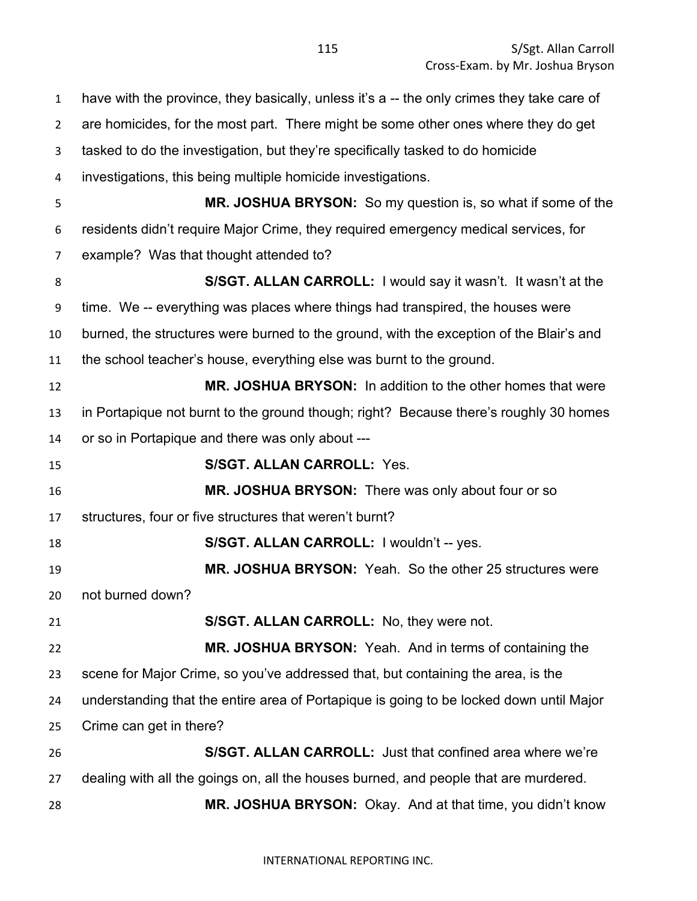have with the province, they basically, unless it's a -- the only crimes they take care of are homicides, for the most part. There might be some other ones where they do get tasked to do the investigation, but they're specifically tasked to do homicide investigations, this being multiple homicide investigations. **MR. JOSHUA BRYSON:** So my question is, so what if some of the residents didn't require Major Crime, they required emergency medical services, for example? Was that thought attended to? **S/SGT. ALLAN CARROLL:** I would say it wasn't. It wasn't at the time. We -- everything was places where things had transpired, the houses were burned, the structures were burned to the ground, with the exception of the Blair's and the school teacher's house, everything else was burnt to the ground. **MR. JOSHUA BRYSON:** In addition to the other homes that were in Portapique not burnt to the ground though; right? Because there's roughly 30 homes or so in Portapique and there was only about --- **S/SGT. ALLAN CARROLL:** Yes. **MR. JOSHUA BRYSON:** There was only about four or so structures, four or five structures that weren't burnt? **S/SGT. ALLAN CARROLL:** I wouldn't -- yes. **MR. JOSHUA BRYSON:** Yeah. So the other 25 structures were not burned down? **S/SGT. ALLAN CARROLL:** No, they were not. **MR. JOSHUA BRYSON:** Yeah. And in terms of containing the scene for Major Crime, so you've addressed that, but containing the area, is the understanding that the entire area of Portapique is going to be locked down until Major Crime can get in there? **S/SGT. ALLAN CARROLL:** Just that confined area where we're dealing with all the goings on, all the houses burned, and people that are murdered. **MR. JOSHUA BRYSON:** Okay. And at that time, you didn't know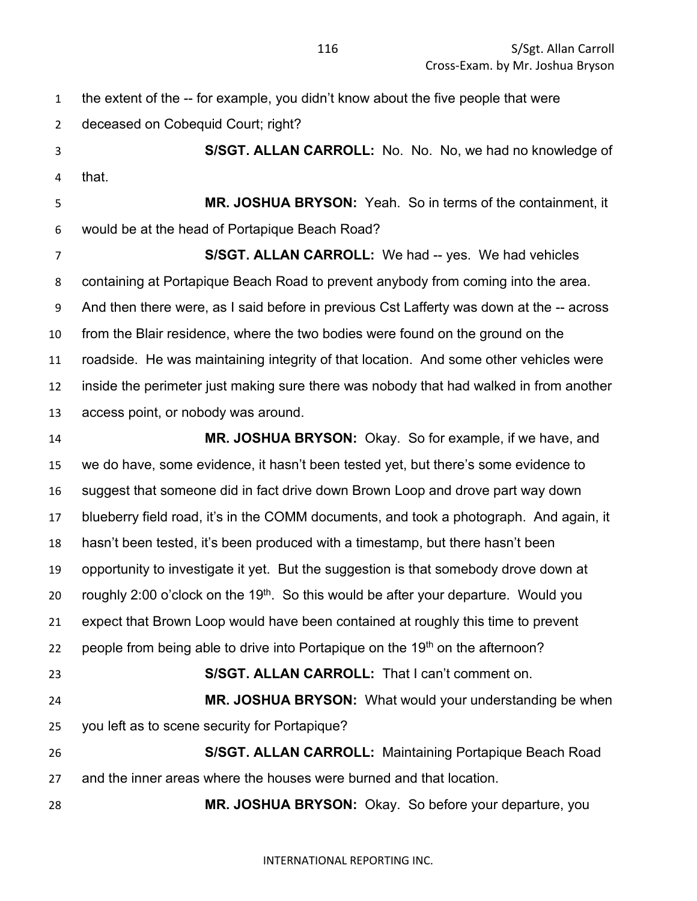| 1  | the extent of the -- for example, you didn't know about the five people that were               |
|----|-------------------------------------------------------------------------------------------------|
| 2  | deceased on Cobequid Court; right?                                                              |
| 3  | S/SGT. ALLAN CARROLL: No. No. No, we had no knowledge of                                        |
| 4  | that.                                                                                           |
| 5  | MR. JOSHUA BRYSON: Yeah. So in terms of the containment, it                                     |
| 6  | would be at the head of Portapique Beach Road?                                                  |
| 7  | <b>S/SGT. ALLAN CARROLL:</b> We had -- yes. We had vehicles                                     |
| 8  | containing at Portapique Beach Road to prevent anybody from coming into the area.               |
| 9  | And then there were, as I said before in previous Cst Lafferty was down at the -- across        |
| 10 | from the Blair residence, where the two bodies were found on the ground on the                  |
| 11 | roadside. He was maintaining integrity of that location. And some other vehicles were           |
| 12 | inside the perimeter just making sure there was nobody that had walked in from another          |
| 13 | access point, or nobody was around.                                                             |
| 14 | MR. JOSHUA BRYSON: Okay. So for example, if we have, and                                        |
| 15 | we do have, some evidence, it hasn't been tested yet, but there's some evidence to              |
| 16 | suggest that someone did in fact drive down Brown Loop and drove part way down                  |
| 17 | blueberry field road, it's in the COMM documents, and took a photograph. And again, it          |
| 18 | hasn't been tested, it's been produced with a timestamp, but there hasn't been                  |
| 19 | opportunity to investigate it yet. But the suggestion is that somebody drove down at            |
| 20 | roughly 2:00 o'clock on the 19 <sup>th</sup> . So this would be after your departure. Would you |
| 21 | expect that Brown Loop would have been contained at roughly this time to prevent                |
| 22 | people from being able to drive into Portapique on the 19th on the afternoon?                   |
| 23 | S/SGT. ALLAN CARROLL: That I can't comment on.                                                  |
| 24 | MR. JOSHUA BRYSON: What would your understanding be when                                        |
| 25 | you left as to scene security for Portapique?                                                   |
| 26 | S/SGT. ALLAN CARROLL: Maintaining Portapique Beach Road                                         |
| 27 | and the inner areas where the houses were burned and that location.                             |
| 28 | MR. JOSHUA BRYSON: Okay. So before your departure, you                                          |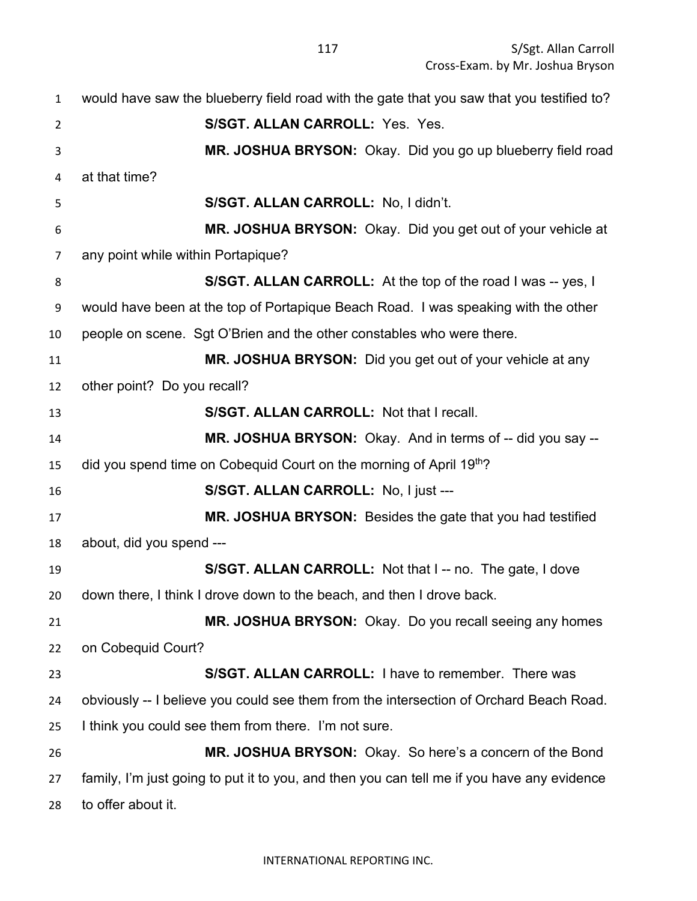| $\mathbf{1}$ | would have saw the blueberry field road with the gate that you saw that you testified to?  |
|--------------|--------------------------------------------------------------------------------------------|
| 2            | S/SGT. ALLAN CARROLL: Yes. Yes.                                                            |
| 3            | MR. JOSHUA BRYSON: Okay. Did you go up blueberry field road                                |
| 4            | at that time?                                                                              |
| 5            | S/SGT. ALLAN CARROLL: No, I didn't.                                                        |
| 6            | MR. JOSHUA BRYSON: Okay. Did you get out of your vehicle at                                |
| 7            | any point while within Portapique?                                                         |
| 8            | S/SGT. ALLAN CARROLL: At the top of the road I was -- yes, I                               |
| 9            | would have been at the top of Portapique Beach Road. I was speaking with the other         |
| 10           | people on scene. Sgt O'Brien and the other constables who were there.                      |
| 11           | MR. JOSHUA BRYSON: Did you get out of your vehicle at any                                  |
| 12           | other point? Do you recall?                                                                |
| 13           | S/SGT. ALLAN CARROLL: Not that I recall.                                                   |
| 14           | MR. JOSHUA BRYSON: Okay. And in terms of -- did you say --                                 |
| 15           | did you spend time on Cobequid Court on the morning of April 19th?                         |
| 16           | S/SGT. ALLAN CARROLL: No, I just ---                                                       |
| 17           | MR. JOSHUA BRYSON: Besides the gate that you had testified                                 |
| 18           | about, did you spend ---                                                                   |
| 19           | S/SGT. ALLAN CARROLL: Not that I -- no. The gate, I dove                                   |
| 20           | down there, I think I drove down to the beach, and then I drove back.                      |
| 21           | MR. JOSHUA BRYSON: Okay. Do you recall seeing any homes                                    |
| 22           | on Cobequid Court?                                                                         |
| 23           | S/SGT. ALLAN CARROLL: I have to remember. There was                                        |
| 24           | obviously -- I believe you could see them from the intersection of Orchard Beach Road.     |
| 25           | I think you could see them from there. I'm not sure.                                       |
| 26           | MR. JOSHUA BRYSON: Okay. So here's a concern of the Bond                                   |
| 27           | family, I'm just going to put it to you, and then you can tell me if you have any evidence |
| 28           | to offer about it.                                                                         |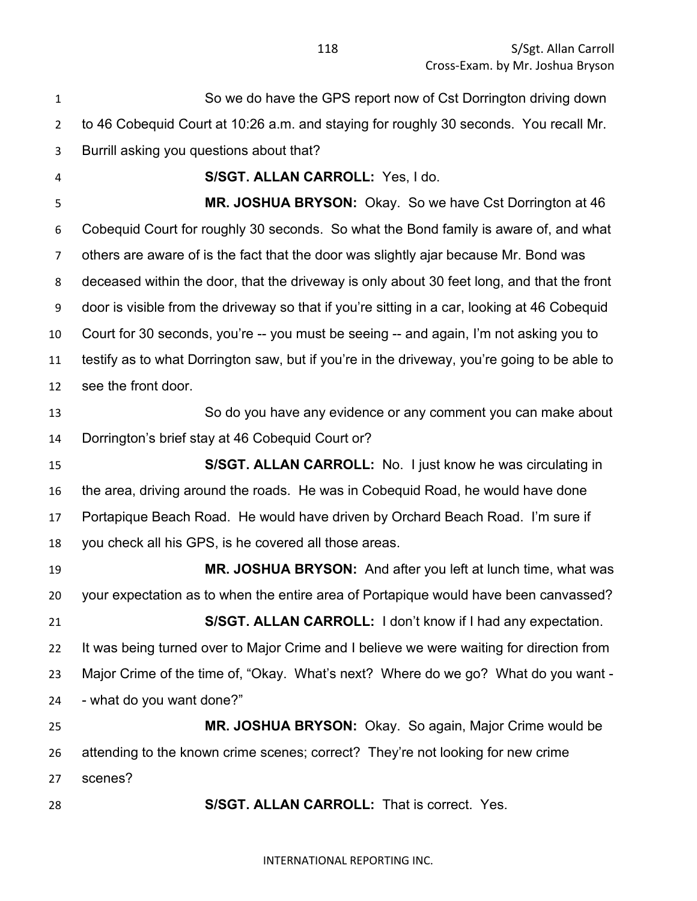So we do have the GPS report now of Cst Dorrington driving down to 46 Cobequid Court at 10:26 a.m. and staying for roughly 30 seconds. You recall Mr. Burrill asking you questions about that? **S/SGT. ALLAN CARROLL:** Yes, I do. **MR. JOSHUA BRYSON:** Okay. So we have Cst Dorrington at 46 Cobequid Court for roughly 30 seconds. So what the Bond family is aware of, and what others are aware of is the fact that the door was slightly ajar because Mr. Bond was deceased within the door, that the driveway is only about 30 feet long, and that the front door is visible from the driveway so that if you're sitting in a car, looking at 46 Cobequid Court for 30 seconds, you're -- you must be seeing -- and again, I'm not asking you to testify as to what Dorrington saw, but if you're in the driveway, you're going to be able to see the front door. So do you have any evidence or any comment you can make about Dorrington's brief stay at 46 Cobequid Court or? **S/SGT. ALLAN CARROLL:** No. I just know he was circulating in the area, driving around the roads. He was in Cobequid Road, he would have done Portapique Beach Road. He would have driven by Orchard Beach Road. I'm sure if you check all his GPS, is he covered all those areas. **MR. JOSHUA BRYSON:** And after you left at lunch time, what was your expectation as to when the entire area of Portapique would have been canvassed? **S/SGT. ALLAN CARROLL:** I don't know if I had any expectation. It was being turned over to Major Crime and I believe we were waiting for direction from Major Crime of the time of, "Okay. What's next? Where do we go? What do you want - - what do you want done?" **MR. JOSHUA BRYSON:** Okay. So again, Major Crime would be attending to the known crime scenes; correct? They're not looking for new crime scenes? **S/SGT. ALLAN CARROLL:** That is correct. Yes.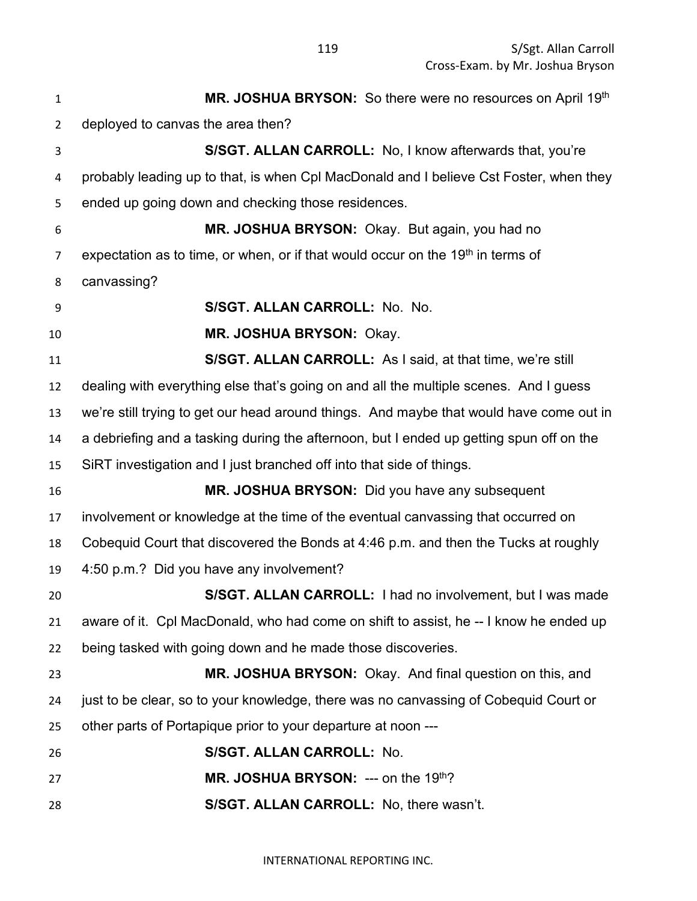| $\mathbf{1}$   | MR. JOSHUA BRYSON: So there were no resources on April 19th                                 |
|----------------|---------------------------------------------------------------------------------------------|
| $\overline{2}$ | deployed to canvas the area then?                                                           |
| 3              | S/SGT. ALLAN CARROLL: No, I know afterwards that, you're                                    |
| 4              | probably leading up to that, is when Cpl MacDonald and I believe Cst Foster, when they      |
| 5              | ended up going down and checking those residences.                                          |
| 6              | MR. JOSHUA BRYSON: Okay. But again, you had no                                              |
| 7              | expectation as to time, or when, or if that would occur on the 19 <sup>th</sup> in terms of |
| 8              | canvassing?                                                                                 |
| 9              | S/SGT. ALLAN CARROLL: No. No.                                                               |
| 10             | MR. JOSHUA BRYSON: Okay.                                                                    |
| 11             | S/SGT. ALLAN CARROLL: As I said, at that time, we're still                                  |
| 12             | dealing with everything else that's going on and all the multiple scenes. And I guess       |
| 13             | we're still trying to get our head around things. And maybe that would have come out in     |
| 14             | a debriefing and a tasking during the afternoon, but I ended up getting spun off on the     |
| 15             | SiRT investigation and I just branched off into that side of things.                        |
| 16             | MR. JOSHUA BRYSON: Did you have any subsequent                                              |
| 17             | involvement or knowledge at the time of the eventual canvassing that occurred on            |
| 18             | Cobequid Court that discovered the Bonds at 4:46 p.m. and then the Tucks at roughly         |
| 19             | 4:50 p.m.? Did you have any involvement?                                                    |
| 20             | S/SGT. ALLAN CARROLL: I had no involvement, but I was made                                  |
| 21             | aware of it. Cpl MacDonald, who had come on shift to assist, he -- I know he ended up       |
| 22             | being tasked with going down and he made those discoveries.                                 |
| 23             | MR. JOSHUA BRYSON: Okay. And final question on this, and                                    |
| 24             | just to be clear, so to your knowledge, there was no canvassing of Cobequid Court or        |
| 25             | other parts of Portapique prior to your departure at noon ---                               |
| 26             | S/SGT. ALLAN CARROLL: No.                                                                   |
| 27             | <b>MR. JOSHUA BRYSON:</b> --- on the 19th?                                                  |
| 28             | S/SGT. ALLAN CARROLL: No, there wasn't.                                                     |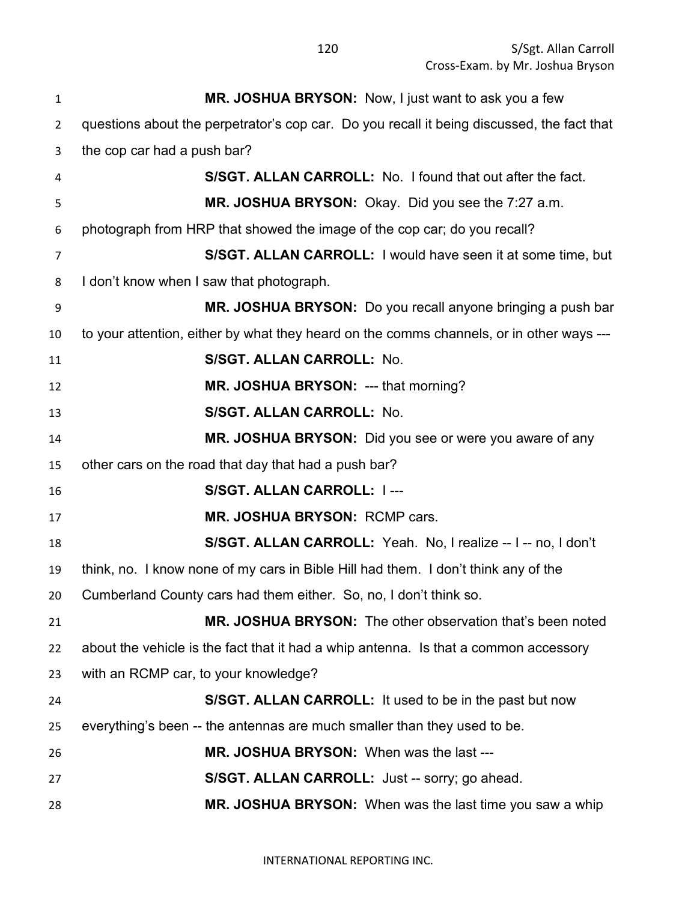**MR. JOSHUA BRYSON:** Now, I just want to ask you a few questions about the perpetrator's cop car. Do you recall it being discussed, the fact that the cop car had a push bar? **S/SGT. ALLAN CARROLL:** No. I found that out after the fact. **MR. JOSHUA BRYSON:** Okay. Did you see the 7:27 a.m. photograph from HRP that showed the image of the cop car; do you recall? **S/SGT. ALLAN CARROLL:** I would have seen it at some time, but I don't know when I saw that photograph. **MR. JOSHUA BRYSON:** Do you recall anyone bringing a push bar to your attention, either by what they heard on the comms channels, or in other ways --- **S/SGT. ALLAN CARROLL:** No. **MR. JOSHUA BRYSON:** --- that morning? **S/SGT. ALLAN CARROLL:** No. **MR. JOSHUA BRYSON:** Did you see or were you aware of any other cars on the road that day that had a push bar? **S/SGT. ALLAN CARROLL:** I --- **MR. JOSHUA BRYSON:** RCMP cars. **S/SGT. ALLAN CARROLL:** Yeah. No, I realize -- I -- no, I don't think, no. I know none of my cars in Bible Hill had them. I don't think any of the Cumberland County cars had them either. So, no, I don't think so. **MR. JOSHUA BRYSON:** The other observation that's been noted about the vehicle is the fact that it had a whip antenna. Is that a common accessory with an RCMP car, to your knowledge? **S/SGT. ALLAN CARROLL:** It used to be in the past but now everything's been -- the antennas are much smaller than they used to be. **MR. JOSHUA BRYSON:** When was the last --- **S/SGT. ALLAN CARROLL:** Just -- sorry; go ahead. **MR. JOSHUA BRYSON:** When was the last time you saw a whip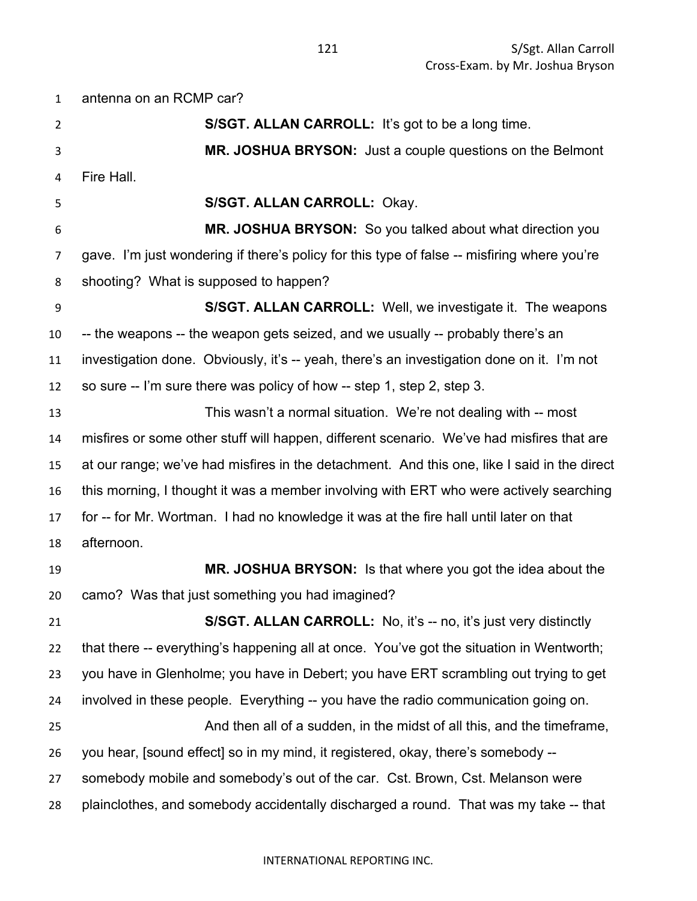antenna on an RCMP car? **S/SGT. ALLAN CARROLL:** It's got to be a long time. **MR. JOSHUA BRYSON:** Just a couple questions on the Belmont Fire Hall. **S/SGT. ALLAN CARROLL:** Okay. **MR. JOSHUA BRYSON:** So you talked about what direction you gave. I'm just wondering if there's policy for this type of false -- misfiring where you're shooting? What is supposed to happen? **S/SGT. ALLAN CARROLL:** Well, we investigate it. The weapons -- the weapons -- the weapon gets seized, and we usually -- probably there's an investigation done. Obviously, it's -- yeah, there's an investigation done on it. I'm not so sure -- I'm sure there was policy of how -- step 1, step 2, step 3. This wasn't a normal situation. We're not dealing with -- most misfires or some other stuff will happen, different scenario. We've had misfires that are at our range; we've had misfires in the detachment. And this one, like I said in the direct this morning, I thought it was a member involving with ERT who were actively searching for -- for Mr. Wortman. I had no knowledge it was at the fire hall until later on that afternoon. **MR. JOSHUA BRYSON:** Is that where you got the idea about the camo? Was that just something you had imagined? **S/SGT. ALLAN CARROLL:** No, it's -- no, it's just very distinctly that there -- everything's happening all at once. You've got the situation in Wentworth; you have in Glenholme; you have in Debert; you have ERT scrambling out trying to get involved in these people. Everything -- you have the radio communication going on. And then all of a sudden, in the midst of all this, and the timeframe, you hear, [sound effect] so in my mind, it registered, okay, there's somebody -- somebody mobile and somebody's out of the car. Cst. Brown, Cst. Melanson were plainclothes, and somebody accidentally discharged a round. That was my take -- that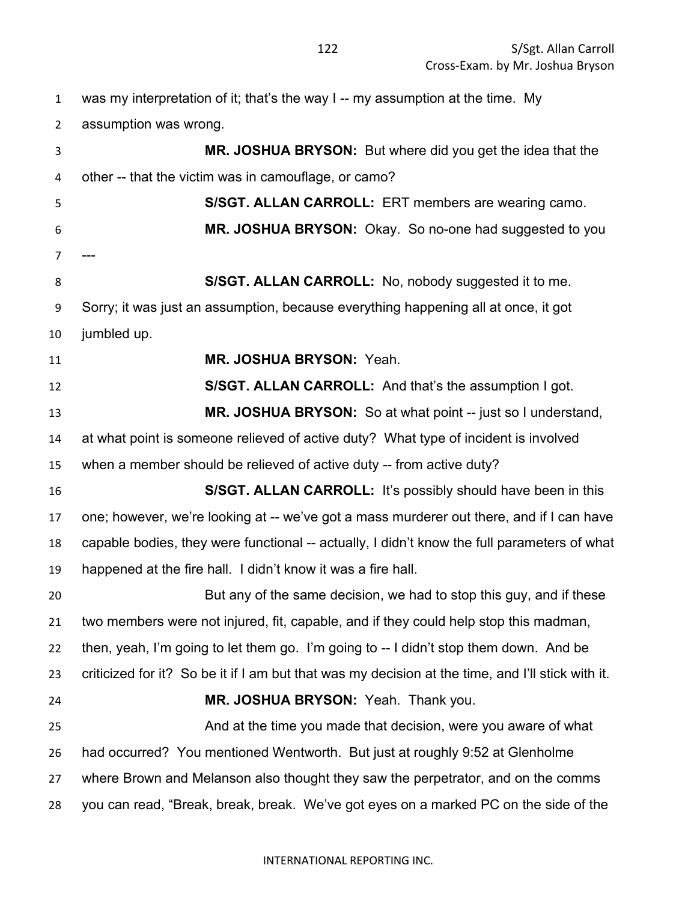| $\mathbf{1}$ | was my interpretation of it; that's the way I -- my assumption at the time. My                    |
|--------------|---------------------------------------------------------------------------------------------------|
| 2            | assumption was wrong.                                                                             |
| 3            | MR. JOSHUA BRYSON: But where did you get the idea that the                                        |
| 4            | other -- that the victim was in camouflage, or camo?                                              |
| 5            | S/SGT. ALLAN CARROLL: ERT members are wearing camo.                                               |
| 6            | MR. JOSHUA BRYSON: Okay. So no-one had suggested to you                                           |
| 7            |                                                                                                   |
| 8            | S/SGT. ALLAN CARROLL: No, nobody suggested it to me.                                              |
| 9            | Sorry; it was just an assumption, because everything happening all at once, it got                |
| 10           | jumbled up.                                                                                       |
| 11           | MR. JOSHUA BRYSON: Yeah.                                                                          |
| 12           | S/SGT. ALLAN CARROLL: And that's the assumption I got.                                            |
| 13           | MR. JOSHUA BRYSON: So at what point -- just so I understand,                                      |
| 14           | at what point is someone relieved of active duty? What type of incident is involved               |
| 15           | when a member should be relieved of active duty -- from active duty?                              |
| 16           | S/SGT. ALLAN CARROLL: It's possibly should have been in this                                      |
| 17           | one; however, we're looking at -- we've got a mass murderer out there, and if I can have          |
| 18           | capable bodies, they were functional -- actually, I didn't know the full parameters of what       |
| 19           | happened at the fire hall. I didn't know it was a fire hall.                                      |
| 20           | But any of the same decision, we had to stop this guy, and if these                               |
| 21           | two members were not injured, fit, capable, and if they could help stop this madman,              |
| 22           | then, yeah, I'm going to let them go. I'm going to -- I didn't stop them down. And be             |
| 23           | criticized for it? So be it if I am but that was my decision at the time, and I'll stick with it. |
| 24           | MR. JOSHUA BRYSON: Yeah. Thank you.                                                               |
| 25           | And at the time you made that decision, were you aware of what                                    |
| 26           | had occurred? You mentioned Wentworth. But just at roughly 9:52 at Glenholme                      |
| 27           | where Brown and Melanson also thought they saw the perpetrator, and on the comms                  |
| 28           | you can read, "Break, break, break. We've got eyes on a marked PC on the side of the              |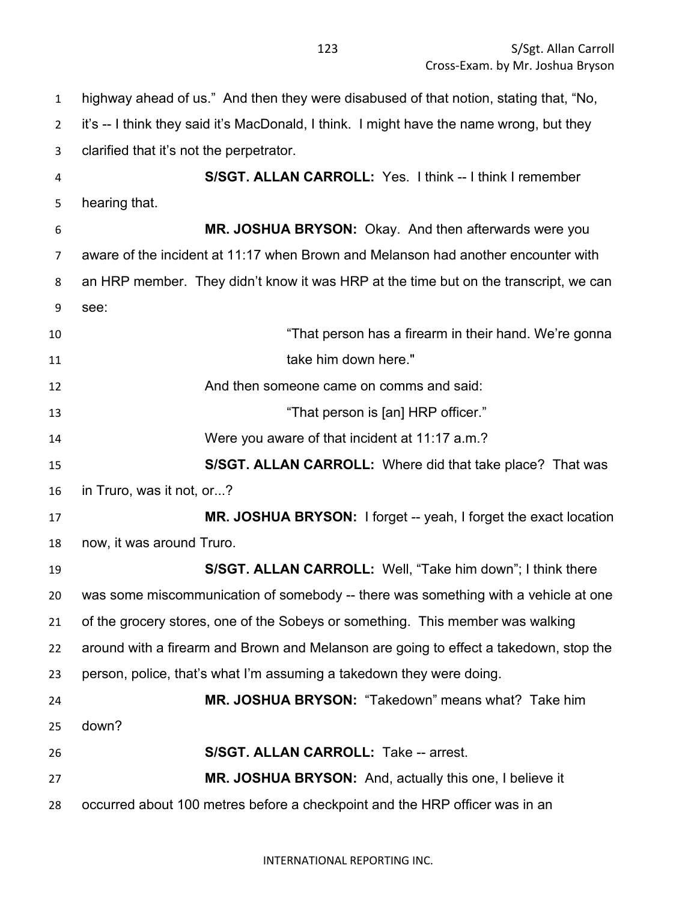highway ahead of us." And then they were disabused of that notion, stating that, "No, it's -- I think they said it's MacDonald, I think. I might have the name wrong, but they clarified that it's not the perpetrator. **S/SGT. ALLAN CARROLL:** Yes. I think -- I think I remember hearing that. **MR. JOSHUA BRYSON:** Okay. And then afterwards were you aware of the incident at 11:17 when Brown and Melanson had another encounter with an HRP member. They didn't know it was HRP at the time but on the transcript, we can see: "That person has a firearm in their hand. We're gonna 11 take him down here." And then someone came on comms and said: **13** That person is [an] HRP officer." Were you aware of that incident at 11:17 a.m.? **S/SGT. ALLAN CARROLL:** Where did that take place? That was in Truro, was it not, or...? **MR. JOSHUA BRYSON:** I forget -- yeah, I forget the exact location now, it was around Truro. **S/SGT. ALLAN CARROLL:** Well, "Take him down"; I think there was some miscommunication of somebody -- there was something with a vehicle at one of the grocery stores, one of the Sobeys or something. This member was walking around with a firearm and Brown and Melanson are going to effect a takedown, stop the person, police, that's what I'm assuming a takedown they were doing. **MR. JOSHUA BRYSON:** "Takedown" means what? Take him down? **S/SGT. ALLAN CARROLL:** Take -- arrest. **MR. JOSHUA BRYSON:** And, actually this one, I believe it occurred about 100 metres before a checkpoint and the HRP officer was in an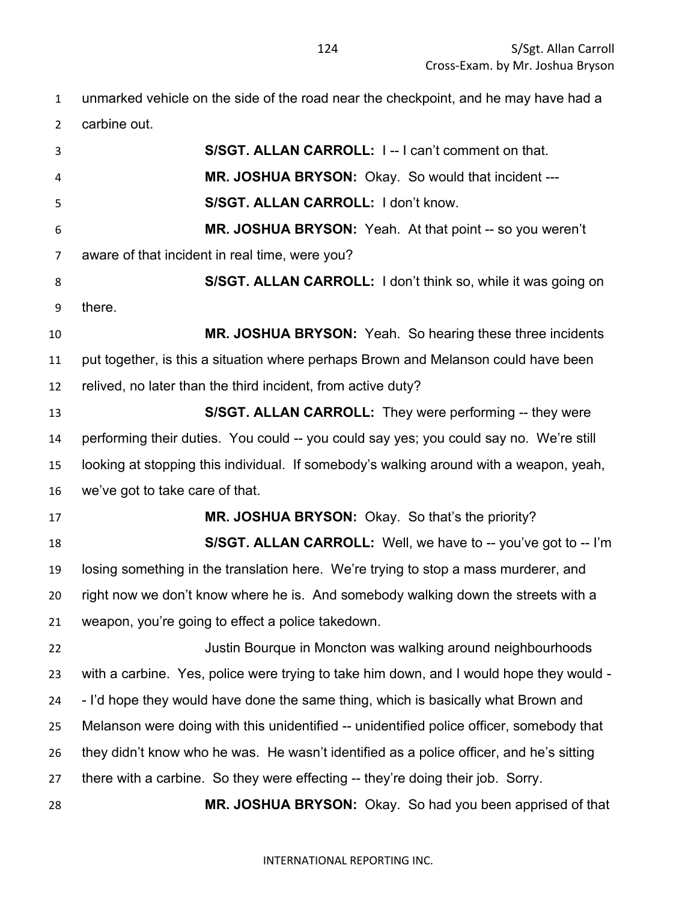| $\mathbf{1}$   | unmarked vehicle on the side of the road near the checkpoint, and he may have had a      |
|----------------|------------------------------------------------------------------------------------------|
| $\overline{2}$ | carbine out.                                                                             |
| 3              | S/SGT. ALLAN CARROLL: I--I can't comment on that.                                        |
| 4              | MR. JOSHUA BRYSON: Okay. So would that incident ---                                      |
| 5              | S/SGT. ALLAN CARROLL: I don't know.                                                      |
| 6              | MR. JOSHUA BRYSON: Yeah. At that point -- so you weren't                                 |
| $\overline{7}$ | aware of that incident in real time, were you?                                           |
| 8              | S/SGT. ALLAN CARROLL: I don't think so, while it was going on                            |
| 9              | there.                                                                                   |
| 10             | MR. JOSHUA BRYSON: Yeah. So hearing these three incidents                                |
| 11             | put together, is this a situation where perhaps Brown and Melanson could have been       |
| 12             | relived, no later than the third incident, from active duty?                             |
| 13             | S/SGT. ALLAN CARROLL: They were performing -- they were                                  |
| 14             | performing their duties. You could -- you could say yes; you could say no. We're still   |
| 15             | looking at stopping this individual. If somebody's walking around with a weapon, yeah,   |
| 16             | we've got to take care of that.                                                          |
| 17             | MR. JOSHUA BRYSON: Okay. So that's the priority?                                         |
| 18             | S/SGT. ALLAN CARROLL: Well, we have to -- you've got to -- I'm                           |
| 19             | losing something in the translation here. We're trying to stop a mass murderer, and      |
| 20             | right now we don't know where he is. And somebody walking down the streets with a        |
| 21             | weapon, you're going to effect a police takedown.                                        |
| 22             | Justin Bourque in Moncton was walking around neighbourhoods                              |
| 23             | with a carbine. Yes, police were trying to take him down, and I would hope they would -  |
| 24             | - I'd hope they would have done the same thing, which is basically what Brown and        |
| 25             | Melanson were doing with this unidentified -- unidentified police officer, somebody that |
| 26             | they didn't know who he was. He wasn't identified as a police officer, and he's sitting  |
| 27             | there with a carbine. So they were effecting -- they're doing their job. Sorry.          |
| 28             | MR. JOSHUA BRYSON: Okay. So had you been apprised of that                                |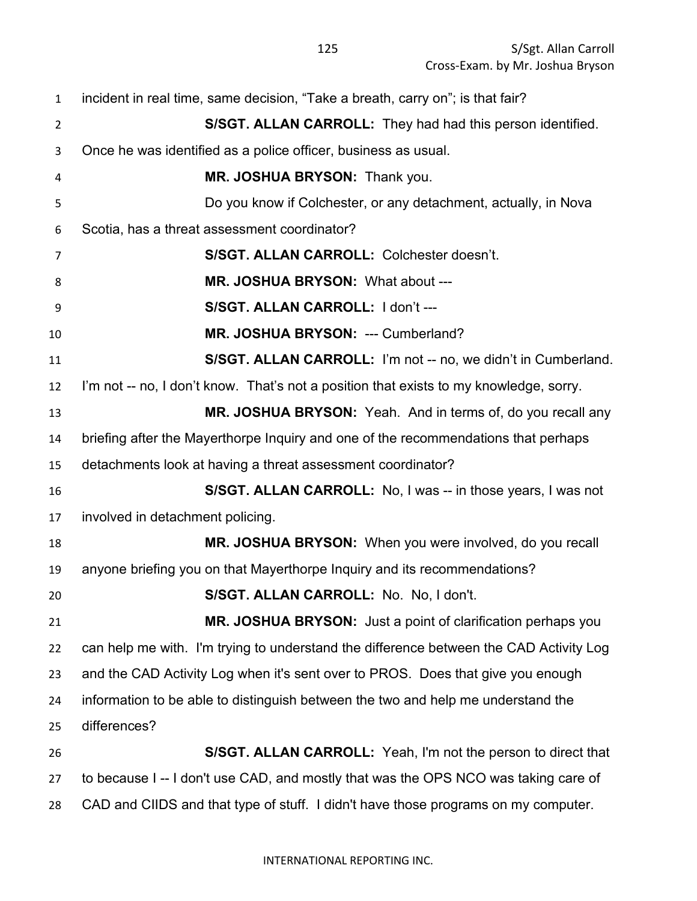| $\mathbf{1}$   | incident in real time, same decision, "Take a breath, carry on"; is that fair?         |
|----------------|----------------------------------------------------------------------------------------|
| $\overline{2}$ | S/SGT. ALLAN CARROLL: They had had this person identified.                             |
| 3              | Once he was identified as a police officer, business as usual.                         |
| 4              | MR. JOSHUA BRYSON: Thank you.                                                          |
| 5              | Do you know if Colchester, or any detachment, actually, in Nova                        |
| 6              | Scotia, has a threat assessment coordinator?                                           |
| $\overline{7}$ | S/SGT. ALLAN CARROLL: Colchester doesn't.                                              |
| 8              | MR. JOSHUA BRYSON: What about ---                                                      |
| 9              | S/SGT. ALLAN CARROLL: I don't ---                                                      |
| 10             | MR. JOSHUA BRYSON: --- Cumberland?                                                     |
| 11             | S/SGT. ALLAN CARROLL: I'm not -- no, we didn't in Cumberland.                          |
| 12             | I'm not -- no, I don't know. That's not a position that exists to my knowledge, sorry. |
| 13             | MR. JOSHUA BRYSON: Yeah. And in terms of, do you recall any                            |
| 14             | briefing after the Mayerthorpe Inquiry and one of the recommendations that perhaps     |
| 15             | detachments look at having a threat assessment coordinator?                            |
| 16             | S/SGT. ALLAN CARROLL: No, I was -- in those years, I was not                           |
| 17             | involved in detachment policing.                                                       |
| 18             | MR. JOSHUA BRYSON: When you were involved, do you recall                               |
| 19             | anyone briefing you on that Mayerthorpe Inquiry and its recommendations?               |
| 20             | S/SGT. ALLAN CARROLL: No. No, I don't.                                                 |
| 21             | MR. JOSHUA BRYSON: Just a point of clarification perhaps you                           |
| 22             | can help me with. I'm trying to understand the difference between the CAD Activity Log |
| 23             | and the CAD Activity Log when it's sent over to PROS. Does that give you enough        |
| 24             | information to be able to distinguish between the two and help me understand the       |
| 25             | differences?                                                                           |
| 26             | S/SGT. ALLAN CARROLL: Yeah, I'm not the person to direct that                          |
| 27             | to because I -- I don't use CAD, and mostly that was the OPS NCO was taking care of    |
| 28             | CAD and CIIDS and that type of stuff. I didn't have those programs on my computer.     |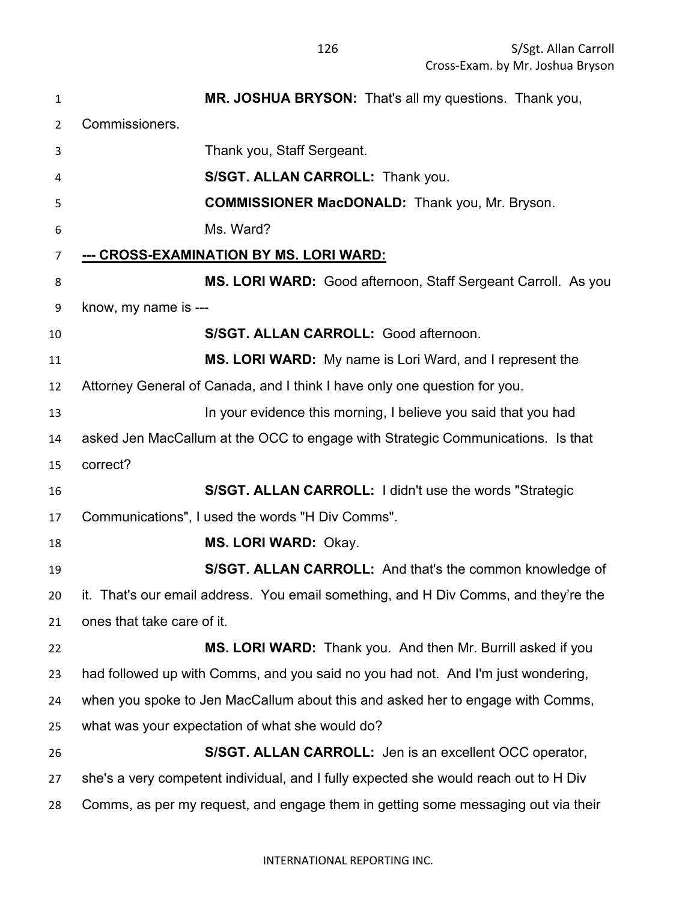| $\mathbf{1}$   | MR. JOSHUA BRYSON: That's all my questions. Thank you,                               |
|----------------|--------------------------------------------------------------------------------------|
| $\overline{2}$ | Commissioners.                                                                       |
| 3              | Thank you, Staff Sergeant.                                                           |
| 4              | S/SGT. ALLAN CARROLL: Thank you.                                                     |
| 5              | <b>COMMISSIONER MacDONALD:</b> Thank you, Mr. Bryson.                                |
| 6              | Ms. Ward?                                                                            |
| $\overline{7}$ | <u>--- CROSS-EXAMINATION BY MS. LORI WARD:</u>                                       |
| 8              | MS. LORI WARD: Good afternoon, Staff Sergeant Carroll. As you                        |
| 9              | know, my name is ---                                                                 |
| 10             | S/SGT. ALLAN CARROLL: Good afternoon.                                                |
| 11             | MS. LORI WARD: My name is Lori Ward, and I represent the                             |
| 12             | Attorney General of Canada, and I think I have only one question for you.            |
| 13             | In your evidence this morning, I believe you said that you had                       |
| 14             | asked Jen MacCallum at the OCC to engage with Strategic Communications. Is that      |
| 15             | correct?                                                                             |
| 16             | S/SGT. ALLAN CARROLL: I didn't use the words "Strategic                              |
| 17             | Communications", I used the words "H Div Comms".                                     |
| 18             | MS. LORI WARD: Okay.                                                                 |
| 19             | S/SGT. ALLAN CARROLL: And that's the common knowledge of                             |
| 20.            | it. That's our email address. You email something, and H Div Comms, and they're the  |
| 21             | ones that take care of it.                                                           |
| 22             | MS. LORI WARD: Thank you. And then Mr. Burrill asked if you                          |
| 23             | had followed up with Comms, and you said no you had not. And I'm just wondering,     |
| 24             | when you spoke to Jen MacCallum about this and asked her to engage with Comms,       |
| 25             | what was your expectation of what she would do?                                      |
| 26             | S/SGT. ALLAN CARROLL: Jen is an excellent OCC operator,                              |
| 27             | she's a very competent individual, and I fully expected she would reach out to H Div |
| 28             | Comms, as per my request, and engage them in getting some messaging out via their    |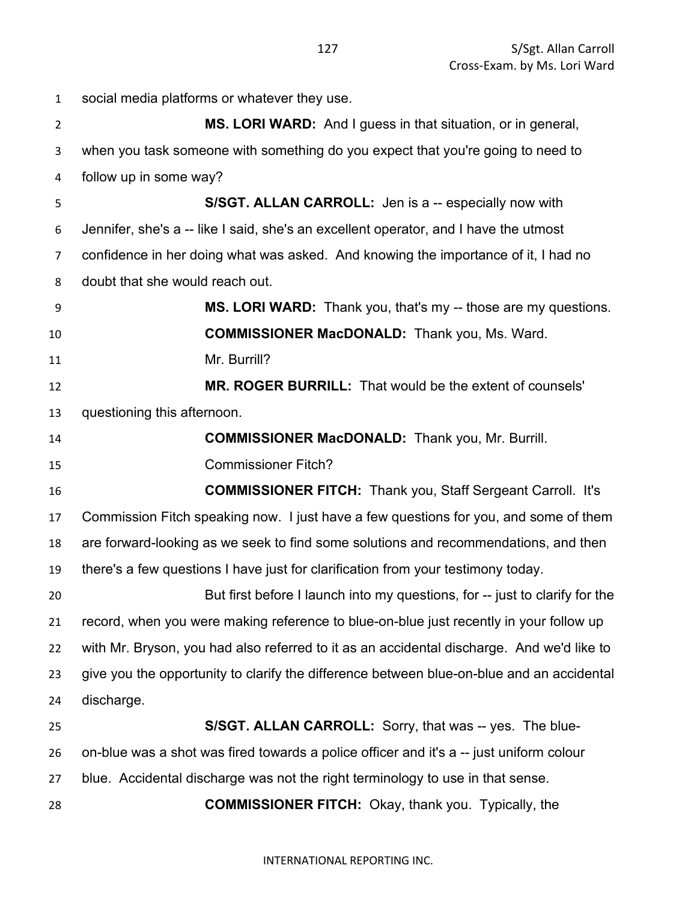social media platforms or whatever they use. **MS. LORI WARD:** And I guess in that situation, or in general, when you task someone with something do you expect that you're going to need to follow up in some way? **S/SGT. ALLAN CARROLL:** Jen is a -- especially now with Jennifer, she's a -- like I said, she's an excellent operator, and I have the utmost confidence in her doing what was asked. And knowing the importance of it, I had no doubt that she would reach out. **MS. LORI WARD:** Thank you, that's my -- those are my questions. **COMMISSIONER MacDONALD:** Thank you, Ms. Ward. Mr. Burrill? **MR. ROGER BURRILL:** That would be the extent of counsels' questioning this afternoon. **COMMISSIONER MacDONALD:** Thank you, Mr. Burrill. Commissioner Fitch? **COMMISSIONER FITCH:** Thank you, Staff Sergeant Carroll. It's Commission Fitch speaking now. I just have a few questions for you, and some of them are forward-looking as we seek to find some solutions and recommendations, and then there's a few questions I have just for clarification from your testimony today. But first before I launch into my questions, for -- just to clarify for the record, when you were making reference to blue-on-blue just recently in your follow up with Mr. Bryson, you had also referred to it as an accidental discharge. And we'd like to give you the opportunity to clarify the difference between blue-on-blue and an accidental discharge. **S/SGT. ALLAN CARROLL:** Sorry, that was -- yes. The blue-26 on-blue was a shot was fired towards a police officer and it's a -- just uniform colour blue. Accidental discharge was not the right terminology to use in that sense. **COMMISSIONER FITCH:** Okay, thank you. Typically, the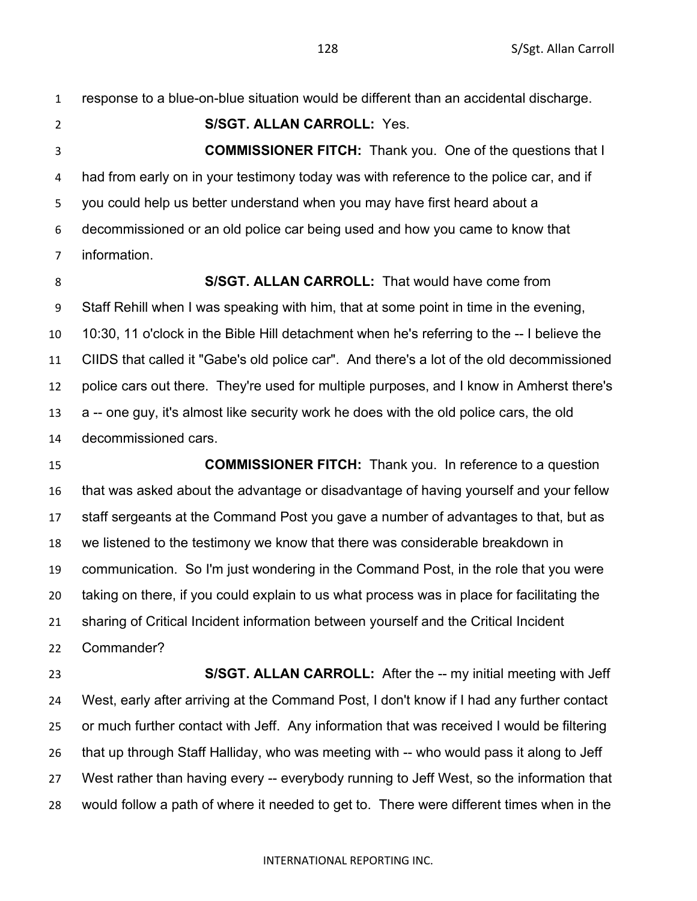response to a blue-on-blue situation would be different than an accidental discharge.

**S/SGT. ALLAN CARROLL:** Yes.

 **COMMISSIONER FITCH:** Thank you. One of the questions that I had from early on in your testimony today was with reference to the police car, and if you could help us better understand when you may have first heard about a decommissioned or an old police car being used and how you came to know that information.

**S/SGT. ALLAN CARROLL:** That would have come from

 Staff Rehill when I was speaking with him, that at some point in time in the evening, 10:30, 11 o'clock in the Bible Hill detachment when he's referring to the -- I believe the CIIDS that called it "Gabe's old police car". And there's a lot of the old decommissioned police cars out there. They're used for multiple purposes, and I know in Amherst there's a -- one guy, it's almost like security work he does with the old police cars, the old

decommissioned cars.

 **COMMISSIONER FITCH:** Thank you. In reference to a question that was asked about the advantage or disadvantage of having yourself and your fellow staff sergeants at the Command Post you gave a number of advantages to that, but as we listened to the testimony we know that there was considerable breakdown in communication. So I'm just wondering in the Command Post, in the role that you were taking on there, if you could explain to us what process was in place for facilitating the sharing of Critical Incident information between yourself and the Critical Incident Commander?

 **S/SGT. ALLAN CARROLL:** After the -- my initial meeting with Jeff West, early after arriving at the Command Post, I don't know if I had any further contact or much further contact with Jeff. Any information that was received I would be filtering that up through Staff Halliday, who was meeting with -- who would pass it along to Jeff West rather than having every -- everybody running to Jeff West, so the information that would follow a path of where it needed to get to. There were different times when in the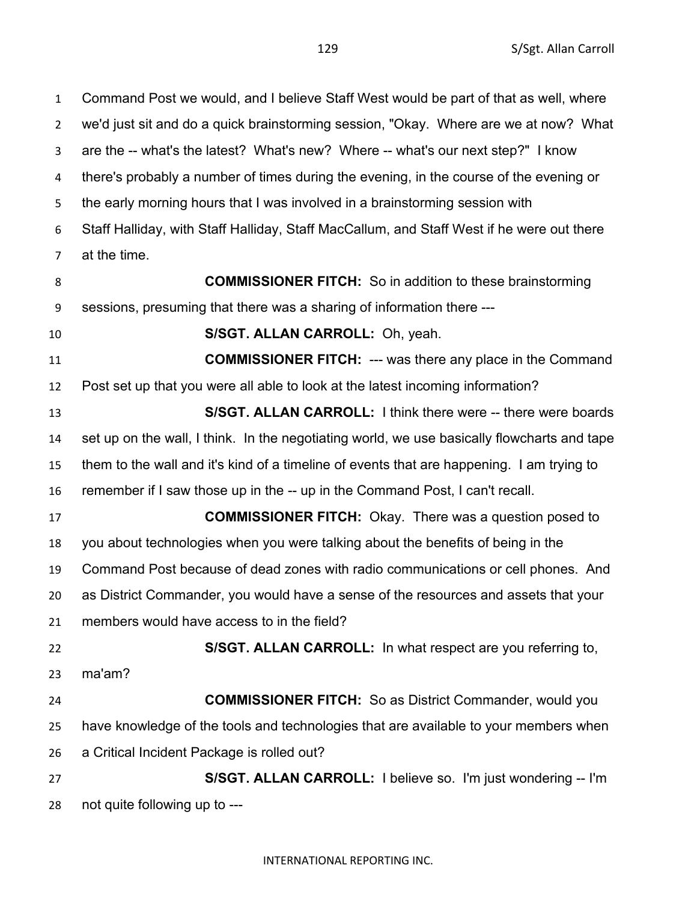S/Sgt. Allan Carroll

 Command Post we would, and I believe Staff West would be part of that as well, where we'd just sit and do a quick brainstorming session, "Okay. Where are we at now? What are the -- what's the latest? What's new? Where -- what's our next step?" I know there's probably a number of times during the evening, in the course of the evening or the early morning hours that I was involved in a brainstorming session with Staff Halliday, with Staff Halliday, Staff MacCallum, and Staff West if he were out there at the time. **COMMISSIONER FITCH:** So in addition to these brainstorming sessions, presuming that there was a sharing of information there --- **S/SGT. ALLAN CARROLL:** Oh, yeah. **COMMISSIONER FITCH:** --- was there any place in the Command Post set up that you were all able to look at the latest incoming information? **S/SGT. ALLAN CARROLL:** I think there were -- there were boards set up on the wall, I think. In the negotiating world, we use basically flowcharts and tape them to the wall and it's kind of a timeline of events that are happening. I am trying to remember if I saw those up in the -- up in the Command Post, I can't recall. **COMMISSIONER FITCH:** Okay. There was a question posed to you about technologies when you were talking about the benefits of being in the Command Post because of dead zones with radio communications or cell phones. And as District Commander, you would have a sense of the resources and assets that your members would have access to in the field? **S/SGT. ALLAN CARROLL:** In what respect are you referring to, ma'am? **COMMISSIONER FITCH:** So as District Commander, would you have knowledge of the tools and technologies that are available to your members when a Critical Incident Package is rolled out? **S/SGT. ALLAN CARROLL:** I believe so. I'm just wondering -- I'm not quite following up to ---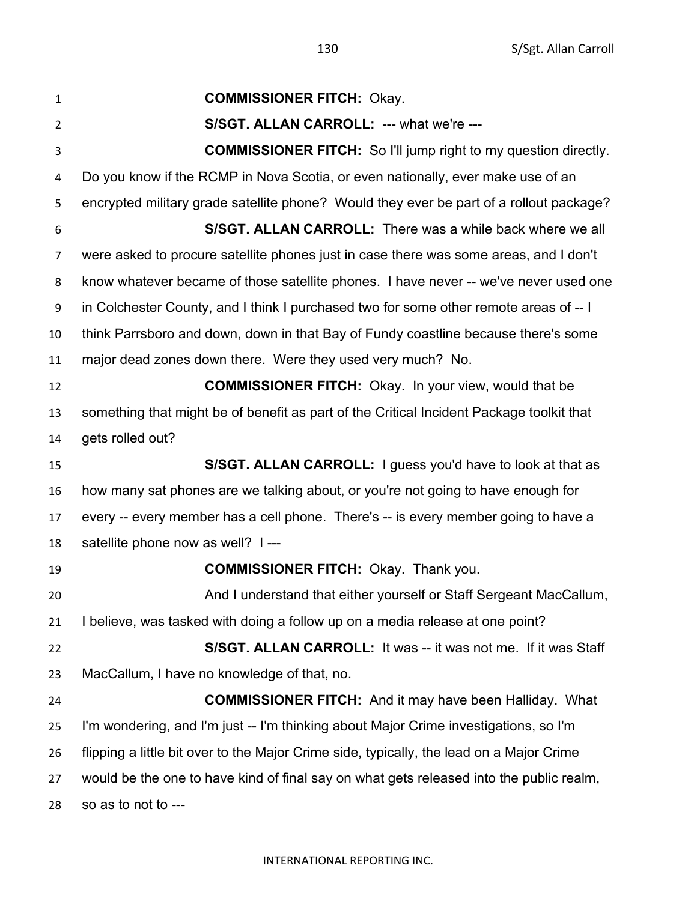**COMMISSIONER FITCH:** Okay. **S/SGT. ALLAN CARROLL:** --- what we're --- **COMMISSIONER FITCH:** So I'll jump right to my question directly. Do you know if the RCMP in Nova Scotia, or even nationally, ever make use of an encrypted military grade satellite phone? Would they ever be part of a rollout package? **S/SGT. ALLAN CARROLL:** There was a while back where we all were asked to procure satellite phones just in case there was some areas, and I don't know whatever became of those satellite phones. I have never -- we've never used one in Colchester County, and I think I purchased two for some other remote areas of -- I think Parrsboro and down, down in that Bay of Fundy coastline because there's some major dead zones down there. Were they used very much? No. **COMMISSIONER FITCH:** Okay. In your view, would that be something that might be of benefit as part of the Critical Incident Package toolkit that gets rolled out? **S/SGT. ALLAN CARROLL:** I guess you'd have to look at that as how many sat phones are we talking about, or you're not going to have enough for every -- every member has a cell phone. There's -- is every member going to have a satellite phone now as well? I --- **COMMISSIONER FITCH:** Okay. Thank you. And I understand that either yourself or Staff Sergeant MacCallum, I believe, was tasked with doing a follow up on a media release at one point? **S/SGT. ALLAN CARROLL:** It was -- it was not me. If it was Staff MacCallum, I have no knowledge of that, no. **COMMISSIONER FITCH:** And it may have been Halliday. What I'm wondering, and I'm just -- I'm thinking about Major Crime investigations, so I'm flipping a little bit over to the Major Crime side, typically, the lead on a Major Crime would be the one to have kind of final say on what gets released into the public realm, so as to not to ---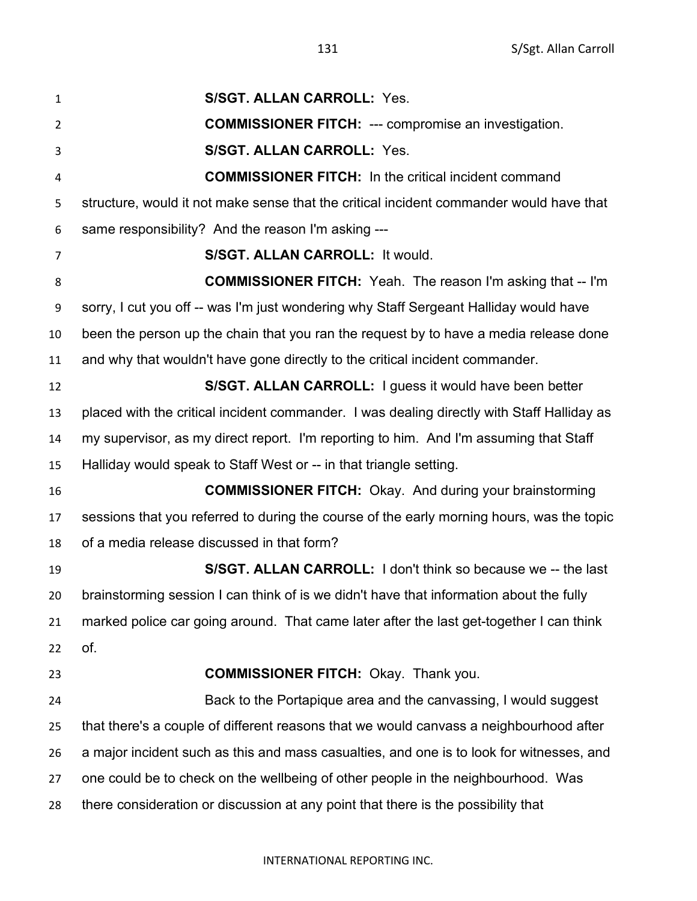| $\mathbf{1}$   | <b>S/SGT. ALLAN CARROLL: Yes.</b>                                                          |
|----------------|--------------------------------------------------------------------------------------------|
| $\overline{2}$ | <b>COMMISSIONER FITCH: --- compromise an investigation.</b>                                |
| 3              | <b>S/SGT. ALLAN CARROLL: Yes.</b>                                                          |
| 4              | <b>COMMISSIONER FITCH:</b> In the critical incident command                                |
| 5              | structure, would it not make sense that the critical incident commander would have that    |
| 6              | same responsibility? And the reason I'm asking ---                                         |
| 7              | S/SGT. ALLAN CARROLL: It would.                                                            |
| 8              | <b>COMMISSIONER FITCH:</b> Yeah. The reason I'm asking that -- I'm                         |
| 9              | sorry, I cut you off -- was I'm just wondering why Staff Sergeant Halliday would have      |
| 10             | been the person up the chain that you ran the request by to have a media release done      |
| 11             | and why that wouldn't have gone directly to the critical incident commander.               |
| 12             | S/SGT. ALLAN CARROLL: I guess it would have been better                                    |
| 13             | placed with the critical incident commander. I was dealing directly with Staff Halliday as |
| 14             | my supervisor, as my direct report. I'm reporting to him. And I'm assuming that Staff      |
| 15             | Halliday would speak to Staff West or -- in that triangle setting.                         |
| 16             | <b>COMMISSIONER FITCH:</b> Okay. And during your brainstorming                             |
| 17             | sessions that you referred to during the course of the early morning hours, was the topic  |
| 18             | of a media release discussed in that form?                                                 |
| 19             | S/SGT. ALLAN CARROLL: I don't think so because we -- the last                              |
| 20             | brainstorming session I can think of is we didn't have that information about the fully    |
| 21             | marked police car going around. That came later after the last get-together I can think    |
| 22             | of.                                                                                        |
| 23             | <b>COMMISSIONER FITCH: Okay. Thank you.</b>                                                |
| 24             | Back to the Portapique area and the canvassing, I would suggest                            |
| 25             | that there's a couple of different reasons that we would canvass a neighbourhood after     |
| 26             | a major incident such as this and mass casualties, and one is to look for witnesses, and   |
| 27             | one could be to check on the wellbeing of other people in the neighbourhood. Was           |
| 28             | there consideration or discussion at any point that there is the possibility that          |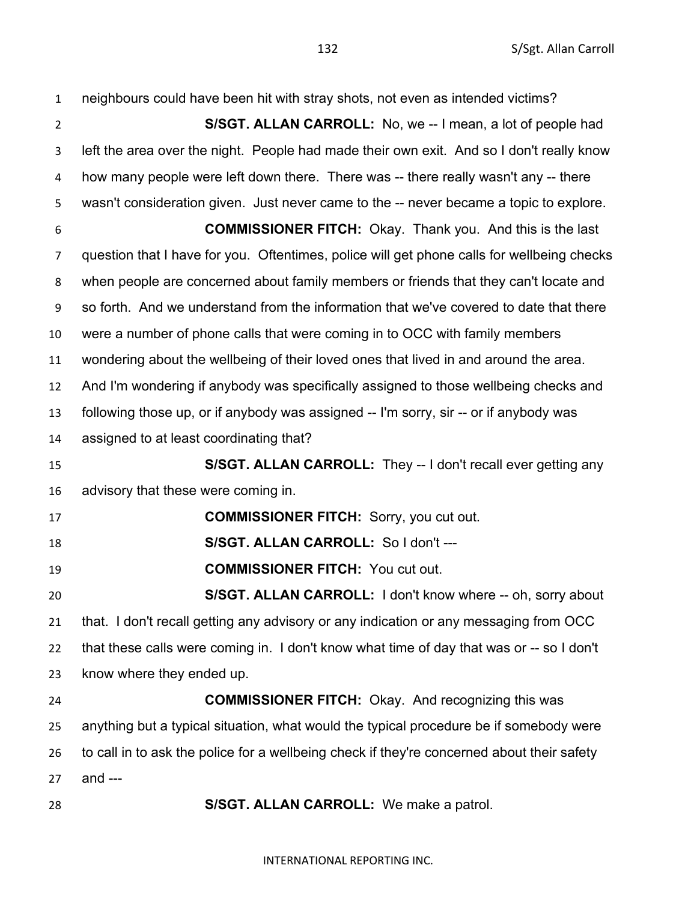neighbours could have been hit with stray shots, not even as intended victims? **S/SGT. ALLAN CARROLL:** No, we -- I mean, a lot of people had left the area over the night. People had made their own exit. And so I don't really know how many people were left down there. There was -- there really wasn't any -- there wasn't consideration given. Just never came to the -- never became a topic to explore. **COMMISSIONER FITCH:** Okay. Thank you. And this is the last question that I have for you. Oftentimes, police will get phone calls for wellbeing checks when people are concerned about family members or friends that they can't locate and so forth. And we understand from the information that we've covered to date that there were a number of phone calls that were coming in to OCC with family members wondering about the wellbeing of their loved ones that lived in and around the area. And I'm wondering if anybody was specifically assigned to those wellbeing checks and following those up, or if anybody was assigned -- I'm sorry, sir -- or if anybody was assigned to at least coordinating that? **S/SGT. ALLAN CARROLL:** They -- I don't recall ever getting any advisory that these were coming in. **COMMISSIONER FITCH:** Sorry, you cut out. **S/SGT. ALLAN CARROLL:** So I don't --- **COMMISSIONER FITCH:** You cut out. **S/SGT. ALLAN CARROLL:** I don't know where -- oh, sorry about that. I don't recall getting any advisory or any indication or any messaging from OCC that these calls were coming in. I don't know what time of day that was or -- so I don't know where they ended up. **COMMISSIONER FITCH:** Okay. And recognizing this was anything but a typical situation, what would the typical procedure be if somebody were 26 to call in to ask the police for a wellbeing check if they're concerned about their safety and --- **S/SGT. ALLAN CARROLL:** We make a patrol.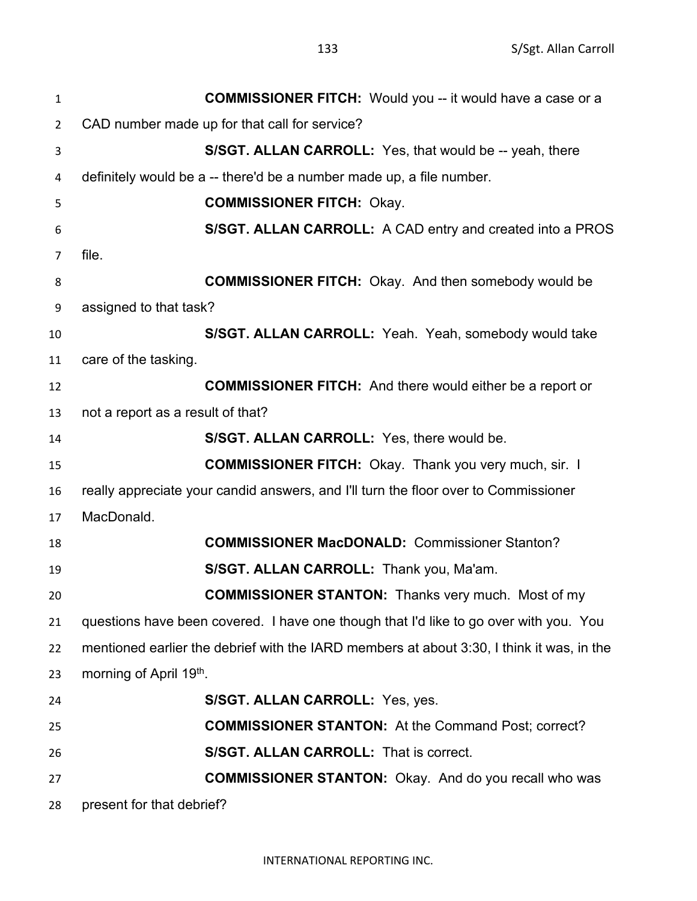| $\mathbf 1$    | <b>COMMISSIONER FITCH:</b> Would you -- it would have a case or a                         |
|----------------|-------------------------------------------------------------------------------------------|
| $\overline{2}$ | CAD number made up for that call for service?                                             |
| 3              | S/SGT. ALLAN CARROLL: Yes, that would be -- yeah, there                                   |
| 4              | definitely would be a -- there'd be a number made up, a file number.                      |
| 5              | <b>COMMISSIONER FITCH: Okay.</b>                                                          |
| 6              | S/SGT. ALLAN CARROLL: A CAD entry and created into a PROS                                 |
| $\overline{7}$ | file.                                                                                     |
| 8              | <b>COMMISSIONER FITCH:</b> Okay. And then somebody would be                               |
| 9              | assigned to that task?                                                                    |
| 10             | S/SGT. ALLAN CARROLL: Yeah. Yeah, somebody would take                                     |
| 11             | care of the tasking.                                                                      |
| 12             | <b>COMMISSIONER FITCH:</b> And there would either be a report or                          |
| 13             | not a report as a result of that?                                                         |
| 14             | S/SGT. ALLAN CARROLL: Yes, there would be.                                                |
| 15             | <b>COMMISSIONER FITCH:</b> Okay. Thank you very much, sir. I                              |
| 16             | really appreciate your candid answers, and I'll turn the floor over to Commissioner       |
| 17             | MacDonald.                                                                                |
| 18             | <b>COMMISSIONER MacDONALD: Commissioner Stanton?</b>                                      |
| 19             | S/SGT. ALLAN CARROLL: Thank you, Ma'am.                                                   |
| 20             | <b>COMMISSIONER STANTON:</b> Thanks very much. Most of my                                 |
| 21             | questions have been covered. I have one though that I'd like to go over with you. You     |
| 22             | mentioned earlier the debrief with the IARD members at about 3:30, I think it was, in the |
| 23             | morning of April 19th.                                                                    |
| 24             | S/SGT. ALLAN CARROLL: Yes, yes.                                                           |
| 25             | <b>COMMISSIONER STANTON:</b> At the Command Post; correct?                                |
| 26             | <b>S/SGT. ALLAN CARROLL: That is correct.</b>                                             |
| 27             | <b>COMMISSIONER STANTON:</b> Okay. And do you recall who was                              |
| 28             | present for that debrief?                                                                 |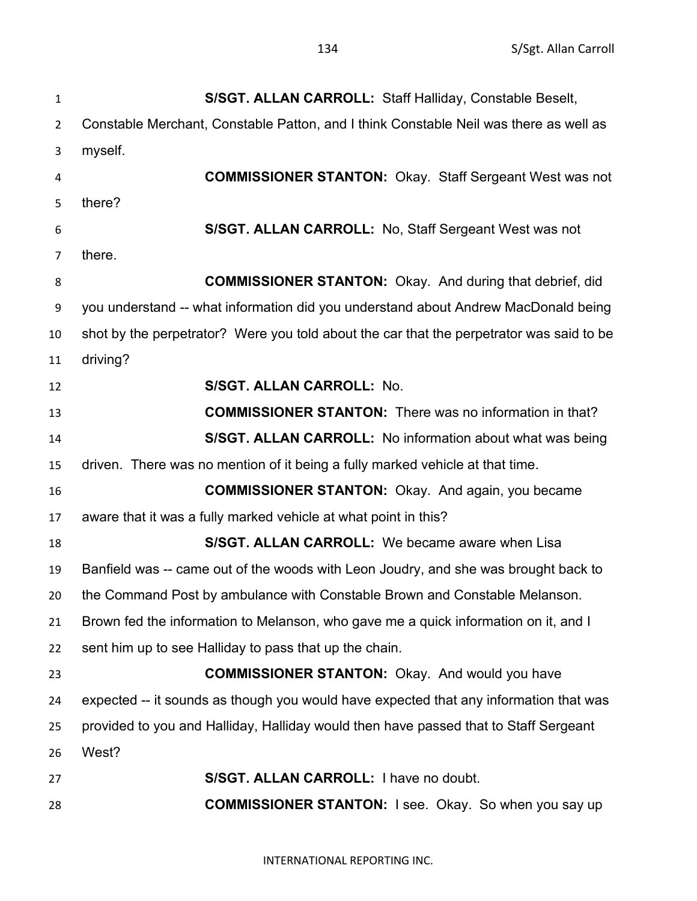**S/SGT. ALLAN CARROLL:** Staff Halliday, Constable Beselt, Constable Merchant, Constable Patton, and I think Constable Neil was there as well as myself. **COMMISSIONER STANTON:** Okay. Staff Sergeant West was not there? **S/SGT. ALLAN CARROLL:** No, Staff Sergeant West was not there. **COMMISSIONER STANTON:** Okay. And during that debrief, did you understand -- what information did you understand about Andrew MacDonald being shot by the perpetrator? Were you told about the car that the perpetrator was said to be driving? **S/SGT. ALLAN CARROLL:** No. **COMMISSIONER STANTON:** There was no information in that? **S/SGT. ALLAN CARROLL:** No information about what was being driven. There was no mention of it being a fully marked vehicle at that time. **COMMISSIONER STANTON:** Okay. And again, you became aware that it was a fully marked vehicle at what point in this? **S/SGT. ALLAN CARROLL:** We became aware when Lisa Banfield was -- came out of the woods with Leon Joudry, and she was brought back to the Command Post by ambulance with Constable Brown and Constable Melanson. Brown fed the information to Melanson, who gave me a quick information on it, and I sent him up to see Halliday to pass that up the chain. **COMMISSIONER STANTON:** Okay. And would you have expected -- it sounds as though you would have expected that any information that was provided to you and Halliday, Halliday would then have passed that to Staff Sergeant West? **S/SGT. ALLAN CARROLL:** I have no doubt. **COMMISSIONER STANTON:** I see. Okay. So when you say up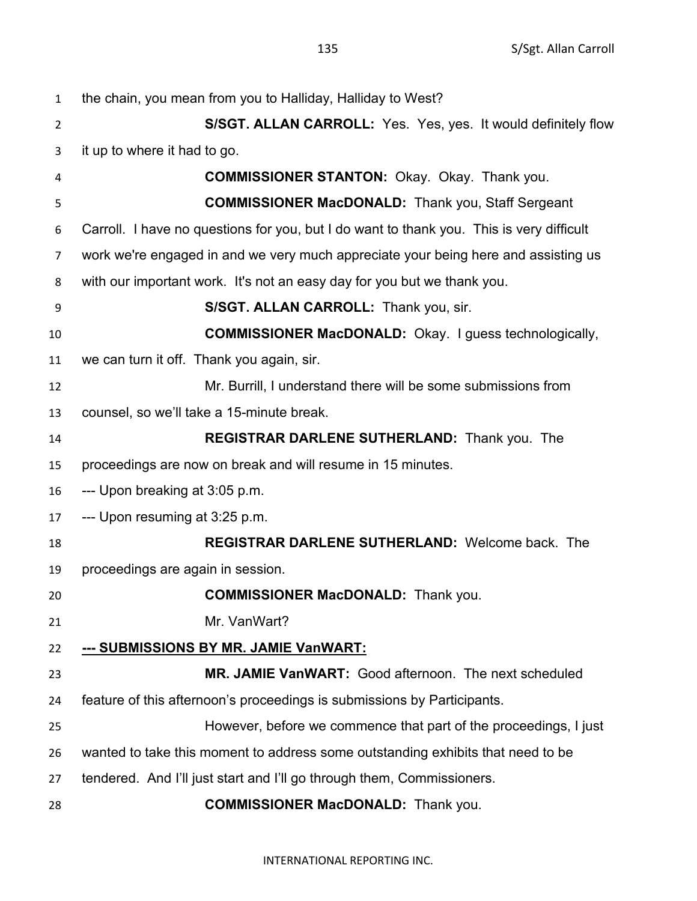| $\mathbf{1}$   | the chain, you mean from you to Halliday, Halliday to West?                              |
|----------------|------------------------------------------------------------------------------------------|
| $\overline{2}$ | S/SGT. ALLAN CARROLL: Yes. Yes, yes. It would definitely flow                            |
| 3              | it up to where it had to go.                                                             |
| 4              | <b>COMMISSIONER STANTON: Okay. Okay. Thank you.</b>                                      |
| 5              | <b>COMMISSIONER MacDONALD:</b> Thank you, Staff Sergeant                                 |
| 6              | Carroll. I have no questions for you, but I do want to thank you. This is very difficult |
| $\overline{7}$ | work we're engaged in and we very much appreciate your being here and assisting us       |
| 8              | with our important work. It's not an easy day for you but we thank you.                  |
| 9              | S/SGT. ALLAN CARROLL: Thank you, sir.                                                    |
| 10             | <b>COMMISSIONER MacDONALD:</b> Okay. I guess technologically,                            |
| 11             | we can turn it off. Thank you again, sir.                                                |
| 12             | Mr. Burrill, I understand there will be some submissions from                            |
| 13             | counsel, so we'll take a 15-minute break.                                                |
| 14             | <b>REGISTRAR DARLENE SUTHERLAND: Thank you. The</b>                                      |
| 15             | proceedings are now on break and will resume in 15 minutes.                              |
| 16             | --- Upon breaking at 3:05 p.m.                                                           |
| 17             | --- Upon resuming at 3:25 p.m.                                                           |
| 18             | <b>REGISTRAR DARLENE SUTHERLAND: Welcome back. The</b>                                   |
| 19             | proceedings are again in session.                                                        |
| 20             | <b>COMMISSIONER MacDONALD:</b> Thank you.                                                |
| 21             | Mr. VanWart?                                                                             |
| 22             | --- SUBMISSIONS BY MR. JAMIE VanWART:                                                    |
| 23             | MR. JAMIE VanWART: Good afternoon. The next scheduled                                    |
| 24             | feature of this afternoon's proceedings is submissions by Participants.                  |
| 25             | However, before we commence that part of the proceedings, I just                         |
| 26             | wanted to take this moment to address some outstanding exhibits that need to be          |
| 27             | tendered. And I'll just start and I'll go through them, Commissioners.                   |
| 28             | <b>COMMISSIONER MacDONALD:</b> Thank you.                                                |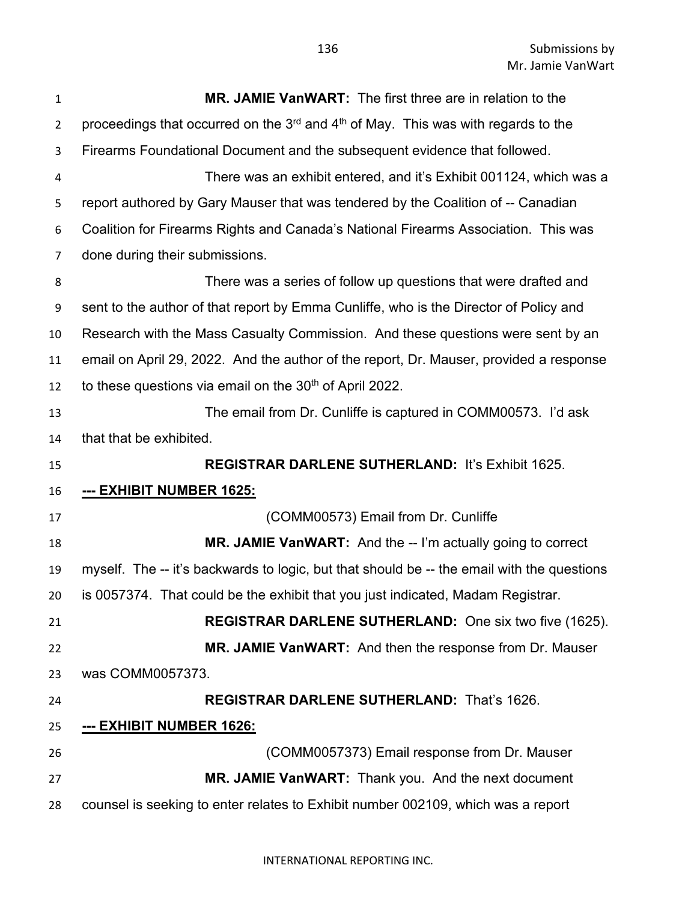Submissions by Mr. Jamie VanWart

| $\mathbf{1}$    | <b>MR. JAMIE VanWART:</b> The first three are in relation to the                                          |
|-----------------|-----------------------------------------------------------------------------------------------------------|
| $\overline{2}$  | proceedings that occurred on the 3 <sup>rd</sup> and 4 <sup>th</sup> of May. This was with regards to the |
| 3               | Firearms Foundational Document and the subsequent evidence that followed.                                 |
| 4               | There was an exhibit entered, and it's Exhibit 001124, which was a                                        |
| 5               | report authored by Gary Mauser that was tendered by the Coalition of -- Canadian                          |
| 6               | Coalition for Firearms Rights and Canada's National Firearms Association. This was                        |
| 7               | done during their submissions.                                                                            |
| 8               | There was a series of follow up questions that were drafted and                                           |
| 9               | sent to the author of that report by Emma Cunliffe, who is the Director of Policy and                     |
| 10              | Research with the Mass Casualty Commission. And these questions were sent by an                           |
| 11              | email on April 29, 2022. And the author of the report, Dr. Mauser, provided a response                    |
| 12              | to these questions via email on the 30 <sup>th</sup> of April 2022.                                       |
| 13              | The email from Dr. Cunliffe is captured in COMM00573. I'd ask                                             |
| 14              | that that be exhibited.                                                                                   |
|                 |                                                                                                           |
| 15              | <b>REGISTRAR DARLENE SUTHERLAND: It's Exhibit 1625.</b>                                                   |
| 16              | <u>--- EXHIBIT NUMBER 1625:</u>                                                                           |
| 17              | (COMM00573) Email from Dr. Cunliffe                                                                       |
| 18              | MR. JAMIE VanWART: And the -- I'm actually going to correct                                               |
|                 | myself. The -- it's backwards to logic, but that should be -- the email with the questions                |
|                 | is 0057374. That could be the exhibit that you just indicated, Madam Registrar.                           |
| 19<br>20.<br>21 | REGISTRAR DARLENE SUTHERLAND: One six two five (1625).                                                    |
| 22              | MR. JAMIE VanWART: And then the response from Dr. Mauser                                                  |
| 23              | was COMM0057373.                                                                                          |
| 24              | <b>REGISTRAR DARLENE SUTHERLAND: That's 1626.</b>                                                         |
| 25              | --- EXHIBIT NUMBER 1626:                                                                                  |
| 26              | (COMM0057373) Email response from Dr. Mauser                                                              |
| 27              | MR. JAMIE VanWART: Thank you. And the next document                                                       |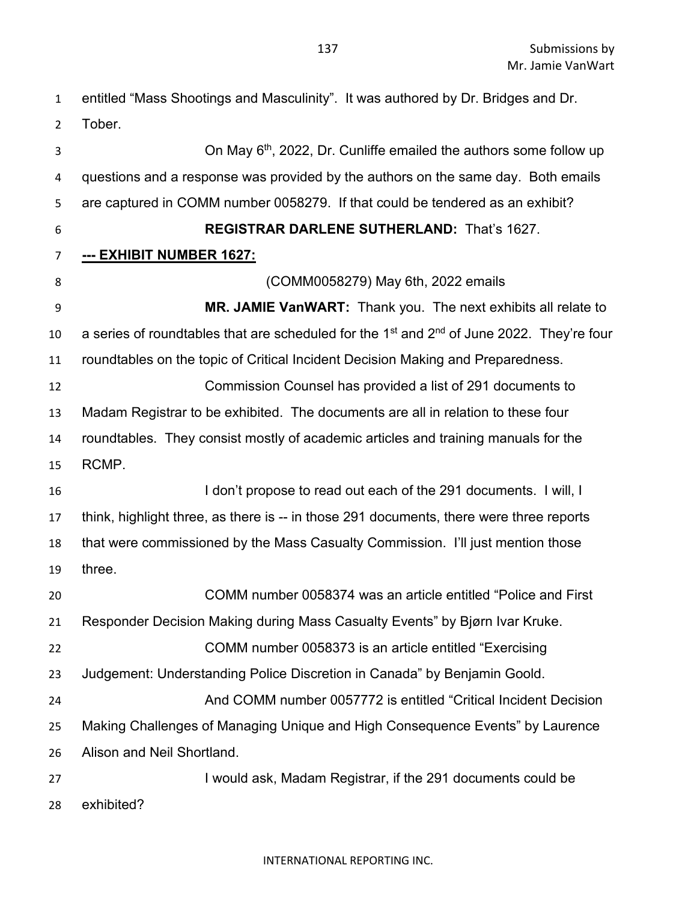entitled "Mass Shootings and Masculinity". It was authored by Dr. Bridges and Dr. Tober. 3 3 3 3  $\sigma$  2012, Dr. Cunliffe emailed the authors some follow up questions and a response was provided by the authors on the same day. Both emails are captured in COMM number 0058279. If that could be tendered as an exhibit? **REGISTRAR DARLENE SUTHERLAND:** That's 1627. **--- EXHIBIT NUMBER 1627:** (COMM0058279) May 6th, 2022 emails **MR. JAMIE VanWART:** Thank you. The next exhibits all relate to 10 a series of roundtables that are scheduled for the 1<sup>st</sup> and  $2<sup>nd</sup>$  of June 2022. They're four roundtables on the topic of Critical Incident Decision Making and Preparedness. Commission Counsel has provided a list of 291 documents to Madam Registrar to be exhibited. The documents are all in relation to these four roundtables. They consist mostly of academic articles and training manuals for the RCMP. 16 I don't propose to read out each of the 291 documents. I will, I think, highlight three, as there is -- in those 291 documents, there were three reports that were commissioned by the Mass Casualty Commission. I'll just mention those three. COMM number 0058374 was an article entitled "Police and First Responder Decision Making during Mass Casualty Events" by Bjørn Ivar Kruke. COMM number 0058373 is an article entitled "Exercising Judgement: Understanding Police Discretion in Canada" by Benjamin Goold. And COMM number 0057772 is entitled "Critical Incident Decision Making Challenges of Managing Unique and High Consequence Events" by Laurence Alison and Neil Shortland. I would ask, Madam Registrar, if the 291 documents could be exhibited?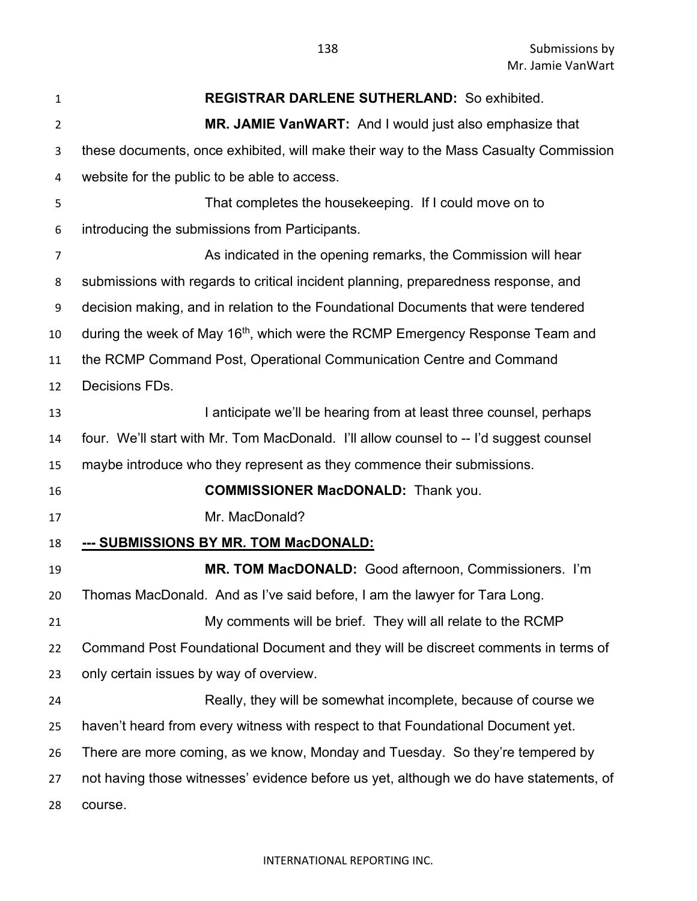| 1              | <b>REGISTRAR DARLENE SUTHERLAND: So exhibited.</b>                                        |
|----------------|-------------------------------------------------------------------------------------------|
| $\overline{2}$ | MR. JAMIE VanWART: And I would just also emphasize that                                   |
| 3              | these documents, once exhibited, will make their way to the Mass Casualty Commission      |
| 4              | website for the public to be able to access.                                              |
| 5              | That completes the housekeeping. If I could move on to                                    |
| 6              | introducing the submissions from Participants.                                            |
| 7              | As indicated in the opening remarks, the Commission will hear                             |
| 8              | submissions with regards to critical incident planning, preparedness response, and        |
| 9              | decision making, and in relation to the Foundational Documents that were tendered         |
| 10             | during the week of May 16 <sup>th</sup> , which were the RCMP Emergency Response Team and |
| 11             | the RCMP Command Post, Operational Communication Centre and Command                       |
| 12             | Decisions FDs.                                                                            |
| 13             | I anticipate we'll be hearing from at least three counsel, perhaps                        |
| 14             | four. We'll start with Mr. Tom MacDonald. I'll allow counsel to -- I'd suggest counsel    |
| 15             | maybe introduce who they represent as they commence their submissions.                    |
| 16             | <b>COMMISSIONER MacDONALD:</b> Thank you.                                                 |
| 17             | Mr. MacDonald?                                                                            |
| 18             | --- SUBMISSIONS BY MR. TOM MacDONALD:                                                     |
| 19             | MR. TOM MacDONALD: Good afternoon, Commissioners. I'm                                     |
| 20             | Thomas MacDonald. And as I've said before, I am the lawyer for Tara Long.                 |
| 21             | My comments will be brief. They will all relate to the RCMP                               |
| 22             | Command Post Foundational Document and they will be discreet comments in terms of         |
| 23             | only certain issues by way of overview.                                                   |
| 24             | Really, they will be somewhat incomplete, because of course we                            |
| 25             | haven't heard from every witness with respect to that Foundational Document yet.          |
| 26             | There are more coming, as we know, Monday and Tuesday. So they're tempered by             |
| 27             | not having those witnesses' evidence before us yet, although we do have statements, of    |
| 28             | course.                                                                                   |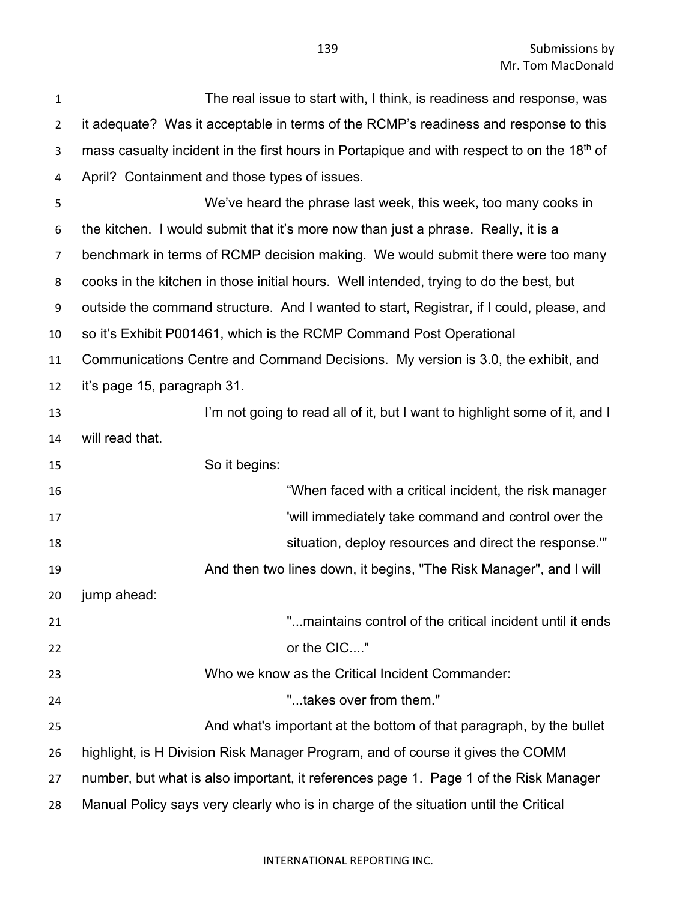| 1              | The real issue to start with, I think, is readiness and response, was                                  |
|----------------|--------------------------------------------------------------------------------------------------------|
| $\overline{2}$ | it adequate? Was it acceptable in terms of the RCMP's readiness and response to this                   |
| 3              | mass casualty incident in the first hours in Portapique and with respect to on the 18 <sup>th</sup> of |
| 4              | April? Containment and those types of issues.                                                          |
| 5              | We've heard the phrase last week, this week, too many cooks in                                         |
| 6              | the kitchen. I would submit that it's more now than just a phrase. Really, it is a                     |
| 7              | benchmark in terms of RCMP decision making. We would submit there were too many                        |
| 8              | cooks in the kitchen in those initial hours. Well intended, trying to do the best, but                 |
| 9              | outside the command structure. And I wanted to start, Registrar, if I could, please, and               |
| 10             | so it's Exhibit P001461, which is the RCMP Command Post Operational                                    |
| 11             | Communications Centre and Command Decisions. My version is 3.0, the exhibit, and                       |
| 12             | it's page 15, paragraph 31.                                                                            |
| 13             | I'm not going to read all of it, but I want to highlight some of it, and I                             |
| 14             | will read that.                                                                                        |
| 15             | So it begins:                                                                                          |
| 16             | "When faced with a critical incident, the risk manager                                                 |
| 17             | 'will immediately take command and control over the                                                    |
| 18             | situation, deploy resources and direct the response."                                                  |
| 19             | And then two lines down, it begins, "The Risk Manager", and I will                                     |
| 20             | jump ahead:                                                                                            |
| 21             | "maintains control of the critical incident until it ends                                              |
| 22             | or the CIC"                                                                                            |
| 23             | Who we know as the Critical Incident Commander:                                                        |
| 24             | "takes over from them."                                                                                |
| 25             | And what's important at the bottom of that paragraph, by the bullet                                    |
| 26             | highlight, is H Division Risk Manager Program, and of course it gives the COMM                         |
| 27             | number, but what is also important, it references page 1. Page 1 of the Risk Manager                   |
| 28             | Manual Policy says very clearly who is in charge of the situation until the Critical                   |
|                |                                                                                                        |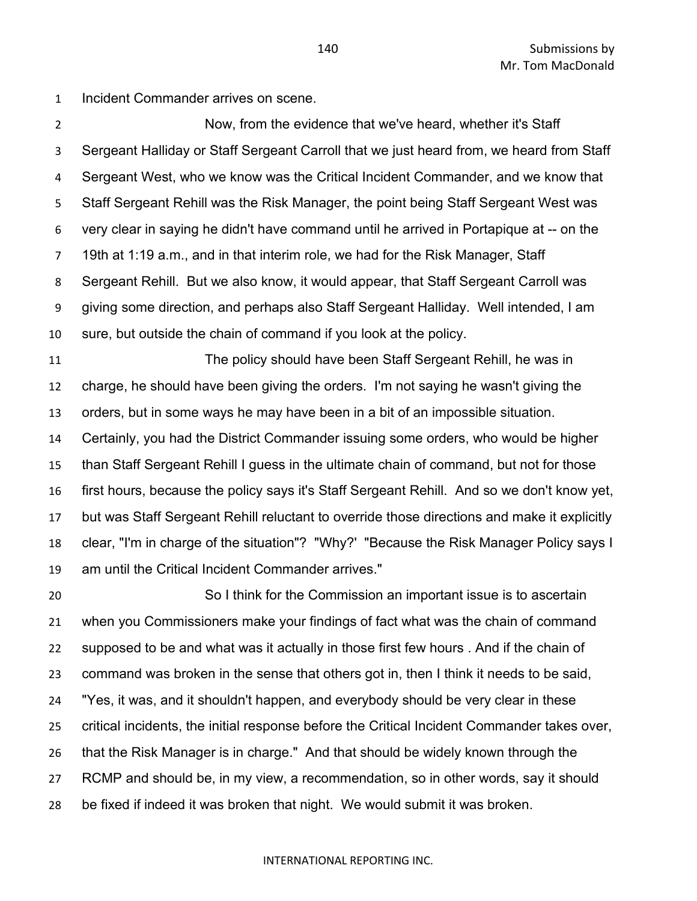Submissions by Mr. Tom MacDonald

Incident Commander arrives on scene.

 Now, from the evidence that we've heard, whether it's Staff Sergeant Halliday or Staff Sergeant Carroll that we just heard from, we heard from Staff Sergeant West, who we know was the Critical Incident Commander, and we know that Staff Sergeant Rehill was the Risk Manager, the point being Staff Sergeant West was very clear in saying he didn't have command until he arrived in Portapique at -- on the 19th at 1:19 a.m., and in that interim role, we had for the Risk Manager, Staff Sergeant Rehill. But we also know, it would appear, that Staff Sergeant Carroll was giving some direction, and perhaps also Staff Sergeant Halliday. Well intended, I am sure, but outside the chain of command if you look at the policy.

 The policy should have been Staff Sergeant Rehill, he was in charge, he should have been giving the orders. I'm not saying he wasn't giving the orders, but in some ways he may have been in a bit of an impossible situation. Certainly, you had the District Commander issuing some orders, who would be higher than Staff Sergeant Rehill I guess in the ultimate chain of command, but not for those first hours, because the policy says it's Staff Sergeant Rehill. And so we don't know yet, but was Staff Sergeant Rehill reluctant to override those directions and make it explicitly clear, "I'm in charge of the situation"? "Why?' "Because the Risk Manager Policy says I am until the Critical Incident Commander arrives."

 So I think for the Commission an important issue is to ascertain when you Commissioners make your findings of fact what was the chain of command supposed to be and what was it actually in those first few hours . And if the chain of command was broken in the sense that others got in, then I think it needs to be said, "Yes, it was, and it shouldn't happen, and everybody should be very clear in these critical incidents, the initial response before the Critical Incident Commander takes over, that the Risk Manager is in charge." And that should be widely known through the RCMP and should be, in my view, a recommendation, so in other words, say it should be fixed if indeed it was broken that night. We would submit it was broken.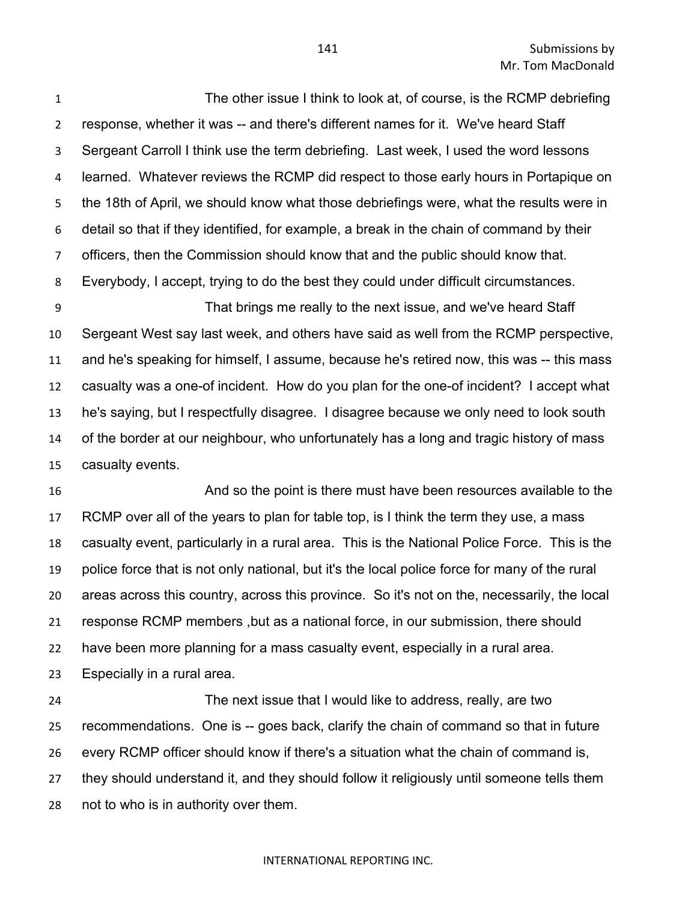The other issue I think to look at, of course, is the RCMP debriefing response, whether it was -- and there's different names for it. We've heard Staff Sergeant Carroll I think use the term debriefing. Last week, I used the word lessons learned. Whatever reviews the RCMP did respect to those early hours in Portapique on the 18th of April, we should know what those debriefings were, what the results were in detail so that if they identified, for example, a break in the chain of command by their officers, then the Commission should know that and the public should know that. Everybody, I accept, trying to do the best they could under difficult circumstances.

 That brings me really to the next issue, and we've heard Staff Sergeant West say last week, and others have said as well from the RCMP perspective, and he's speaking for himself, I assume, because he's retired now, this was -- this mass casualty was a one-of incident. How do you plan for the one-of incident? I accept what he's saying, but I respectfully disagree. I disagree because we only need to look south of the border at our neighbour, who unfortunately has a long and tragic history of mass casualty events.

 And so the point is there must have been resources available to the RCMP over all of the years to plan for table top, is I think the term they use, a mass casualty event, particularly in a rural area. This is the National Police Force. This is the police force that is not only national, but it's the local police force for many of the rural areas across this country, across this province. So it's not on the, necessarily, the local response RCMP members ,but as a national force, in our submission, there should have been more planning for a mass casualty event, especially in a rural area. Especially in a rural area.

 The next issue that I would like to address, really, are two recommendations. One is -- goes back, clarify the chain of command so that in future every RCMP officer should know if there's a situation what the chain of command is, they should understand it, and they should follow it religiously until someone tells them not to who is in authority over them.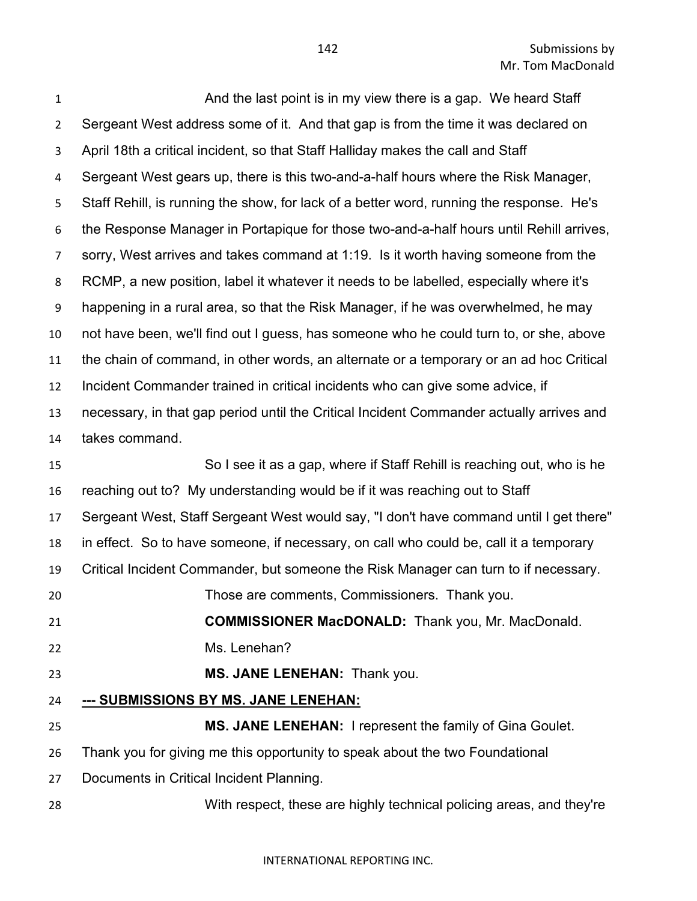**And the last point is in my view there is a gap.** We heard Staff Sergeant West address some of it. And that gap is from the time it was declared on April 18th a critical incident, so that Staff Halliday makes the call and Staff Sergeant West gears up, there is this two-and-a-half hours where the Risk Manager, Staff Rehill, is running the show, for lack of a better word, running the response. He's the Response Manager in Portapique for those two-and-a-half hours until Rehill arrives, sorry, West arrives and takes command at 1:19. Is it worth having someone from the RCMP, a new position, label it whatever it needs to be labelled, especially where it's happening in a rural area, so that the Risk Manager, if he was overwhelmed, he may not have been, we'll find out I guess, has someone who he could turn to, or she, above the chain of command, in other words, an alternate or a temporary or an ad hoc Critical Incident Commander trained in critical incidents who can give some advice, if necessary, in that gap period until the Critical Incident Commander actually arrives and takes command. So I see it as a gap, where if Staff Rehill is reaching out, who is he reaching out to? My understanding would be if it was reaching out to Staff Sergeant West, Staff Sergeant West would say, "I don't have command until I get there" in effect. So to have someone, if necessary, on call who could be, call it a temporary Critical Incident Commander, but someone the Risk Manager can turn to if necessary. Those are comments, Commissioners. Thank you. **COMMISSIONER MacDONALD:** Thank you, Mr. MacDonald. Ms. Lenehan? **MS. JANE LENEHAN:** Thank you. **--- SUBMISSIONS BY MS. JANE LENEHAN: MS. JANE LENEHAN:** I represent the family of Gina Goulet. Thank you for giving me this opportunity to speak about the two Foundational Documents in Critical Incident Planning. With respect, these are highly technical policing areas, and they're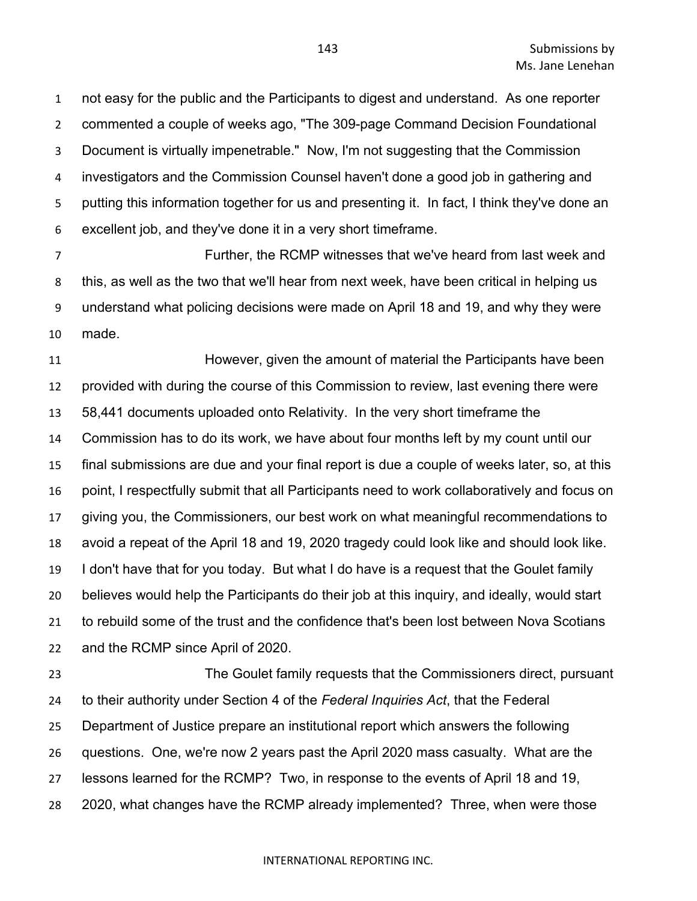not easy for the public and the Participants to digest and understand. As one reporter commented a couple of weeks ago, "The 309-page Command Decision Foundational Document is virtually impenetrable." Now, I'm not suggesting that the Commission investigators and the Commission Counsel haven't done a good job in gathering and putting this information together for us and presenting it. In fact, I think they've done an excellent job, and they've done it in a very short timeframe.

 Further, the RCMP witnesses that we've heard from last week and this, as well as the two that we'll hear from next week, have been critical in helping us understand what policing decisions were made on April 18 and 19, and why they were made.

 However, given the amount of material the Participants have been provided with during the course of this Commission to review, last evening there were 58,441 documents uploaded onto Relativity. In the very short timeframe the Commission has to do its work, we have about four months left by my count until our final submissions are due and your final report is due a couple of weeks later, so, at this point, I respectfully submit that all Participants need to work collaboratively and focus on giving you, the Commissioners, our best work on what meaningful recommendations to avoid a repeat of the April 18 and 19, 2020 tragedy could look like and should look like. I don't have that for you today. But what I do have is a request that the Goulet family believes would help the Participants do their job at this inquiry, and ideally, would start to rebuild some of the trust and the confidence that's been lost between Nova Scotians and the RCMP since April of 2020.

 The Goulet family requests that the Commissioners direct, pursuant to their authority under Section 4 of the *Federal Inquiries Act*, that the Federal Department of Justice prepare an institutional report which answers the following questions. One, we're now 2 years past the April 2020 mass casualty. What are the lessons learned for the RCMP? Two, in response to the events of April 18 and 19, 2020, what changes have the RCMP already implemented? Three, when were those

### INTERNATIONAL REPORTING INC.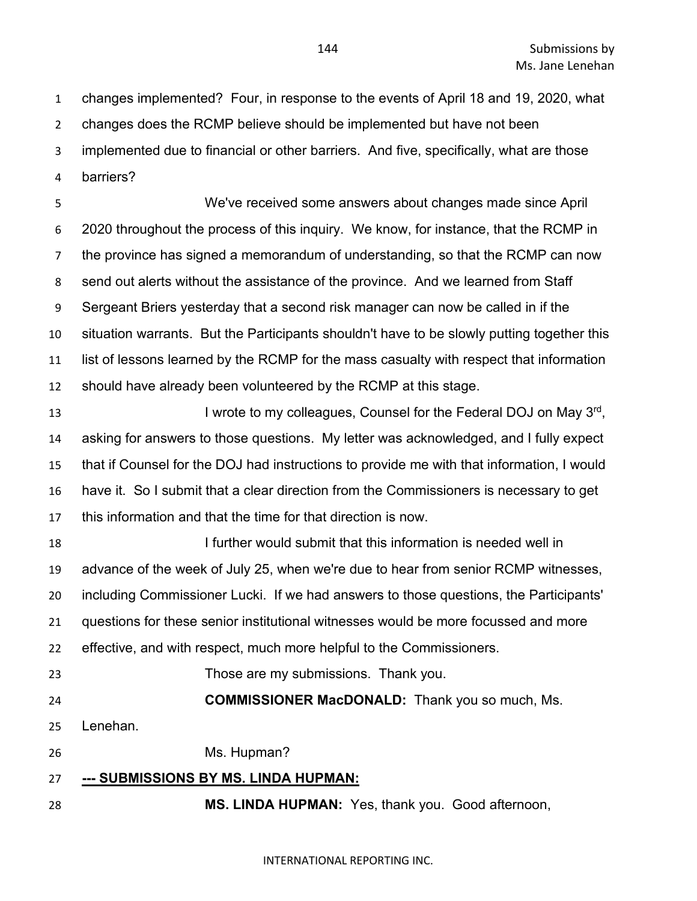changes implemented? Four, in response to the events of April 18 and 19, 2020, what

changes does the RCMP believe should be implemented but have not been

implemented due to financial or other barriers. And five, specifically, what are those

barriers?

We've received some answers about changes made since April 2020 throughout the process of this inquiry. We know, for instance, that the RCMP in the province has signed a memorandum of understanding, so that the RCMP can now send out alerts without the assistance of the province. And we learned from Staff Sergeant Briers yesterday that a second risk manager can now be called in if the situation warrants. But the Participants shouldn't have to be slowly putting together this list of lessons learned by the RCMP for the mass casualty with respect that information should have already been volunteered by the RCMP at this stage.

**I** wrote to my colleagues, Counsel for the Federal DOJ on May 3<sup>rd</sup>, asking for answers to those questions. My letter was acknowledged, and I fully expect that if Counsel for the DOJ had instructions to provide me with that information, I would have it. So I submit that a clear direction from the Commissioners is necessary to get this information and that the time for that direction is now.

 I further would submit that this information is needed well in advance of the week of July 25, when we're due to hear from senior RCMP witnesses, including Commissioner Lucki. If we had answers to those questions, the Participants' questions for these senior institutional witnesses would be more focussed and more effective, and with respect, much more helpful to the Commissioners.

Those are my submissions. Thank you.

**COMMISSIONER MacDONALD:** Thank you so much, Ms.

Lenehan.

Ms. Hupman?

# **--- SUBMISSIONS BY MS. LINDA HUPMAN:**

**MS. LINDA HUPMAN:** Yes, thank you. Good afternoon,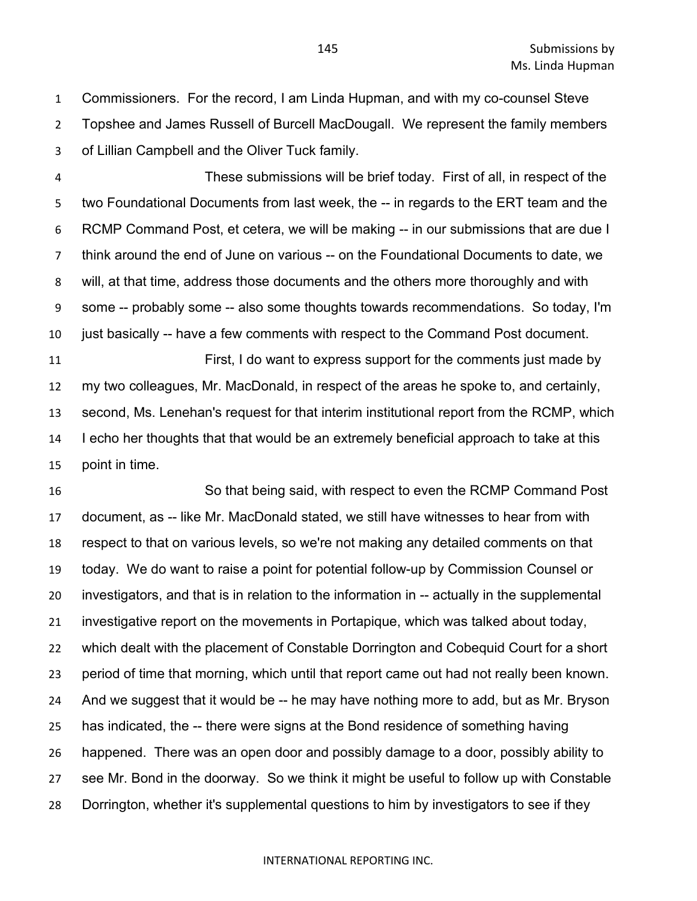Commissioners. For the record, I am Linda Hupman, and with my co-counsel Steve Topshee and James Russell of Burcell MacDougall. We represent the family members of Lillian Campbell and the Oliver Tuck family.

 These submissions will be brief today. First of all, in respect of the two Foundational Documents from last week, the -- in regards to the ERT team and the RCMP Command Post, et cetera, we will be making -- in our submissions that are due I think around the end of June on various -- on the Foundational Documents to date, we will, at that time, address those documents and the others more thoroughly and with some -- probably some -- also some thoughts towards recommendations. So today, I'm just basically -- have a few comments with respect to the Command Post document. First, I do want to express support for the comments just made by

 my two colleagues, Mr. MacDonald, in respect of the areas he spoke to, and certainly, second, Ms. Lenehan's request for that interim institutional report from the RCMP, which I echo her thoughts that that would be an extremely beneficial approach to take at this point in time.

 So that being said, with respect to even the RCMP Command Post document, as -- like Mr. MacDonald stated, we still have witnesses to hear from with respect to that on various levels, so we're not making any detailed comments on that today. We do want to raise a point for potential follow-up by Commission Counsel or investigators, and that is in relation to the information in -- actually in the supplemental investigative report on the movements in Portapique, which was talked about today, which dealt with the placement of Constable Dorrington and Cobequid Court for a short period of time that morning, which until that report came out had not really been known. And we suggest that it would be -- he may have nothing more to add, but as Mr. Bryson has indicated, the -- there were signs at the Bond residence of something having happened. There was an open door and possibly damage to a door, possibly ability to see Mr. Bond in the doorway. So we think it might be useful to follow up with Constable Dorrington, whether it's supplemental questions to him by investigators to see if they

### INTERNATIONAL REPORTING INC.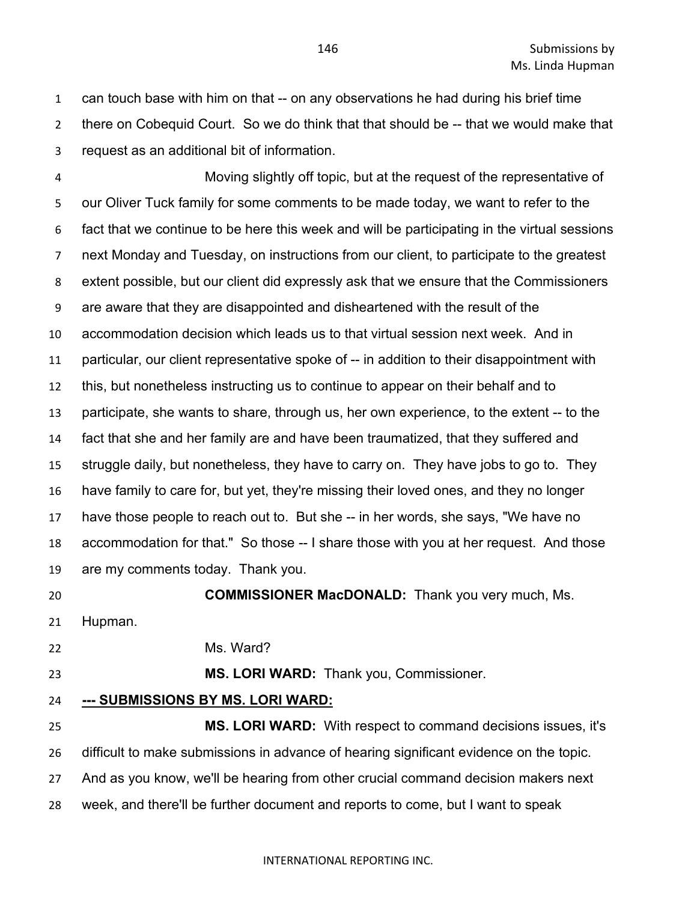can touch base with him on that -- on any observations he had during his brief time there on Cobequid Court. So we do think that that should be -- that we would make that request as an additional bit of information.

Moving slightly off topic, but at the request of the representative of our Oliver Tuck family for some comments to be made today, we want to refer to the fact that we continue to be here this week and will be participating in the virtual sessions next Monday and Tuesday, on instructions from our client, to participate to the greatest extent possible, but our client did expressly ask that we ensure that the Commissioners are aware that they are disappointed and disheartened with the result of the accommodation decision which leads us to that virtual session next week. And in particular, our client representative spoke of -- in addition to their disappointment with this, but nonetheless instructing us to continue to appear on their behalf and to participate, she wants to share, through us, her own experience, to the extent -- to the fact that she and her family are and have been traumatized, that they suffered and struggle daily, but nonetheless, they have to carry on. They have jobs to go to. They have family to care for, but yet, they're missing their loved ones, and they no longer have those people to reach out to. But she -- in her words, she says, "We have no accommodation for that." So those -- I share those with you at her request. And those are my comments today. Thank you.

**COMMISSIONER MacDONALD:** Thank you very much, Ms.

Hupman.

Ms. Ward?

**MS. LORI WARD:** Thank you, Commissioner.

## **--- SUBMISSIONS BY MS. LORI WARD:**

 **MS. LORI WARD:** With respect to command decisions issues, it's difficult to make submissions in advance of hearing significant evidence on the topic. And as you know, we'll be hearing from other crucial command decision makers next week, and there'll be further document and reports to come, but I want to speak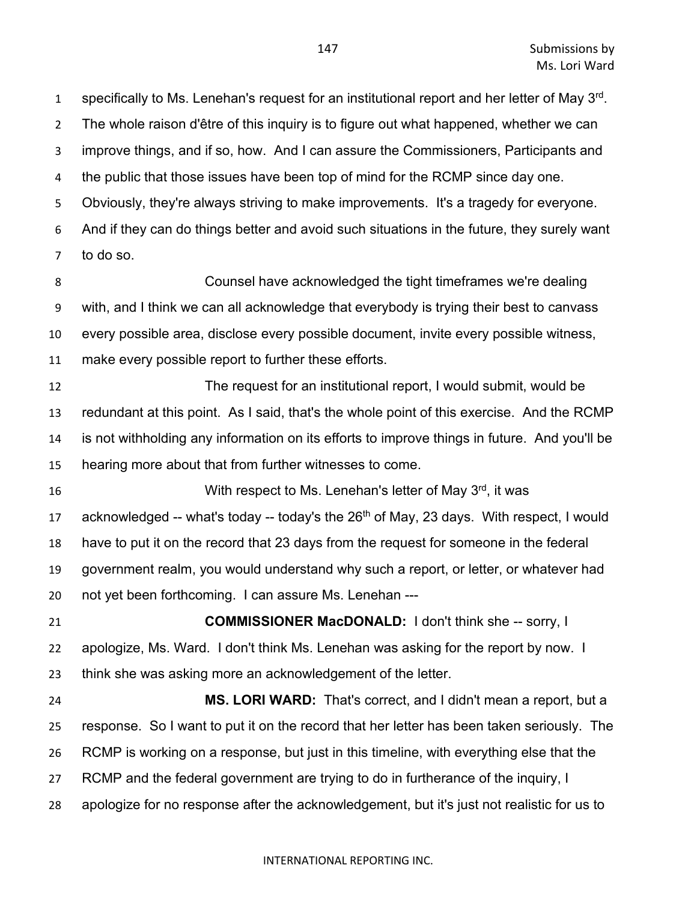specifically to Ms. Lenehan's request for an institutional report and her letter of May 3rd. The whole raison d'être of this inquiry is to figure out what happened, whether we can improve things, and if so, how. And I can assure the Commissioners, Participants and the public that those issues have been top of mind for the RCMP since day one. Obviously, they're always striving to make improvements. It's a tragedy for everyone. And if they can do things better and avoid such situations in the future, they surely want to do so.

 Counsel have acknowledged the tight timeframes we're dealing with, and I think we can all acknowledge that everybody is trying their best to canvass every possible area, disclose every possible document, invite every possible witness, make every possible report to further these efforts.

 The request for an institutional report, I would submit, would be redundant at this point. As I said, that's the whole point of this exercise. And the RCMP is not withholding any information on its efforts to improve things in future. And you'll be hearing more about that from further witnesses to come.

**16** With respect to Ms. Lenehan's letter of May 3<sup>rd</sup>, it was 17 acknowledged -- what's today -- today's the  $26<sup>th</sup>$  of May, 23 days. With respect, I would have to put it on the record that 23 days from the request for someone in the federal government realm, you would understand why such a report, or letter, or whatever had not yet been forthcoming. I can assure Ms. Lenehan ---

 **COMMISSIONER MacDONALD:** I don't think she -- sorry, I apologize, Ms. Ward. I don't think Ms. Lenehan was asking for the report by now. I think she was asking more an acknowledgement of the letter.

 **MS. LORI WARD:** That's correct, and I didn't mean a report, but a response. So I want to put it on the record that her letter has been taken seriously. The RCMP is working on a response, but just in this timeline, with everything else that the RCMP and the federal government are trying to do in furtherance of the inquiry, I apologize for no response after the acknowledgement, but it's just not realistic for us to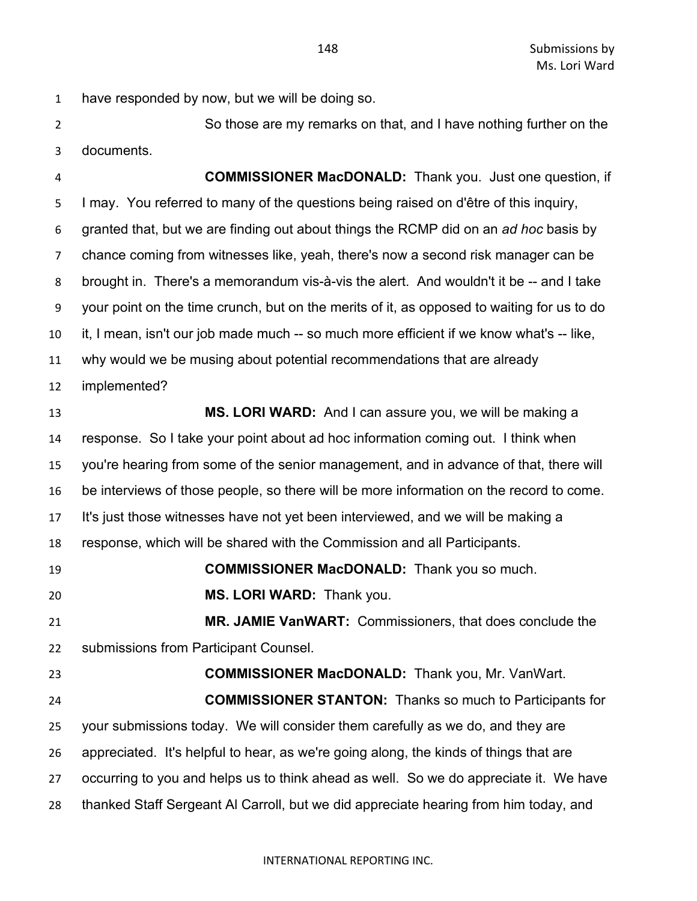have responded by now, but we will be doing so.

 So those are my remarks on that, and I have nothing further on the documents.

 **COMMISSIONER MacDONALD:** Thank you. Just one question, if I may. You referred to many of the questions being raised on d'être of this inquiry, granted that, but we are finding out about things the RCMP did on an *ad hoc* basis by chance coming from witnesses like, yeah, there's now a second risk manager can be brought in. There's a memorandum vis-à-vis the alert. And wouldn't it be -- and I take your point on the time crunch, but on the merits of it, as opposed to waiting for us to do it, I mean, isn't our job made much -- so much more efficient if we know what's -- like, why would we be musing about potential recommendations that are already implemented? **MS. LORI WARD:** And I can assure you, we will be making a response. So I take your point about ad hoc information coming out. I think when you're hearing from some of the senior management, and in advance of that, there will be interviews of those people, so there will be more information on the record to come. It's just those witnesses have not yet been interviewed, and we will be making a response, which will be shared with the Commission and all Participants. **COMMISSIONER MacDONALD:** Thank you so much. **MS. LORI WARD:** Thank you. **MR. JAMIE VanWART:** Commissioners, that does conclude the submissions from Participant Counsel. **COMMISSIONER MacDONALD:** Thank you, Mr. VanWart. **COMMISSIONER STANTON:** Thanks so much to Participants for your submissions today. We will consider them carefully as we do, and they are appreciated. It's helpful to hear, as we're going along, the kinds of things that are occurring to you and helps us to think ahead as well. So we do appreciate it. We have thanked Staff Sergeant Al Carroll, but we did appreciate hearing from him today, and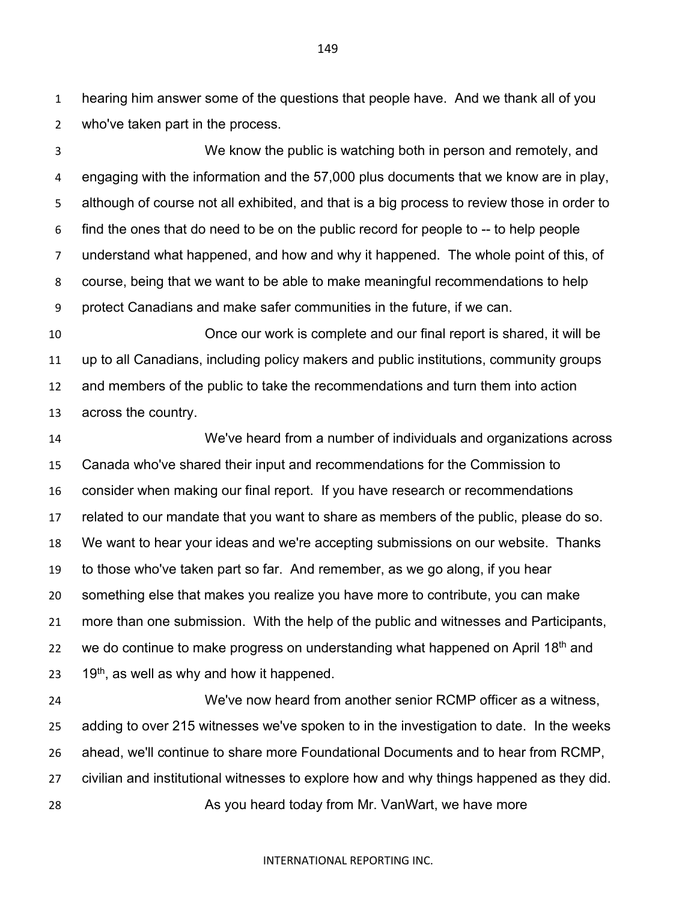hearing him answer some of the questions that people have. And we thank all of you who've taken part in the process.

 We know the public is watching both in person and remotely, and engaging with the information and the 57,000 plus documents that we know are in play, although of course not all exhibited, and that is a big process to review those in order to find the ones that do need to be on the public record for people to -- to help people understand what happened, and how and why it happened. The whole point of this, of course, being that we want to be able to make meaningful recommendations to help protect Canadians and make safer communities in the future, if we can.

 Once our work is complete and our final report is shared, it will be up to all Canadians, including policy makers and public institutions, community groups and members of the public to take the recommendations and turn them into action across the country.

 We've heard from a number of individuals and organizations across Canada who've shared their input and recommendations for the Commission to consider when making our final report. If you have research or recommendations related to our mandate that you want to share as members of the public, please do so. We want to hear your ideas and we're accepting submissions on our website. Thanks to those who've taken part so far. And remember, as we go along, if you hear something else that makes you realize you have more to contribute, you can make more than one submission. With the help of the public and witnesses and Participants, 22 we do continue to make progress on understanding what happened on April  $18<sup>th</sup>$  and  $19<sup>th</sup>$ , as well as why and how it happened.

 We've now heard from another senior RCMP officer as a witness, adding to over 215 witnesses we've spoken to in the investigation to date. In the weeks ahead, we'll continue to share more Foundational Documents and to hear from RCMP, civilian and institutional witnesses to explore how and why things happened as they did. As you heard today from Mr. VanWart, we have more

### INTERNATIONAL REPORTING INC.